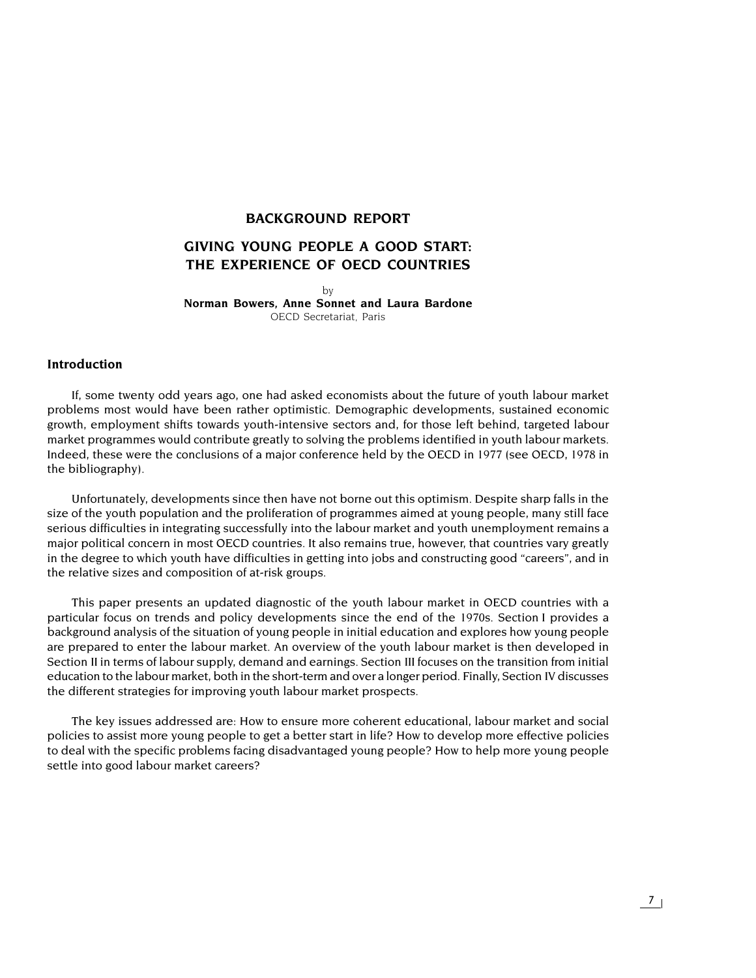### **BACKGROUND REPORT**

# **GIVING YOUNG PEOPLE A GOOD START: THE EXPERIENCE OF OECD COUNTRIES**

by **Norman Bowers, Anne Sonnet and Laura Bardone** OECD Secretariat, Paris

### **Introduction**

If, some twenty odd years ago, one had asked economists about the future of youth labour market problems most would have been rather optimistic. Demographic developments, sustained economic growth, employment shifts towards youth-intensive sectors and, for those left behind, targeted labour market programmes would contribute greatly to solving the problems identified in youth labour markets. Indeed, these were the conclusions of a major conference held by the OECD in 1977 (see OECD, 1978 in the bibliography).

Unfortunately, developments since then have not borne out this optimism. Despite sharp falls in the size of the youth population and the proliferation of programmes aimed at young people, many still face serious difficulties in integrating successfully into the labour market and youth unemployment remains a major political concern in most OECD countries. It also remains true, however, that countries vary greatly in the degree to which youth have difficulties in getting into jobs and constructing good "careers", and in the relative sizes and composition of at-risk groups.

This paper presents an updated diagnostic of the youth labour market in OECD countries with a particular focus on trends and policy developments since the end of the 1970s. Section I provides a background analysis of the situation of young people in initial education and explores how young people are prepared to enter the labour market. An overview of the youth labour market is then developed in Section II in terms of labour supply, demand and earnings. Section III focuses on the transition from initial education to the labour market, both in the short-term and over a longer period. Finally, Section IV discusses the different strategies for improving youth labour market prospects.

The key issues addressed are: How to ensure more coherent educational, labour market and social policies to assist more young people to get a better start in life? How to develop more effective policies to deal with the specific problems facing disadvantaged young people? How to help more young people settle into good labour market careers?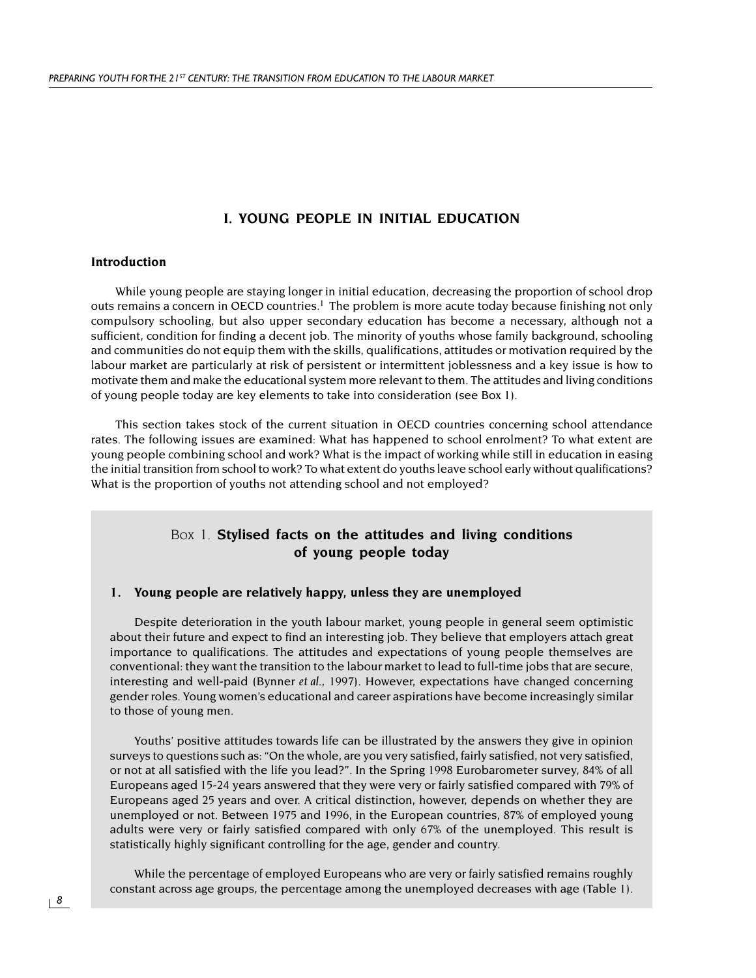# **I. YOUNG PEOPLE IN INITIAL EDUCATION**

## **Introduction**

While young people are staying longer in initial education, decreasing the proportion of school drop outs remains a concern in OECD countries.<sup>1</sup> The problem is more acute today because finishing not only compulsory schooling, but also upper secondary education has become a necessary, although not a sufficient, condition for finding a decent job. The minority of youths whose family background, schooling and communities do not equip them with the skills, qualifications, attitudes or motivation required by the labour market are particularly at risk of persistent or intermittent joblessness and a key issue is how to motivate them and make the educational system more relevant to them. The attitudes and living conditions of young people today are key elements to take into consideration (see Box 1).

This section takes stock of the current situation in OECD countries concerning school attendance rates. The following issues are examined: What has happened to school enrolment? To what extent are young people combining school and work? What is the impact of working while still in education in easing the initial transition from school to work? To what extent do youths leave school early without qualifications? What is the proportion of youths not attending school and not employed?

# Box 1. **Stylised facts on the attitudes and living conditions of young people today**

### **1. Young people are relatively happy, unless they are unemployed**

Despite deterioration in the youth labour market, young people in general seem optimistic about their future and expect to find an interesting job. They believe that employers attach great importance to qualifications. The attitudes and expectations of young people themselves are conventional: they want the transition to the labour market to lead to full-time jobs that are secure, interesting and well-paid (Bynner *et al.,* 1997). However, expectations have changed concerning gender roles. Young women's educational and career aspirations have become increasingly similar to those of young men.

Youths' positive attitudes towards life can be illustrated by the answers they give in opinion surveys to questions such as: "On the whole, are you very satisfied, fairly satisfied, not very satisfied, or not at all satisfied with the life you lead?". In the Spring 1998 Eurobarometer survey, 84% of all Europeans aged 15-24 years answered that they were very or fairly satisfied compared with 79% of Europeans aged 25 years and over. A critical distinction, however, depends on whether they are unemployed or not. Between 1975 and 1996, in the European countries, 87% of employed young adults were very or fairly satisfied compared with only 67% of the unemployed. This result is statistically highly significant controlling for the age, gender and country.

While the percentage of employed Europeans who are very or fairly satisfied remains roughly constant across age groups, the percentage among the unemployed decreases with age (Table 1).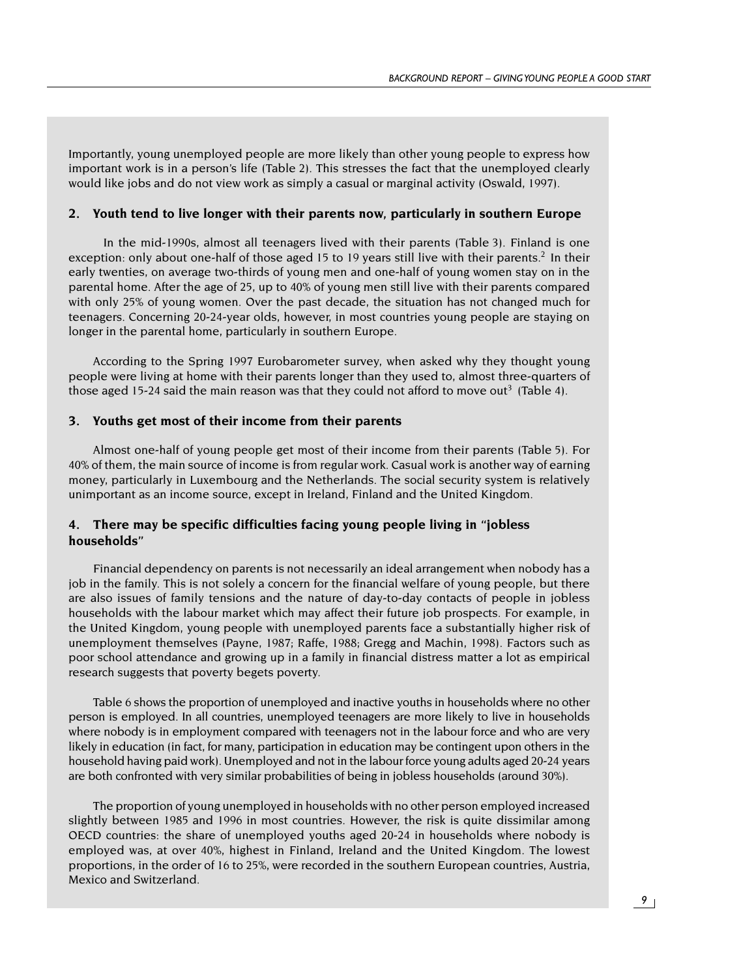Importantly, young unemployed people are more likely than other young people to express how important work is in a person's life (Table 2). This stresses the fact that the unemployed clearly would like jobs and do not view work as simply a casual or marginal activity (Oswald, 1997).

# **2. Youth tend to live longer with their parents now, particularly in southern Europe**

In the mid-1990s, almost all teenagers lived with their parents (Table 3). Finland is one exception: only about one-half of those aged 15 to 19 years still live with their parents.<sup>2</sup> In their early twenties, on average two-thirds of young men and one-half of young women stay on in the parental home. After the age of 25, up to 40% of young men still live with their parents compared with only 25% of young women. Over the past decade, the situation has not changed much for teenagers. Concerning 20-24-year olds, however, in most countries young people are staying on longer in the parental home, particularly in southern Europe.

According to the Spring 1997 Eurobarometer survey, when asked why they thought young people were living at home with their parents longer than they used to, almost three-quarters of those aged 15-24 said the main reason was that they could not afford to move out<sup>3</sup> (Table 4).

## **3. Youths get most of their income from their parents**

Almost one-half of young people get most of their income from their parents (Table 5). For 40% of them, the main source of income is from regular work. Casual work is another way of earning money, particularly in Luxembourg and the Netherlands. The social security system is relatively unimportant as an income source, except in Ireland, Finland and the United Kingdom.

# **4. There may be specific difficulties facing young people living in "jobless households"**

Financial dependency on parents is not necessarily an ideal arrangement when nobody has a job in the family. This is not solely a concern for the financial welfare of young people, but there are also issues of family tensions and the nature of day-to-day contacts of people in jobless households with the labour market which may affect their future job prospects. For example, in the United Kingdom, young people with unemployed parents face a substantially higher risk of unemployment themselves (Payne, 1987; Raffe, 1988; Gregg and Machin, 1998). Factors such as poor school attendance and growing up in a family in financial distress matter a lot as empirical research suggests that poverty begets poverty.

Table 6 shows the proportion of unemployed and inactive youths in households where no other person is employed. In all countries, unemployed teenagers are more likely to live in households where nobody is in employment compared with teenagers not in the labour force and who are very likely in education (in fact, for many, participation in education may be contingent upon others in the household having paid work). Unemployed and not in the labour force young adults aged 20-24 years are both confronted with very similar probabilities of being in jobless households (around 30%).

The proportion of young unemployed in households with no other person employed increased slightly between 1985 and 1996 in most countries. However, the risk is quite dissimilar among OECD countries: the share of unemployed youths aged 20-24 in households where nobody is employed was, at over 40%, highest in Finland, Ireland and the United Kingdom. The lowest proportions, in the order of 16 to 25%, were recorded in the southern European countries, Austria, Mexico and Switzerland.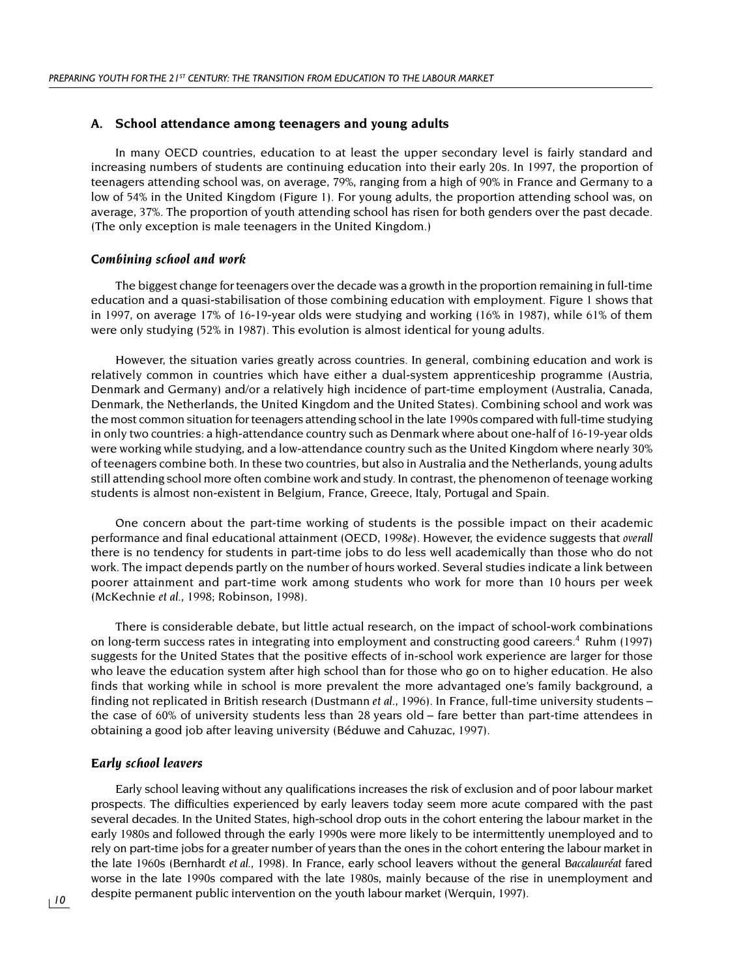### **A. School attendance among teenagers and young adults**

In many OECD countries, education to at least the upper secondary level is fairly standard and increasing numbers of students are continuing education into their early 20s. In 1997, the proportion of teenagers attending school was, on average, 79%, ranging from a high of 90% in France and Germany to a low of 54% in the United Kingdom (Figure 1). For young adults, the proportion attending school was, on average, 37%. The proportion of youth attending school has risen for both genders over the past decade. (The only exception is male teenagers in the United Kingdom.)

#### *Combining school and work*

The biggest change for teenagers over the decade was a growth in the proportion remaining in full-time education and a quasi-stabilisation of those combining education with employment. Figure 1 shows that in 1997, on average 17% of 16-19-year olds were studying and working (16% in 1987), while 61% of them were only studying (52% in 1987). This evolution is almost identical for young adults.

However, the situation varies greatly across countries. In general, combining education and work is relatively common in countries which have either a dual-system apprenticeship programme (Austria, Denmark and Germany) and/or a relatively high incidence of part-time employment (Australia, Canada, Denmark, the Netherlands, the United Kingdom and the United States). Combining school and work was the most common situation for teenagers attending school in the late 1990s compared with full-time studying in only two countries: a high-attendance country such as Denmark where about one-half of 16-19-year olds were working while studying, and a low-attendance country such as the United Kingdom where nearly 30% of teenagers combine both. In these two countries, but also in Australia and the Netherlands, young adults still attending school more often combine work and study. In contrast, the phenomenon of teenage working students is almost non-existent in Belgium, France, Greece, Italy, Portugal and Spain.

One concern about the part-time working of students is the possible impact on their academic performance and final educational attainment (OECD, 1998*e*). However, the evidence suggests that *overall* there is no tendency for students in part-time jobs to do less well academically than those who do not work. The impact depends partly on the number of hours worked. Several studies indicate a link between poorer attainment and part-time work among students who work for more than 10 hours per week (McKechnie *et al.,* 1998; Robinson, 1998).

There is considerable debate, but little actual research, on the impact of school-work combinations on long-term success rates in integrating into employment and constructing good careers.4 Ruhm (1997) suggests for the United States that the positive effects of in-school work experience are larger for those who leave the education system after high school than for those who go on to higher education. He also finds that working while in school is more prevalent the more advantaged one's family background, a finding not replicated in British research (Dustmann *et al.,* 1996). In France, full-time university students – the case of 60% of university students less than 28 years old – fare better than part-time attendees in obtaining a good job after leaving university (Béduwe and Cahuzac, 1997).

### *Early school leavers*

Early school leaving without any qualifications increases the risk of exclusion and of poor labour market prospects. The difficulties experienced by early leavers today seem more acute compared with the past several decades. In the United States, high-school drop outs in the cohort entering the labour market in the early 1980s and followed through the early 1990s were more likely to be intermittently unemployed and to rely on part-time jobs for a greater number of years than the ones in the cohort entering the labour market in the late 1960s (Bernhardt *et al.,* 1998). In France, early school leavers without the general *Baccalauréat* fared worse in the late 1990s compared with the late 1980s, mainly because of the rise in unemployment and despite permanent public intervention on the youth labour market (Werquin, 1997).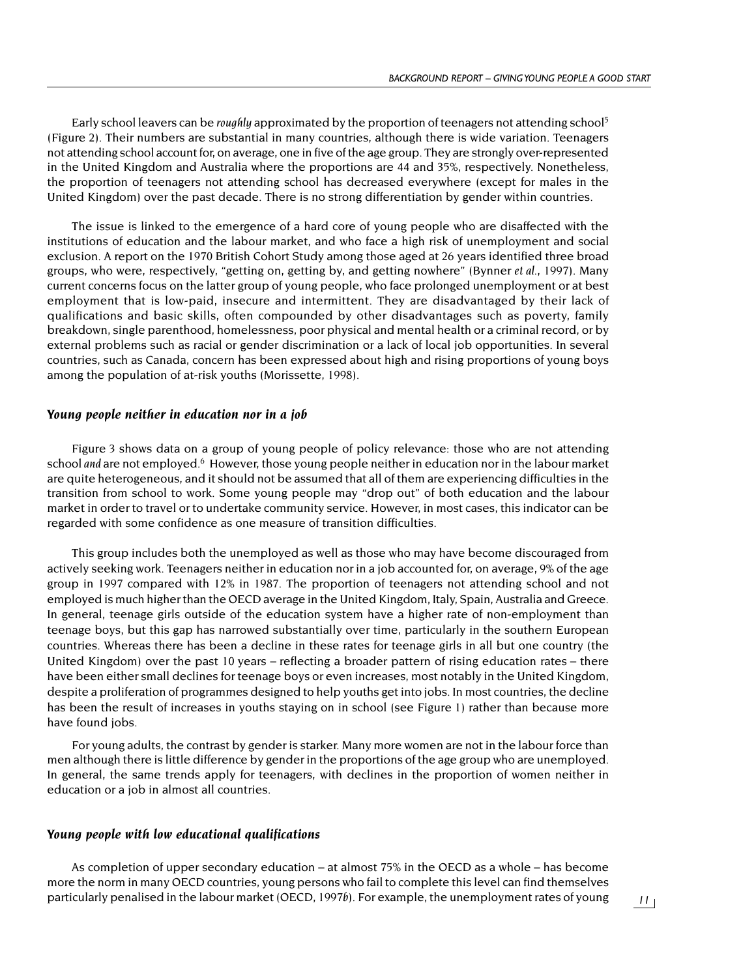Early school leavers can be *roughly* approximated by the proportion of teenagers not attending school5 (Figure 2). Their numbers are substantial in many countries, although there is wide variation. Teenagers not attending school account for, on average, one in five of the age group. They are strongly over-represented in the United Kingdom and Australia where the proportions are 44 and 35%, respectively. Nonetheless, the proportion of teenagers not attending school has decreased everywhere (except for males in the United Kingdom) over the past decade. There is no strong differentiation by gender within countries.

The issue is linked to the emergence of a hard core of young people who are disaffected with the institutions of education and the labour market, and who face a high risk of unemployment and social exclusion. A report on the 1970 British Cohort Study among those aged at 26 years identified three broad groups, who were, respectively, "getting on, getting by, and getting nowhere" (Bynner *et al.,* 1997). Many current concerns focus on the latter group of young people, who face prolonged unemployment or at best employment that is low-paid, insecure and intermittent. They are disadvantaged by their lack of qualifications and basic skills, often compounded by other disadvantages such as poverty, family breakdown, single parenthood, homelessness, poor physical and mental health or a criminal record, or by external problems such as racial or gender discrimination or a lack of local job opportunities. In several countries, such as Canada, concern has been expressed about high and rising proportions of young boys among the population of at-risk youths (Morissette, 1998).

## *Young people neither in education nor in a job*

Figure 3 shows data on a group of young people of policy relevance: those who are not attending school *and* are not employed.<sup>6</sup> However, those young people neither in education nor in the labour market are quite heterogeneous, and it should not be assumed that all of them are experiencing difficulties in the transition from school to work. Some young people may "drop out" of both education and the labour market in order to travel or to undertake community service. However, in most cases, this indicator can be regarded with some confidence as one measure of transition difficulties.

This group includes both the unemployed as well as those who may have become discouraged from actively seeking work. Teenagers neither in education nor in a job accounted for, on average, 9% of the age group in 1997 compared with 12% in 1987. The proportion of teenagers not attending school and not employed is much higher than the OECD average in the United Kingdom, Italy, Spain, Australia and Greece. In general, teenage girls outside of the education system have a higher rate of non-employment than teenage boys, but this gap has narrowed substantially over time, particularly in the southern European countries. Whereas there has been a decline in these rates for teenage girls in all but one country (the United Kingdom) over the past 10 years – reflecting a broader pattern of rising education rates – there have been either small declines for teenage boys or even increases, most notably in the United Kingdom, despite a proliferation of programmes designed to help youths get into jobs. In most countries, the decline has been the result of increases in youths staying on in school (see Figure 1) rather than because more have found jobs.

For young adults, the contrast by gender is starker. Many more women are not in the labour force than men although there is little difference by gender in the proportions of the age group who are unemployed. In general, the same trends apply for teenagers, with declines in the proportion of women neither in education or a job in almost all countries.

### *Young people with low educational qualifications*

As completion of upper secondary education – at almost 75% in the OECD as a whole – has become more the norm in many OECD countries, young persons who fail to complete this level can find themselves particularly penalised in the labour market (OECD, 1997*b*). For example, the unemployment rates of young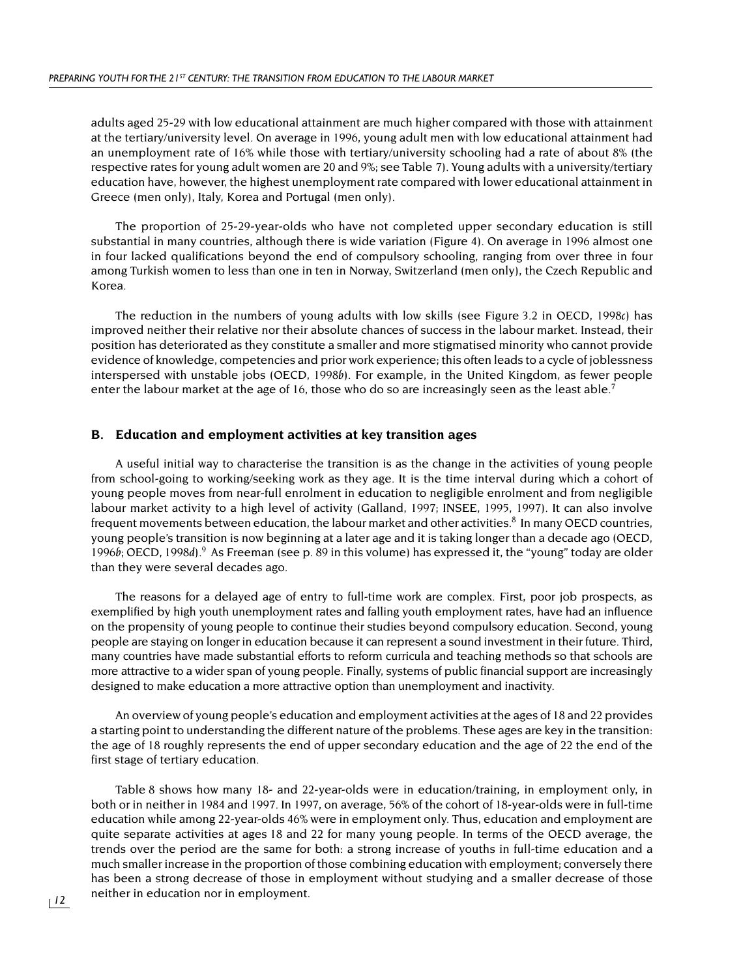adults aged 25-29 with low educational attainment are much higher compared with those with attainment at the tertiary/university level. On average in 1996, young adult men with low educational attainment had an unemployment rate of 16% while those with tertiary/university schooling had a rate of about 8% (the respective rates for young adult women are 20 and 9%; see Table 7). Young adults with a university/tertiary education have, however, the highest unemployment rate compared with lower educational attainment in Greece (men only), Italy, Korea and Portugal (men only).

The proportion of 25-29-year-olds who have not completed upper secondary education is still substantial in many countries, although there is wide variation (Figure 4). On average in 1996 almost one in four lacked qualifications beyond the end of compulsory schooling, ranging from over three in four among Turkish women to less than one in ten in Norway, Switzerland (men only), the Czech Republic and Korea.

The reduction in the numbers of young adults with low skills (see Figure 3.2 in OECD, 1998*c*) has improved neither their relative nor their absolute chances of success in the labour market. Instead, their position has deteriorated as they constitute a smaller and more stigmatised minority who cannot provide evidence of knowledge, competencies and prior work experience; this often leads to a cycle of joblessness interspersed with unstable jobs (OECD, 1998*b*). For example, in the United Kingdom, as fewer people enter the labour market at the age of 16, those who do so are increasingly seen as the least able.<sup>7</sup>

# **B. Education and employment activities at key transition ages**

A useful initial way to characterise the transition is as the change in the activities of young people from school-going to working/seeking work as they age. It is the time interval during which a cohort of young people moves from near-full enrolment in education to negligible enrolment and from negligible labour market activity to a high level of activity (Galland, 1997; INSEE, 1995, 1997). It can also involve frequent movements between education, the labour market and other activities.<sup>8</sup> In many OECD countries, young people's transition is now beginning at a later age and it is taking longer than a decade ago (OECD, 1996*b*; OECD, 1998*d*).9 As Freeman (see p. 89 in this volume) has expressed it, the "young" today are older than they were several decades ago.

The reasons for a delayed age of entry to full-time work are complex. First, poor job prospects, as exemplified by high youth unemployment rates and falling youth employment rates, have had an influence on the propensity of young people to continue their studies beyond compulsory education. Second, young people are staying on longer in education because it can represent a sound investment in their future. Third, many countries have made substantial efforts to reform curricula and teaching methods so that schools are more attractive to a wider span of young people. Finally, systems of public financial support are increasingly designed to make education a more attractive option than unemployment and inactivity.

An overview of young people's education and employment activities at the ages of 18 and 22 provides a starting point to understanding the different nature of the problems. These ages are key in the transition: the age of 18 roughly represents the end of upper secondary education and the age of 22 the end of the first stage of tertiary education.

Table 8 shows how many 18- and 22-year-olds were in education/training, in employment only, in both or in neither in 1984 and 1997. In 1997, on average, 56% of the cohort of 18-year-olds were in full-time education while among 22-year-olds 46% were in employment only. Thus, education and employment are quite separate activities at ages 18 and 22 for many young people. In terms of the OECD average, the trends over the period are the same for both: a strong increase of youths in full-time education and a much smaller increase in the proportion of those combining education with employment; conversely there has been a strong decrease of those in employment without studying and a smaller decrease of those neither in education nor in employment.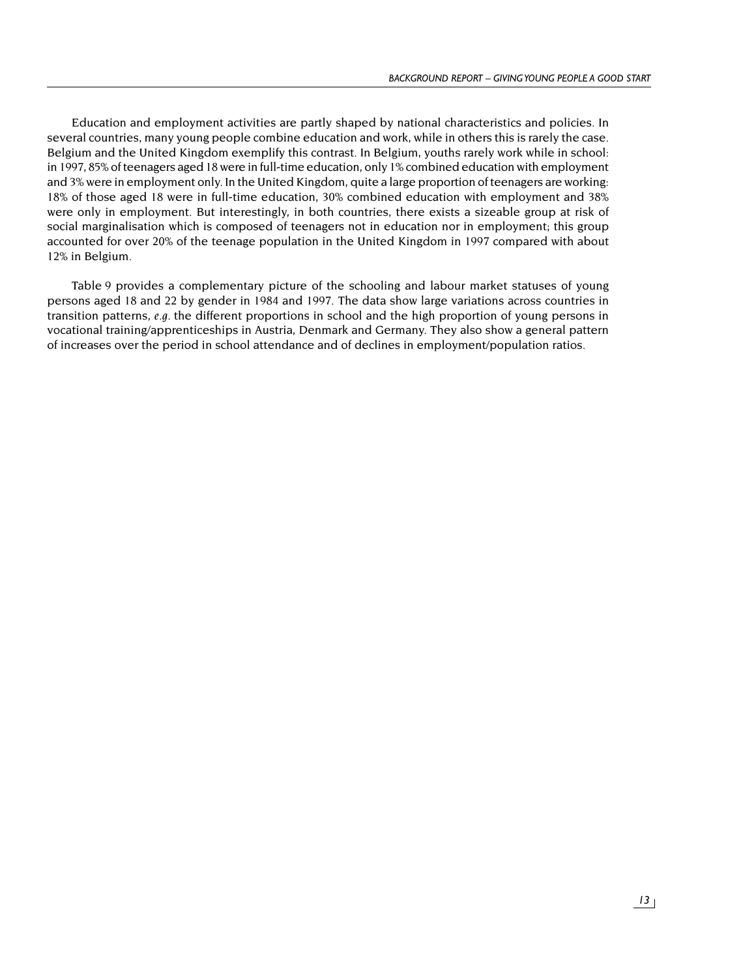Education and employment activities are partly shaped by national characteristics and policies. In several countries, many young people combine education and work, while in others this is rarely the case. Belgium and the United Kingdom exemplify this contrast. In Belgium, youths rarely work while in school: in 1997, 85% of teenagers aged 18 were in full-time education, only 1% combined education with employment and 3% were in employment only. In the United Kingdom, quite a large proportion of teenagers are working: 18% of those aged 18 were in full-time education, 30% combined education with employment and 38% were only in employment. But interestingly, in both countries, there exists a sizeable group at risk of social marginalisation which is composed of teenagers not in education nor in employment; this group accounted for over 20% of the teenage population in the United Kingdom in 1997 compared with about 12% in Belgium.

Table 9 provides a complementary picture of the schooling and labour market statuses of young persons aged 18 and 22 by gender in 1984 and 1997. The data show large variations across countries in transition patterns, *e.g.* the different proportions in school and the high proportion of young persons in vocational training/apprenticeships in Austria, Denmark and Germany. They also show a general pattern of increases over the period in school attendance and of declines in employment/population ratios.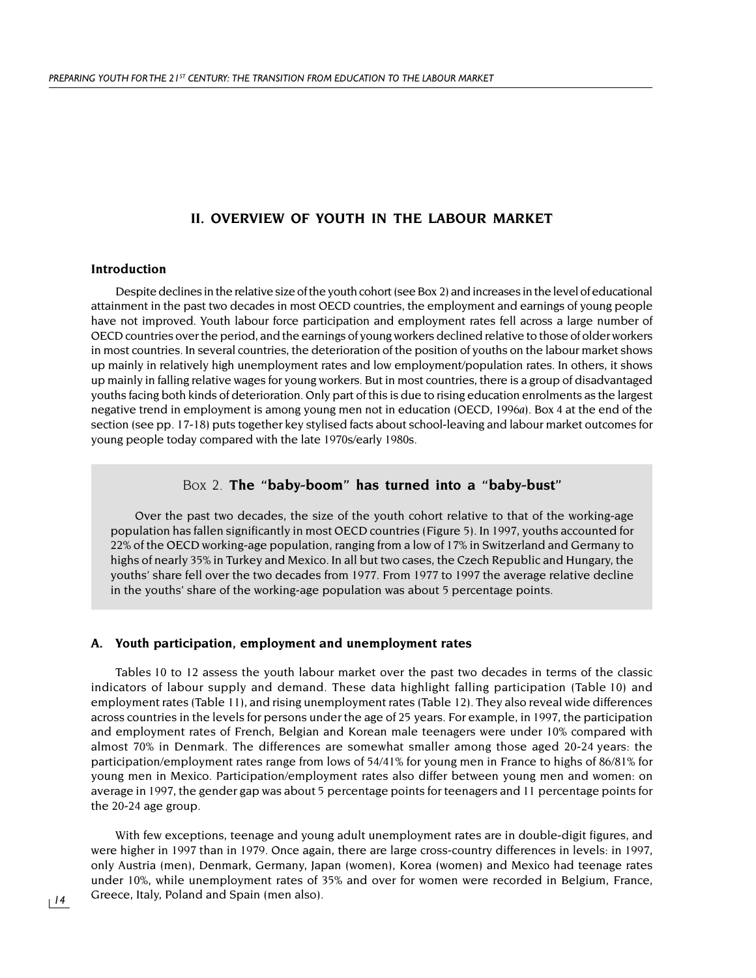# **II. OVERVIEW OF YOUTH IN THE LABOUR MARKET**

### **Introduction**

Despite declines in the relative size of the youth cohort (see Box 2) and increases in the level of educational attainment in the past two decades in most OECD countries, the employment and earnings of young people have not improved. Youth labour force participation and employment rates fell across a large number of OECD countries over the period, and the earnings of young workers declined relative to those of older workers in most countries. In several countries, the deterioration of the position of youths on the labour market shows up mainly in relatively high unemployment rates and low employment/population rates. In others, it shows up mainly in falling relative wages for young workers. But in most countries, there is a group of disadvantaged youths facing both kinds of deterioration. Only part of this is due to rising education enrolments as the largest negative trend in employment is among young men not in education (OECD, 1996*a*). Box 4 at the end of the section (see pp. 17-18) puts together key stylised facts about school-leaving and labour market outcomes for young people today compared with the late 1970s/early 1980s.

# Box 2. **The "baby-boom" has turned into a "baby-bust"**

Over the past two decades, the size of the youth cohort relative to that of the working-age population has fallen significantly in most OECD countries (Figure 5). In 1997, youths accounted for 22% of the OECD working-age population, ranging from a low of 17% in Switzerland and Germany to highs of nearly 35% in Turkey and Mexico. In all but two cases, the Czech Republic and Hungary, the youths' share fell over the two decades from 1977. From 1977 to 1997 the average relative decline in the youths' share of the working-age population was about 5 percentage points.

### **A. Youth participation, employment and unemployment rates**

Tables 10 to 12 assess the youth labour market over the past two decades in terms of the classic indicators of labour supply and demand. These data highlight falling participation (Table 10) and employment rates (Table 11), and rising unemployment rates (Table 12). They also reveal wide differences across countries in the levels for persons under the age of 25 years. For example, in 1997, the participation and employment rates of French, Belgian and Korean male teenagers were under 10% compared with almost 70% in Denmark. The differences are somewhat smaller among those aged 20-24 years: the participation/employment rates range from lows of 54/41% for young men in France to highs of 86/81% for young men in Mexico. Participation/employment rates also differ between young men and women: on average in 1997, the gender gap was about 5 percentage points for teenagers and 11 percentage points for the 20-24 age group.

With few exceptions, teenage and young adult unemployment rates are in double-digit figures, and were higher in 1997 than in 1979. Once again, there are large cross-country differences in levels: in 1997, only Austria (men), Denmark, Germany, Japan (women), Korea (women) and Mexico had teenage rates under 10%, while unemployment rates of 35% and over for women were recorded in Belgium, France, Greece, Italy, Poland and Spain (men also).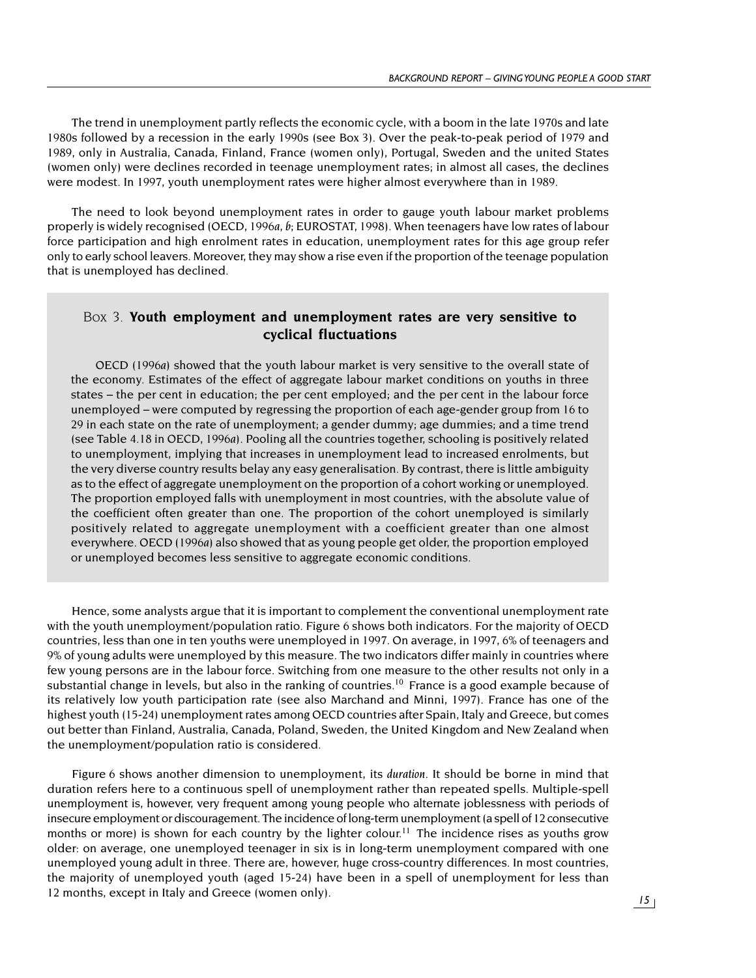The trend in unemployment partly reflects the economic cycle, with a boom in the late 1970s and late 1980s followed by a recession in the early 1990s (see Box 3). Over the peak-to-peak period of 1979 and 1989, only in Australia, Canada, Finland, France (women only), Portugal, Sweden and the united States (women only) were declines recorded in teenage unemployment rates; in almost all cases, the declines were modest. In 1997, youth unemployment rates were higher almost everywhere than in 1989.

The need to look beyond unemployment rates in order to gauge youth labour market problems properly is widely recognised (OECD, 1996*a*, *b*; EUROSTAT, 1998). When teenagers have low rates of labour force participation and high enrolment rates in education, unemployment rates for this age group refer only to early school leavers. Moreover, they may show a rise even if the proportion of the teenage population that is unemployed has declined.

# Box 3. **Youth employment and unemployment rates are very sensitive to cyclical fluctuations**

OECD (1996*a*) showed that the youth labour market is very sensitive to the overall state of the economy. Estimates of the effect of aggregate labour market conditions on youths in three states – the per cent in education; the per cent employed; and the per cent in the labour force unemployed – were computed by regressing the proportion of each age-gender group from 16 to 29 in each state on the rate of unemployment; a gender dummy; age dummies; and a time trend (see Table 4.18 in OECD, 1996*a*). Pooling all the countries together, schooling is positively related to unemployment, implying that increases in unemployment lead to increased enrolments, but the very diverse country results belay any easy generalisation. By contrast, there is little ambiguity as to the effect of aggregate unemployment on the proportion of a cohort working or unemployed. The proportion employed falls with unemployment in most countries, with the absolute value of the coefficient often greater than one. The proportion of the cohort unemployed is similarly positively related to aggregate unemployment with a coefficient greater than one almost everywhere. OECD (1996*a*) also showed that as young people get older, the proportion employed or unemployed becomes less sensitive to aggregate economic conditions.

Hence, some analysts argue that it is important to complement the conventional unemployment rate with the youth unemployment/population ratio. Figure 6 shows both indicators. For the majority of OECD countries, less than one in ten youths were unemployed in 1997. On average, in 1997, 6% of teenagers and 9% of young adults were unemployed by this measure. The two indicators differ mainly in countries where few young persons are in the labour force. Switching from one measure to the other results not only in a substantial change in levels, but also in the ranking of countries.<sup>10</sup> France is a good example because of its relatively low youth participation rate (see also Marchand and Minni, 1997). France has one of the highest youth (15-24) unemployment rates among OECD countries after Spain, Italy and Greece, but comes out better than Finland, Australia, Canada, Poland, Sweden, the United Kingdom and New Zealand when the unemployment/population ratio is considered.

Figure 6 shows another dimension to unemployment, its *duration*. It should be borne in mind that duration refers here to a continuous spell of unemployment rather than repeated spells. Multiple-spell unemployment is, however, very frequent among young people who alternate joblessness with periods of insecure employment or discouragement. The incidence of long-term unemployment (a spell of 12 consecutive months or more) is shown for each country by the lighter colour.<sup>11</sup> The incidence rises as youths grow older: on average, one unemployed teenager in six is in long-term unemployment compared with one unemployed young adult in three. There are, however, huge cross-country differences. In most countries, the majority of unemployed youth (aged 15-24) have been in a spell of unemployment for less than 12 months, except in Italy and Greece (women only).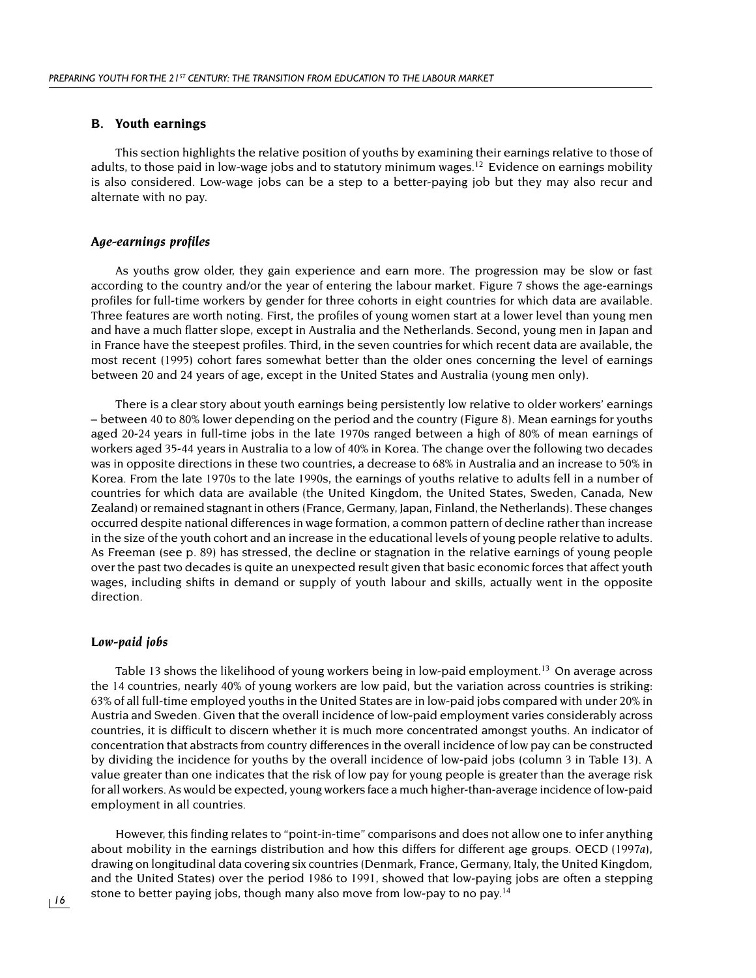### **B. Youth earnings**

This section highlights the relative position of youths by examining their earnings relative to those of adults, to those paid in low-wage jobs and to statutory minimum wages.<sup>12</sup> Evidence on earnings mobility is also considered. Low-wage jobs can be a step to a better-paying job but they may also recur and alternate with no pay.

#### *Age-earnings profiles*

As youths grow older, they gain experience and earn more. The progression may be slow or fast according to the country and/or the year of entering the labour market. Figure 7 shows the age-earnings profiles for full-time workers by gender for three cohorts in eight countries for which data are available. Three features are worth noting. First, the profiles of young women start at a lower level than young men and have a much flatter slope, except in Australia and the Netherlands. Second, young men in Japan and in France have the steepest profiles. Third, in the seven countries for which recent data are available, the most recent (1995) cohort fares somewhat better than the older ones concerning the level of earnings between 20 and 24 years of age, except in the United States and Australia (young men only).

There is a clear story about youth earnings being persistently low relative to older workers' earnings – between 40 to 80% lower depending on the period and the country (Figure 8). Mean earnings for youths aged 20-24 years in full-time jobs in the late 1970s ranged between a high of 80% of mean earnings of workers aged 35-44 years in Australia to a low of 40% in Korea. The change over the following two decades was in opposite directions in these two countries, a decrease to 68% in Australia and an increase to 50% in Korea. From the late 1970s to the late 1990s, the earnings of youths relative to adults fell in a number of countries for which data are available (the United Kingdom, the United States, Sweden, Canada, New Zealand) or remained stagnant in others (France, Germany, Japan, Finland, the Netherlands). These changes occurred despite national differences in wage formation, a common pattern of decline rather than increase in the size of the youth cohort and an increase in the educational levels of young people relative to adults. As Freeman (see p. 89) has stressed, the decline or stagnation in the relative earnings of young people over the past two decades is quite an unexpected result given that basic economic forces that affect youth wages, including shifts in demand or supply of youth labour and skills, actually went in the opposite direction.

#### *Low-paid jobs*

Table 13 shows the likelihood of young workers being in low-paid employment.<sup>13</sup> On average across the 14 countries, nearly 40% of young workers are low paid, but the variation across countries is striking: 63% of all full-time employed youths in the United States are in low-paid jobs compared with under 20% in Austria and Sweden. Given that the overall incidence of low-paid employment varies considerably across countries, it is difficult to discern whether it is much more concentrated amongst youths. An indicator of concentration that abstracts from country differences in the overall incidence of low pay can be constructed by dividing the incidence for youths by the overall incidence of low-paid jobs (column 3 in Table 13). A value greater than one indicates that the risk of low pay for young people is greater than the average risk for all workers. As would be expected, young workers face a much higher-than-average incidence of low-paid employment in all countries.

However, this finding relates to "point-in-time" comparisons and does not allow one to infer anything about mobility in the earnings distribution and how this differs for different age groups. OECD (1997*a*), drawing on longitudinal data covering six countries (Denmark, France, Germany, Italy, the United Kingdom, and the United States) over the period 1986 to 1991, showed that low-paying jobs are often a stepping stone to better paying jobs, though many also move from low-pay to no pay.<sup>14</sup>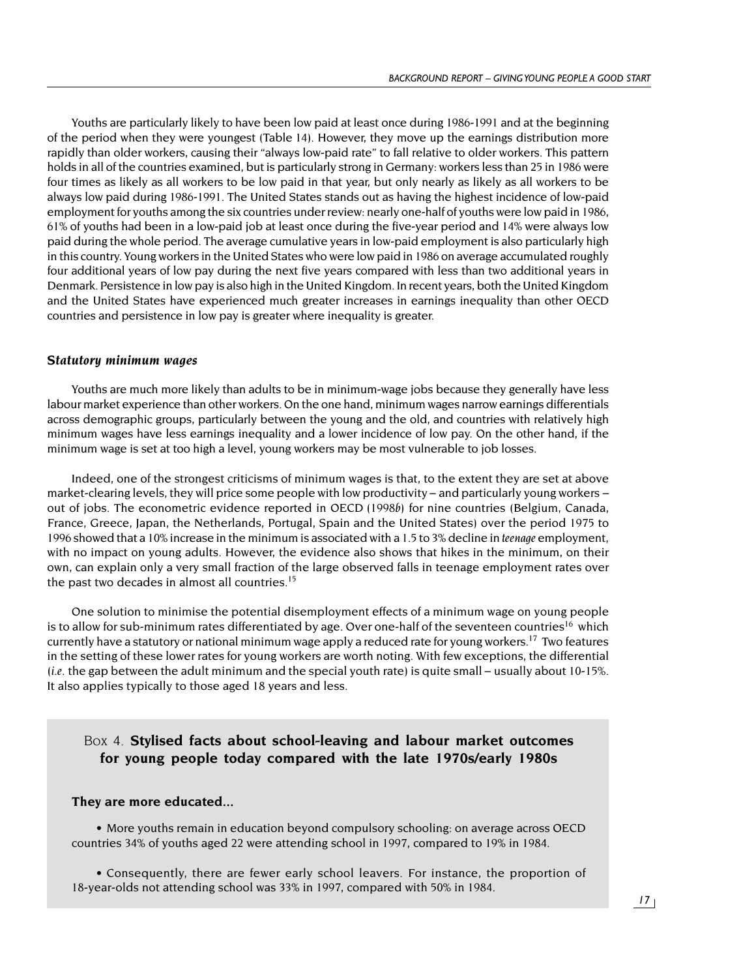Youths are particularly likely to have been low paid at least once during 1986-1991 and at the beginning of the period when they were youngest (Table 14). However, they move up the earnings distribution more rapidly than older workers, causing their "always low-paid rate" to fall relative to older workers. This pattern holds in all of the countries examined, but is particularly strong in Germany: workers less than 25 in 1986 were four times as likely as all workers to be low paid in that year, but only nearly as likely as all workers to be always low paid during 1986-1991. The United States stands out as having the highest incidence of low-paid employment for youths among the six countries under review: nearly one-half of youths were low paid in 1986, 61% of youths had been in a low-paid job at least once during the five-year period and 14% were always low paid during the whole period. The average cumulative years in low-paid employment is also particularly high in this country. Young workers in the United States who were low paid in 1986 on average accumulated roughly four additional years of low pay during the next five years compared with less than two additional years in Denmark. Persistence in low pay is also high in the United Kingdom. In recent years, both the United Kingdom and the United States have experienced much greater increases in earnings inequality than other OECD countries and persistence in low pay is greater where inequality is greater.

#### *Statutory minimum wages*

Youths are much more likely than adults to be in minimum-wage jobs because they generally have less labour market experience than other workers. On the one hand, minimum wages narrow earnings differentials across demographic groups, particularly between the young and the old, and countries with relatively high minimum wages have less earnings inequality and a lower incidence of low pay. On the other hand, if the minimum wage is set at too high a level, young workers may be most vulnerable to job losses.

Indeed, one of the strongest criticisms of minimum wages is that, to the extent they are set at above market-clearing levels, they will price some people with low productivity – and particularly young workers – out of jobs. The econometric evidence reported in OECD (1998*b*) for nine countries (Belgium, Canada, France, Greece, Japan, the Netherlands, Portugal, Spain and the United States) over the period 1975 to 1996 showed that a 10% increase in the minimum is associated with a 1.5 to 3% decline in *teenage* employment, with no impact on young adults. However, the evidence also shows that hikes in the minimum, on their own, can explain only a very small fraction of the large observed falls in teenage employment rates over the past two decades in almost all countries.<sup>15</sup>

One solution to minimise the potential disemployment effects of a minimum wage on young people is to allow for sub-minimum rates differentiated by age. Over one-half of the seventeen countries<sup>16</sup> which currently have a statutory or national minimum wage apply a reduced rate for young workers.<sup>17</sup> Two features in the setting of these lower rates for young workers are worth noting. With few exceptions, the differential (*i.e.* the gap between the adult minimum and the special youth rate) is quite small – usually about 10-15%. It also applies typically to those aged 18 years and less.

# Box 4. **Stylised facts about school-leaving and labour market outcomes for young people today compared with the late 1970s/early 1980s**

## **They are more educated...**

• More youths remain in education beyond compulsory schooling: on average across OECD countries 34% of youths aged 22 were attending school in 1997, compared to 19% in 1984.

• Consequently, there are fewer early school leavers. For instance, the proportion of 18-year-olds not attending school was 33% in 1997, compared with 50% in 1984.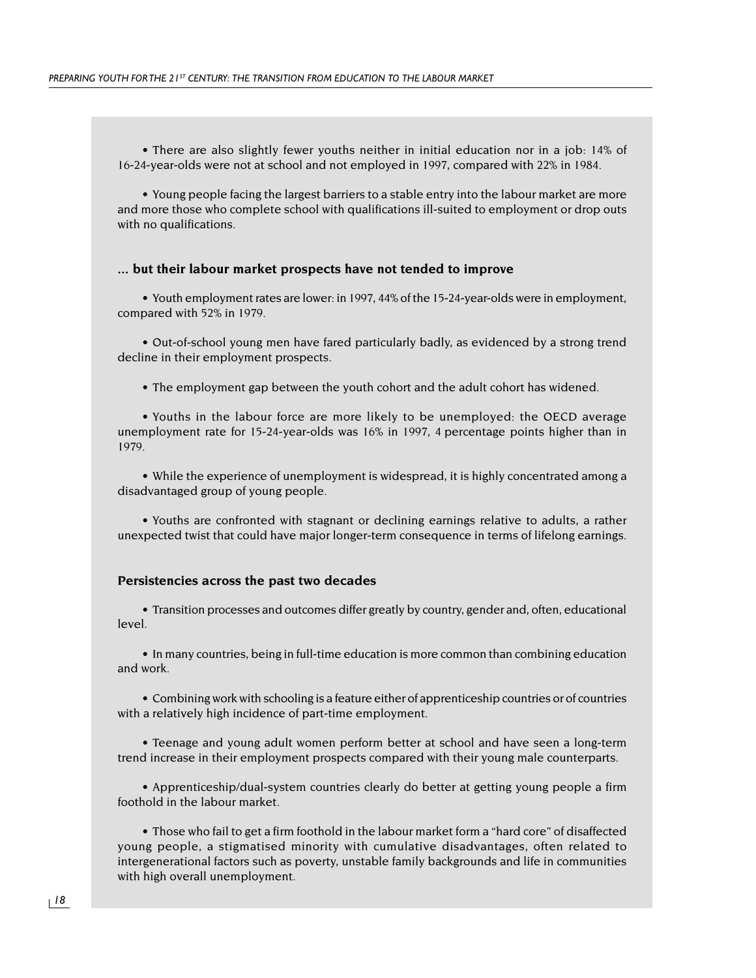• There are also slightly fewer youths neither in initial education nor in a job: 14% of 16-24-year-olds were not at school and not employed in 1997, compared with 22% in 1984.

• Young people facing the largest barriers to a stable entry into the labour market are more and more those who complete school with qualifications ill-suited to employment or drop outs with no qualifications.

### **... but their labour market prospects have not tended to improve**

• Youth employment rates are lower: in 1997, 44% of the 15-24-year-olds were in employment, compared with 52% in 1979.

• Out-of-school young men have fared particularly badly, as evidenced by a strong trend decline in their employment prospects.

• The employment gap between the youth cohort and the adult cohort has widened.

• Youths in the labour force are more likely to be unemployed: the OECD average unemployment rate for 15-24-year-olds was 16% in 1997, 4 percentage points higher than in 1979.

• While the experience of unemployment is widespread, it is highly concentrated among a disadvantaged group of young people.

• Youths are confronted with stagnant or declining earnings relative to adults, a rather unexpected twist that could have major longer-term consequence in terms of lifelong earnings.

# **Persistencies across the past two decades**

• Transition processes and outcomes differ greatly by country, gender and, often, educational level.

• In many countries, being in full-time education is more common than combining education and work.

• Combining work with schooling is a feature either of apprenticeship countries or of countries with a relatively high incidence of part-time employment.

• Teenage and young adult women perform better at school and have seen a long-term trend increase in their employment prospects compared with their young male counterparts.

• Apprenticeship/dual-system countries clearly do better at getting young people a firm foothold in the labour market.

• Those who fail to get a firm foothold in the labour market form a "hard core" of disaffected young people, a stigmatised minority with cumulative disadvantages, often related to intergenerational factors such as poverty, unstable family backgrounds and life in communities with high overall unemployment.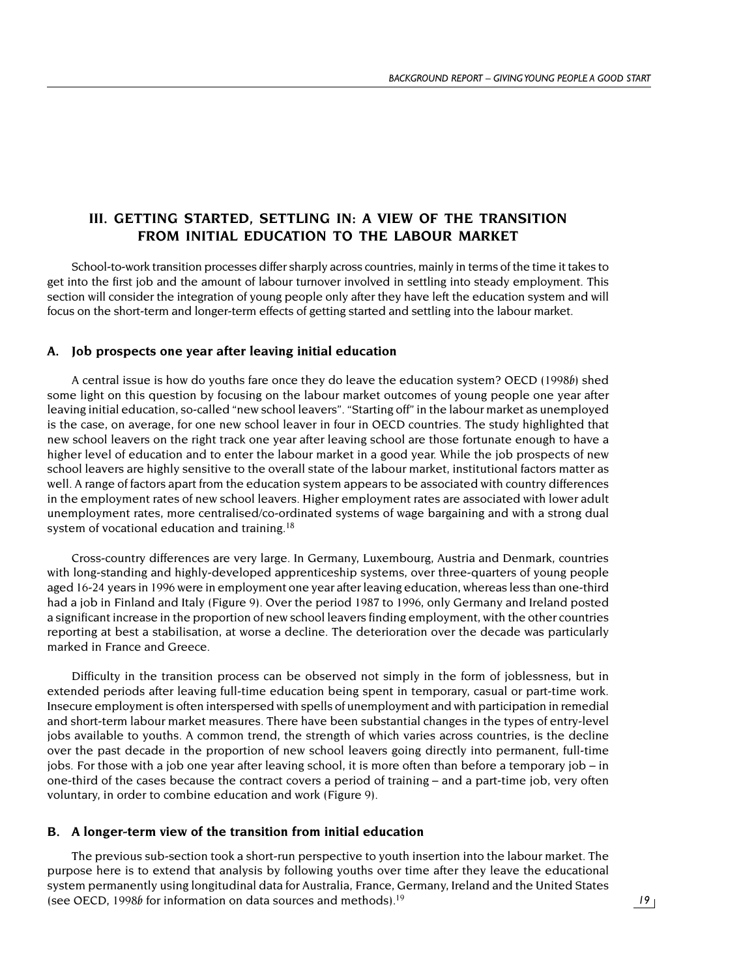# **III. GETTING STARTED, SETTLING IN: A VIEW OF THE TRANSITION FROM INITIAL EDUCATION TO THE LABOUR MARKET**

School-to-work transition processes differ sharply across countries, mainly in terms of the time it takes to get into the first job and the amount of labour turnover involved in settling into steady employment. This section will consider the integration of young people only after they have left the education system and will focus on the short-term and longer-term effects of getting started and settling into the labour market.

### **A. Job prospects one year after leaving initial education**

A central issue is how do youths fare once they do leave the education system? OECD (1998*b*) shed some light on this question by focusing on the labour market outcomes of young people one year after leaving initial education, so-called "new school leavers". "Starting off" in the labour market as unemployed is the case, on average, for one new school leaver in four in OECD countries. The study highlighted that new school leavers on the right track one year after leaving school are those fortunate enough to have a higher level of education and to enter the labour market in a good year. While the job prospects of new school leavers are highly sensitive to the overall state of the labour market, institutional factors matter as well. A range of factors apart from the education system appears to be associated with country differences in the employment rates of new school leavers. Higher employment rates are associated with lower adult unemployment rates, more centralised/co-ordinated systems of wage bargaining and with a strong dual system of vocational education and training.<sup>18</sup>

Cross-country differences are very large. In Germany, Luxembourg, Austria and Denmark, countries with long-standing and highly-developed apprenticeship systems, over three-quarters of young people aged 16-24 years in 1996 were in employment one year after leaving education, whereas less than one-third had a job in Finland and Italy (Figure 9). Over the period 1987 to 1996, only Germany and Ireland posted a significant increase in the proportion of new school leavers finding employment, with the other countries reporting at best a stabilisation, at worse a decline. The deterioration over the decade was particularly marked in France and Greece.

Difficulty in the transition process can be observed not simply in the form of joblessness, but in extended periods after leaving full-time education being spent in temporary, casual or part-time work. Insecure employment is often interspersed with spells of unemployment and with participation in remedial and short-term labour market measures. There have been substantial changes in the types of entry-level jobs available to youths. A common trend, the strength of which varies across countries, is the decline over the past decade in the proportion of new school leavers going directly into permanent, full-time jobs. For those with a job one year after leaving school, it is more often than before a temporary job – in one-third of the cases because the contract covers a period of training – and a part-time job, very often voluntary, in order to combine education and work (Figure 9).

### **B. A longer-term view of the transition from initial education**

The previous sub-section took a short-run perspective to youth insertion into the labour market. The purpose here is to extend that analysis by following youths over time after they leave the educational system permanently using longitudinal data for Australia, France, Germany, Ireland and the United States (see OECD, 1998*b* for information on data sources and methods).19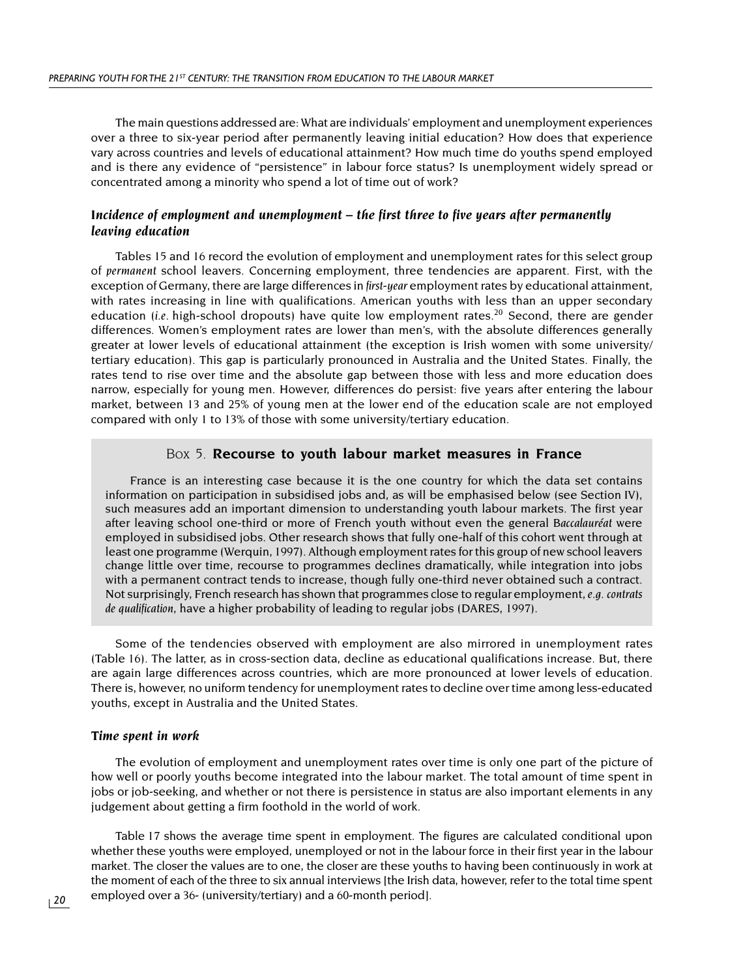The main questions addressed are: What are individuals' employment and unemployment experiences over a three to six-year period after permanently leaving initial education? How does that experience vary across countries and levels of educational attainment? How much time do youths spend employed and is there any evidence of "persistence" in labour force status? Is unemployment widely spread or concentrated among a minority who spend a lot of time out of work?

# *Incidence of employment and unemployment – the first three to five years after permanently leaving education*

Tables 15 and 16 record the evolution of employment and unemployment rates for this select group of *permanent* school leavers. Concerning employment, three tendencies are apparent. First, with the exception of Germany, there are large differences in *first-year* employment rates by educational attainment, with rates increasing in line with qualifications. American youths with less than an upper secondary education *(i.e.* high-school dropouts) have quite low employment rates.<sup>20</sup> Second, there are gender differences. Women's employment rates are lower than men's, with the absolute differences generally greater at lower levels of educational attainment (the exception is Irish women with some university/ tertiary education). This gap is particularly pronounced in Australia and the United States. Finally, the rates tend to rise over time and the absolute gap between those with less and more education does narrow, especially for young men. However, differences do persist: five years after entering the labour market, between 13 and 25% of young men at the lower end of the education scale are not employed compared with only 1 to 13% of those with some university/tertiary education.

# Box 5. **Recourse to youth labour market measures in France**

France is an interesting case because it is the one country for which the data set contains information on participation in subsidised jobs and, as will be emphasised below (see Section IV), such measures add an important dimension to understanding youth labour markets. The first year after leaving school one-third or more of French youth without even the general *Baccalauréat* were employed in subsidised jobs. Other research shows that fully one-half of this cohort went through at least one programme (Werquin, 1997). Although employment rates for this group of new school leavers change little over time, recourse to programmes declines dramatically, while integration into jobs with a permanent contract tends to increase, though fully one-third never obtained such a contract. Not surprisingly, French research has shown that programmes close to regular employment, *e.g. contrats de qualification*, have a higher probability of leading to regular jobs (DARES, 1997).

Some of the tendencies observed with employment are also mirrored in unemployment rates (Table 16). The latter, as in cross-section data, decline as educational qualifications increase. But, there are again large differences across countries, which are more pronounced at lower levels of education. There is, however, no uniform tendency for unemployment rates to decline over time among less-educated youths, except in Australia and the United States.

### *Time spent in work*

The evolution of employment and unemployment rates over time is only one part of the picture of how well or poorly youths become integrated into the labour market. The total amount of time spent in jobs or job-seeking, and whether or not there is persistence in status are also important elements in any judgement about getting a firm foothold in the world of work.

Table 17 shows the average time spent in employment. The figures are calculated conditional upon whether these youths were employed, unemployed or not in the labour force in their first year in the labour market. The closer the values are to one, the closer are these youths to having been continuously in work at the moment of each of the three to six annual interviews [the Irish data, however, refer to the total time spent employed over a 36- (university/tertiary) and a 60-month period].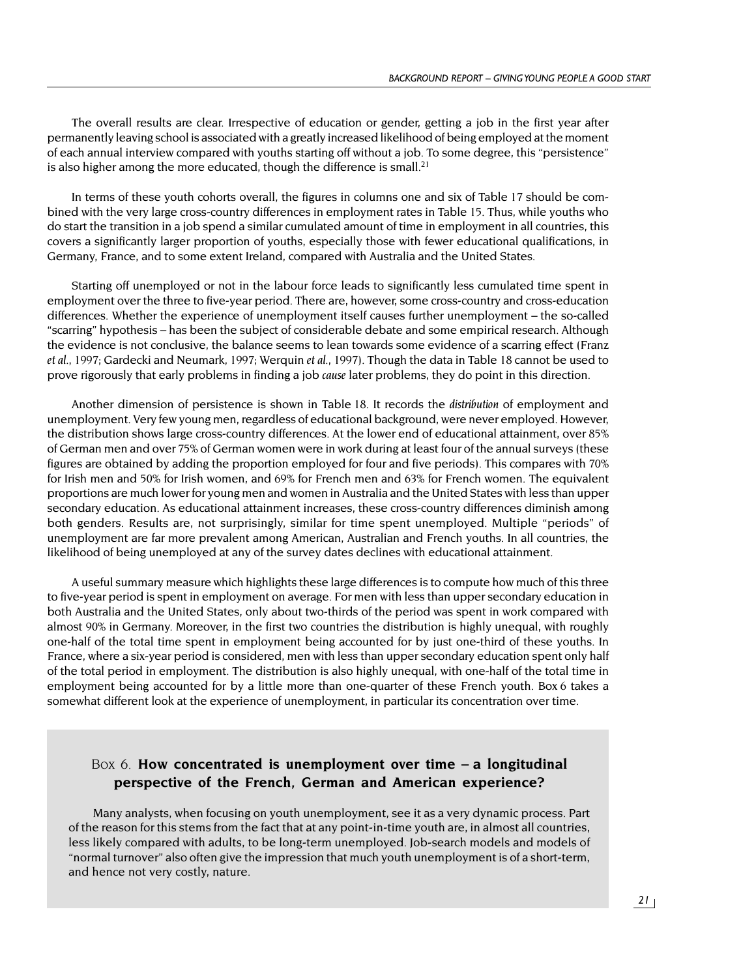The overall results are clear. Irrespective of education or gender, getting a job in the first year after permanently leaving school is associated with a greatly increased likelihood of being employed at the moment of each annual interview compared with youths starting off without a job. To some degree, this "persistence" is also higher among the more educated, though the difference is small. $21$ 

In terms of these youth cohorts overall, the figures in columns one and six of Table 17 should be combined with the very large cross-country differences in employment rates in Table 15. Thus, while youths who do start the transition in a job spend a similar cumulated amount of time in employment in all countries, this covers a significantly larger proportion of youths, especially those with fewer educational qualifications, in Germany, France, and to some extent Ireland, compared with Australia and the United States.

Starting off unemployed or not in the labour force leads to significantly less cumulated time spent in employment over the three to five-year period. There are, however, some cross-country and cross-education differences. Whether the experience of unemployment itself causes further unemployment – the so-called "scarring" hypothesis – has been the subject of considerable debate and some empirical research. Although the evidence is not conclusive, the balance seems to lean towards some evidence of a scarring effect (Franz *et al.,* 1997; Gardecki and Neumark, 1997; Werquin *et al.,* 1997). Though the data in Table 18 cannot be used to prove rigorously that early problems in finding a job *cause* later problems, they do point in this direction.

Another dimension of persistence is shown in Table 18. It records the *distribution* of employment and unemployment. Very few young men, regardless of educational background, were never employed. However, the distribution shows large cross-country differences. At the lower end of educational attainment, over 85% of German men and over 75% of German women were in work during at least four of the annual surveys (these figures are obtained by adding the proportion employed for four and five periods). This compares with 70% for Irish men and 50% for Irish women, and 69% for French men and 63% for French women. The equivalent proportions are much lower for young men and women in Australia and the United States with less than upper secondary education. As educational attainment increases, these cross-country differences diminish among both genders. Results are, not surprisingly, similar for time spent unemployed. Multiple "periods" of unemployment are far more prevalent among American, Australian and French youths. In all countries, the likelihood of being unemployed at any of the survey dates declines with educational attainment.

A useful summary measure which highlights these large differences is to compute how much of this three to five-year period is spent in employment on average. For men with less than upper secondary education in both Australia and the United States, only about two-thirds of the period was spent in work compared with almost 90% in Germany. Moreover, in the first two countries the distribution is highly unequal, with roughly one-half of the total time spent in employment being accounted for by just one-third of these youths. In France, where a six-year period is considered, men with less than upper secondary education spent only half of the total period in employment. The distribution is also highly unequal, with one-half of the total time in employment being accounted for by a little more than one-quarter of these French youth. Box 6 takes a somewhat different look at the experience of unemployment, in particular its concentration over time.

# Box 6. **How concentrated is unemployment over time – a longitudinal perspective of the French, German and American experience?**

Many analysts, when focusing on youth unemployment, see it as a very dynamic process. Part of the reason for this stems from the fact that at any point-in-time youth are, in almost all countries, less likely compared with adults, to be long-term unemployed. Job-search models and models of "normal turnover" also often give the impression that much youth unemployment is of a short-term, and hence not very costly, nature.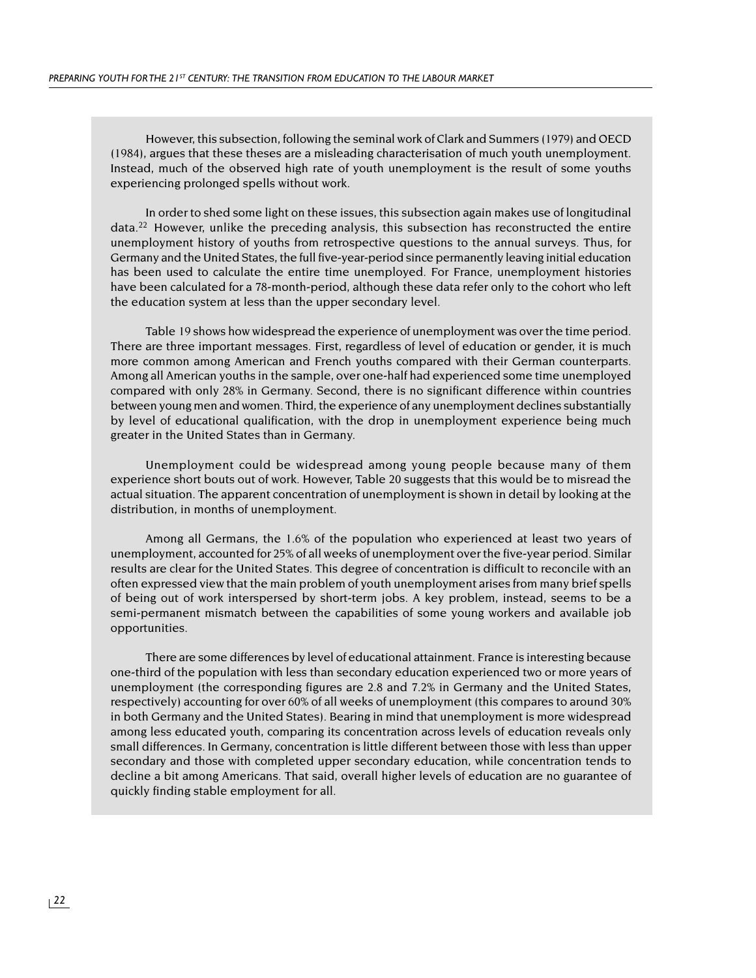However, this subsection, following the seminal work of Clark and Summers (1979) and OECD (1984), argues that these theses are a misleading characterisation of much youth unemployment. Instead, much of the observed high rate of youth unemployment is the result of some youths experiencing prolonged spells without work.

In order to shed some light on these issues, this subsection again makes use of longitudinal  $data<sup>22</sup>$  However, unlike the preceding analysis, this subsection has reconstructed the entire unemployment history of youths from retrospective questions to the annual surveys. Thus, for Germany and the United States, the full five-year-period since permanently leaving initial education has been used to calculate the entire time unemployed. For France, unemployment histories have been calculated for a 78-month-period, although these data refer only to the cohort who left the education system at less than the upper secondary level.

Table 19 shows how widespread the experience of unemployment was over the time period. There are three important messages. First, regardless of level of education or gender, it is much more common among American and French youths compared with their German counterparts. Among all American youths in the sample, over one-half had experienced some time unemployed compared with only 28% in Germany. Second, there is no significant difference within countries between young men and women. Third, the experience of any unemployment declines substantially by level of educational qualification, with the drop in unemployment experience being much greater in the United States than in Germany.

Unemployment could be widespread among young people because many of them experience short bouts out of work. However, Table 20 suggests that this would be to misread the actual situation. The apparent concentration of unemployment is shown in detail by looking at the distribution, in months of unemployment.

Among all Germans, the 1.6% of the population who experienced at least two years of unemployment, accounted for 25% of all weeks of unemployment over the five-year period. Similar results are clear for the United States. This degree of concentration is difficult to reconcile with an often expressed view that the main problem of youth unemployment arises from many brief spells of being out of work interspersed by short-term jobs. A key problem, instead, seems to be a semi-permanent mismatch between the capabilities of some young workers and available job opportunities.

There are some differences by level of educational attainment. France is interesting because one-third of the population with less than secondary education experienced two or more years of unemployment (the corresponding figures are 2.8 and 7.2% in Germany and the United States, respectively) accounting for over 60% of all weeks of unemployment (this compares to around 30% in both Germany and the United States). Bearing in mind that unemployment is more widespread among less educated youth, comparing its concentration across levels of education reveals only small differences. In Germany, concentration is little different between those with less than upper secondary and those with completed upper secondary education, while concentration tends to decline a bit among Americans. That said, overall higher levels of education are no guarantee of quickly finding stable employment for all.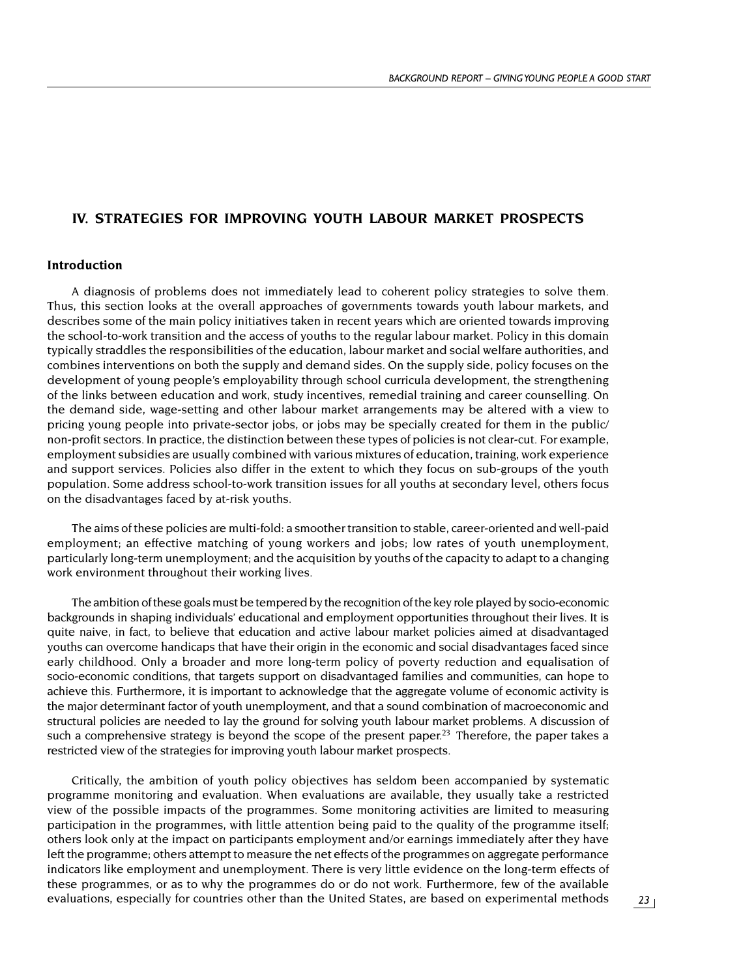# **IV. STRATEGIES FOR IMPROVING YOUTH LABOUR MARKET PROSPECTS**

# **Introduction**

A diagnosis of problems does not immediately lead to coherent policy strategies to solve them. Thus, this section looks at the overall approaches of governments towards youth labour markets, and describes some of the main policy initiatives taken in recent years which are oriented towards improving the school-to-work transition and the access of youths to the regular labour market. Policy in this domain typically straddles the responsibilities of the education, labour market and social welfare authorities, and combines interventions on both the supply and demand sides. On the supply side, policy focuses on the development of young people's employability through school curricula development, the strengthening of the links between education and work, study incentives, remedial training and career counselling. On the demand side, wage-setting and other labour market arrangements may be altered with a view to pricing young people into private-sector jobs, or jobs may be specially created for them in the public/ non-profit sectors. In practice, the distinction between these types of policies is not clear-cut. For example, employment subsidies are usually combined with various mixtures of education, training, work experience and support services. Policies also differ in the extent to which they focus on sub-groups of the youth population. Some address school-to-work transition issues for all youths at secondary level, others focus on the disadvantages faced by at-risk youths.

The aims of these policies are multi-fold: a smoother transition to stable, career-oriented and well-paid employment; an effective matching of young workers and jobs; low rates of youth unemployment, particularly long-term unemployment; and the acquisition by youths of the capacity to adapt to a changing work environment throughout their working lives.

The ambition of these goals must be tempered by the recognition of the key role played by socio-economic backgrounds in shaping individuals' educational and employment opportunities throughout their lives. It is quite naive, in fact, to believe that education and active labour market policies aimed at disadvantaged youths can overcome handicaps that have their origin in the economic and social disadvantages faced since early childhood. Only a broader and more long-term policy of poverty reduction and equalisation of socio-economic conditions, that targets support on disadvantaged families and communities, can hope to achieve this. Furthermore, it is important to acknowledge that the aggregate volume of economic activity is the major determinant factor of youth unemployment, and that a sound combination of macroeconomic and structural policies are needed to lay the ground for solving youth labour market problems. A discussion of such a comprehensive strategy is beyond the scope of the present paper.<sup>23</sup> Therefore, the paper takes a restricted view of the strategies for improving youth labour market prospects.

Critically, the ambition of youth policy objectives has seldom been accompanied by systematic programme monitoring and evaluation. When evaluations are available, they usually take a restricted view of the possible impacts of the programmes. Some monitoring activities are limited to measuring participation in the programmes, with little attention being paid to the quality of the programme itself; others look only at the impact on participants employment and/or earnings immediately after they have left the programme; others attempt to measure the net effects of the programmes on aggregate performance indicators like employment and unemployment. There is very little evidence on the long-term effects of these programmes, or as to why the programmes do or do not work. Furthermore, few of the available evaluations, especially for countries other than the United States, are based on experimental methods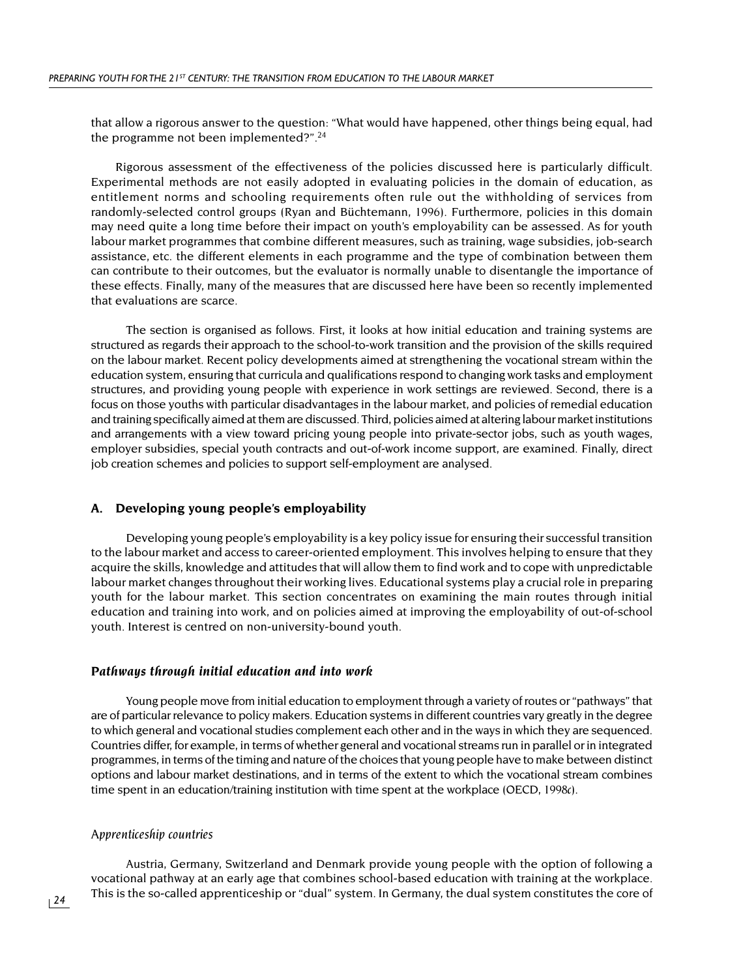that allow a rigorous answer to the question: "What would have happened, other things being equal, had the programme not been implemented?".<sup>24</sup>

Rigorous assessment of the effectiveness of the policies discussed here is particularly difficult. Experimental methods are not easily adopted in evaluating policies in the domain of education, as entitlement norms and schooling requirements often rule out the withholding of services from randomly-selected control groups (Ryan and Büchtemann, 1996). Furthermore, policies in this domain may need quite a long time before their impact on youth's employability can be assessed. As for youth labour market programmes that combine different measures, such as training, wage subsidies, job-search assistance, etc. the different elements in each programme and the type of combination between them can contribute to their outcomes, but the evaluator is normally unable to disentangle the importance of these effects. Finally, many of the measures that are discussed here have been so recently implemented that evaluations are scarce.

The section is organised as follows. First, it looks at how initial education and training systems are structured as regards their approach to the school-to-work transition and the provision of the skills required on the labour market. Recent policy developments aimed at strengthening the vocational stream within the education system, ensuring that curricula and qualifications respond to changing work tasks and employment structures, and providing young people with experience in work settings are reviewed. Second, there is a focus on those youths with particular disadvantages in the labour market, and policies of remedial education and training specifically aimed at them are discussed. Third, policies aimed at altering labour market institutions and arrangements with a view toward pricing young people into private-sector jobs, such as youth wages, employer subsidies, special youth contracts and out-of-work income support, are examined. Finally, direct job creation schemes and policies to support self-employment are analysed.

## **A. Developing young people's employability**

Developing young people's employability is a key policy issue for ensuring their successful transition to the labour market and access to career-oriented employment. This involves helping to ensure that they acquire the skills, knowledge and attitudes that will allow them to find work and to cope with unpredictable labour market changes throughout their working lives. Educational systems play a crucial role in preparing youth for the labour market. This section concentrates on examining the main routes through initial education and training into work, and on policies aimed at improving the employability of out-of-school youth. Interest is centred on non-university-bound youth.

### *Pathways through initial education and into work*

Young people move from initial education to employment through a variety of routes or "pathways" that are of particular relevance to policy makers. Education systems in different countries vary greatly in the degree to which general and vocational studies complement each other and in the ways in which they are sequenced. Countries differ, for example, in terms of whether general and vocational streams run in parallel or in integrated programmes, in terms of the timing and nature of the choices that young people have to make between distinct options and labour market destinations, and in terms of the extent to which the vocational stream combines time spent in an education/training institution with time spent at the workplace (OECD, 1998*c*).

### *Apprenticeship countries*

Austria, Germany, Switzerland and Denmark provide young people with the option of following a vocational pathway at an early age that combines school-based education with training at the workplace. This is the so-called apprenticeship or "dual" system. In Germany, the dual system constitutes the core of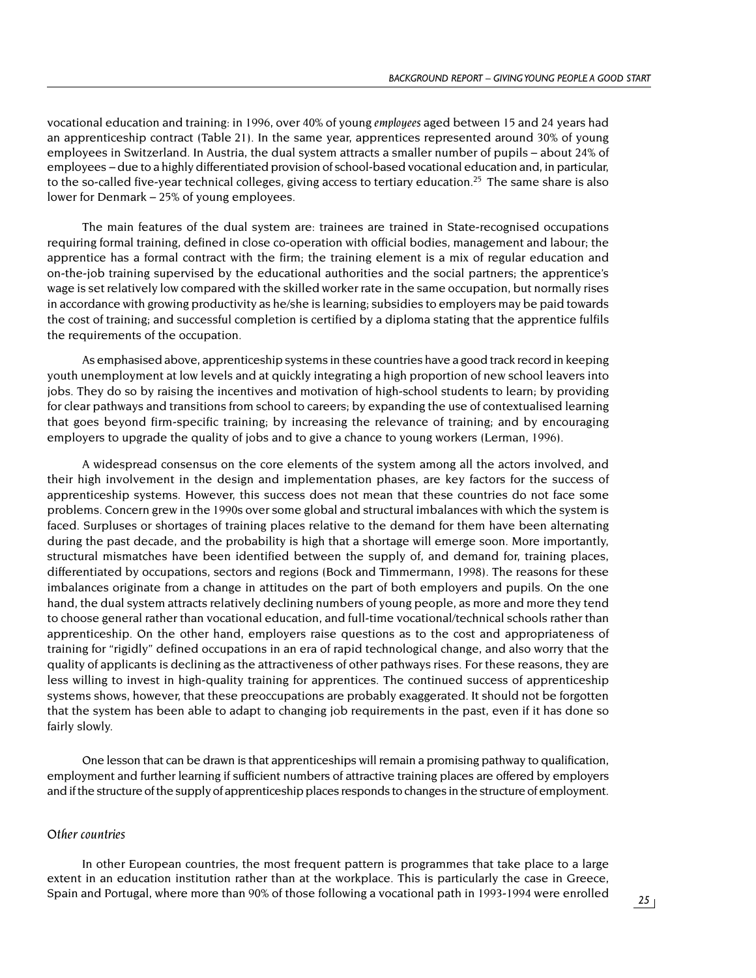vocational education and training: in 1996, over 40% of young *employees* aged between 15 and 24 years had an apprenticeship contract (Table 21). In the same year, apprentices represented around 30% of young employees in Switzerland. In Austria, the dual system attracts a smaller number of pupils – about 24% of employees – due to a highly differentiated provision of school-based vocational education and, in particular, to the so-called five-year technical colleges, giving access to tertiary education.<sup>25</sup> The same share is also lower for Denmark – 25% of young employees.

The main features of the dual system are: trainees are trained in State-recognised occupations requiring formal training, defined in close co-operation with official bodies, management and labour; the apprentice has a formal contract with the firm; the training element is a mix of regular education and on-the-job training supervised by the educational authorities and the social partners; the apprentice's wage is set relatively low compared with the skilled worker rate in the same occupation, but normally rises in accordance with growing productivity as he/she is learning; subsidies to employers may be paid towards the cost of training; and successful completion is certified by a diploma stating that the apprentice fulfils the requirements of the occupation.

As emphasised above, apprenticeship systems in these countries have a good track record in keeping youth unemployment at low levels and at quickly integrating a high proportion of new school leavers into jobs. They do so by raising the incentives and motivation of high-school students to learn; by providing for clear pathways and transitions from school to careers; by expanding the use of contextualised learning that goes beyond firm-specific training; by increasing the relevance of training; and by encouraging employers to upgrade the quality of jobs and to give a chance to young workers (Lerman, 1996).

A widespread consensus on the core elements of the system among all the actors involved, and their high involvement in the design and implementation phases, are key factors for the success of apprenticeship systems. However, this success does not mean that these countries do not face some problems. Concern grew in the 1990s over some global and structural imbalances with which the system is faced. Surpluses or shortages of training places relative to the demand for them have been alternating during the past decade, and the probability is high that a shortage will emerge soon. More importantly, structural mismatches have been identified between the supply of, and demand for, training places, differentiated by occupations, sectors and regions (Bock and Timmermann, 1998). The reasons for these imbalances originate from a change in attitudes on the part of both employers and pupils. On the one hand, the dual system attracts relatively declining numbers of young people, as more and more they tend to choose general rather than vocational education, and full-time vocational/technical schools rather than apprenticeship. On the other hand, employers raise questions as to the cost and appropriateness of training for "rigidly" defined occupations in an era of rapid technological change, and also worry that the quality of applicants is declining as the attractiveness of other pathways rises. For these reasons, they are less willing to invest in high-quality training for apprentices. The continued success of apprenticeship systems shows, however, that these preoccupations are probably exaggerated. It should not be forgotten that the system has been able to adapt to changing job requirements in the past, even if it has done so fairly slowly.

One lesson that can be drawn is that apprenticeships will remain a promising pathway to qualification, employment and further learning if sufficient numbers of attractive training places are offered by employers and if the structure of the supply of apprenticeship places responds to changes in the structure of employment.

# *Other countries*

In other European countries, the most frequent pattern is programmes that take place to a large extent in an education institution rather than at the workplace. This is particularly the case in Greece, Spain and Portugal, where more than 90% of those following a vocational path in 1993-1994 were enrolled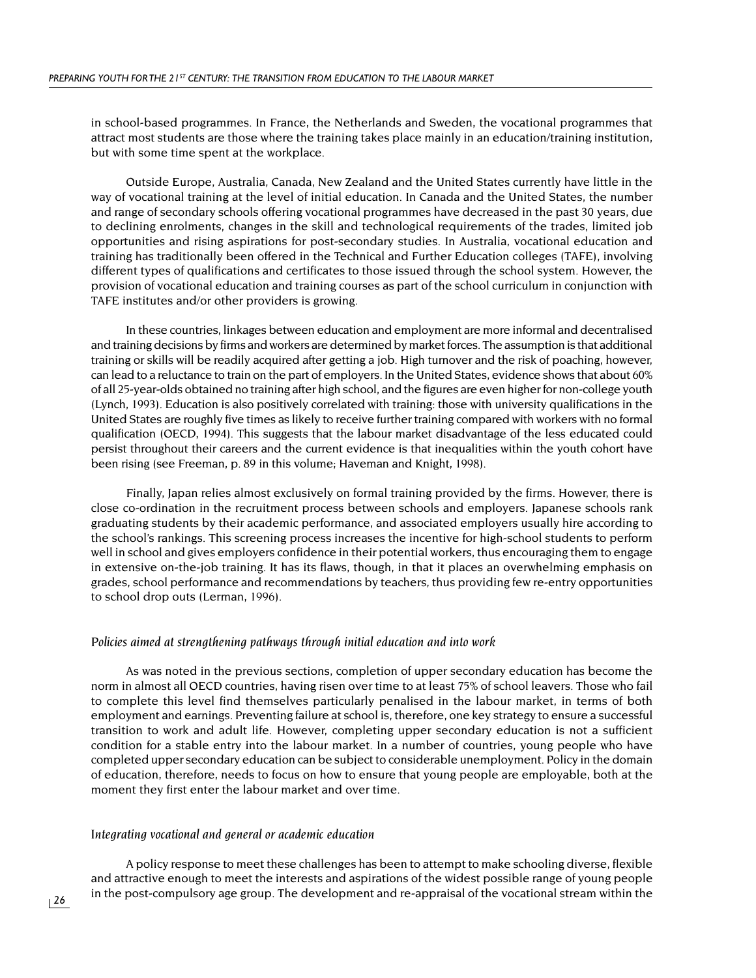in school-based programmes. In France, the Netherlands and Sweden, the vocational programmes that attract most students are those where the training takes place mainly in an education/training institution, but with some time spent at the workplace.

Outside Europe, Australia, Canada, New Zealand and the United States currently have little in the way of vocational training at the level of initial education. In Canada and the United States, the number and range of secondary schools offering vocational programmes have decreased in the past 30 years, due to declining enrolments, changes in the skill and technological requirements of the trades, limited job opportunities and rising aspirations for post-secondary studies. In Australia, vocational education and training has traditionally been offered in the Technical and Further Education colleges (TAFE), involving different types of qualifications and certificates to those issued through the school system. However, the provision of vocational education and training courses as part of the school curriculum in conjunction with TAFE institutes and/or other providers is growing.

In these countries, linkages between education and employment are more informal and decentralised and training decisions by firms and workers are determined by market forces. The assumption is that additional training or skills will be readily acquired after getting a job. High turnover and the risk of poaching, however, can lead to a reluctance to train on the part of employers. In the United States, evidence shows that about 60% of all 25-year-olds obtained no training after high school, and the figures are even higher for non-college youth (Lynch, 1993). Education is also positively correlated with training: those with university qualifications in the United States are roughly five times as likely to receive further training compared with workers with no formal qualification (OECD, 1994). This suggests that the labour market disadvantage of the less educated could persist throughout their careers and the current evidence is that inequalities within the youth cohort have been rising (see Freeman, p. 89 in this volume; Haveman and Knight, 1998).

Finally, Japan relies almost exclusively on formal training provided by the firms. However, there is close co-ordination in the recruitment process between schools and employers. Japanese schools rank graduating students by their academic performance, and associated employers usually hire according to the school's rankings. This screening process increases the incentive for high-school students to perform well in school and gives employers confidence in their potential workers, thus encouraging them to engage in extensive on-the-job training. It has its flaws, though, in that it places an overwhelming emphasis on grades, school performance and recommendations by teachers, thus providing few re-entry opportunities to school drop outs (Lerman, 1996).

### *Policies aimed at strengthening pathways through initial education and into work*

As was noted in the previous sections, completion of upper secondary education has become the norm in almost all OECD countries, having risen over time to at least 75% of school leavers. Those who fail to complete this level find themselves particularly penalised in the labour market, in terms of both employment and earnings. Preventing failure at school is, therefore, one key strategy to ensure a successful transition to work and adult life. However, completing upper secondary education is not a sufficient condition for a stable entry into the labour market. In a number of countries, young people who have completed upper secondary education can be subject to considerable unemployment. Policy in the domain of education, therefore, needs to focus on how to ensure that young people are employable, both at the moment they first enter the labour market and over time.

# *Integrating vocational and general or academic education*

A policy response to meet these challenges has been to attempt to make schooling diverse, flexible and attractive enough to meet the interests and aspirations of the widest possible range of young people in the post-compulsory age group. The development and re-appraisal of the vocational stream within the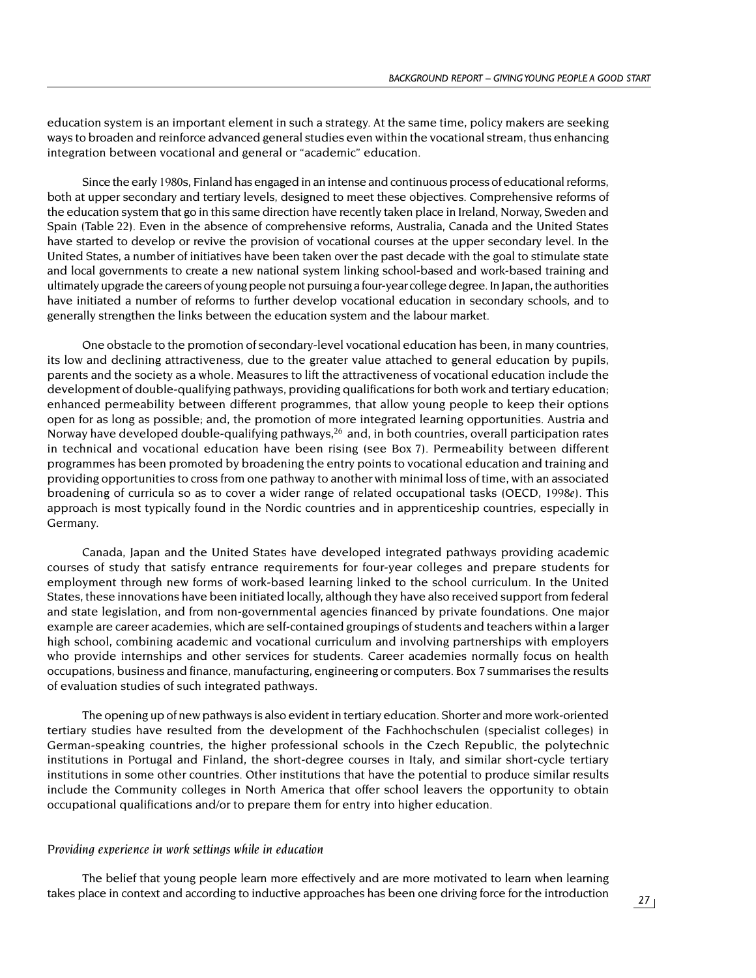education system is an important element in such a strategy. At the same time, policy makers are seeking ways to broaden and reinforce advanced general studies even within the vocational stream, thus enhancing integration between vocational and general or "academic" education.

Since the early 1980s, Finland has engaged in an intense and continuous process of educational reforms, both at upper secondary and tertiary levels, designed to meet these objectives. Comprehensive reforms of the education system that go in this same direction have recently taken place in Ireland, Norway, Sweden and Spain (Table 22). Even in the absence of comprehensive reforms, Australia, Canada and the United States have started to develop or revive the provision of vocational courses at the upper secondary level. In the United States, a number of initiatives have been taken over the past decade with the goal to stimulate state and local governments to create a new national system linking school-based and work-based training and ultimately upgrade the careers of young people not pursuing a four-year college degree. In Japan, the authorities have initiated a number of reforms to further develop vocational education in secondary schools, and to generally strengthen the links between the education system and the labour market.

One obstacle to the promotion of secondary-level vocational education has been, in many countries, its low and declining attractiveness, due to the greater value attached to general education by pupils, parents and the society as a whole. Measures to lift the attractiveness of vocational education include the development of double-qualifying pathways, providing qualifications for both work and tertiary education; enhanced permeability between different programmes, that allow young people to keep their options open for as long as possible; and, the promotion of more integrated learning opportunities. Austria and Norway have developed double-qualifying pathways, $^{26}$  and, in both countries, overall participation rates in technical and vocational education have been rising (see Box 7). Permeability between different programmes has been promoted by broadening the entry points to vocational education and training and providing opportunities to cross from one pathway to another with minimal loss of time, with an associated broadening of curricula so as to cover a wider range of related occupational tasks (OECD, 1998*e*). This approach is most typically found in the Nordic countries and in apprenticeship countries, especially in Germany.

Canada, Japan and the United States have developed integrated pathways providing academic courses of study that satisfy entrance requirements for four-year colleges and prepare students for employment through new forms of work-based learning linked to the school curriculum. In the United States, these innovations have been initiated locally, although they have also received support from federal and state legislation, and from non-governmental agencies financed by private foundations. One major example are career academies, which are self-contained groupings of students and teachers within a larger high school, combining academic and vocational curriculum and involving partnerships with employers who provide internships and other services for students. Career academies normally focus on health occupations, business and finance, manufacturing, engineering or computers. Box 7 summarises the results of evaluation studies of such integrated pathways.

The opening up of new pathways is also evident in tertiary education. Shorter and more work-oriented tertiary studies have resulted from the development of the Fachhochschulen (specialist colleges) in German-speaking countries, the higher professional schools in the Czech Republic, the polytechnic institutions in Portugal and Finland, the short-degree courses in Italy, and similar short-cycle tertiary institutions in some other countries. Other institutions that have the potential to produce similar results include the Community colleges in North America that offer school leavers the opportunity to obtain occupational qualifications and/or to prepare them for entry into higher education.

### *Providing experience in work settings while in education*

The belief that young people learn more effectively and are more motivated to learn when learning takes place in context and according to inductive approaches has been one driving force for the introduction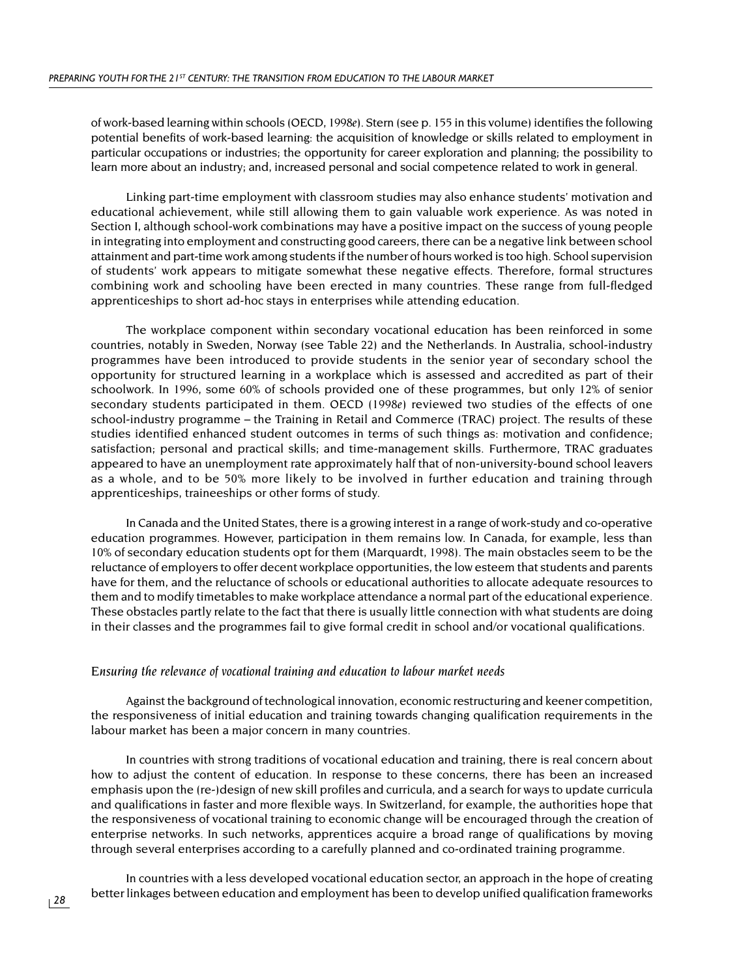of work-based learning within schools (OECD, 1998*e*). Stern (see p. 155 in this volume) identifies the following potential benefits of work-based learning: the acquisition of knowledge or skills related to employment in particular occupations or industries; the opportunity for career exploration and planning; the possibility to learn more about an industry; and, increased personal and social competence related to work in general.

Linking part-time employment with classroom studies may also enhance students' motivation and educational achievement, while still allowing them to gain valuable work experience. As was noted in Section I, although school-work combinations may have a positive impact on the success of young people in integrating into employment and constructing good careers, there can be a negative link between school attainment and part-time work among students if the number of hours worked is too high. School supervision of students' work appears to mitigate somewhat these negative effects. Therefore, formal structures combining work and schooling have been erected in many countries. These range from full-fledged apprenticeships to short ad-hoc stays in enterprises while attending education.

The workplace component within secondary vocational education has been reinforced in some countries, notably in Sweden, Norway (see Table 22) and the Netherlands. In Australia, school-industry programmes have been introduced to provide students in the senior year of secondary school the opportunity for structured learning in a workplace which is assessed and accredited as part of their schoolwork. In 1996, some 60% of schools provided one of these programmes, but only 12% of senior secondary students participated in them. OECD (1998*e*) reviewed two studies of the effects of one school-industry programme – the Training in Retail and Commerce (TRAC) project. The results of these studies identified enhanced student outcomes in terms of such things as: motivation and confidence; satisfaction; personal and practical skills; and time-management skills. Furthermore, TRAC graduates appeared to have an unemployment rate approximately half that of non-university-bound school leavers as a whole, and to be 50% more likely to be involved in further education and training through apprenticeships, traineeships or other forms of study.

In Canada and the United States, there is a growing interest in a range of work-study and co-operative education programmes. However, participation in them remains low. In Canada, for example, less than 10% of secondary education students opt for them (Marquardt, 1998). The main obstacles seem to be the reluctance of employers to offer decent workplace opportunities, the low esteem that students and parents have for them, and the reluctance of schools or educational authorities to allocate adequate resources to them and to modify timetables to make workplace attendance a normal part of the educational experience. These obstacles partly relate to the fact that there is usually little connection with what students are doing in their classes and the programmes fail to give formal credit in school and/or vocational qualifications.

### *Ensuring the relevance of vocational training and education to labour market needs*

Against the background of technological innovation, economic restructuring and keener competition, the responsiveness of initial education and training towards changing qualification requirements in the labour market has been a major concern in many countries.

In countries with strong traditions of vocational education and training, there is real concern about how to adjust the content of education. In response to these concerns, there has been an increased emphasis upon the (re-)design of new skill profiles and curricula, and a search for ways to update curricula and qualifications in faster and more flexible ways. In Switzerland, for example, the authorities hope that the responsiveness of vocational training to economic change will be encouraged through the creation of enterprise networks. In such networks, apprentices acquire a broad range of qualifications by moving through several enterprises according to a carefully planned and co-ordinated training programme.

In countries with a less developed vocational education sector, an approach in the hope of creating better linkages between education and employment has been to develop unified qualification frameworks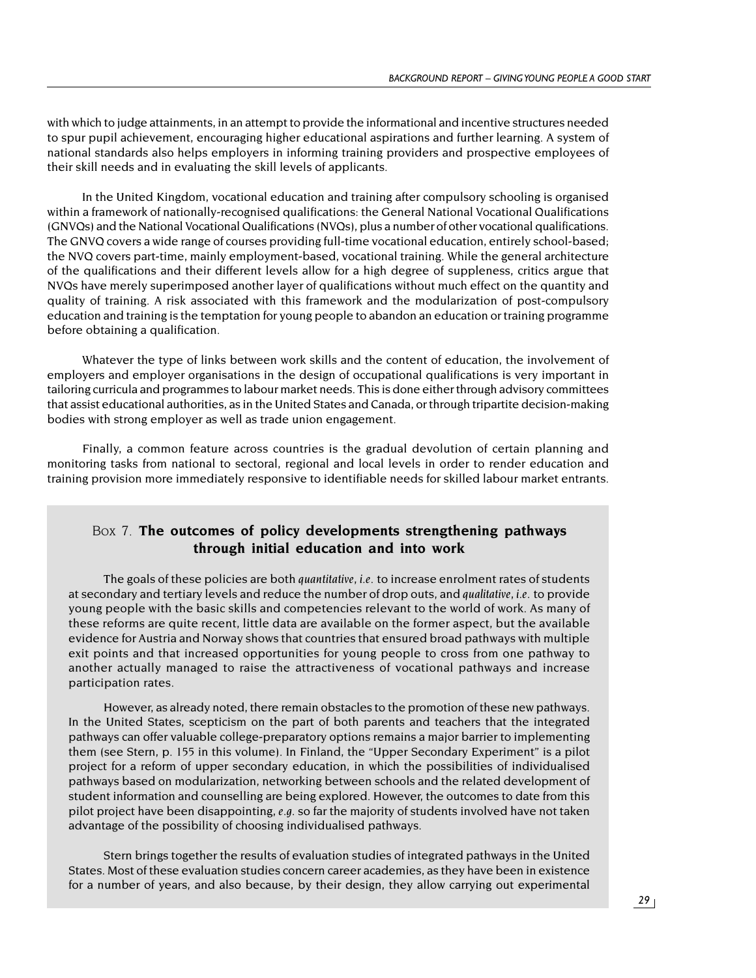with which to judge attainments, in an attempt to provide the informational and incentive structures needed to spur pupil achievement, encouraging higher educational aspirations and further learning. A system of national standards also helps employers in informing training providers and prospective employees of their skill needs and in evaluating the skill levels of applicants.

In the United Kingdom, vocational education and training after compulsory schooling is organised within a framework of nationally-recognised qualifications: the General National Vocational Qualifications (GNVQs) and the National Vocational Qualifications (NVQs), plus a number of other vocational qualifications. The GNVQ covers a wide range of courses providing full-time vocational education, entirely school-based; the NVQ covers part-time, mainly employment-based, vocational training. While the general architecture of the qualifications and their different levels allow for a high degree of suppleness, critics argue that NVQs have merely superimposed another layer of qualifications without much effect on the quantity and quality of training. A risk associated with this framework and the modularization of post-compulsory education and training is the temptation for young people to abandon an education or training programme before obtaining a qualification.

Whatever the type of links between work skills and the content of education, the involvement of employers and employer organisations in the design of occupational qualifications is very important in tailoring curricula and programmes to labour market needs. This is done either through advisory committees that assist educational authorities, as in the United States and Canada, or through tripartite decision-making bodies with strong employer as well as trade union engagement.

Finally, a common feature across countries is the gradual devolution of certain planning and monitoring tasks from national to sectoral, regional and local levels in order to render education and training provision more immediately responsive to identifiable needs for skilled labour market entrants.

# Box 7. **The outcomes of policy developments strengthening pathways through initial education and into work**

The goals of these policies are both *quantitative*, *i.e.* to increase enrolment rates of students at secondary and tertiary levels and reduce the number of drop outs, and *qualitative*, *i.e.* to provide young people with the basic skills and competencies relevant to the world of work. As many of these reforms are quite recent, little data are available on the former aspect, but the available evidence for Austria and Norway shows that countries that ensured broad pathways with multiple exit points and that increased opportunities for young people to cross from one pathway to another actually managed to raise the attractiveness of vocational pathways and increase participation rates.

However, as already noted, there remain obstacles to the promotion of these new pathways. In the United States, scepticism on the part of both parents and teachers that the integrated pathways can offer valuable college-preparatory options remains a major barrier to implementing them (see Stern, p. 155 in this volume). In Finland, the "Upper Secondary Experiment" is a pilot project for a reform of upper secondary education, in which the possibilities of individualised pathways based on modularization, networking between schools and the related development of student information and counselling are being explored. However, the outcomes to date from this pilot project have been disappointing, *e.g.* so far the majority of students involved have not taken advantage of the possibility of choosing individualised pathways.

Stern brings together the results of evaluation studies of integrated pathways in the United States. Most of these evaluation studies concern career academies, as they have been in existence for a number of years, and also because, by their design, they allow carrying out experimental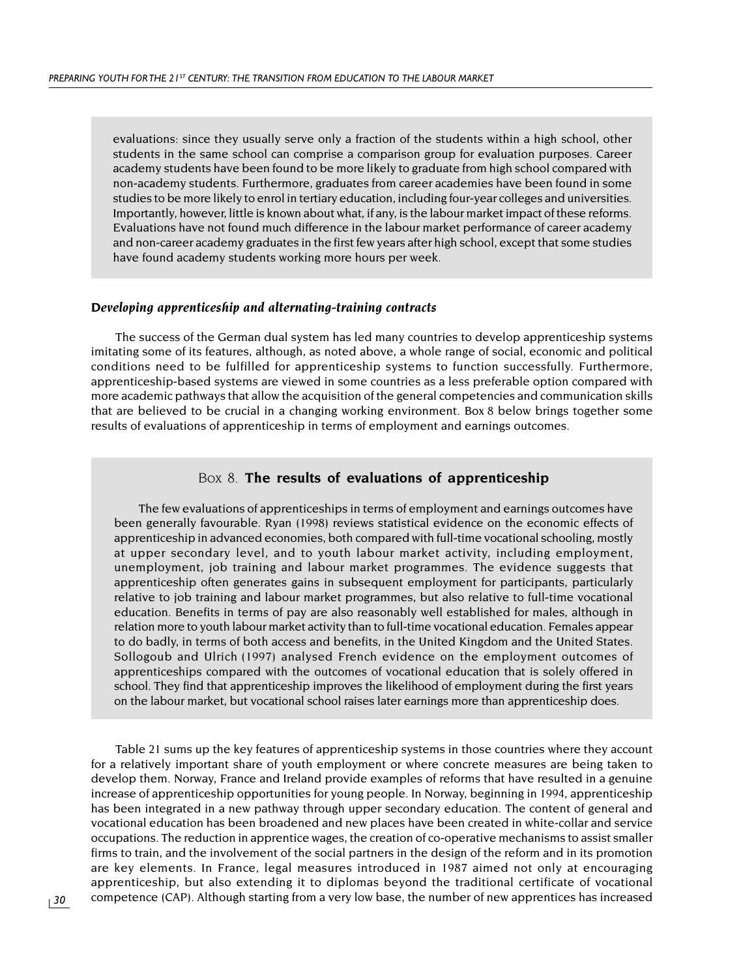evaluations: since they usually serve only a fraction of the students within a high school, other students in the same school can comprise a comparison group for evaluation purposes. Career academy students have been found to be more likely to graduate from high school compared with non-academy students. Furthermore, graduates from career academies have been found in some studies to be more likely to enrol in tertiary education, including four-year colleges and universities. Importantly, however, little is known about what, if any, is the labour market impact of these reforms. Evaluations have not found much difference in the labour market performance of career academy and non-career academy graduates in the first few years after high school, except that some studies have found academy students working more hours per week.

### *Developing apprenticeship and alternating-training contracts*

The success of the German dual system has led many countries to develop apprenticeship systems imitating some of its features, although, as noted above, a whole range of social, economic and political conditions need to be fulfilled for apprenticeship systems to function successfully. Furthermore, apprenticeship-based systems are viewed in some countries as a less preferable option compared with more academic pathways that allow the acquisition of the general competencies and communication skills that are believed to be crucial in a changing working environment. Box 8 below brings together some results of evaluations of apprenticeship in terms of employment and earnings outcomes.

# Box 8. **The results of evaluations of apprenticeship**

The few evaluations of apprenticeships in terms of employment and earnings outcomes have been generally favourable. Ryan (1998) reviews statistical evidence on the economic effects of apprenticeship in advanced economies, both compared with full-time vocational schooling, mostly at upper secondary level, and to youth labour market activity, including employment, unemployment, job training and labour market programmes. The evidence suggests that apprenticeship often generates gains in subsequent employment for participants, particularly relative to job training and labour market programmes, but also relative to full-time vocational education. Benefits in terms of pay are also reasonably well established for males, although in relation more to youth labour market activity than to full-time vocational education. Females appear to do badly, in terms of both access and benefits, in the United Kingdom and the United States. Sollogoub and Ulrich (1997) analysed French evidence on the employment outcomes of apprenticeships compared with the outcomes of vocational education that is solely offered in school. They find that apprenticeship improves the likelihood of employment during the first years on the labour market, but vocational school raises later earnings more than apprenticeship does.

Table 21 sums up the key features of apprenticeship systems in those countries where they account for a relatively important share of youth employment or where concrete measures are being taken to develop them. Norway, France and Ireland provide examples of reforms that have resulted in a genuine increase of apprenticeship opportunities for young people. In Norway, beginning in 1994, apprenticeship has been integrated in a new pathway through upper secondary education. The content of general and vocational education has been broadened and new places have been created in white-collar and service occupations. The reduction in apprentice wages, the creation of co-operative mechanisms to assist smaller firms to train, and the involvement of the social partners in the design of the reform and in its promotion are key elements. In France, legal measures introduced in 1987 aimed not only at encouraging apprenticeship, but also extending it to diplomas beyond the traditional certificate of vocational competence (CAP). Although starting from a very low base, the number of new apprentices has increased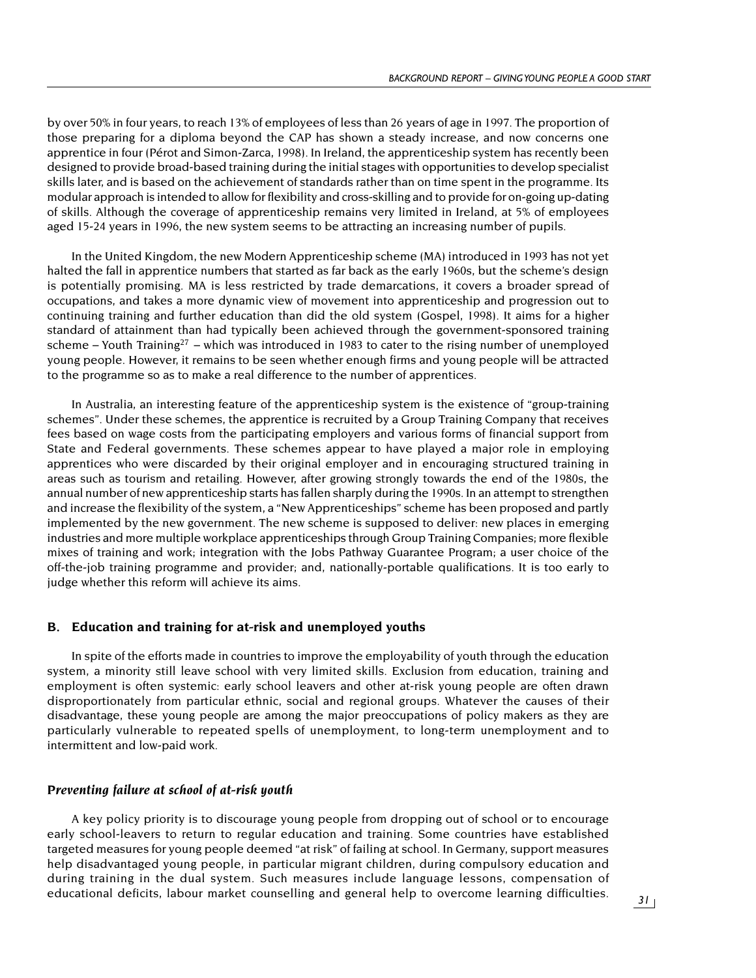by over 50% in four years, to reach 13% of employees of less than 26 years of age in 1997. The proportion of those preparing for a diploma beyond the CAP has shown a steady increase, and now concerns one apprentice in four (Pérot and Simon-Zarca, 1998). In Ireland, the apprenticeship system has recently been designed to provide broad-based training during the initial stages with opportunities to develop specialist skills later, and is based on the achievement of standards rather than on time spent in the programme. Its modular approach is intended to allow for flexibility and cross-skilling and to provide for on-going up-dating of skills. Although the coverage of apprenticeship remains very limited in Ireland, at 5% of employees aged 15-24 years in 1996, the new system seems to be attracting an increasing number of pupils.

In the United Kingdom, the new Modern Apprenticeship scheme (MA) introduced in 1993 has not yet halted the fall in apprentice numbers that started as far back as the early 1960s, but the scheme's design is potentially promising. MA is less restricted by trade demarcations, it covers a broader spread of occupations, and takes a more dynamic view of movement into apprenticeship and progression out to continuing training and further education than did the old system (Gospel, 1998). It aims for a higher standard of attainment than had typically been achieved through the government-sponsored training scheme – Youth Training<sup>27</sup> – which was introduced in 1983 to cater to the rising number of unemployed young people. However, it remains to be seen whether enough firms and young people will be attracted to the programme so as to make a real difference to the number of apprentices.

In Australia, an interesting feature of the apprenticeship system is the existence of "group-training schemes". Under these schemes, the apprentice is recruited by a Group Training Company that receives fees based on wage costs from the participating employers and various forms of financial support from State and Federal governments. These schemes appear to have played a major role in employing apprentices who were discarded by their original employer and in encouraging structured training in areas such as tourism and retailing. However, after growing strongly towards the end of the 1980s, the annual number of new apprenticeship starts has fallen sharply during the 1990s. In an attempt to strengthen and increase the flexibility of the system, a "New Apprenticeships" scheme has been proposed and partly implemented by the new government. The new scheme is supposed to deliver: new places in emerging industries and more multiple workplace apprenticeships through Group Training Companies; more flexible mixes of training and work; integration with the Jobs Pathway Guarantee Program; a user choice of the off-the-job training programme and provider; and, nationally-portable qualifications. It is too early to judge whether this reform will achieve its aims.

# **B. Education and training for at-risk and unemployed youths**

In spite of the efforts made in countries to improve the employability of youth through the education system, a minority still leave school with very limited skills. Exclusion from education, training and employment is often systemic: early school leavers and other at-risk young people are often drawn disproportionately from particular ethnic, social and regional groups. Whatever the causes of their disadvantage, these young people are among the major preoccupations of policy makers as they are particularly vulnerable to repeated spells of unemployment, to long-term unemployment and to intermittent and low-paid work.

### *Preventing failure at school of at-risk youth*

A key policy priority is to discourage young people from dropping out of school or to encourage early school-leavers to return to regular education and training. Some countries have established targeted measures for young people deemed "at risk" of failing at school. In Germany, support measures help disadvantaged young people, in particular migrant children, during compulsory education and during training in the dual system. Such measures include language lessons, compensation of educational deficits, labour market counselling and general help to overcome learning difficulties.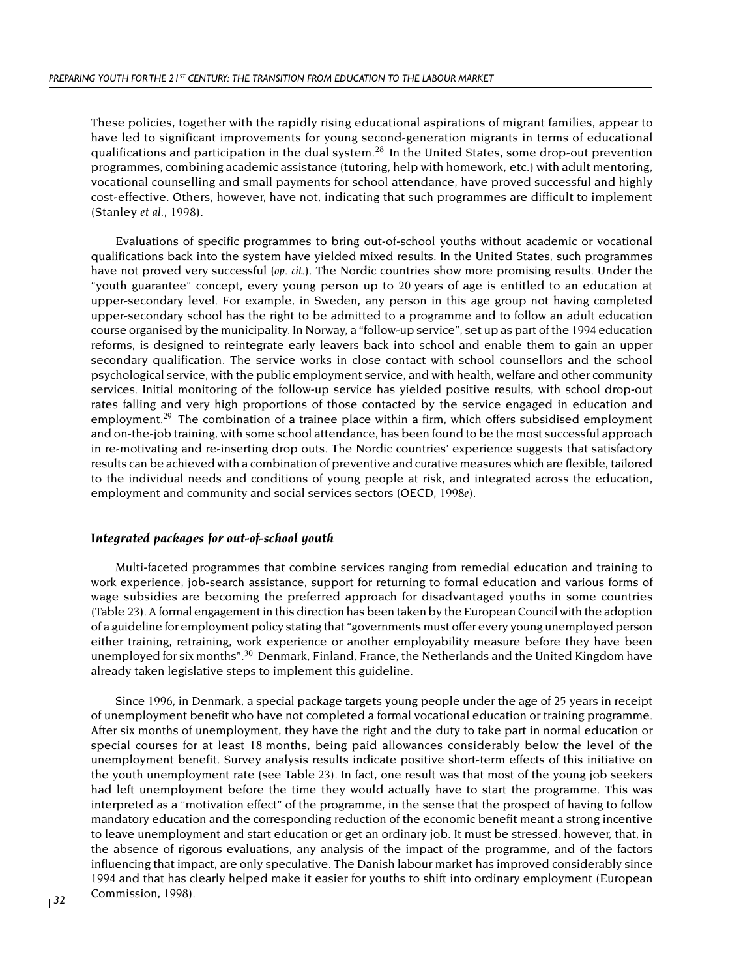These policies, together with the rapidly rising educational aspirations of migrant families, appear to have led to significant improvements for young second-generation migrants in terms of educational qualifications and participation in the dual system.<sup>28</sup> In the United States, some drop-out prevention programmes, combining academic assistance (tutoring, help with homework, etc.) with adult mentoring, vocational counselling and small payments for school attendance, have proved successful and highly cost-effective. Others, however, have not, indicating that such programmes are difficult to implement (Stanley *et al.,* 1998).

Evaluations of specific programmes to bring out-of-school youths without academic or vocational qualifications back into the system have yielded mixed results. In the United States, such programmes have not proved very successful (*op. cit.).* The Nordic countries show more promising results. Under the "youth guarantee" concept, every young person up to 20 years of age is entitled to an education at upper-secondary level. For example, in Sweden, any person in this age group not having completed upper-secondary school has the right to be admitted to a programme and to follow an adult education course organised by the municipality. In Norway, a "follow-up service", set up as part of the 1994 education reforms, is designed to reintegrate early leavers back into school and enable them to gain an upper secondary qualification. The service works in close contact with school counsellors and the school psychological service, with the public employment service, and with health, welfare and other community services. Initial monitoring of the follow-up service has yielded positive results, with school drop-out rates falling and very high proportions of those contacted by the service engaged in education and employment.<sup>29</sup> The combination of a trainee place within a firm, which offers subsidised employment and on-the-job training, with some school attendance, has been found to be the most successful approach in re-motivating and re-inserting drop outs. The Nordic countries' experience suggests that satisfactory results can be achieved with a combination of preventive and curative measures which are flexible, tailored to the individual needs and conditions of young people at risk, and integrated across the education, employment and community and social services sectors (OECD, 1998*e*).

# *Integrated packages for out-of-school youth*

Multi-faceted programmes that combine services ranging from remedial education and training to work experience, job-search assistance, support for returning to formal education and various forms of wage subsidies are becoming the preferred approach for disadvantaged youths in some countries (Table 23). A formal engagement in this direction has been taken by the European Council with the adoption of a guideline for employment policy stating that "governments must offer every young unemployed person either training, retraining, work experience or another employability measure before they have been unemployed for six months".<sup>30</sup> Denmark, Finland, France, the Netherlands and the United Kingdom have already taken legislative steps to implement this guideline.

Since 1996, in Denmark, a special package targets young people under the age of 25 years in receipt of unemployment benefit who have not completed a formal vocational education or training programme. After six months of unemployment, they have the right and the duty to take part in normal education or special courses for at least 18 months, being paid allowances considerably below the level of the unemployment benefit. Survey analysis results indicate positive short-term effects of this initiative on the youth unemployment rate (see Table 23). In fact, one result was that most of the young job seekers had left unemployment before the time they would actually have to start the programme. This was interpreted as a "motivation effect" of the programme, in the sense that the prospect of having to follow mandatory education and the corresponding reduction of the economic benefit meant a strong incentive to leave unemployment and start education or get an ordinary job. It must be stressed, however, that, in the absence of rigorous evaluations, any analysis of the impact of the programme, and of the factors influencing that impact, are only speculative. The Danish labour market has improved considerably since 1994 and that has clearly helped make it easier for youths to shift into ordinary employment (European Commission, 1998).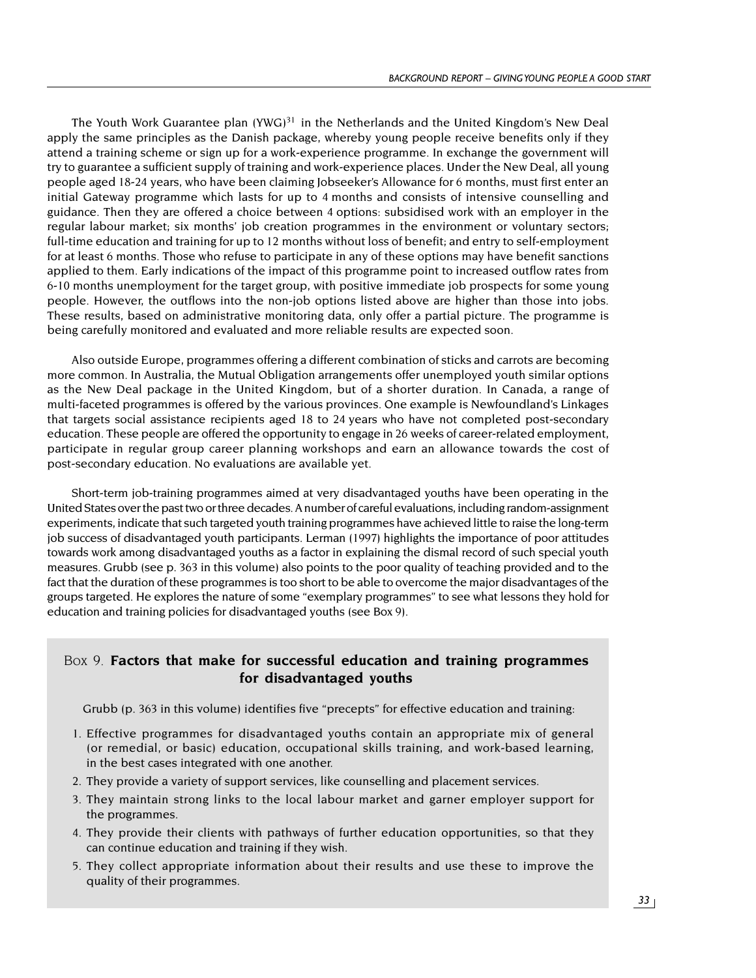The Youth Work Guarantee plan  $(YWG)^{31}$  in the Netherlands and the United Kingdom's New Deal apply the same principles as the Danish package, whereby young people receive benefits only if they attend a training scheme or sign up for a work-experience programme. In exchange the government will try to guarantee a sufficient supply of training and work-experience places. Under the New Deal, all young people aged 18-24 years, who have been claiming Jobseeker's Allowance for 6 months, must first enter an initial Gateway programme which lasts for up to 4 months and consists of intensive counselling and guidance. Then they are offered a choice between 4 options: subsidised work with an employer in the regular labour market; six months' job creation programmes in the environment or voluntary sectors; full-time education and training for up to 12 months without loss of benefit; and entry to self-employment for at least 6 months. Those who refuse to participate in any of these options may have benefit sanctions applied to them. Early indications of the impact of this programme point to increased outflow rates from 6-10 months unemployment for the target group, with positive immediate job prospects for some young people. However, the outflows into the non-job options listed above are higher than those into jobs. These results, based on administrative monitoring data, only offer a partial picture. The programme is being carefully monitored and evaluated and more reliable results are expected soon.

Also outside Europe, programmes offering a different combination of sticks and carrots are becoming more common. In Australia, the Mutual Obligation arrangements offer unemployed youth similar options as the New Deal package in the United Kingdom, but of a shorter duration. In Canada, a range of multi-faceted programmes is offered by the various provinces. One example is Newfoundland's Linkages that targets social assistance recipients aged 18 to 24 years who have not completed post-secondary education. These people are offered the opportunity to engage in 26 weeks of career-related employment, participate in regular group career planning workshops and earn an allowance towards the cost of post-secondary education. No evaluations are available yet.

Short-term job-training programmes aimed at very disadvantaged youths have been operating in the United States over the past two or three decades. A number of careful evaluations, including random-assignment experiments, indicate that such targeted youth training programmes have achieved little to raise the long-term job success of disadvantaged youth participants. Lerman (1997) highlights the importance of poor attitudes towards work among disadvantaged youths as a factor in explaining the dismal record of such special youth measures. Grubb (see p. 363 in this volume) also points to the poor quality of teaching provided and to the fact that the duration of these programmes is too short to be able to overcome the major disadvantages of the groups targeted. He explores the nature of some "exemplary programmes" to see what lessons they hold for education and training policies for disadvantaged youths (see Box 9).

# Box 9. **Factors that make for successful education and training programmes for disadvantaged youths**

Grubb (p. 363 in this volume) identifies five "precepts" for effective education and training:

- 1. Effective programmes for disadvantaged youths contain an appropriate mix of general (or remedial, or basic) education, occupational skills training, and work-based learning, in the best cases integrated with one another.
- 2. They provide a variety of support services, like counselling and placement services.
- 3. They maintain strong links to the local labour market and garner employer support for the programmes.
- 4. They provide their clients with pathways of further education opportunities, so that they can continue education and training if they wish.
- 5. They collect appropriate information about their results and use these to improve the quality of their programmes.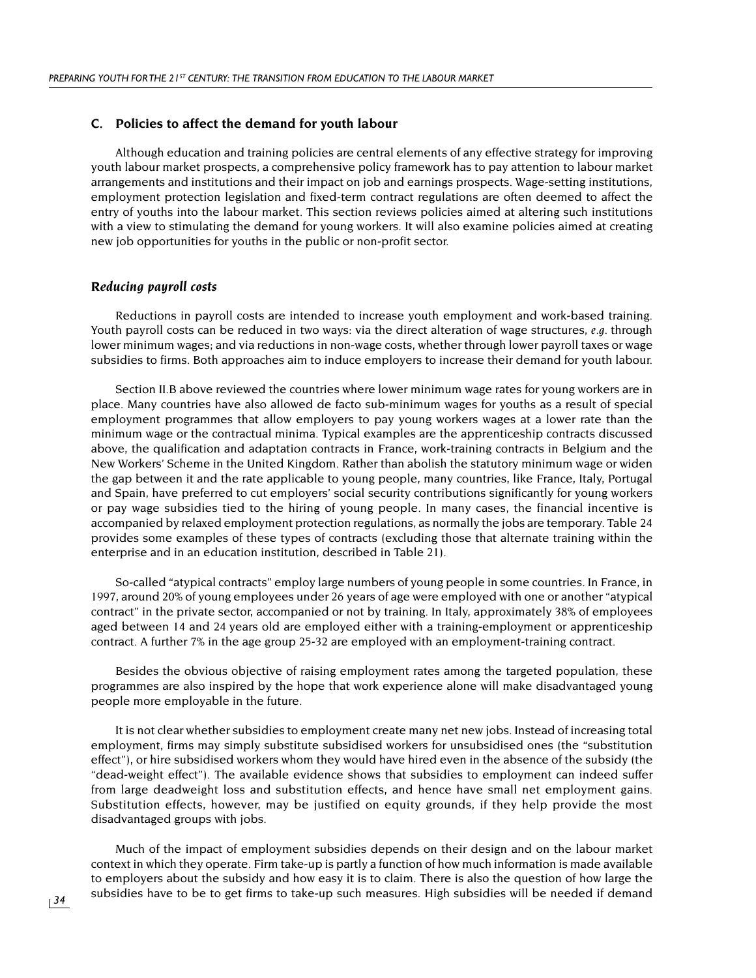# **C. Policies to affect the demand for youth labour**

Although education and training policies are central elements of any effective strategy for improving youth labour market prospects, a comprehensive policy framework has to pay attention to labour market arrangements and institutions and their impact on job and earnings prospects. Wage-setting institutions, employment protection legislation and fixed-term contract regulations are often deemed to affect the entry of youths into the labour market. This section reviews policies aimed at altering such institutions with a view to stimulating the demand for young workers. It will also examine policies aimed at creating new job opportunities for youths in the public or non-profit sector.

#### *Reducing payroll costs*

Reductions in payroll costs are intended to increase youth employment and work-based training. Youth payroll costs can be reduced in two ways: via the direct alteration of wage structures, *e.g.* through lower minimum wages; and via reductions in non-wage costs, whether through lower payroll taxes or wage subsidies to firms. Both approaches aim to induce employers to increase their demand for youth labour.

Section II.B above reviewed the countries where lower minimum wage rates for young workers are in place. Many countries have also allowed de facto sub-minimum wages for youths as a result of special employment programmes that allow employers to pay young workers wages at a lower rate than the minimum wage or the contractual minima. Typical examples are the apprenticeship contracts discussed above, the qualification and adaptation contracts in France, work-training contracts in Belgium and the New Workers' Scheme in the United Kingdom. Rather than abolish the statutory minimum wage or widen the gap between it and the rate applicable to young people, many countries, like France, Italy, Portugal and Spain, have preferred to cut employers' social security contributions significantly for young workers or pay wage subsidies tied to the hiring of young people. In many cases, the financial incentive is accompanied by relaxed employment protection regulations, as normally the jobs are temporary. Table 24 provides some examples of these types of contracts (excluding those that alternate training within the enterprise and in an education institution, described in Table 21).

So-called "atypical contracts" employ large numbers of young people in some countries. In France, in 1997, around 20% of young employees under 26 years of age were employed with one or another "atypical contract" in the private sector, accompanied or not by training. In Italy, approximately 38% of employees aged between 14 and 24 years old are employed either with a training-employment or apprenticeship contract. A further 7% in the age group 25-32 are employed with an employment-training contract.

Besides the obvious objective of raising employment rates among the targeted population, these programmes are also inspired by the hope that work experience alone will make disadvantaged young people more employable in the future.

It is not clear whether subsidies to employment create many net new jobs. Instead of increasing total employment, firms may simply substitute subsidised workers for unsubsidised ones (the "substitution effect"), or hire subsidised workers whom they would have hired even in the absence of the subsidy (the "dead-weight effect"). The available evidence shows that subsidies to employment can indeed suffer from large deadweight loss and substitution effects, and hence have small net employment gains. Substitution effects, however, may be justified on equity grounds, if they help provide the most disadvantaged groups with jobs.

Much of the impact of employment subsidies depends on their design and on the labour market context in which they operate. Firm take-up is partly a function of how much information is made available to employers about the subsidy and how easy it is to claim. There is also the question of how large the subsidies have to be to get firms to take-up such measures. High subsidies will be needed if demand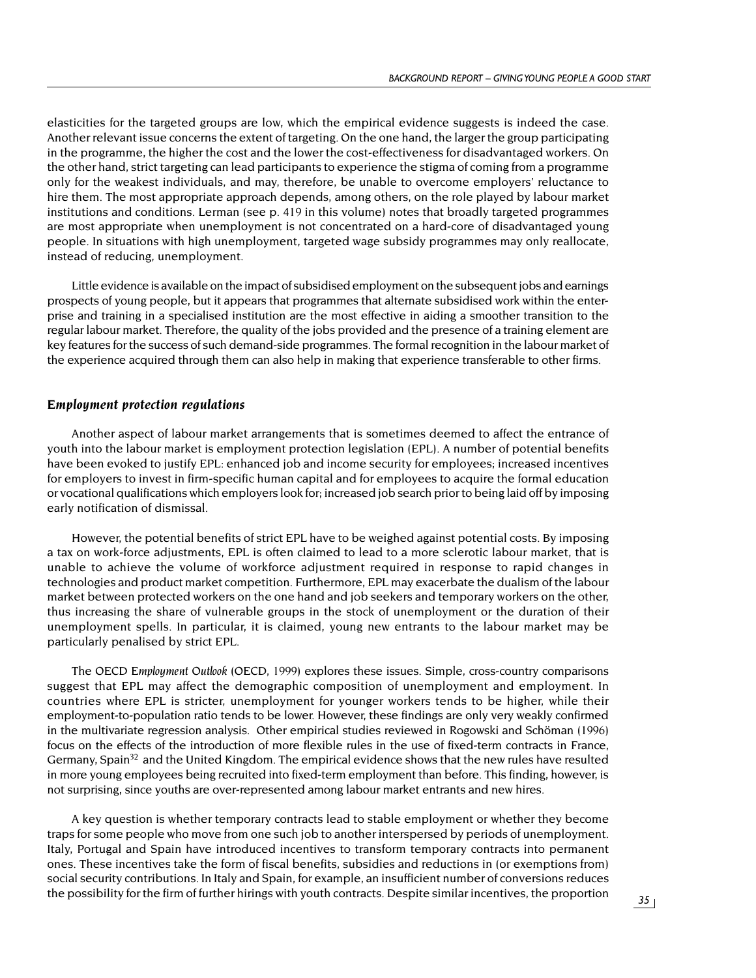elasticities for the targeted groups are low, which the empirical evidence suggests is indeed the case. Another relevant issue concerns the extent of targeting. On the one hand, the larger the group participating in the programme, the higher the cost and the lower the cost-effectiveness for disadvantaged workers. On the other hand, strict targeting can lead participants to experience the stigma of coming from a programme only for the weakest individuals, and may, therefore, be unable to overcome employers' reluctance to hire them. The most appropriate approach depends, among others, on the role played by labour market institutions and conditions. Lerman (see p. 419 in this volume) notes that broadly targeted programmes are most appropriate when unemployment is not concentrated on a hard-core of disadvantaged young people. In situations with high unemployment, targeted wage subsidy programmes may only reallocate, instead of reducing, unemployment.

Little evidence is available on the impact of subsidised employment on the subsequent jobs and earnings prospects of young people, but it appears that programmes that alternate subsidised work within the enterprise and training in a specialised institution are the most effective in aiding a smoother transition to the regular labour market. Therefore, the quality of the jobs provided and the presence of a training element are key features for the success of such demand-side programmes. The formal recognition in the labour market of the experience acquired through them can also help in making that experience transferable to other firms.

### *Employment protection regulations*

Another aspect of labour market arrangements that is sometimes deemed to affect the entrance of youth into the labour market is employment protection legislation (EPL). A number of potential benefits have been evoked to justify EPL: enhanced job and income security for employees; increased incentives for employers to invest in firm-specific human capital and for employees to acquire the formal education or vocational qualifications which employers look for; increased job search prior to being laid off by imposing early notification of dismissal.

However, the potential benefits of strict EPL have to be weighed against potential costs. By imposing a tax on work-force adjustments, EPL is often claimed to lead to a more sclerotic labour market, that is unable to achieve the volume of workforce adjustment required in response to rapid changes in technologies and product market competition. Furthermore, EPL may exacerbate the dualism of the labour market between protected workers on the one hand and job seekers and temporary workers on the other, thus increasing the share of vulnerable groups in the stock of unemployment or the duration of their unemployment spells. In particular, it is claimed, young new entrants to the labour market may be particularly penalised by strict EPL.

The OECD *Employment Outlook* (OECD, 1999) explores these issues. Simple, cross-country comparisons suggest that EPL may affect the demographic composition of unemployment and employment. In countries where EPL is stricter, unemployment for younger workers tends to be higher, while their employment-to-population ratio tends to be lower. However, these findings are only very weakly confirmed in the multivariate regression analysis. Other empirical studies reviewed in Rogowski and Schöman (1996) focus on the effects of the introduction of more flexible rules in the use of fixed-term contracts in France, Germany, Spain<sup>32</sup> and the United Kingdom. The empirical evidence shows that the new rules have resulted in more young employees being recruited into fixed-term employment than before. This finding, however, is not surprising, since youths are over-represented among labour market entrants and new hires.

A key question is whether temporary contracts lead to stable employment or whether they become traps for some people who move from one such job to another interspersed by periods of unemployment. Italy, Portugal and Spain have introduced incentives to transform temporary contracts into permanent ones. These incentives take the form of fiscal benefits, subsidies and reductions in (or exemptions from) social security contributions. In Italy and Spain, for example, an insufficient number of conversions reduces the possibility for the firm of further hirings with youth contracts. Despite similar incentives, the proportion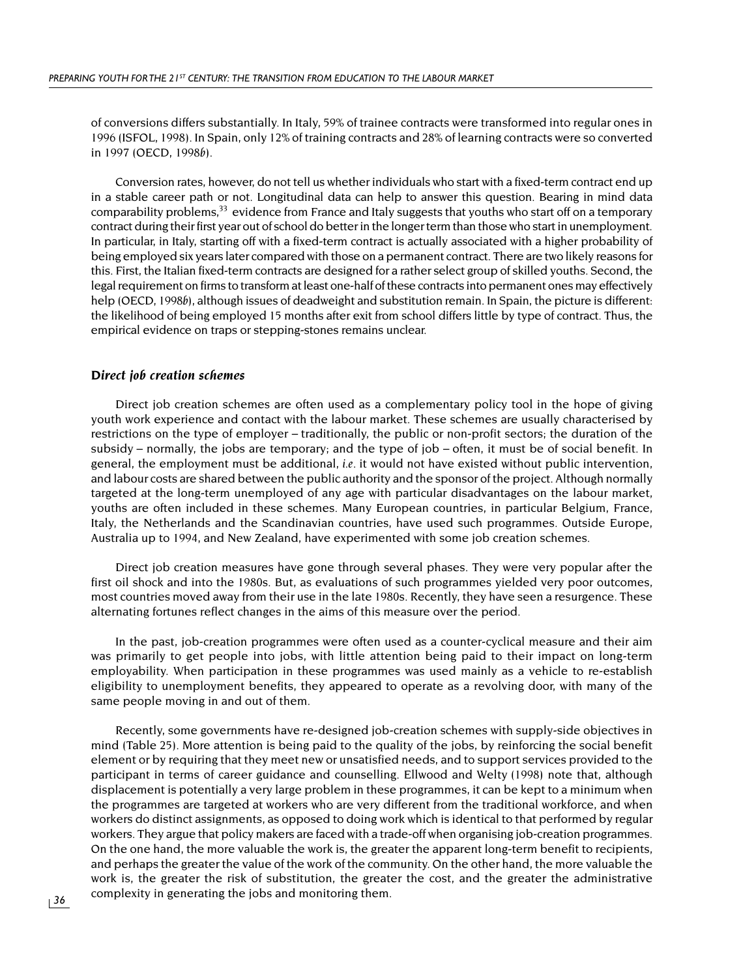of conversions differs substantially. In Italy, 59% of trainee contracts were transformed into regular ones in 1996 (ISFOL, 1998). In Spain, only 12% of training contracts and 28% of learning contracts were so converted in 1997 (OECD, 1998*b*).

Conversion rates, however, do not tell us whether individuals who start with a fixed-term contract end up in a stable career path or not. Longitudinal data can help to answer this question. Bearing in mind data comparability problems,<sup>33</sup> evidence from France and Italy suggests that youths who start off on a temporary contract during their first year out of school do better in the longer term than those who start in unemployment. In particular, in Italy, starting off with a fixed-term contract is actually associated with a higher probability of being employed six years later compared with those on a permanent contract. There are two likely reasons for this. First, the Italian fixed-term contracts are designed for a rather select group of skilled youths. Second, the legal requirement on firms to transform at least one-half of these contracts into permanent ones may effectively help (OECD, 1998*b*), although issues of deadweight and substitution remain. In Spain, the picture is different: the likelihood of being employed 15 months after exit from school differs little by type of contract. Thus, the empirical evidence on traps or stepping-stones remains unclear.

# *Direct job creation schemes*

Direct job creation schemes are often used as a complementary policy tool in the hope of giving youth work experience and contact with the labour market. These schemes are usually characterised by restrictions on the type of employer – traditionally, the public or non-profit sectors; the duration of the subsidy – normally, the jobs are temporary; and the type of job – often, it must be of social benefit. In general, the employment must be additional, *i.e.* it would not have existed without public intervention, and labour costs are shared between the public authority and the sponsor of the project. Although normally targeted at the long-term unemployed of any age with particular disadvantages on the labour market, youths are often included in these schemes. Many European countries, in particular Belgium, France, Italy, the Netherlands and the Scandinavian countries, have used such programmes. Outside Europe, Australia up to 1994, and New Zealand, have experimented with some job creation schemes.

Direct job creation measures have gone through several phases. They were very popular after the first oil shock and into the 1980s. But, as evaluations of such programmes yielded very poor outcomes, most countries moved away from their use in the late 1980s. Recently, they have seen a resurgence. These alternating fortunes reflect changes in the aims of this measure over the period.

In the past, job-creation programmes were often used as a counter-cyclical measure and their aim was primarily to get people into jobs, with little attention being paid to their impact on long-term employability. When participation in these programmes was used mainly as a vehicle to re-establish eligibility to unemployment benefits, they appeared to operate as a revolving door, with many of the same people moving in and out of them.

Recently, some governments have re-designed job-creation schemes with supply-side objectives in mind (Table 25). More attention is being paid to the quality of the jobs, by reinforcing the social benefit element or by requiring that they meet new or unsatisfied needs, and to support services provided to the participant in terms of career guidance and counselling. Ellwood and Welty (1998) note that, although displacement is potentially a very large problem in these programmes, it can be kept to a minimum when the programmes are targeted at workers who are very different from the traditional workforce, and when workers do distinct assignments, as opposed to doing work which is identical to that performed by regular workers. They argue that policy makers are faced with a trade-off when organising job-creation programmes. On the one hand, the more valuable the work is, the greater the apparent long-term benefit to recipients, and perhaps the greater the value of the work of the community. On the other hand, the more valuable the work is, the greater the risk of substitution, the greater the cost, and the greater the administrative complexity in generating the jobs and monitoring them.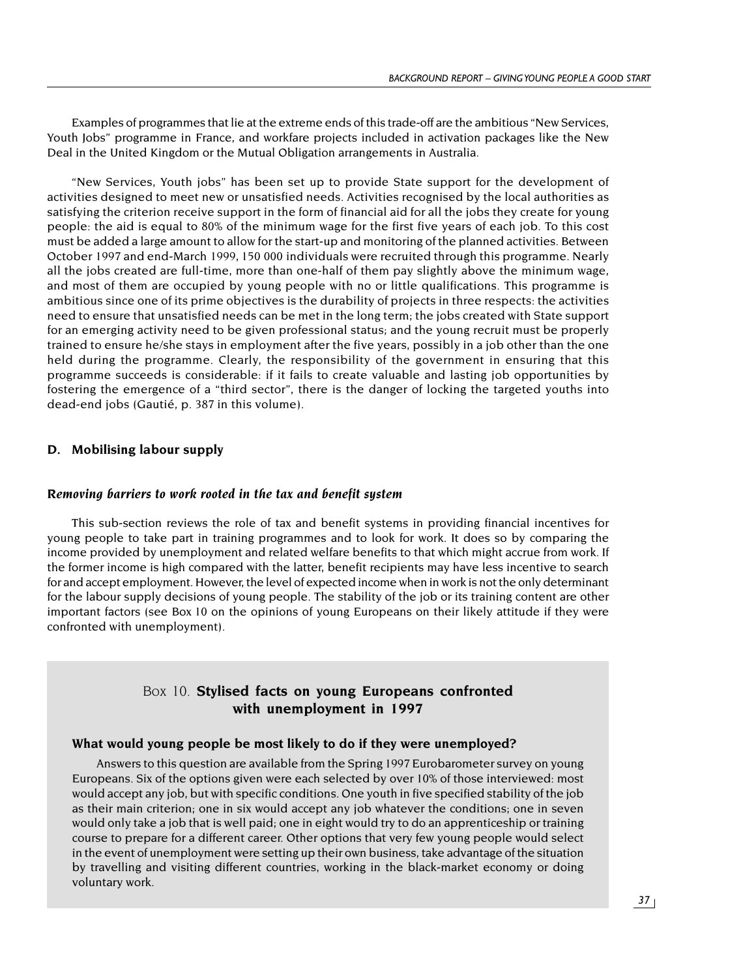Examples of programmes that lie at the extreme ends of this trade-off are the ambitious "New Services, Youth Jobs" programme in France, and workfare projects included in activation packages like the New Deal in the United Kingdom or the Mutual Obligation arrangements in Australia.

"New Services, Youth jobs" has been set up to provide State support for the development of activities designed to meet new or unsatisfied needs. Activities recognised by the local authorities as satisfying the criterion receive support in the form of financial aid for all the jobs they create for young people: the aid is equal to 80% of the minimum wage for the first five years of each job. To this cost must be added a large amount to allow for the start-up and monitoring of the planned activities. Between October 1997 and end-March 1999, 150 000 individuals were recruited through this programme. Nearly all the jobs created are full-time, more than one-half of them pay slightly above the minimum wage, and most of them are occupied by young people with no or little qualifications. This programme is ambitious since one of its prime objectives is the durability of projects in three respects: the activities need to ensure that unsatisfied needs can be met in the long term; the jobs created with State support for an emerging activity need to be given professional status; and the young recruit must be properly trained to ensure he/she stays in employment after the five years, possibly in a job other than the one held during the programme. Clearly, the responsibility of the government in ensuring that this programme succeeds is considerable: if it fails to create valuable and lasting job opportunities by fostering the emergence of a "third sector", there is the danger of locking the targeted youths into dead-end jobs (Gautié, p. 387 in this volume).

## **D. Mobilising labour supply**

### *Removing barriers to work rooted in the tax and benefit system*

This sub-section reviews the role of tax and benefit systems in providing financial incentives for young people to take part in training programmes and to look for work. It does so by comparing the income provided by unemployment and related welfare benefits to that which might accrue from work. If the former income is high compared with the latter, benefit recipients may have less incentive to search for and accept employment. However, the level of expected income when in work is not the only determinant for the labour supply decisions of young people. The stability of the job or its training content are other important factors (see Box 10 on the opinions of young Europeans on their likely attitude if they were confronted with unemployment).

# Box 10. **Stylised facts on young Europeans confronted with unemployment in 1997**

### **What would young people be most likely to do if they were unemployed?**

Answers to this question are available from the Spring 1997 Eurobarometer survey on young Europeans. Six of the options given were each selected by over 10% of those interviewed: most would accept any job, but with specific conditions. One youth in five specified stability of the job as their main criterion; one in six would accept any job whatever the conditions; one in seven would only take a job that is well paid; one in eight would try to do an apprenticeship or training course to prepare for a different career. Other options that very few young people would select in the event of unemployment were setting up their own business, take advantage of the situation by travelling and visiting different countries, working in the black-market economy or doing voluntary work.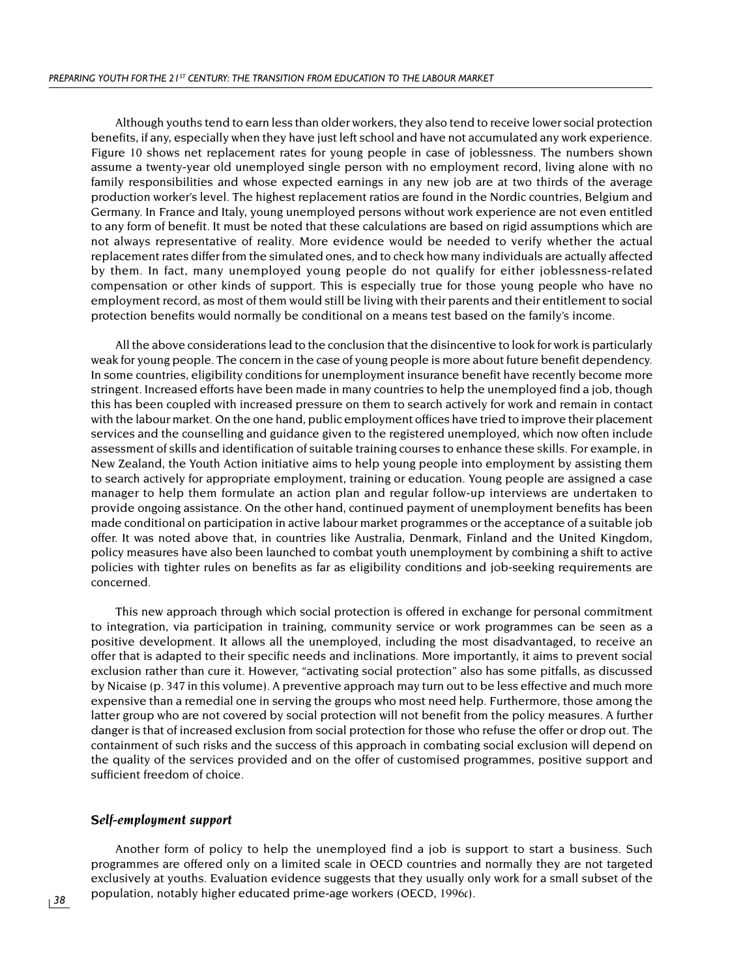Although youths tend to earn less than older workers, they also tend to receive lower social protection benefits, if any, especially when they have just left school and have not accumulated any work experience. Figure 10 shows net replacement rates for young people in case of joblessness. The numbers shown assume a twenty-year old unemployed single person with no employment record, living alone with no family responsibilities and whose expected earnings in any new job are at two thirds of the average production worker's level. The highest replacement ratios are found in the Nordic countries, Belgium and Germany. In France and Italy, young unemployed persons without work experience are not even entitled to any form of benefit. It must be noted that these calculations are based on rigid assumptions which are not always representative of reality. More evidence would be needed to verify whether the actual replacement rates differ from the simulated ones, and to check how many individuals are actually affected by them. In fact, many unemployed young people do not qualify for either joblessness-related compensation or other kinds of support. This is especially true for those young people who have no employment record, as most of them would still be living with their parents and their entitlement to social protection benefits would normally be conditional on a means test based on the family's income.

All the above considerations lead to the conclusion that the disincentive to look for work is particularly weak for young people. The concern in the case of young people is more about future benefit dependency. In some countries, eligibility conditions for unemployment insurance benefit have recently become more stringent. Increased efforts have been made in many countries to help the unemployed find a job, though this has been coupled with increased pressure on them to search actively for work and remain in contact with the labour market. On the one hand, public employment offices have tried to improve their placement services and the counselling and guidance given to the registered unemployed, which now often include assessment of skills and identification of suitable training courses to enhance these skills. For example, in New Zealand, the Youth Action initiative aims to help young people into employment by assisting them to search actively for appropriate employment, training or education. Young people are assigned a case manager to help them formulate an action plan and regular follow-up interviews are undertaken to provide ongoing assistance. On the other hand, continued payment of unemployment benefits has been made conditional on participation in active labour market programmes or the acceptance of a suitable job offer. It was noted above that, in countries like Australia, Denmark, Finland and the United Kingdom, policy measures have also been launched to combat youth unemployment by combining a shift to active policies with tighter rules on benefits as far as eligibility conditions and job-seeking requirements are concerned.

This new approach through which social protection is offered in exchange for personal commitment to integration, via participation in training, community service or work programmes can be seen as a positive development. It allows all the unemployed, including the most disadvantaged, to receive an offer that is adapted to their specific needs and inclinations. More importantly, it aims to prevent social exclusion rather than cure it. However, "activating social protection" also has some pitfalls, as discussed by Nicaise (p. 347 in this volume). A preventive approach may turn out to be less effective and much more expensive than a remedial one in serving the groups who most need help. Furthermore, those among the latter group who are not covered by social protection will not benefit from the policy measures. A further danger is that of increased exclusion from social protection for those who refuse the offer or drop out. The containment of such risks and the success of this approach in combating social exclusion will depend on the quality of the services provided and on the offer of customised programmes, positive support and sufficient freedom of choice.

#### *Self-employment support*

Another form of policy to help the unemployed find a job is support to start a business. Such programmes are offered only on a limited scale in OECD countries and normally they are not targeted exclusively at youths. Evaluation evidence suggests that they usually only work for a small subset of the population, notably higher educated prime-age workers (OECD, 1996*c*).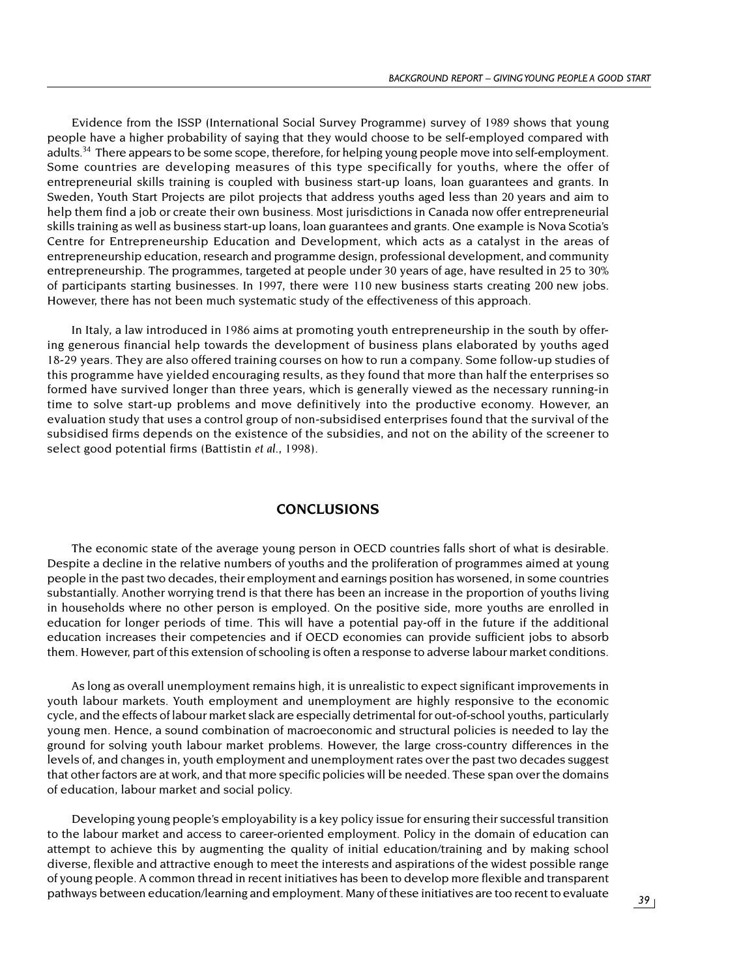Evidence from the ISSP (International Social Survey Programme) survey of 1989 shows that young people have a higher probability of saying that they would choose to be self-employed compared with adults.34 There appears to be some scope, therefore, for helping young people move into self-employment. Some countries are developing measures of this type specifically for youths, where the offer of entrepreneurial skills training is coupled with business start-up loans, loan guarantees and grants. In Sweden, Youth Start Projects are pilot projects that address youths aged less than 20 years and aim to help them find a job or create their own business. Most jurisdictions in Canada now offer entrepreneurial skills training as well as business start-up loans, loan guarantees and grants. One example is Nova Scotia's Centre for Entrepreneurship Education and Development, which acts as a catalyst in the areas of entrepreneurship education, research and programme design, professional development, and community entrepreneurship. The programmes, targeted at people under 30 years of age, have resulted in 25 to 30% of participants starting businesses. In 1997, there were 110 new business starts creating 200 new jobs. However, there has not been much systematic study of the effectiveness of this approach.

In Italy, a law introduced in 1986 aims at promoting youth entrepreneurship in the south by offering generous financial help towards the development of business plans elaborated by youths aged 18-29 years. They are also offered training courses on how to run a company. Some follow-up studies of this programme have yielded encouraging results, as they found that more than half the enterprises so formed have survived longer than three years, which is generally viewed as the necessary running-in time to solve start-up problems and move definitively into the productive economy. However, an evaluation study that uses a control group of non-subsidised enterprises found that the survival of the subsidised firms depends on the existence of the subsidies, and not on the ability of the screener to select good potential firms (Battistin *et al.*, 1998).

# **CONCLUSIONS**

The economic state of the average young person in OECD countries falls short of what is desirable. Despite a decline in the relative numbers of youths and the proliferation of programmes aimed at young people in the past two decades, their employment and earnings position has worsened, in some countries substantially. Another worrying trend is that there has been an increase in the proportion of youths living in households where no other person is employed. On the positive side, more youths are enrolled in education for longer periods of time. This will have a potential pay-off in the future if the additional education increases their competencies and if OECD economies can provide sufficient jobs to absorb them. However, part of this extension of schooling is often a response to adverse labour market conditions.

As long as overall unemployment remains high, it is unrealistic to expect significant improvements in youth labour markets. Youth employment and unemployment are highly responsive to the economic cycle, and the effects of labour market slack are especially detrimental for out-of-school youths, particularly young men. Hence, a sound combination of macroeconomic and structural policies is needed to lay the ground for solving youth labour market problems. However, the large cross-country differences in the levels of, and changes in, youth employment and unemployment rates over the past two decades suggest that other factors are at work, and that more specific policies will be needed. These span over the domains of education, labour market and social policy.

Developing young people's employability is a key policy issue for ensuring their successful transition to the labour market and access to career-oriented employment. Policy in the domain of education can attempt to achieve this by augmenting the quality of initial education/training and by making school diverse, flexible and attractive enough to meet the interests and aspirations of the widest possible range of young people. A common thread in recent initiatives has been to develop more flexible and transparent pathways between education/learning and employment. Many of these initiatives are too recent to evaluate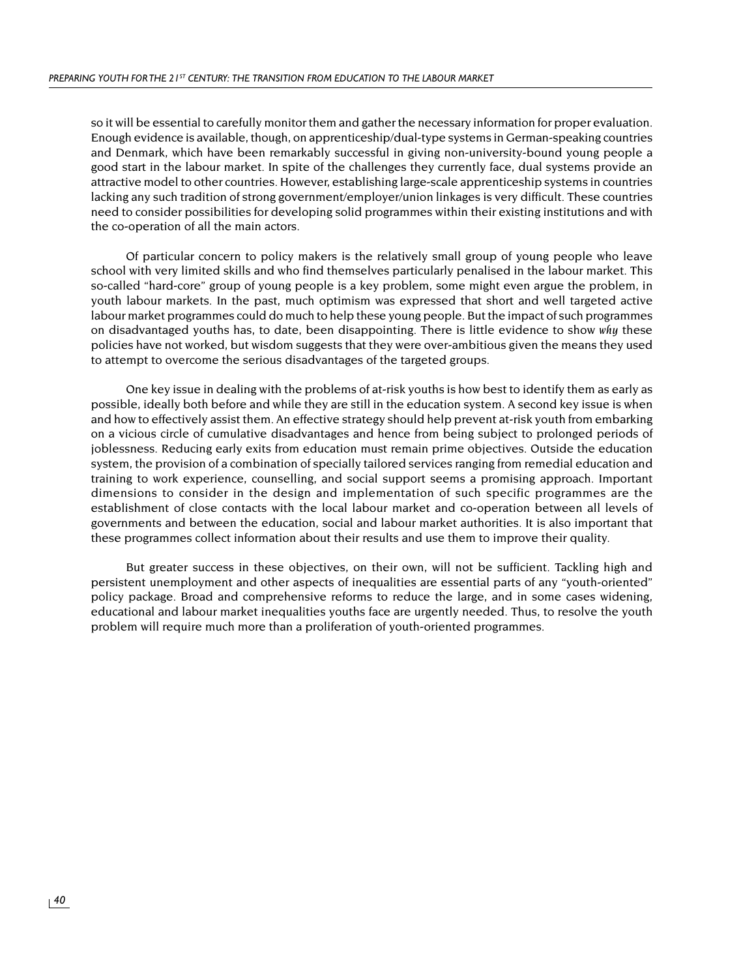so it will be essential to carefully monitor them and gather the necessary information for proper evaluation. Enough evidence is available, though, on apprenticeship/dual-type systems in German-speaking countries and Denmark, which have been remarkably successful in giving non-university-bound young people a good start in the labour market. In spite of the challenges they currently face, dual systems provide an attractive model to other countries. However, establishing large-scale apprenticeship systems in countries lacking any such tradition of strong government/employer/union linkages is very difficult. These countries need to consider possibilities for developing solid programmes within their existing institutions and with the co-operation of all the main actors.

Of particular concern to policy makers is the relatively small group of young people who leave school with very limited skills and who find themselves particularly penalised in the labour market. This so-called "hard-core" group of young people is a key problem, some might even argue the problem, in youth labour markets. In the past, much optimism was expressed that short and well targeted active labour market programmes could do much to help these young people. But the impact of such programmes on disadvantaged youths has, to date, been disappointing. There is little evidence to show *why* these policies have not worked, but wisdom suggests that they were over-ambitious given the means they used to attempt to overcome the serious disadvantages of the targeted groups.

One key issue in dealing with the problems of at-risk youths is how best to identify them as early as possible, ideally both before and while they are still in the education system. A second key issue is when and how to effectively assist them. An effective strategy should help prevent at-risk youth from embarking on a vicious circle of cumulative disadvantages and hence from being subject to prolonged periods of joblessness. Reducing early exits from education must remain prime objectives. Outside the education system, the provision of a combination of specially tailored services ranging from remedial education and training to work experience, counselling, and social support seems a promising approach. Important dimensions to consider in the design and implementation of such specific programmes are the establishment of close contacts with the local labour market and co-operation between all levels of governments and between the education, social and labour market authorities. It is also important that these programmes collect information about their results and use them to improve their quality.

But greater success in these objectives, on their own, will not be sufficient. Tackling high and persistent unemployment and other aspects of inequalities are essential parts of any "youth-oriented" policy package. Broad and comprehensive reforms to reduce the large, and in some cases widening, educational and labour market inequalities youths face are urgently needed. Thus, to resolve the youth problem will require much more than a proliferation of youth-oriented programmes.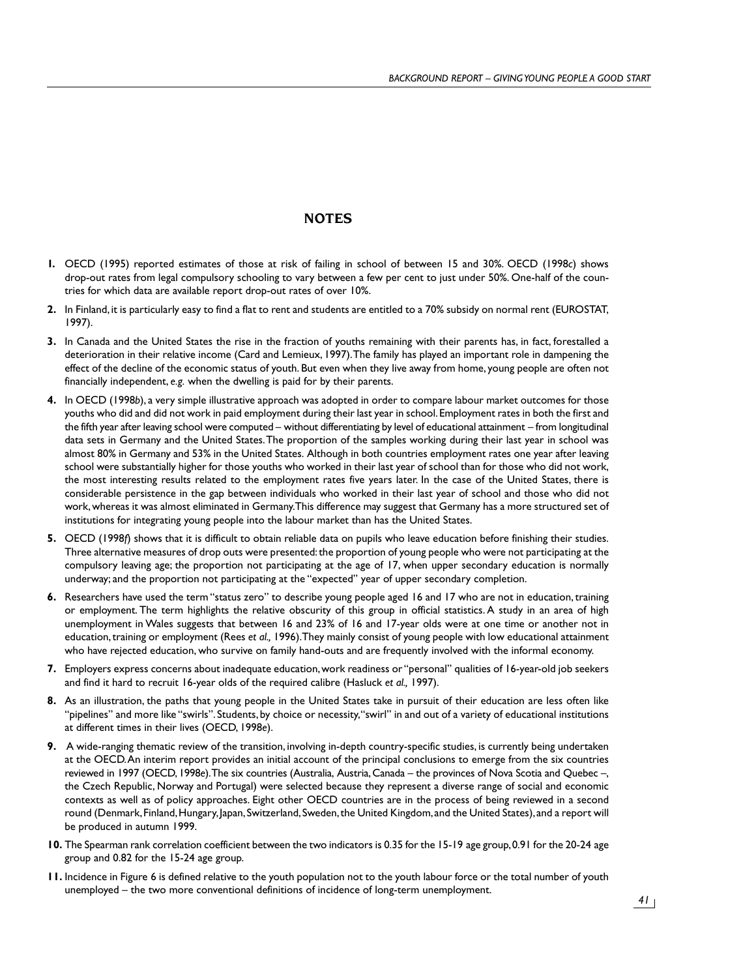# **NOTES**

- **1.** OECD (1995) reported estimates of those at risk of failing in school of between 15 and 30%. OECD (1998*c*) shows drop-out rates from legal compulsory schooling to vary between a few per cent to just under 50%. One-half of the countries for which data are available report drop-out rates of over 10%.
- **2.** In Finland, it is particularly easy to find a flat to rent and students are entitled to a 70% subsidy on normal rent (EUROSTAT, 1997).
- **3.** In Canada and the United States the rise in the fraction of youths remaining with their parents has, in fact, forestalled a deterioration in their relative income (Card and Lemieux, 1997). The family has played an important role in dampening the effect of the decline of the economic status of youth. But even when they live away from home, young people are often not financially independent, *e.g.* when the dwelling is paid for by their parents.
- **4.** In OECD (1998*b*), a very simple illustrative approach was adopted in order to compare labour market outcomes for those youths who did and did not work in paid employment during their last year in school. Employment rates in both the first and the fifth year after leaving school were computed – without differentiating by level of educational attainment – from longitudinal data sets in Germany and the United States. The proportion of the samples working during their last year in school was almost 80% in Germany and 53% in the United States. Although in both countries employment rates one year after leaving school were substantially higher for those youths who worked in their last year of school than for those who did not work, the most interesting results related to the employment rates five years later. In the case of the United States, there is considerable persistence in the gap between individuals who worked in their last year of school and those who did not work, whereas it was almost eliminated in Germany. This difference may suggest that Germany has a more structured set of institutions for integrating young people into the labour market than has the United States.
- **5.** OECD (1998*f*) shows that it is difficult to obtain reliable data on pupils who leave education before finishing their studies. Three alternative measures of drop outs were presented: the proportion of young people who were not participating at the compulsory leaving age; the proportion not participating at the age of 17, when upper secondary education is normally underway; and the proportion not participating at the "expected" year of upper secondary completion.
- **6.** Researchers have used the term "status zero" to describe young people aged 16 and 17 who are not in education, training or employment. The term highlights the relative obscurity of this group in official statistics. A study in an area of high unemployment in Wales suggests that between 16 and 23% of 16 and 17-year olds were at one time or another not in education, training or employment (Rees *et al.,* 1996). They mainly consist of young people with low educational attainment who have rejected education, who survive on family hand-outs and are frequently involved with the informal economy.
- **7.** Employers express concerns about inadequate education, work readiness or "personal" qualities of 16-year-old job seekers and find it hard to recruit 16-year olds of the required calibre (Hasluck *et al.,* 1997).
- **8.** As an illustration, the paths that young people in the United States take in pursuit of their education are less often like "pipelines" and more like "swirls". Students, by choice or necessity, "swirl" in and out of a variety of educational institutions at different times in their lives (OECD, 1998*e*).
- **9.** A wide-ranging thematic review of the transition, involving in-depth country-specific studies, is currently being undertaken at the OECD. An interim report provides an initial account of the principal conclusions to emerge from the six countries reviewed in 1997 (OECD, 1998*e*). The six countries (Australia, Austria, Canada – the provinces of Nova Scotia and Quebec –, the Czech Republic, Norway and Portugal) were selected because they represent a diverse range of social and economic contexts as well as of policy approaches. Eight other OECD countries are in the process of being reviewed in a second round (Denmark, Finland, Hungary, Japan, Switzerland, Sweden, the United Kingdom, and the United States), and a report will be produced in autumn 1999.
- **10.** The Spearman rank correlation coefficient between the two indicators is 0.35 for the 15-19 age group, 0.91 for the 20-24 age group and 0.82 for the 15-24 age group.
- **11.** Incidence in Figure 6 is defined relative to the youth population not to the youth labour force or the total number of youth unemployed – the two more conventional definitions of incidence of long-term unemployment.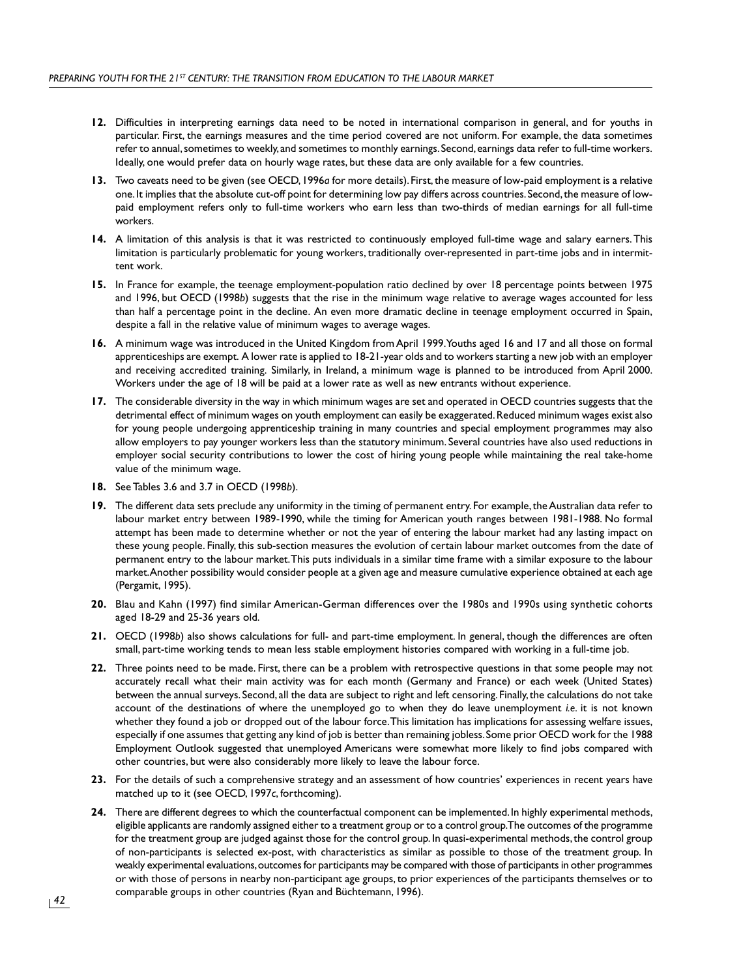- **12.** Difficulties in interpreting earnings data need to be noted in international comparison in general, and for youths in particular. First, the earnings measures and the time period covered are not uniform. For example, the data sometimes refer to annual, sometimes to weekly, and sometimes to monthly earnings. Second, earnings data refer to full-time workers. Ideally, one would prefer data on hourly wage rates, but these data are only available for a few countries.
- **13.** Two caveats need to be given (see OECD, 1996*a* for more details). First, the measure of low-paid employment is a relative one. It implies that the absolute cut-off point for determining low pay differs across countries. Second, the measure of lowpaid employment refers only to full-time workers who earn less than two-thirds of median earnings for all full-time workers.
- **14.** A limitation of this analysis is that it was restricted to continuously employed full-time wage and salary earners. This limitation is particularly problematic for young workers, traditionally over-represented in part-time jobs and in intermittent work.
- **15.** In France for example, the teenage employment-population ratio declined by over 18 percentage points between 1975 and 1996, but OECD (1998*b*) suggests that the rise in the minimum wage relative to average wages accounted for less than half a percentage point in the decline. An even more dramatic decline in teenage employment occurred in Spain, despite a fall in the relative value of minimum wages to average wages.
- **16.** A minimum wage was introduced in the United Kingdom from April 1999. Youths aged 16 and 17 and all those on formal apprenticeships are exempt. A lower rate is applied to 18-21-year olds and to workers starting a new job with an employer and receiving accredited training. Similarly, in Ireland, a minimum wage is planned to be introduced from April 2000. Workers under the age of 18 will be paid at a lower rate as well as new entrants without experience.
- **17.** The considerable diversity in the way in which minimum wages are set and operated in OECD countries suggests that the detrimental effect of minimum wages on youth employment can easily be exaggerated. Reduced minimum wages exist also for young people undergoing apprenticeship training in many countries and special employment programmes may also allow employers to pay younger workers less than the statutory minimum. Several countries have also used reductions in employer social security contributions to lower the cost of hiring young people while maintaining the real take-home value of the minimum wage.
- **18.** See Tables 3.6 and 3.7 in OECD (1998*b*).
- **19.** The different data sets preclude any uniformity in the timing of permanent entry. For example, the Australian data refer to labour market entry between 1989-1990, while the timing for American youth ranges between 1981-1988. No formal attempt has been made to determine whether or not the year of entering the labour market had any lasting impact on these young people. Finally, this sub-section measures the evolution of certain labour market outcomes from the date of permanent entry to the labour market. This puts individuals in a similar time frame with a similar exposure to the labour market. Another possibility would consider people at a given age and measure cumulative experience obtained at each age (Pergamit, 1995).
- **20.** Blau and Kahn (1997) find similar American-German differences over the 1980s and 1990s using synthetic cohorts aged 18-29 and 25-36 years old.
- **21.** OECD (1998*b*) also shows calculations for full- and part-time employment. In general, though the differences are often small, part-time working tends to mean less stable employment histories compared with working in a full-time job.
- **22.** Three points need to be made. First, there can be a problem with retrospective questions in that some people may not accurately recall what their main activity was for each month (Germany and France) or each week (United States) between the annual surveys. Second, all the data are subject to right and left censoring. Finally, the calculations do not take account of the destinations of where the unemployed go to when they do leave unemployment *i.e.* it is not known whether they found a job or dropped out of the labour force. This limitation has implications for assessing welfare issues, especially if one assumes that getting any kind of job is better than remaining jobless. Some prior OECD work for the 1988 Employment Outlook suggested that unemployed Americans were somewhat more likely to find jobs compared with other countries, but were also considerably more likely to leave the labour force.
- **23.** For the details of such a comprehensive strategy and an assessment of how countries' experiences in recent years have matched up to it (see OECD, 1997*c*, forthcoming).
- **24.** There are different degrees to which the counterfactual component can be implemented. In highly experimental methods, eligible applicants are randomly assigned either to a treatment group or to a control group. The outcomes of the programme for the treatment group are judged against those for the control group. In quasi-experimental methods, the control group of non-participants is selected ex-post, with characteristics as similar as possible to those of the treatment group. In weakly experimental evaluations, outcomes for participants may be compared with those of participants in other programmes or with those of persons in nearby non-participant age groups, to prior experiences of the participants themselves or to comparable groups in other countries (Ryan and Büchtemann, 1996).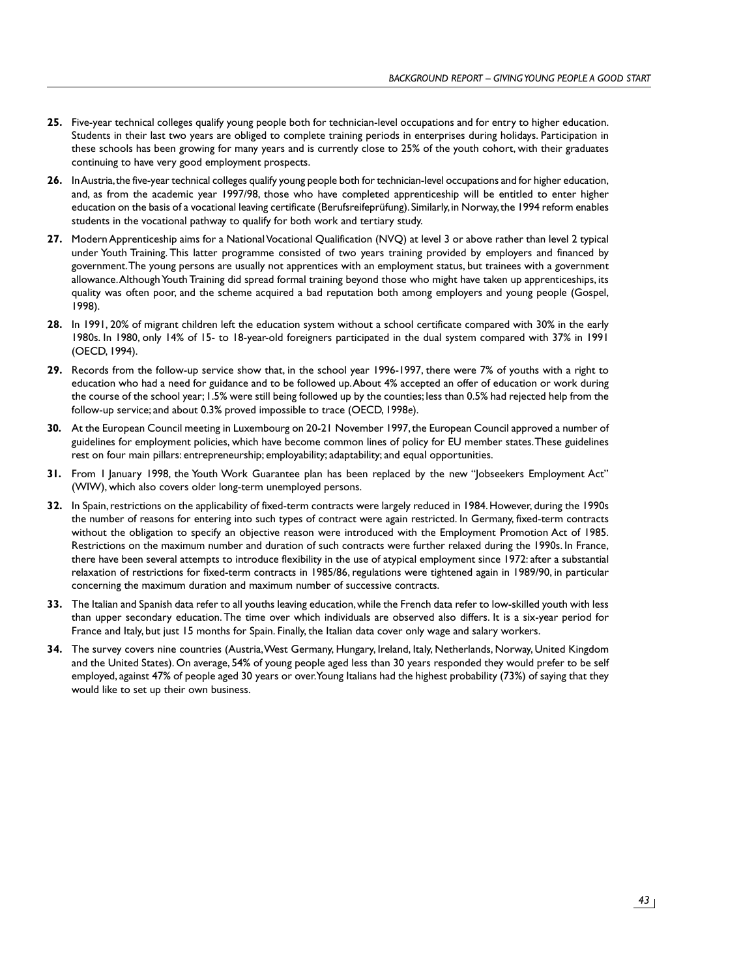- **25.** Five-year technical colleges qualify young people both for technician-level occupations and for entry to higher education. Students in their last two years are obliged to complete training periods in enterprises during holidays. Participation in these schools has been growing for many years and is currently close to 25% of the youth cohort, with their graduates continuing to have very good employment prospects.
- **26.** In Austria, the five-year technical colleges qualify young people both for technician-level occupations and for higher education, and, as from the academic year 1997/98, those who have completed apprenticeship will be entitled to enter higher education on the basis of a vocational leaving certificate (Berufsreifeprüfung). Similarly, in Norway, the 1994 reform enables students in the vocational pathway to qualify for both work and tertiary study.
- **27.** Modern Apprenticeship aims for a National Vocational Qualification (NVQ) at level 3 or above rather than level 2 typical under Youth Training. This latter programme consisted of two years training provided by employers and financed by government. The young persons are usually not apprentices with an employment status, but trainees with a government allowance. Although Youth Training did spread formal training beyond those who might have taken up apprenticeships, its quality was often poor, and the scheme acquired a bad reputation both among employers and young people (Gospel, 1998).
- **28.** In 1991, 20% of migrant children left the education system without a school certificate compared with 30% in the early 1980s. In 1980, only 14% of 15- to 18-year-old foreigners participated in the dual system compared with 37% in 1991 (OECD, 1994).
- **29.** Records from the follow-up service show that, in the school year 1996-1997, there were 7% of youths with a right to education who had a need for guidance and to be followed up. About 4% accepted an offer of education or work during the course of the school year; 1.5% were still being followed up by the counties; less than 0.5% had rejected help from the follow-up service; and about 0.3% proved impossible to trace (OECD, 1998*e*).
- **30.** At the European Council meeting in Luxembourg on 20-21 November 1997, the European Council approved a number of guidelines for employment policies, which have become common lines of policy for EU member states. These guidelines rest on four main pillars: entrepreneurship; employability; adaptability; and equal opportunities.
- **31.** From 1 January 1998, the Youth Work Guarantee plan has been replaced by the new "Jobseekers Employment Act" (WIW), which also covers older long-term unemployed persons.
- **32.** In Spain, restrictions on the applicability of fixed-term contracts were largely reduced in 1984. However, during the 1990s the number of reasons for entering into such types of contract were again restricted. In Germany, fixed-term contracts without the obligation to specify an objective reason were introduced with the Employment Promotion Act of 1985. Restrictions on the maximum number and duration of such contracts were further relaxed during the 1990s. In France, there have been several attempts to introduce flexibility in the use of atypical employment since 1972: after a substantial relaxation of restrictions for fixed-term contracts in 1985/86, regulations were tightened again in 1989/90, in particular concerning the maximum duration and maximum number of successive contracts.
- **33.** The Italian and Spanish data refer to all youths leaving education, while the French data refer to low-skilled youth with less than upper secondary education. The time over which individuals are observed also differs. It is a six-year period for France and Italy, but just 15 months for Spain. Finally, the Italian data cover only wage and salary workers.
- **34.** The survey covers nine countries (Austria, West Germany, Hungary, Ireland, Italy, Netherlands, Norway, United Kingdom and the United States). On average, 54% of young people aged less than 30 years responded they would prefer to be self employed, against 47% of people aged 30 years or over. Young Italians had the highest probability (73%) of saying that they would like to set up their own business.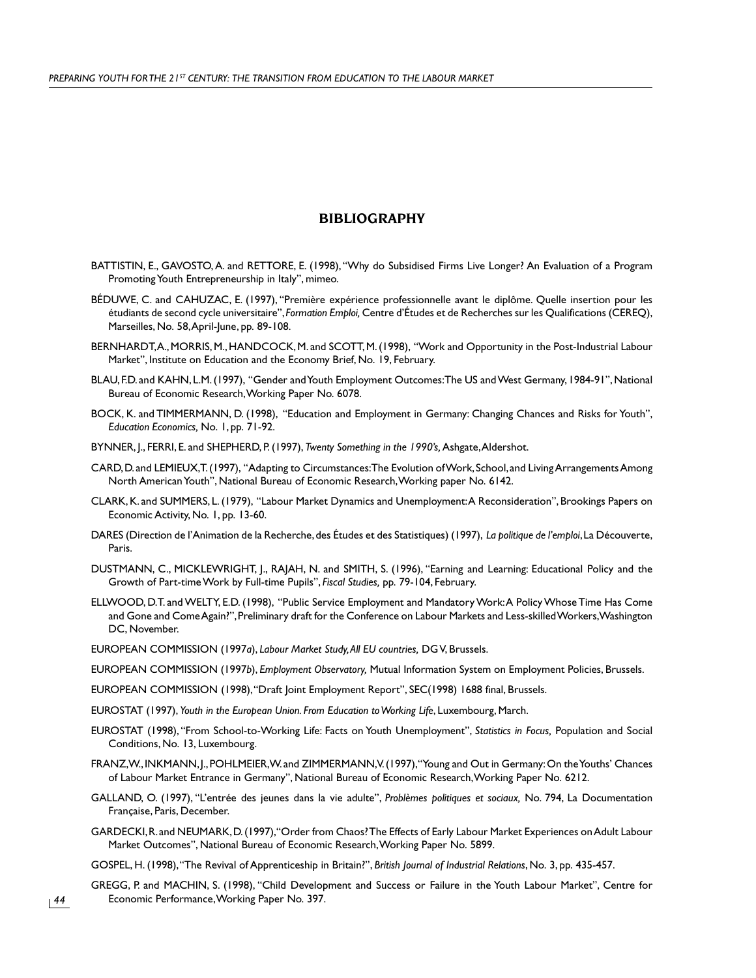## **BIBLIOGRAPHY**

- BATTISTIN, E., GAVOSTO, A. and RETTORE, E. (1998), "Why do Subsidised Firms Live Longer? An Evaluation of a Program Promoting Youth Entrepreneurship in Italy", mimeo.
- BÉDUWE, C. and CAHUZAC, E. (1997), "Première expérience professionnelle avant le diplôme. Quelle insertion pour les étudiants de second cycle universitaire", *Formation Emploi,* Centre d'Études et de Recherches sur les Qualifications (CEREQ), Marseilles, No. 58, April-June, pp. 89-108.
- BERNHARDT, A., MORRIS, M., HANDCOCK, M. and SCOTT, M. (1998), "Work and Opportunity in the Post-Industrial Labour Market", Institute on Education and the Economy Brief, No. 19, February.
- BLAU, F.D. and KAHN, L.M. (1997), "Gender and Youth Employment Outcomes: The US and West Germany, 1984-91", National Bureau of Economic Research, Working Paper No. 6078.
- BOCK, K. and TIMMERMANN, D. (1998), "Education and Employment in Germany: Changing Chances and Risks for Youth", *Education Economics,* No. 1, pp. 71-92.
- BYNNER, J., FERRI, E. and SHEPHERD, P. (1997), *Twenty Something in the 1990's,* Ashgate, Aldershot.
- CARD, D. and LEMIEUX, T. (1997), "Adapting to Circumstances: The Evolution of Work, School, and Living Arrangements Among North American Youth", National Bureau of Economic Research, Working paper No. 6142.
- CLARK, K. and SUMMERS, L. (1979), "Labour Market Dynamics and Unemployment: A Reconsideration", Brookings Papers on Economic Activity, No. 1, pp. 13-60.
- DARES (Direction de l'Animation de la Recherche, des Études et des Statistiques) (1997), *La politique de l'emploi*, La Découverte, Paris.
- DUSTMANN, C., MICKLEWRIGHT, J., RAJAH, N. and SMITH, S. (1996), "Earning and Learning: Educational Policy and the Growth of Part-time Work by Full-time Pupils", *Fiscal Studies,* pp. 79-104, February.
- ELLWOOD, D.T. and WELTY, E.D. (1998), "Public Service Employment and Mandatory Work: A Policy Whose Time Has Come and Gone and Come Again?", Preliminary draft for the Conference on Labour Markets and Less-skilled Workers, Washington DC, November.
- EUROPEAN COMMISSION (1997*a*), *Labour Market Study, All EU countries,* DG V, Brussels.
- EUROPEAN COMMISSION (1997*b*), *Employment Observatory,* Mutual Information System on Employment Policies, Brussels.
- EUROPEAN COMMISSION (1998), "Draft Joint Employment Report", SEC(1998) 1688 final, Brussels.
- EUROSTAT (1997), *Youth in the European Union. From Education to Working Life*, Luxembourg, March.
- EUROSTAT (1998), "From School-to-Working Life: Facts on Youth Unemployment", *Statistics in Focus,* Population and Social Conditions, No. 13, Luxembourg.
- FRANZ, W., INKMANN, J., POHLMEIER, W. and ZIMMERMANN, V. (1997), "Young and Out in Germany: On the Youths' Chances of Labour Market Entrance in Germany", National Bureau of Economic Research, Working Paper No. 6212.
- GALLAND, O. (1997), "L'entrée des jeunes dans la vie adulte", *Problèmes politiques et sociaux,* No. 794, La Documentation Française, Paris, December.
- GARDECKI, R. and NEUMARK, D. (1997), "Order from Chaos? The Effects of Early Labour Market Experiences on Adult Labour Market Outcomes", National Bureau of Economic Research, Working Paper No. 5899.
- GOSPEL, H. (1998), "The Revival of Apprenticeship in Britain?", *British Journal of Industrial Relations*, No. 3, pp. 435-457.
- GREGG, P. and MACHIN, S. (1998), "Child Development and Success or Failure in the Youth Labour Market", Centre for Economic Performance, Working Paper No. 397.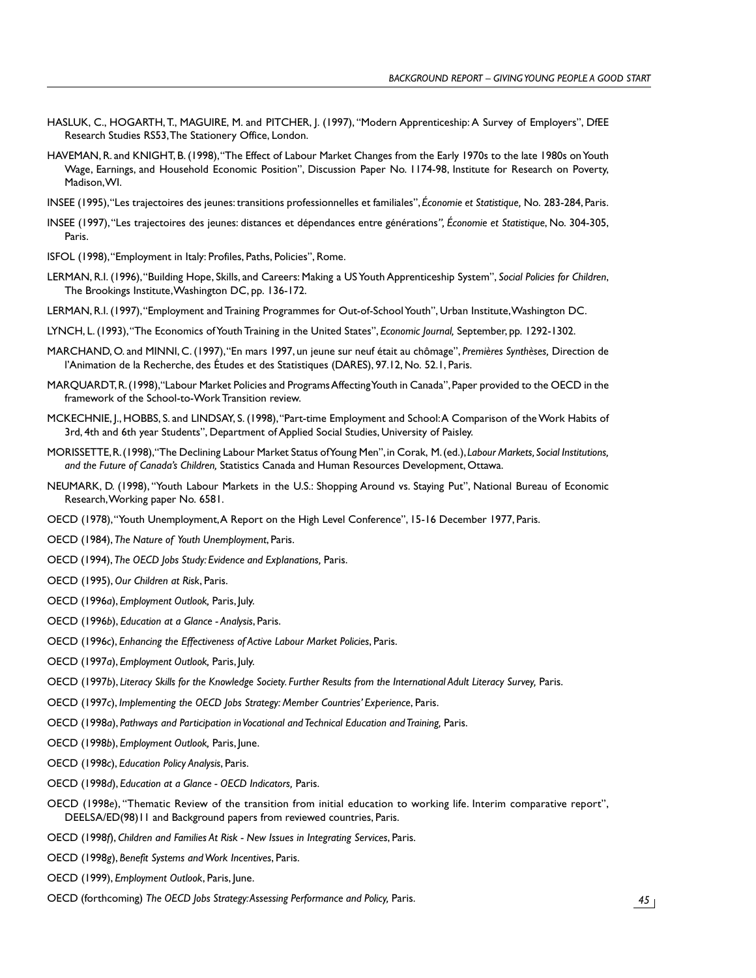- HASLUK, C., HOGARTH, T., MAGUIRE, M. and PITCHER, J. (1997), "Modern Apprenticeship: A Survey of Employers", DfEE Research Studies RS53, The Stationery Office, London.
- HAVEMAN, R. and KNIGHT, B. (1998), "The Effect of Labour Market Changes from the Early 1970s to the late 1980s on Youth Wage, Earnings, and Household Economic Position", Discussion Paper No. 1174-98, Institute for Research on Poverty, Madison, WI.
- INSEE (1995), "Les trajectoires des jeunes: transitions professionnelles et familiales", *Économie et Statistique,* No. 283-284, Paris.
- INSEE (1997), "Les trajectoires des jeunes: distances et dépendances entre générations*", Économie et Statistique*, No. 304-305, Paris.
- ISFOL (1998), "Employment in Italy: Profiles, Paths, Policies", Rome.
- LERMAN, R.I. (1996), "Building Hope, Skills, and Careers: Making a US Youth Apprenticeship System", *Social Policies for Children*, The Brookings Institute, Washington DC, pp. 136-172.
- LERMAN, R.I. (1997), "Employment and Training Programmes for Out-of-School Youth", Urban Institute, Washington DC.
- LYNCH, L. (1993), "The Economics of Youth Training in the United States", *Economic Journal,* September, pp. 1292-1302.
- MARCHAND, O. and MINNI, C. (1997), "En mars 1997, un jeune sur neuf était au chômage", *Premières Synthèses,* Direction de l'Animation de la Recherche, des Études et des Statistiques (DARES), 97.12, No. 52.1, Paris.
- MARQUARDT, R. (1998), "Labour Market Policies and Programs Affecting Youth in Canada", Paper provided to the OECD in the framework of the School-to-Work Transition review.
- MCKECHNIE, J., HOBBS, S. and LINDSAY, S. (1998), "Part-time Employment and School: A Comparison of the Work Habits of 3rd, 4th and 6th year Students", Department of Applied Social Studies, University of Paisley.
- MORISSETTE, R. (1998), "The Declining Labour Market Status of Young Men", in Corak, M. (ed.), *Labour Markets, Social Institutions, and the Future of Canada's Children,* Statistics Canada and Human Resources Development, Ottawa.
- NEUMARK, D. (1998), "Youth Labour Markets in the U.S.: Shopping Around vs. Staying Put", National Bureau of Economic Research, Working paper No. 6581.
- OECD (1978), "Youth Unemployment, A Report on the High Level Conference", 15-16 December 1977, Paris.
- OECD (1984), *The Nature of Youth Unemployment*, Paris.
- OECD (1994), *The OECD Jobs Study: Evidence and Explanations,* Paris.
- OECD (1995), *Our Children at Risk*, Paris.
- OECD (1996*a*), *Employment Outlook,* Paris, July.
- OECD (1996*b*), *Education at a Glance Analysis*, Paris.
- OECD (1996*c*), *Enhancing the Effectiveness of Active Labour Market Policies*, Paris.
- OECD (1997*a*), *Employment Outlook,* Paris, July.
- OECD (1997*b*), *Literacy Skills for the Knowledge Society. Further Results from the International Adult Literacy Survey,* Paris.
- OECD (1997*c*), *Implementing the OECD Jobs Strategy: Member Countries' Experience*, Paris.
- OECD (1998*a*), *Pathways and Participation in Vocational and Technical Education and Training,* Paris.
- OECD (1998*b*), *Employment Outlook,* Paris, June.
- OECD (1998*c*), *Education Policy Analysis*, Paris.
- OECD (1998*d*), *Education at a Glance OECD Indicators,* Paris.
- OECD (1998*e*), "Thematic Review of the transition from initial education to working life. Interim comparative report", DEELSA/ED(98)11 and Background papers from reviewed countries, Paris.
- OECD (1998*f*), *Children and Families At Risk New Issues in Integrating Services*, Paris.
- OECD (1998*g*), *Benefit Systems and Work Incentives*, Paris.
- OECD (1999), *Employment Outlook*, Paris, June.
- OECD (forthcoming) *The OECD Jobs Strategy: Assessing Performance and Policy,* Paris.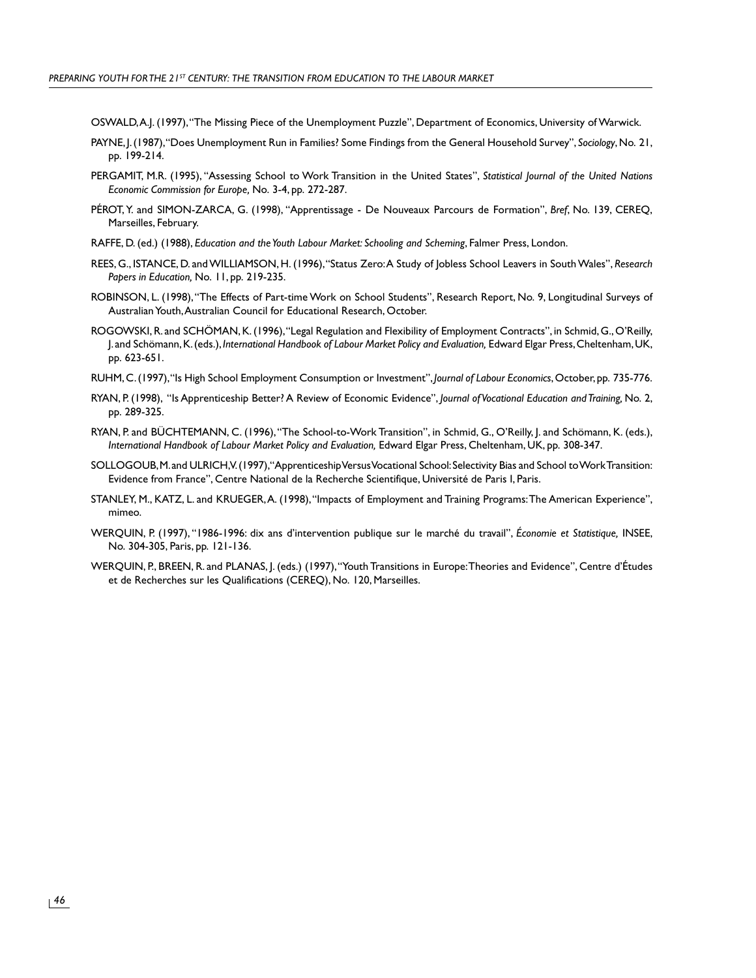OSWALD, A.J. (1997), "The Missing Piece of the Unemployment Puzzle", Department of Economics, University of Warwick.

- PAYNE, J. (1987), "Does Unemployment Run in Families? Some Findings from the General Household Survey", Sociology, No. 21, pp. 199-214.
- PERGAMIT, M.R. (1995), "Assessing School to Work Transition in the United States", *Statistical Journal of the United Nations Economic Commission for Europe,* No. 3-4, pp. 272-287.
- PÉROT, Y. and SIMON-ZARCA, G. (1998), "Apprentissage De Nouveaux Parcours de Formation", *Bref*, No. 139, CEREQ, Marseilles, February.
- RAFFE, D. (ed.) (1988), *Education and the Youth Labour Market: Schooling and Scheming*, Falmer Press, London.
- REES, G., ISTANCE, D. and WILLIAMSON, H. (1996), "Status Zero: A Study of Jobless School Leavers in South Wales", *Research Papers in Education,* No. 11, pp. 219-235.
- ROBINSON, L. (1998), "The Effects of Part-time Work on School Students", Research Report, No. 9, Longitudinal Surveys of Australian Youth, Australian Council for Educational Research, October.
- ROGOWSKI, R. and SCHÖMAN, K. (1996), "Legal Regulation and Flexibility of Employment Contracts", in Schmid, G., O'Reilly, J. and Schömann, K. (eds.), *International Handbook of Labour Market Policy and Evaluation,* Edward Elgar Press, Cheltenham, UK, pp. 623-651.
- RUHM, C. (1997), "Is High School Employment Consumption or Investment", *Journal of Labour Economics*, October, pp. 735-776.
- RYAN, P. (1998), "Is Apprenticeship Better? A Review of Economic Evidence", *Journal of Vocational Education and Training,* No. 2, pp. 289-325.
- RYAN, P. and BÜCHTEMANN, C. (1996), "The School-to-Work Transition", in Schmid, G., O'Reilly, J. and Schömann, K. (eds.), *International Handbook of Labour Market Policy and Evaluation,* Edward Elgar Press, Cheltenham, UK, pp. 308-347.
- SOLLOGOUB, M. and ULRICH, V. (1997), "Apprenticeship Versus Vocational School: Selectivity Bias and School to Work Transition: Evidence from France", Centre National de la Recherche Scientifique, Université de Paris I, Paris.
- STANLEY, M., KATZ, L. and KRUEGER, A. (1998), "Impacts of Employment and Training Programs: The American Experience", mimeo.
- WERQUIN, P. (1997), "1986-1996: dix ans d'intervention publique sur le marché du travail", *Économie et Statistique,* INSEE, No. 304-305, Paris, pp. 121-136.
- WERQUIN, P., BREEN, R. and PLANAS, J. (eds.) (1997), "Youth Transitions in Europe: Theories and Evidence", Centre d'Études et de Recherches sur les Qualifications (CEREQ), No. 120, Marseilles.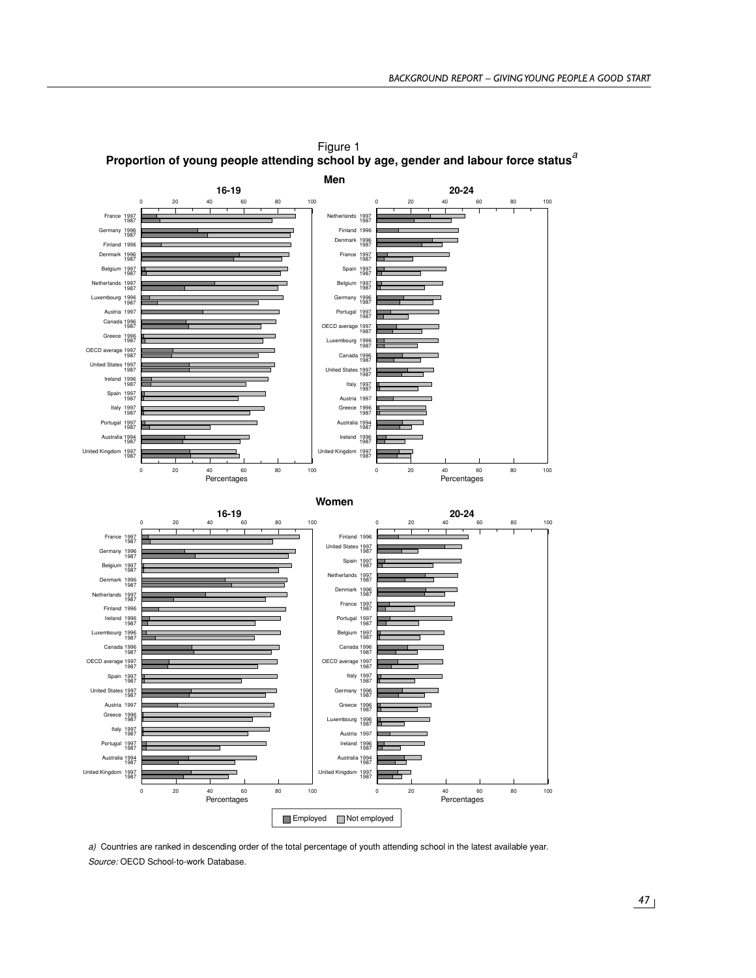

Figure 1 **Proportion of young people attending school by age, gender and labour force status** *a*

*a)* Countries are ranked in descending order of the total percentage of youth attending school in the latest available year. *Source:* OECD School-to-work Database.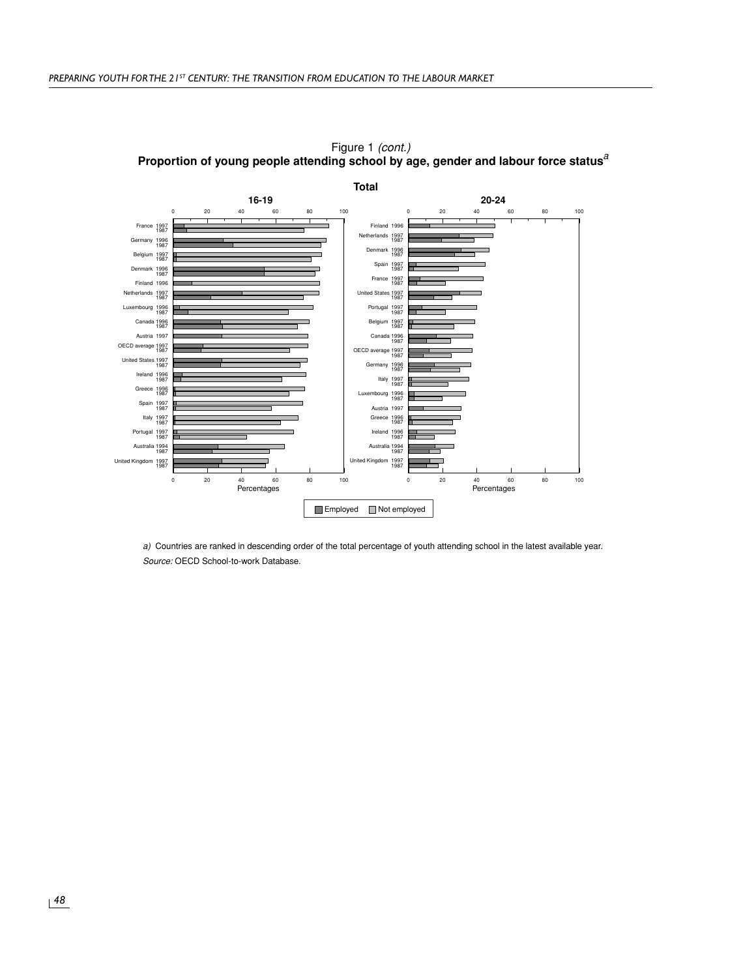

Figure 1 *(cont.)* **Proportion of young people attending school by age, gender and labour force status***<sup>a</sup>*

*a)* Countries are ranked in descending order of the total percentage of youth attending school in the latest available year. *Source:* OECD School-to-work Database.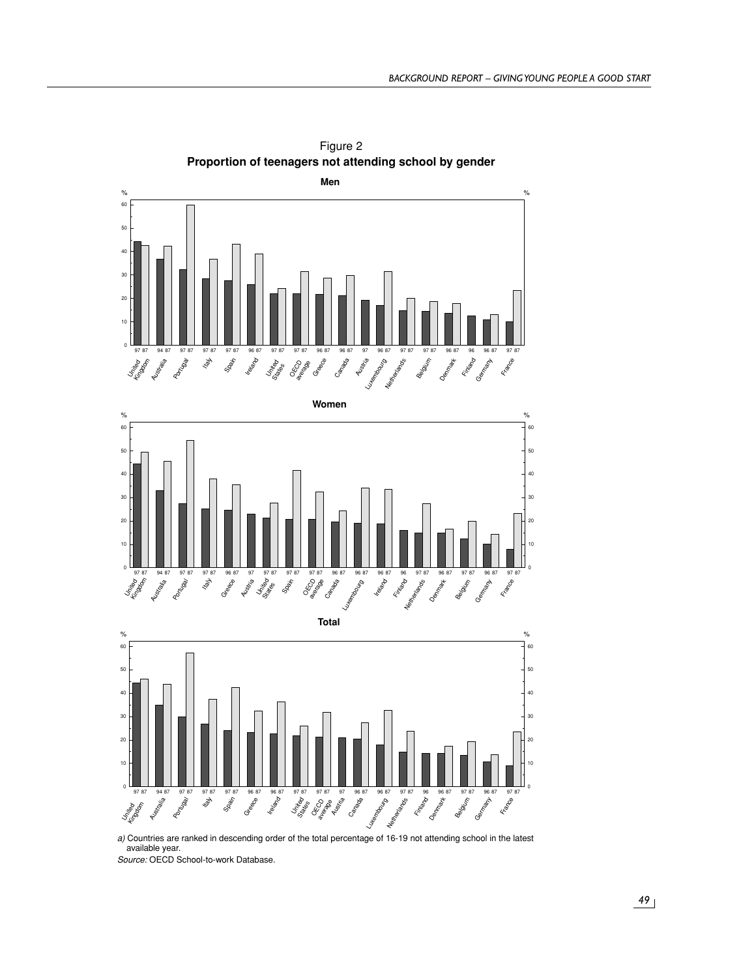

Figure 2 **Proportion of teenagers not attending school by gender**

*a)* Countries are ranked in descending order of the total percentage of 16-19 not attending school in the latest available year.

*Source:* OECD School-to-work Database.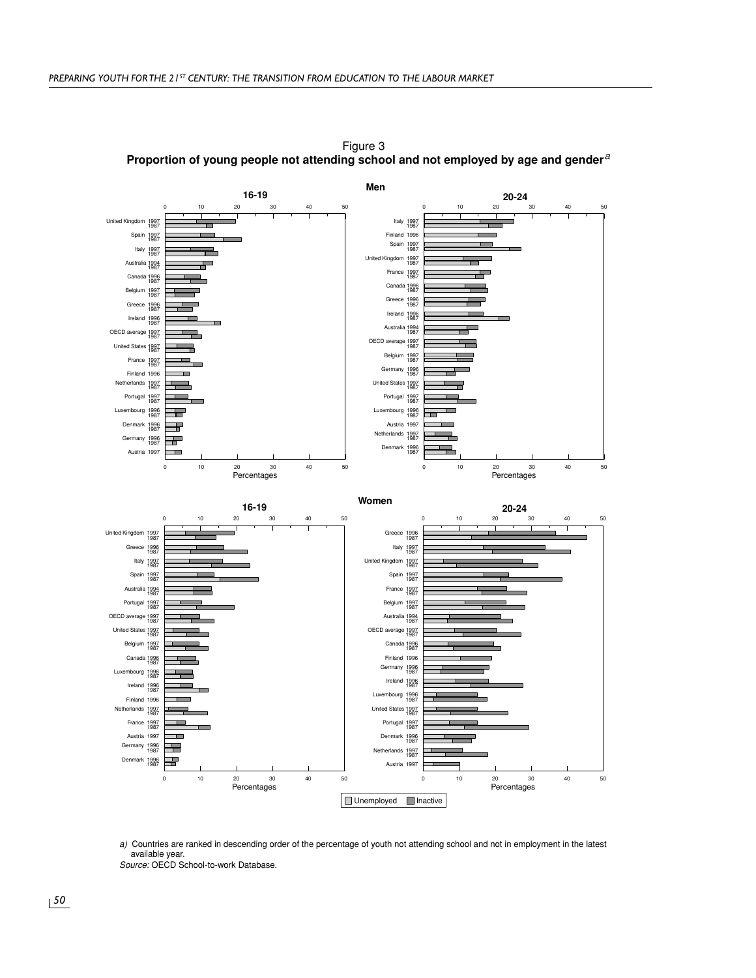

Figure 3 Proportion of young people not attending school and not employed by age and gender<sup>a</sup>

*a)* Countries are ranked in descending order of the percentage of youth not attending school and not in employment in the latest available year.

*Source:* OECD School-to-work Database.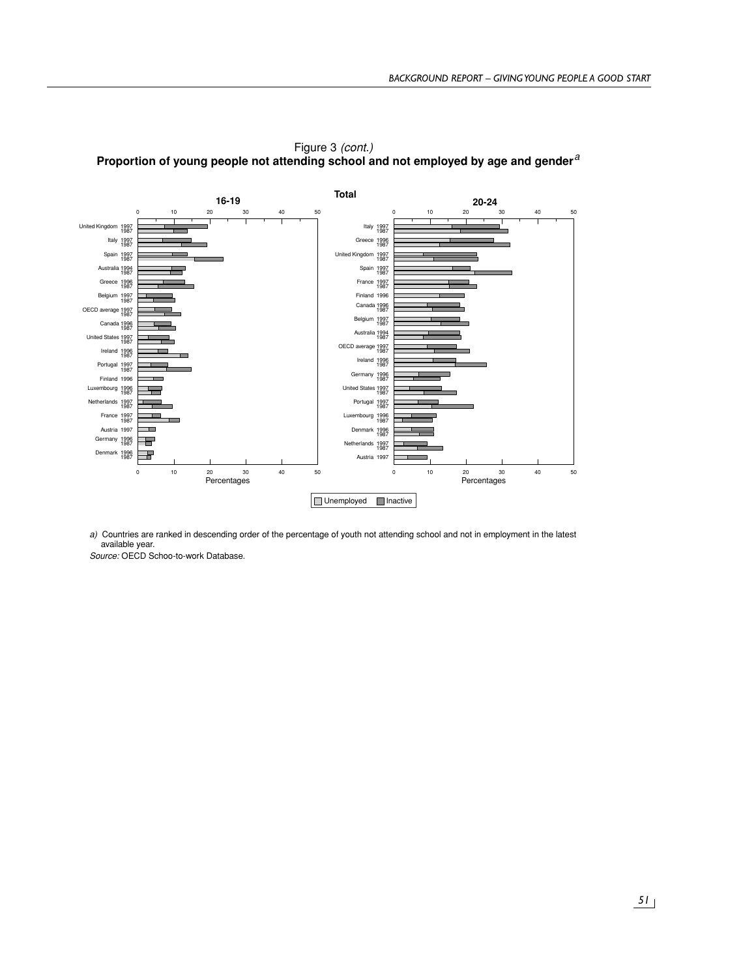

Figure 3 *(cont.)* Proportion of young people not attending school and not employed by age and gender<sup>a</sup>

*a)* Countries are ranked in descending order of the percentage of youth not attending school and not in employment in the latest available year.

*Source:* OECD Schoo-to-work Database.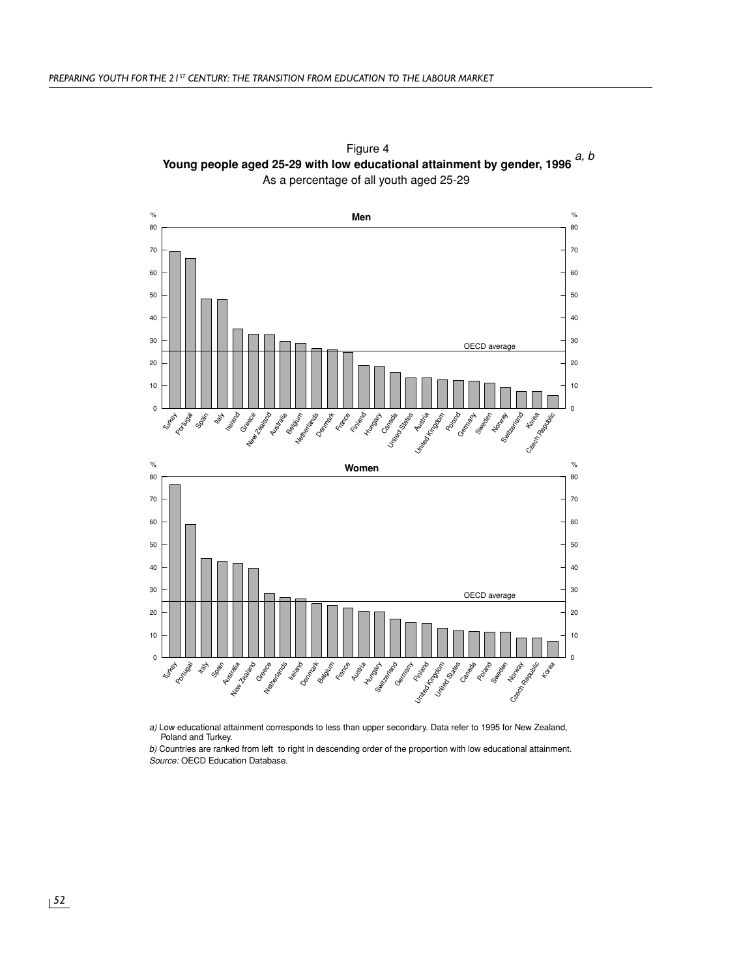

Figure 4 **Young people aged 25-29 with low educational attainment by gender, 1996** *a, b* As a percentage of all youth aged 25-29

*a)* Low educational attainment corresponds to less than upper secondary. Data refer to 1995 for New Zealand, Poland and Turkey.

*b)* Countries are ranked from left to right in descending order of the proportion with low educational attainment. *Source:* OECD Education Database.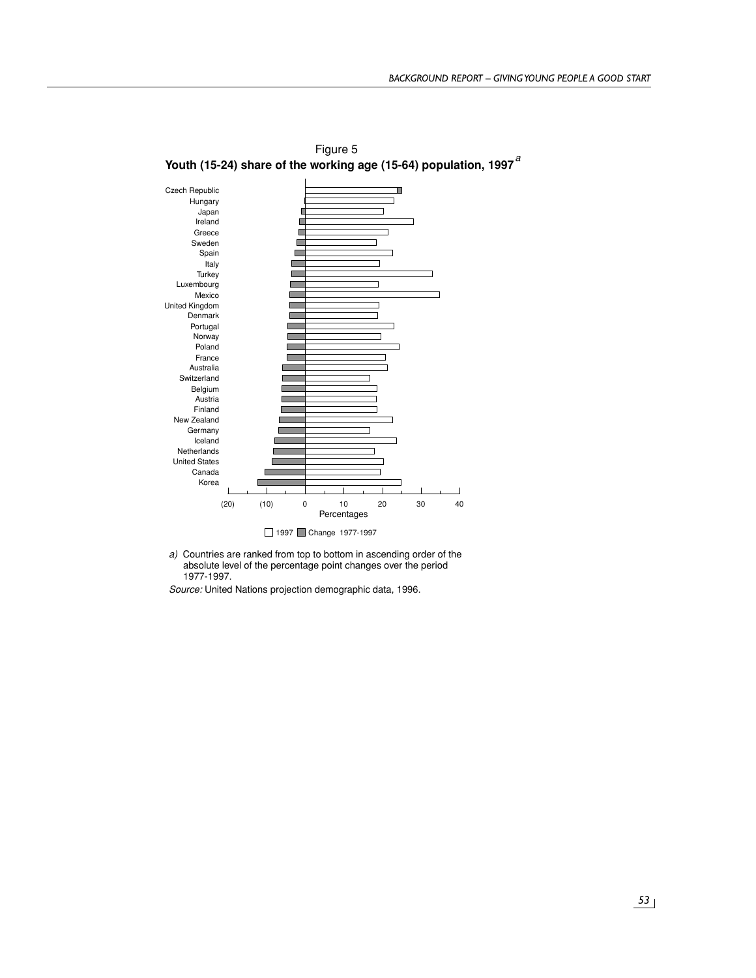

Figure 5 **Youth (15-24) share of the working age (15-64) population, 1997** *a*

*a)* Countries are ranked from top to bottom in ascending order of the absolute level of the percentage point changes over the period 1977-1997.

*Source:* United Nations projection demographic data, 1996.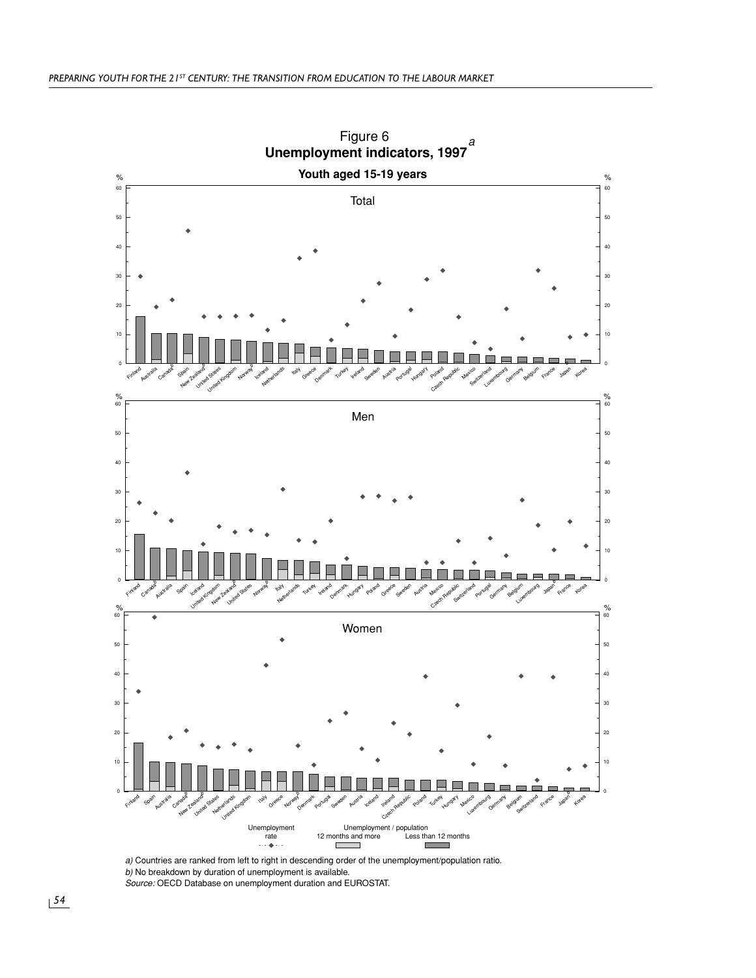

*a)* Countries are ranked from left to right in descending order of the unemployment/population ratio. *b)* No breakdown by duration of unemployment is available. *Source:* OECD Database on unemployment duration and EUROSTAT.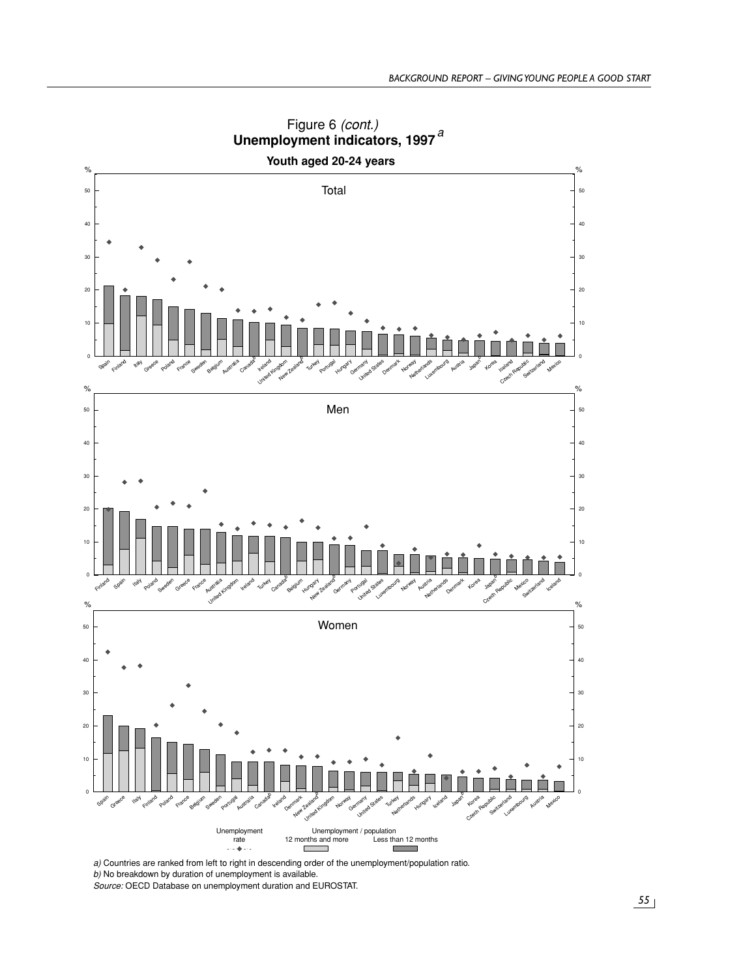

*a)* Countries are ranked from left to right in descending order of the unemployment/population ratio.

*b)* No breakdown by duration of unemployment is available.

*Source:* OECD Database on unemployment duration and EUROSTAT.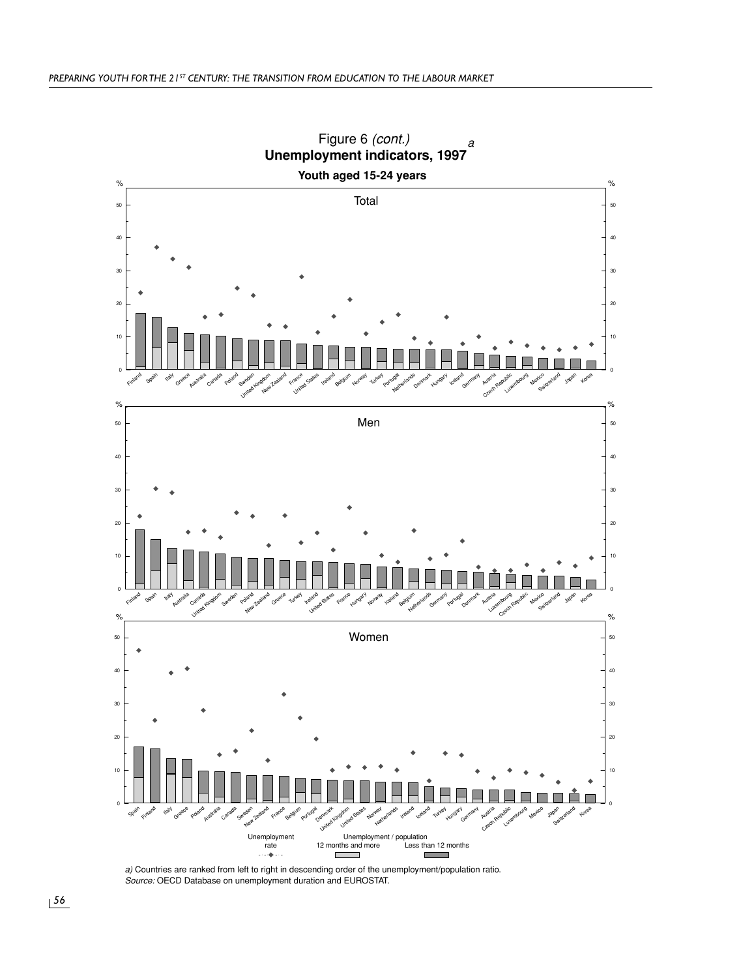

Figure 6 *(cont.) a*

*a)* Countries are ranked from left to right in descending order of the unemployment/population ratio. *Source:* OECD Database on unemployment duration and EUROSTAT.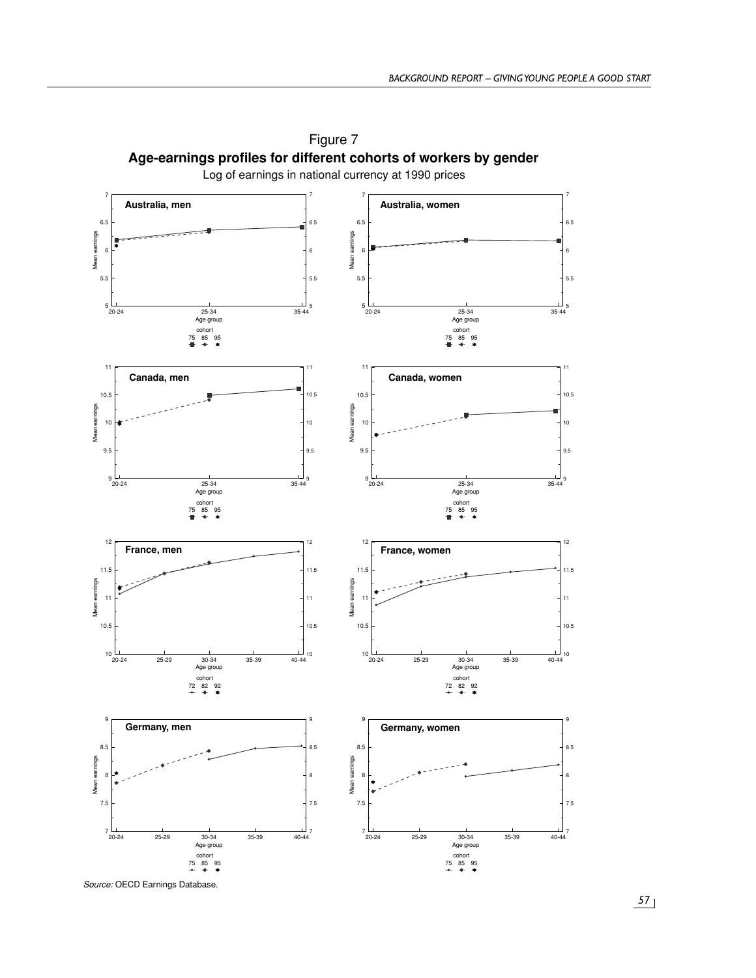



*Source:* OECD Earnings Database.

*57*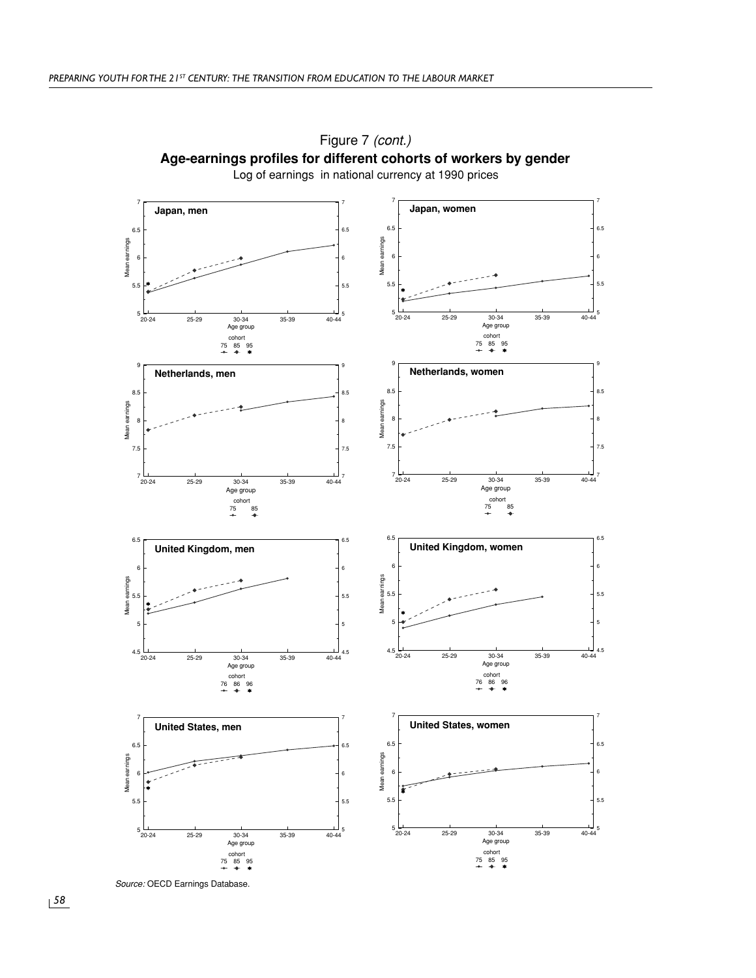



*Source:* OECD Earnings Database.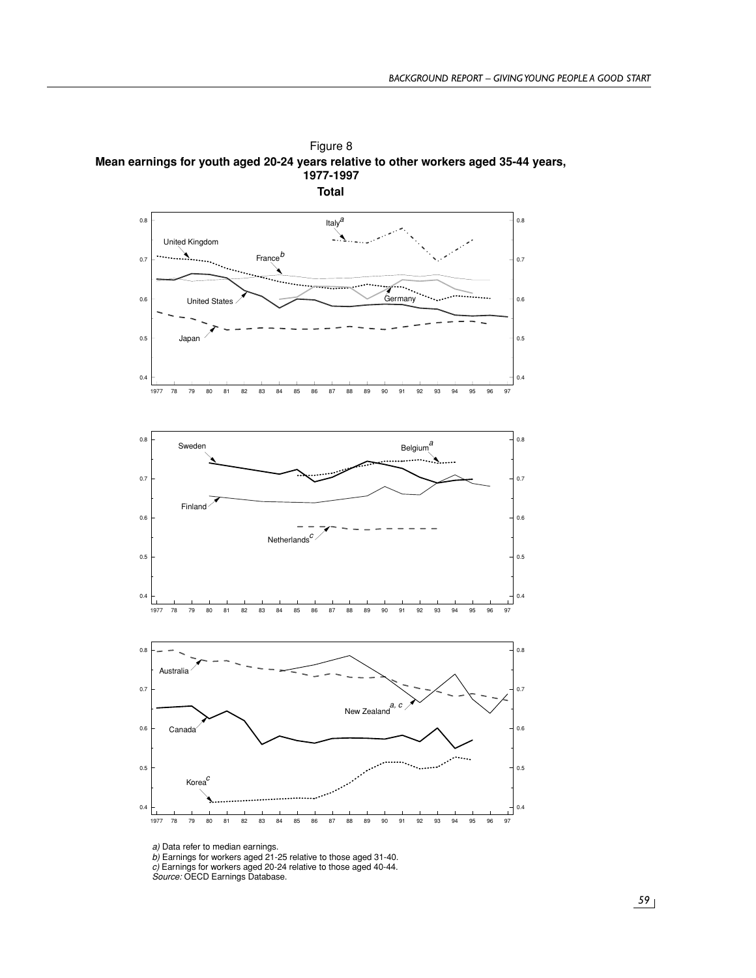

Figure 8 **Mean earnings for youth aged 20-24 years relative to other workers aged 35-44 years, 1977-1997**

*a)* Data refer to median earnings.

*b)* Earnings for workers aged 21-25 relative to those aged 31-40. *c)* Earnings for workers aged 20-24 relative to those aged 40-44. *Source:* OECD Earnings Database.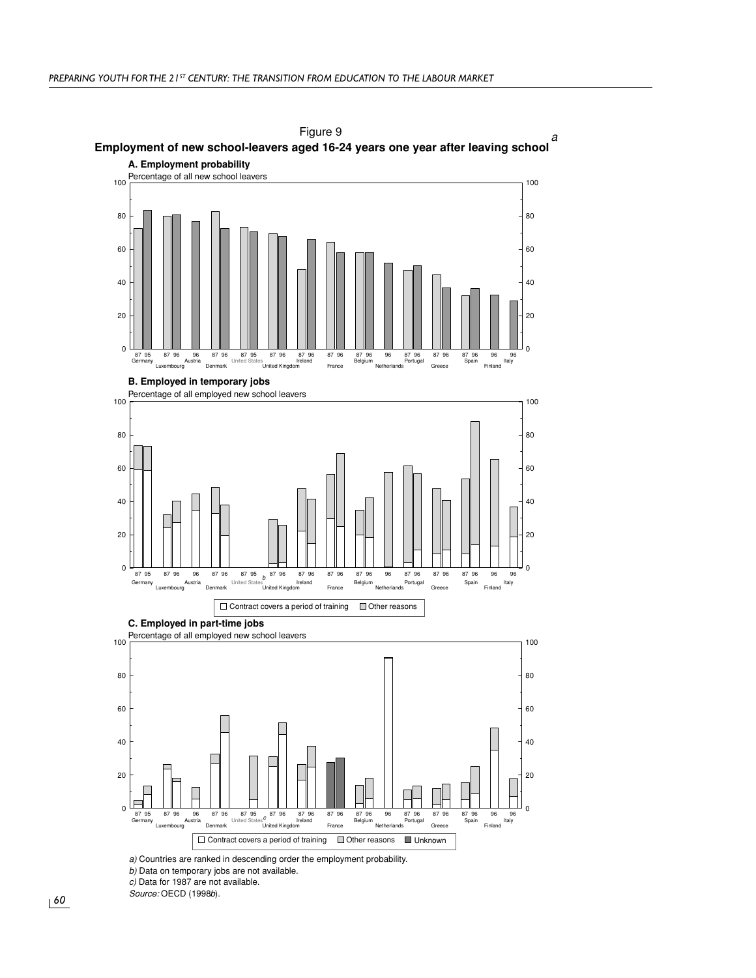a



b) Data on temporary jobs are not available.

c) Data for 1987 are not available.

Source: OECD (1998b).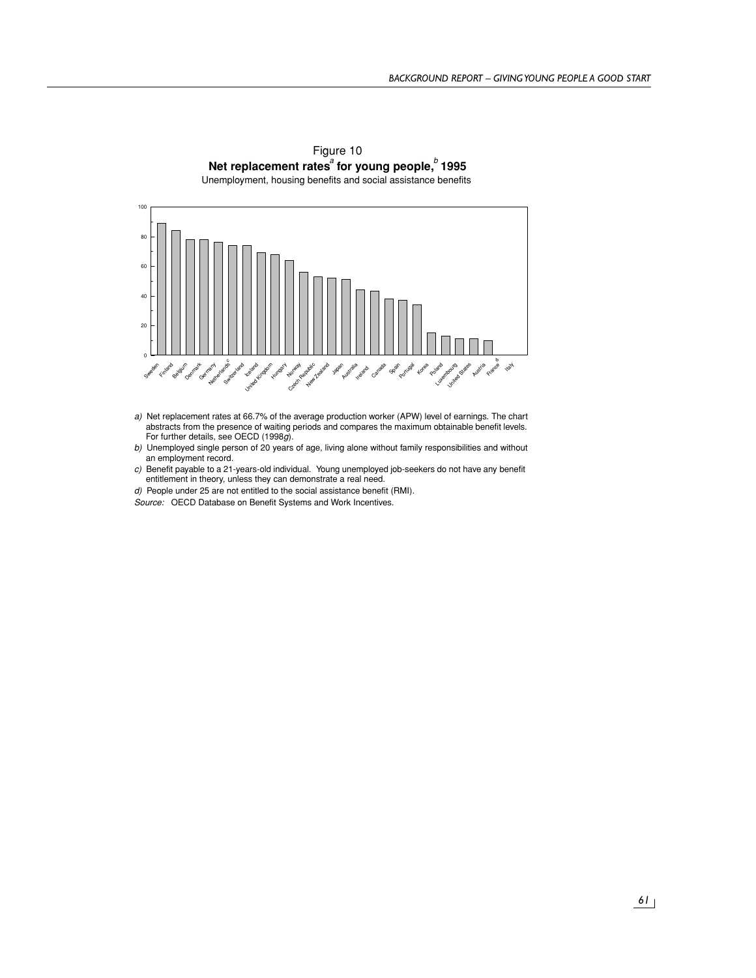

Figure 10 Net replacement rates<sup>a</sup> for young people, <sup>b</sup> 1995 Unemployment, housing benefits and social assistance benefits

- *a)* Net replacement rates at 66.7% of the average production worker (APW) level of earnings. The chart abstracts from the presence of waiting periods and compares the maximum obtainable benefit levels. For further details, see OECD (1998*g*).
- *b)* Unemployed single person of 20 years of age, living alone without family responsibilities and without an employment record.
- *c)* Benefit payable to a 21-years-old individual. Young unemployed job-seekers do not have any benefit entitlement in theory, unless they can demonstrate a real need.
- *d)* People under 25 are not entitled to the social assistance benefit (RMI).

*Source:* OECD Database on Benefit Systems and Work Incentives.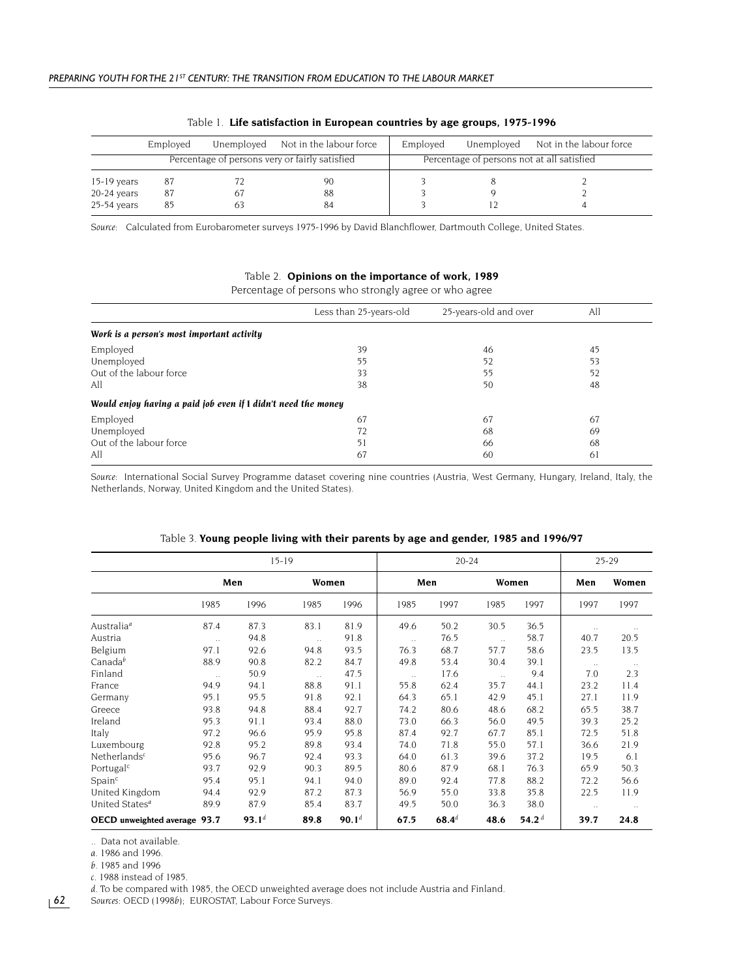|               | Employed | Unemployed | Not in the labour force                        | Employed | Unemployed                                 | Not in the labour force |
|---------------|----------|------------|------------------------------------------------|----------|--------------------------------------------|-------------------------|
|               |          |            | Percentage of persons very or fairly satisfied |          | Percentage of persons not at all satisfied |                         |
| $15-19$ years | 87       |            | 90                                             |          |                                            |                         |
| $20-24$ years | 87       | 67         | 88                                             |          |                                            |                         |
| 25-54 years   | 85       | 63         | 84                                             |          |                                            |                         |

Table 1. **Life satisfaction in European countries by age groups, 1975-1996**

*Source:* Calculated from Eurobarometer surveys 1975-1996 by David Blanchflower, Dartmouth College, United States.

|                                                               | Less than 25-years-old | 25-years-old and over | All |  |
|---------------------------------------------------------------|------------------------|-----------------------|-----|--|
| Work is a person's most important activity                    |                        |                       |     |  |
| Employed                                                      | 39                     | 46                    | 45  |  |
| Unemployed                                                    | 55                     | 52                    | 53  |  |
| Out of the labour force                                       | 33                     | 55                    | 52  |  |
| ail                                                           | 38                     | 50                    | 48  |  |
| Would enjoy having a paid job even if I didn't need the money |                        |                       |     |  |
| Employed                                                      | 67                     | 67                    | 67  |  |
| Unemployed                                                    | 72                     | 68                    | 69  |  |
| Out of the labour force                                       | 51                     | 66                    | 68  |  |
| All                                                           | 67                     | 60                    | 61  |  |

Table 2. **Opinions on the importance of work, 1989** Percentage of persons who strongly agree or who agree

*Source*: International Social Survey Programme dataset covering nine countries (Austria, West Germany, Hungary, Ireland, Italy, the Netherlands, Norway, United Kingdom and the United States).

|                              |          | $15 - 19$         |          |                   |          | $20 - 24$  |          |          |           | $25 - 29$ |
|------------------------------|----------|-------------------|----------|-------------------|----------|------------|----------|----------|-----------|-----------|
|                              |          | Men               | Women    |                   |          | Men        |          | Women    | Men       | Women     |
|                              | 1985     | 1996              | 1985     | 1996              | 1985     | 1997       | 1985     | 1997     | 1997      | 1997      |
| Australia <sup>a</sup>       | 87.4     | 87.3              | 83.1     | 81.9              | 49.6     | 50.2       | 30.5     | 36.5     | $\ddots$  |           |
| Austria                      | $\ddots$ | 94.8              | $\ldots$ | 91.8              | $\ddots$ | 76.5       | $\ldots$ | 58.7     | 40.7      | 20.5      |
| Belgium                      | 97.1     | 92.6              | 94.8     | 93.5              | 76.3     | 68.7       | 57.7     | 58.6     | 23.5      | 13.5      |
| Canada $^b$                  | 88.9     | 90.8              | 82.2     | 84.7              | 49.8     | 53.4       | 30.4     | 39.1     | $\ddotsc$ | $\cdot$ . |
| Finland                      | $\ddots$ | 50.9              | $\ldots$ | 47.5              | $\ddots$ | 17.6       | $\ddots$ | 9.4      | 7.0       | 2.3       |
| France                       | 94.9     | 94.1              | 88.8     | 91.1              | 55.8     | 62.4       | 35.7     | 44.1     | 23.2      | 11.4      |
| Germany                      | 95.1     | 95.5              | 91.8     | 92.1              | 64.3     | 65.1       | 42.9     | 45.1     | 27.1      | 11.9      |
| Greece                       | 93.8     | 94.8              | 88.4     | 92.7              | 74.2     | 80.6       | 48.6     | 68.2     | 65.5      | 38.7      |
| Ireland                      | 95.3     | 91.1              | 93.4     | 88.0              | 73.0     | 66.3       | 56.0     | 49.5     | 39.3      | 25.2      |
| Italy                        | 97.2     | 96.6              | 95.9     | 95.8              | 87.4     | 92.7       | 67.7     | 85.1     | 72.5      | 51.8      |
| Luxembourg                   | 92.8     | 95.2              | 89.8     | 93.4              | 74.0     | 71.8       | 55.0     | 57.1     | 36.6      | 21.9      |
| Netherlands <sup>c</sup>     | 95.6     | 96.7              | 92.4     | 93.3              | 64.0     | 61.3       | 39.6     | 37.2     | 19.5      | 6.1       |
| Portugal <sup>c</sup>        | 93.7     | 92.9              | 90.3     | 89.5              | 80.6     | 87.9       | 68.1     | 76.3     | 65.9      | 50.3      |
| Span <sup>c</sup>            | 95.4     | 95.1              | 94.1     | 94.0              | 89.0     | 92.4       | 77.8     | 88.2     | 72.2      | 56.6      |
| United Kingdom               | 94.4     | 92.9              | 87.2     | 87.3              | 56.9     | 55.0       | 33.8     | 35.8     | 22.5      | 11.9      |
| United States <sup>a</sup>   | 89.9     | 87.9              | 85.4     | 83.7              | 49.5     | 50.0       | 36.3     | 38.0     | $\ddotsc$ |           |
| OECD unweighted average 93.7 |          | 93.1 <sup>d</sup> | 89.8     | 90.1 <sup>d</sup> | 67.5     | $68.4^{d}$ | 48.6     | 54.2 $d$ | 39.7      | 24.8      |

#### Table 3. **Young people living with their parents by age and gender, 1985 and 1996/97**

.. Data not available.

*a.* 1986 and 1996.

*b.* 1985 and 1996

*c.* 1988 instead of 1985.

*d.* To be compared with 1985, the OECD unweighted average does not include Austria and Finland.

*Sources:* OECD (1998*b*); EUROSTAT, Labour Force Surveys.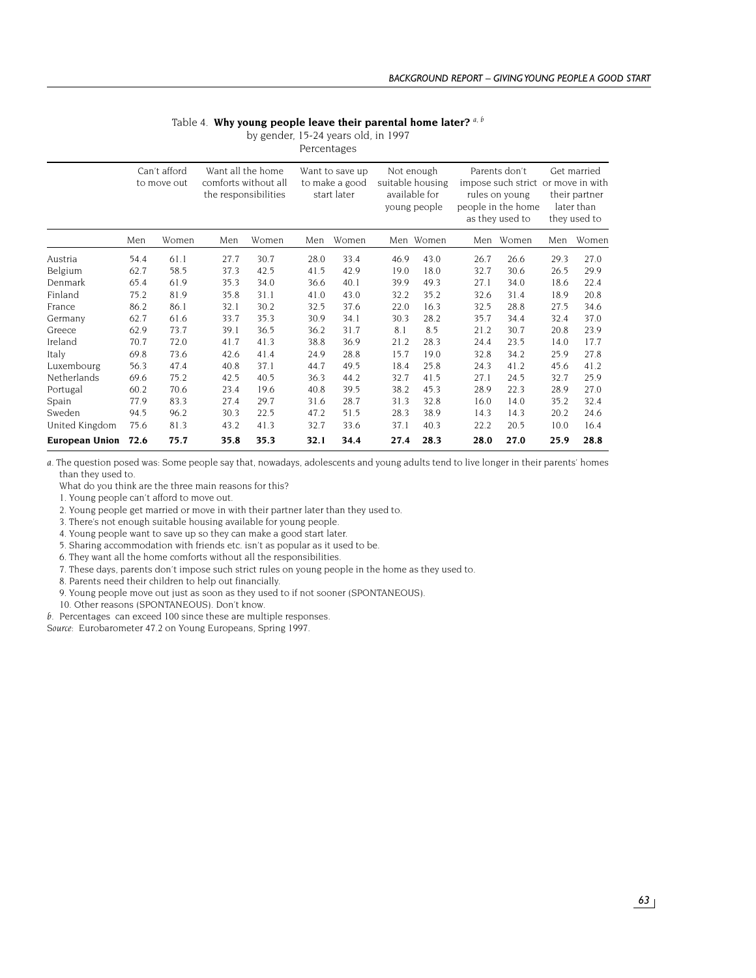## Table 4. **Why young people leave their parental home later?** *a, b*

| by gender, 15-24 years old, in 1997 |  |
|-------------------------------------|--|
|                                     |  |

|                |                             |       |                                                                   |       | Percentages                                      |       |                                                                 |           |                                                                                                                |       |                                                            |       |
|----------------|-----------------------------|-------|-------------------------------------------------------------------|-------|--------------------------------------------------|-------|-----------------------------------------------------------------|-----------|----------------------------------------------------------------------------------------------------------------|-------|------------------------------------------------------------|-------|
|                | Can't afford<br>to move out |       | Want all the home<br>comforts without all<br>the responsibilities |       | Want to save up<br>to make a good<br>start later |       | Not enough<br>suitable housing<br>available for<br>young people |           | Parents don't<br>impose such strict or move in with<br>rules on young<br>people in the home<br>as they used to |       | Get married<br>their partner<br>later than<br>they used to |       |
|                | Men                         | Women | Men                                                               | Women | Men                                              | Women |                                                                 | Men Women | Men                                                                                                            | Women | Men                                                        | Women |
| Austria        | 54.4                        | 61.1  | 27.7                                                              | 30.7  | 28.0                                             | 33.4  | 46.9                                                            | 43.0      | 26.7                                                                                                           | 26.6  | 29.3                                                       | 27.0  |
| Belgium        | 62.7                        | 58.5  | 37.3                                                              | 42.5  | 41.5                                             | 42.9  | 19.0                                                            | 18.0      | 32.7                                                                                                           | 30.6  | 26.5                                                       | 29.9  |
| Denmark        | 65.4                        | 61.9  | 35.3                                                              | 34.0  | 36.6                                             | 40.1  | 39.9                                                            | 49.3      | 27.1                                                                                                           | 34.0  | 18.6                                                       | 22.4  |
| Finland        | 75.2                        | 81.9  | 35.8                                                              | 31.1  | 41.0                                             | 43.0  | 32.2                                                            | 35.2      | 32.6                                                                                                           | 31.4  | 18.9                                                       | 20.8  |
| France         | 86.2                        | 86.1  | 32.1                                                              | 30.2  | 32.5                                             | 37.6  | 22.0                                                            | 16.3      | 32.5                                                                                                           | 28.8  | 27.5                                                       | 34.6  |
| Germany        | 62.7                        | 61.6  | 33.7                                                              | 35.3  | 30.9                                             | 34.1  | 30.3                                                            | 28.2      | 35.7                                                                                                           | 34.4  | 32.4                                                       | 37.0  |
| Greece         | 62.9                        | 73.7  | 39.1                                                              | 36.5  | 36.2                                             | 31.7  | 8.1                                                             | 8.5       | 21.2                                                                                                           | 30.7  | 20.8                                                       | 23.9  |
| Ireland        | 70.7                        | 72.0  | 41.7                                                              | 41.3  | 38.8                                             | 36.9  | 21.2                                                            | 28.3      | 24.4                                                                                                           | 23.5  | 14.0                                                       | 17.7  |
| Italy          | 69.8                        | 73.6  | 42.6                                                              | 41.4  | 24.9                                             | 28.8  | 15.7                                                            | 19.0      | 32.8                                                                                                           | 34.2  | 25.9                                                       | 27.8  |
| Luxembourg     | 56.3                        | 47.4  | 40.8                                                              | 37.1  | 44.7                                             | 49.5  | 18.4                                                            | 25.8      | 24.3                                                                                                           | 41.2  | 45.6                                                       | 41.2  |
| Netherlands    | 69.6                        | 75.2  | 42.5                                                              | 40.5  | 36.3                                             | 44.2  | 32.7                                                            | 41.5      | 27.1                                                                                                           | 24.5  | 32.7                                                       | 25.9  |
| Portugal       | 60.2                        | 70.6  | 23.4                                                              | 19.6  | 40.8                                             | 39.5  | 38.2                                                            | 45.3      | 28.9                                                                                                           | 22.3  | 28.9                                                       | 27.0  |
| Spain          | 77.9                        | 83.3  | 27.4                                                              | 29.7  | 31.6                                             | 28.7  | 31.3                                                            | 32.8      | 16.0                                                                                                           | 14.0  | 35.2                                                       | 32.4  |
| Sweden         | 94.5                        | 96.2  | 30.3                                                              | 22.5  | 47.2                                             | 51.5  | 28.3                                                            | 38.9      | 14.3                                                                                                           | 14.3  | 20.2                                                       | 24.6  |
| United Kingdom | 75.6                        | 81.3  | 43.2                                                              | 41.3  | 32.7                                             | 33.6  | 37.1                                                            | 40.3      | 22.2                                                                                                           | 20.5  | 10.0                                                       | 16.4  |
| European Union | 72.6                        | 75.7  | 35.8                                                              | 35.3  | 32.1                                             | 34.4  | 27.4                                                            | 28.3      | 28.0                                                                                                           | 27.0  | 25.9                                                       | 28.8  |

*a.* The question posed was: Some people say that, nowadays, adolescents and young adults tend to live longer in their parents' homes than they used to.

What do you think are the three main reasons for this?

1. Young people can't afford to move out.

2. Young people get married or move in with their partner later than they used to.

3. There's not enough suitable housing available for young people.

4. Young people want to save up so they can make a good start later.

5. Sharing accommodation with friends etc. isn't as popular as it used to be.

6. They want all the home comforts without all the responsibilities.

7. These days, parents don't impose such strict rules on young people in the home as they used to.

8. Parents need their children to help out financially.

9. Young people move out just as soon as they used to if not sooner (SPONTANEOUS).

10. Other reasons (SPONTANEOUS). Don't know.

*b.* Percentages can exceed 100 since these are multiple responses.

*Source:* Eurobarometer 47.2 on Young Europeans, Spring 1997.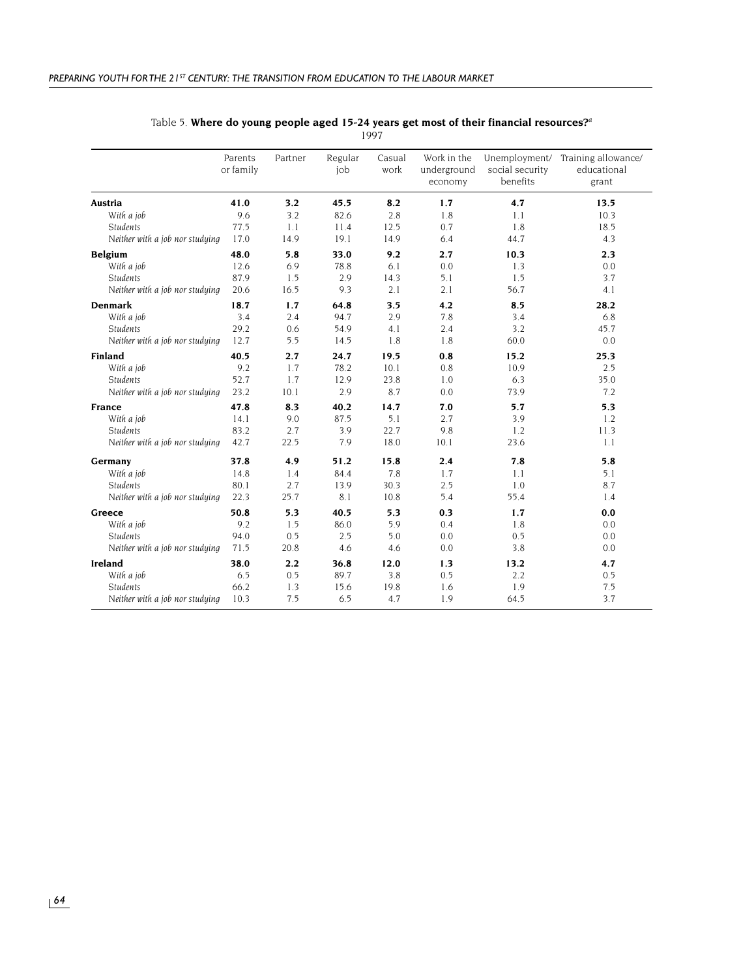|                                 | Parents<br>or family | Partner | Regular<br>job | Casual<br>work | Work in the<br>underground<br>economy | Unemployment/<br>social security<br>benefits | Training allowance/<br>educational<br>grant |
|---------------------------------|----------------------|---------|----------------|----------------|---------------------------------------|----------------------------------------------|---------------------------------------------|
| <b>Austria</b>                  | 41.0                 | 3.2     | 45.5           | 8.2            | 1.7                                   | 4.7                                          | 13.5                                        |
| With a job                      | 9.6                  | 3.2     | 82.6           | 2.8            | 1.8                                   | 1.1                                          | 10.3                                        |
| <b>Students</b>                 | 77.5                 | 1.1     | 11.4           | 12.5           | 0.7                                   | 1.8                                          | 18.5                                        |
| Neither with a job nor studying | 17.0                 | 14.9    | 19.1           | 14.9           | 6.4                                   | 44.7                                         | 4.3                                         |
| <b>Belgium</b>                  | 48.0                 | 5.8     | 33.0           | 9.2            | 2.7                                   | 10.3                                         | 2.3                                         |
| With a job                      | 12.6                 | 6.9     | 78.8           | 6.1            | 0.0                                   | 1.3                                          | 0.0                                         |
| <b>Students</b>                 | 87.9                 | 1.5     | 2.9            | 14.3           | 5.1                                   | 1.5                                          | 3.7                                         |
| Neither with a job nor studying | 20.6                 | 16.5    | 9.3            | 2.1            | 2.1                                   | 56.7                                         | 4.1                                         |
| <b>Denmark</b>                  | 18.7                 | 1.7     | 64.8           | 3.5            | 4.2                                   | 8.5                                          | 28.2                                        |
| With a job                      | 3.4                  | 2.4     | 94.7           | 2.9            | 7.8                                   | 3.4                                          | 6.8                                         |
| <b>Students</b>                 | 29.2                 | 0.6     | 54.9           | 4.1            | 2.4                                   | 3.2                                          | 45.7                                        |
| Neither with a job nor studying | 12.7                 | 5.5     | 14.5           | 1.8            | 1.8                                   | 60.0                                         | 0.0                                         |
| <b>Finland</b>                  | 40.5                 | 2.7     | 24.7           | 19.5           | 0.8                                   | 15.2                                         | 25.3                                        |
| With a job                      | 9.2                  | 1.7     | 78.2           | 10.1           | 0.8                                   | 10.9                                         | 2.5                                         |
| <b>Students</b>                 | 52.7                 | 1.7     | 12.9           | 23.8           | 1.0                                   | 6.3                                          | 35.0                                        |
| Neither with a job nor studying | 23.2                 | 10.1    | 2.9            | 8.7            | 0.0                                   | 73.9                                         | 7.2                                         |
| France                          | 47.8                 | 8.3     | 40.2           | 14.7           | 7.0                                   | 5.7                                          | 5.3                                         |
| With a job                      | 14.1                 | 9.0     | 87.5           | 5.1            | 2.7                                   | 3.9                                          | 1.2                                         |
| <b>Students</b>                 | 83.2                 | 2.7     | 3.9            | 22.7           | 9.8                                   | 1.2                                          | 11.3                                        |
| Neither with a job nor studying | 42.7                 | 22.5    | 7.9            | 18.0           | 10.1                                  | 23.6                                         | 1.1                                         |
| Germany                         | 37.8                 | 4.9     | 51.2           | 15.8           | 2.4                                   | 7.8                                          | 5.8                                         |
| With a job                      | 14.8                 | 1.4     | 84.4           | 7.8            | 1.7                                   | 1.1                                          | 5.1                                         |
| <b>Students</b>                 | 80.1                 | 2.7     | 13.9           | 30.3           | 2.5                                   | 1.0                                          | 8.7                                         |
| Neither with a job nor studying | 22.3                 | 25.7    | 8.1            | 10.8           | 5.4                                   | 55.4                                         | 1.4                                         |
| Greece                          | 50.8                 | 5.3     | 40.5           | 5.3            | 0.3                                   | 1.7                                          | 0.0                                         |
| With a job                      | 9.2                  | 1.5     | 86.0           | 5.9            | 0.4                                   | 1.8                                          | 0.0                                         |
| <b>Students</b>                 | 94.0                 | 0.5     | 2.5            | 5.0            | 0.0                                   | 0.5                                          | 0.0                                         |
| Neither with a job nor studying | 71.5                 | 20.8    | 4.6            | 4.6            | 0.0                                   | 3.8                                          | 0.0                                         |
| Ireland                         | 38.0                 | 2.2     | 36.8           | 12.0           | 1.3                                   | 13.2                                         | 4.7                                         |
| With a job                      | 6.5                  | 0.5     | 89.7           | 3.8            | 0.5                                   | 2.2                                          | 0.5                                         |
| <b>Students</b>                 | 66.2                 | 1.3     | 15.6           | 19.8           | 1.6                                   | 1.9                                          | 7.5                                         |
| Neither with a job nor studying | 10.3                 | 7.5     | 6.5            | 4.7            | 1.9                                   | 64.5                                         | 3.7                                         |

# Table 5. **Where do young people aged 15-24 years get most of their financial resources?***<sup>a</sup>*

1997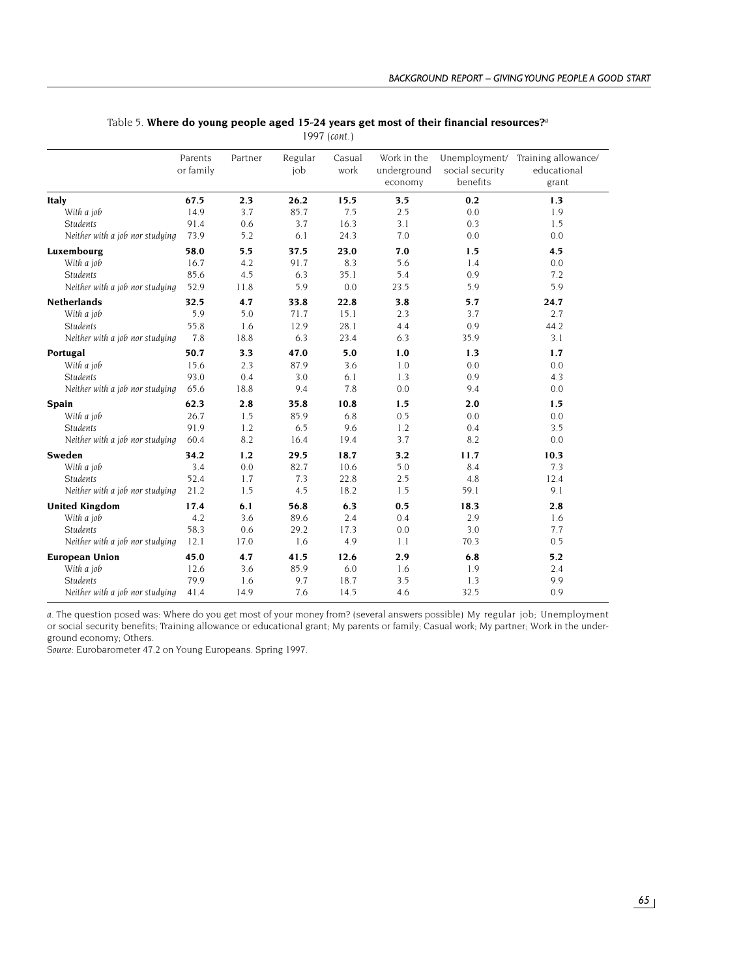## Table 5. **Where do young people aged 15-24 years get most of their financial resources?***<sup>a</sup>*

1997 *(cont.)*

|                                 | Parents<br>or family | Partner | Regular<br>job | Casual<br>work | Work in the<br>underground<br>economy | Unemployment/<br>social security<br>benefits | Training allowance/<br>educational<br>grant |
|---------------------------------|----------------------|---------|----------------|----------------|---------------------------------------|----------------------------------------------|---------------------------------------------|
| Italy                           | 67.5                 | 2.3     | 26.2           | 15.5           | 3.5                                   | 0.2                                          | 1.3                                         |
| With a job                      | 14.9                 | 3.7     | 85.7           | 7.5            | 2.5                                   | 0.0                                          | 1.9                                         |
| <b>Students</b>                 | 91.4                 | 0.6     | 3.7            | 16.3           | 3.1                                   | 0.3                                          | 1.5                                         |
| Neither with a job nor studying | 73.9                 | 5.2     | 6.1            | 24.3           | 7.0                                   | 0.0                                          | 0.0                                         |
| Luxembourg                      | 58.0                 | 5.5     | 37.5           | 23.0           | 7.0                                   | 1.5                                          | 4.5                                         |
| With a job                      | 16.7                 | 4.2     | 91.7           | 8.3            | 5.6                                   | 1.4                                          | 0.0                                         |
| <b>Students</b>                 | 85.6                 | 4.5     | 6.3            | 35.1           | 5.4                                   | 0.9                                          | 7.2                                         |
| Neither with a job nor studying | 52.9                 | 11.8    | 5.9            | 0.0            | 23.5                                  | 5.9                                          | 5.9                                         |
| <b>Netherlands</b>              | 32.5                 | 4.7     | 33.8           | 22.8           | 3.8                                   | 5.7                                          | 24.7                                        |
| With a job                      | 5.9                  | 5.0     | 71.7           | 15.1           | 2.3                                   | 3.7                                          | 2.7                                         |
| <b>Students</b>                 | 55.8                 | 1.6     | 12.9           | 28.1           | 4.4                                   | 0.9                                          | 44.2                                        |
| Neither with a job nor studying | 7.8                  | 18.8    | 6.3            | 23.4           | 6.3                                   | 35.9                                         | 3.1                                         |
| Portugal                        | 50.7                 | 3.3     | 47.0           | 5.0            | 1.0                                   | 1.3                                          | 1.7                                         |
| With a job                      | 15.6                 | 2.3     | 87.9           | 3.6            | 1.0                                   | 0.0                                          | 0.0                                         |
| <b>Students</b>                 | 93.0                 | 0.4     | 3.0            | 6.1            | 1.3                                   | 0.9                                          | 4.3                                         |
| Neither with a job nor studying | 65.6                 | 18.8    | 9.4            | 7.8            | 0.0                                   | 9.4                                          | 0.0                                         |
| Spain                           | 62.3                 | 2.8     | 35.8           | 10.8           | 1.5                                   | 2.0                                          | 1.5                                         |
| With a job                      | 26.7                 | 1.5     | 85.9           | 6.8            | 0.5                                   | 0.0                                          | 0.0                                         |
| <b>Students</b>                 | 91.9                 | 1.2     | 6.5            | 9.6            | 1.2                                   | 0.4                                          | 3.5                                         |
| Neither with a job nor studying | 60.4                 | 8.2     | 16.4           | 19.4           | 3.7                                   | 8.2                                          | 0.0                                         |
| Sweden                          | 34.2                 | 1.2     | 29.5           | 18.7           | 3.2                                   | 11.7                                         | 10.3                                        |
| With a job                      | 3.4                  | 0.0     | 82.7           | 10.6           | 5.0                                   | 8.4                                          | 7.3                                         |
| <b>Students</b>                 | 52.4                 | 1.7     | 7.3            | 22.8           | 2.5                                   | 4.8                                          | 12.4                                        |
| Neither with a job nor studying | 21.2                 | 1.5     | 4.5            | 18.2           | 1.5                                   | 59.1                                         | 9.1                                         |
| <b>United Kingdom</b>           | 17.4                 | 6.1     | 56.8           | 6.3            | 0.5                                   | 18.3                                         | 2.8                                         |
| With a job                      | 4.2                  | 3.6     | 89.6           | 2.4            | 0.4                                   | 2.9                                          | 1.6                                         |
| <b>Students</b>                 | 58.3                 | 0.6     | 29.2           | 17.3           | 0.0                                   | 3.0                                          | 7.7                                         |
| Neither with a job nor studying | 12.1                 | 17.0    | 1.6            | 4.9            | 1.1                                   | 70.3                                         | 0.5                                         |
| <b>European Union</b>           | 45.0                 | 4.7     | 41.5           | 12.6           | 2.9                                   | 6.8                                          | 5.2                                         |
| With a job                      | 12.6                 | 3.6     | 85.9           | 6.0            | 1.6                                   | 1.9                                          | 2.4                                         |
| <b>Students</b>                 | 79.9                 | 1.6     | 9.7            | 18.7           | 3.5                                   | 1.3                                          | 9.9                                         |
| Neither with a job nor studying | 41.4                 | 14.9    | 7.6            | 14.5           | 4.6                                   | 32.5                                         | 0.9                                         |

*a.* The question posed was: Where do you get most of your money from? (several answers possible) My regular job; Unemployment or social security benefits; Training allowance or educational grant; My parents or family; Casual work; My partner; Work in the underground economy; Others.

*Source:* Eurobarometer 47.2 on Young Europeans. Spring 1997.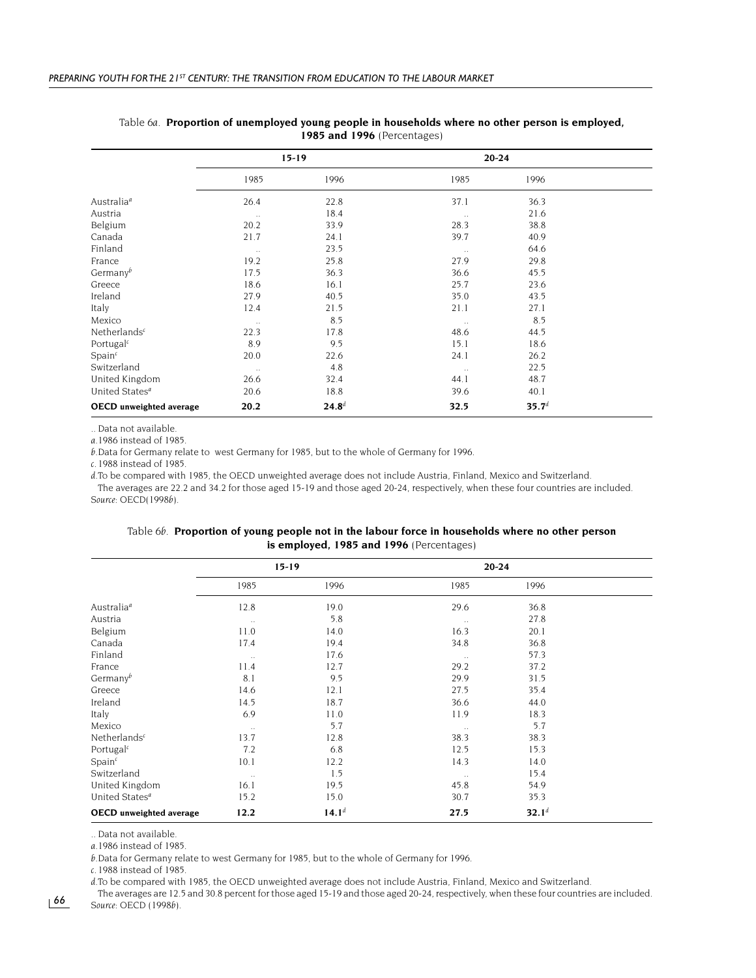|                                    |           | .          |          |                   |  |
|------------------------------------|-----------|------------|----------|-------------------|--|
|                                    |           | $15-19$    |          | $20 - 24$         |  |
|                                    | 1985      | 1996       | 1985     | 1996              |  |
| Australia <sup>a</sup>             | 26.4      | 22.8       | 37.1     | 36.3              |  |
| Austria                            | $\ddots$  | 18.4       | $\ddots$ | 21.6              |  |
| Belgium                            | 20.2      | 33.9       | 28.3     | 38.8              |  |
| Canada                             | 21.7      | 24.1       | 39.7     | 40.9              |  |
| Finland                            | $\ddots$  | 23.5       | $\ldots$ | 64.6              |  |
| France                             | 19.2      | 25.8       | 27.9     | 29.8              |  |
| Germany $\ell$                     | 17.5      | 36.3       | 36.6     | 45.5              |  |
| Greece                             | 18.6      | 16.1       | 25.7     | 23.6              |  |
| Ireland                            | 27.9      | 40.5       | 35.0     | 43.5              |  |
| Italy                              | 12.4      | 21.5       | 21.1     | 27.1              |  |
| Mexico                             | $\ddotsc$ | 8.5        | $\ddots$ | 8.5               |  |
| Netherlands $\epsilon$             | 22.3      | 17.8       | 48.6     | 44.5              |  |
| Portugal <sup><math>c</math></sup> | 8.9       | 9.5        | 15.1     | 18.6              |  |
| Spin <sup>c</sup>                  | 20.0      | 22.6       | 24.1     | 26.2              |  |
| Switzerland                        | $\ldots$  | 4.8        | $\ldots$ | 22.5              |  |
| United Kingdom                     | 26.6      | 32.4       | 44.1     | 48.7              |  |
| United States <sup>a</sup>         | 20.6      | 18.8       | 39.6     | 40.1              |  |
| <b>OECD</b> unweighted average     | 20.2      | $24.8^{d}$ | 32.5     | 35.7 <sup>d</sup> |  |

#### Table 6*a*. **Proportion of unemployed young people in households where no other person is employed, 1985 and 1996** (Percentages)

.. Data not available.

*a.*1986 instead of 1985.

*b.*Data for Germany relate to west Germany for 1985, but to the whole of Germany for 1996.

*c.*1988 instead of 1985.

*d.*To be compared with 1985, the OECD unweighted average does not include Austria, Finland, Mexico and Switzerland. The averages are 22.2 and 34.2 for those aged 15-19 and those aged 20-24, respectively, when these four countries are included. *Source:* OECD(1998*b*).

|                                | $15 - 19$ |                   | $20 - 24$ |                   |  |
|--------------------------------|-----------|-------------------|-----------|-------------------|--|
|                                | 1985      | 1996              | 1985      | 1996              |  |
| Australia <sup>a</sup>         | 12.8      | 19.0              | 29.6      | 36.8              |  |
| Austria                        | $\cdot$ . | 5.8               | $\cdot$ . | 27.8              |  |
| Belgium                        | 11.0      | 14.0              | 16.3      | 20.1              |  |
| Canada                         | 17.4      | 19.4              | 34.8      | 36.8              |  |
| Finland                        | $\ldots$  | 17.6              | $\ddots$  | 57.3              |  |
| France                         | 11.4      | 12.7              | 29.2      | 37.2              |  |
| Germany <sup>b</sup>           | 8.1       | 9.5               | 29.9      | 31.5              |  |
| Greece                         | 14.6      | 12.1              | 27.5      | 35.4              |  |
| Ireland                        | 14.5      | 18.7              | 36.6      | 44.0              |  |
| Italy                          | 6.9       | 11.0              | 11.9      | 18.3              |  |
| Mexico                         | $\cdot$ . | 5.7               | $\ddots$  | 5.7               |  |
| Netherlands $\epsilon$         | 13.7      | 12.8              | 38.3      | 38.3              |  |
| Portugal <sup>c</sup>          | 7.2       | 6.8               | 12.5      | 15.3              |  |
| Spain $^c$                     | 10.1      | 12.2              | 14.3      | 14.0              |  |
| Switzerland                    | $\ldots$  | 1.5               | $\cdot$ . | 15.4              |  |
| United Kingdom                 | 16.1      | 19.5              | 45.8      | 54.9              |  |
| United States <sup>a</sup>     | 15.2      | 15.0              | 30.7      | 35.3              |  |
| <b>OECD</b> unweighted average | 12.2      | 14.1 <sup>d</sup> | 27.5      | 32.1 <sup>d</sup> |  |

Table 6*b*. **Proportion of young people not in the labour force in households where no other person is employed, 1985 and 1996** (Percentages)

.. Data not available.

*a.*1986 instead of 1985.

*b.*Data for Germany relate to west Germany for 1985, but to the whole of Germany for 1996.

*c.*1988 instead of 1985.

*d.*To be compared with 1985, the OECD unweighted average does not include Austria, Finland, Mexico and Switzerland.

The averages are 12.5 and 30.8 percent for those aged 15-19 and those aged 20-24, respectively, when these four countries are included. *Source:* OECD (1998*b*).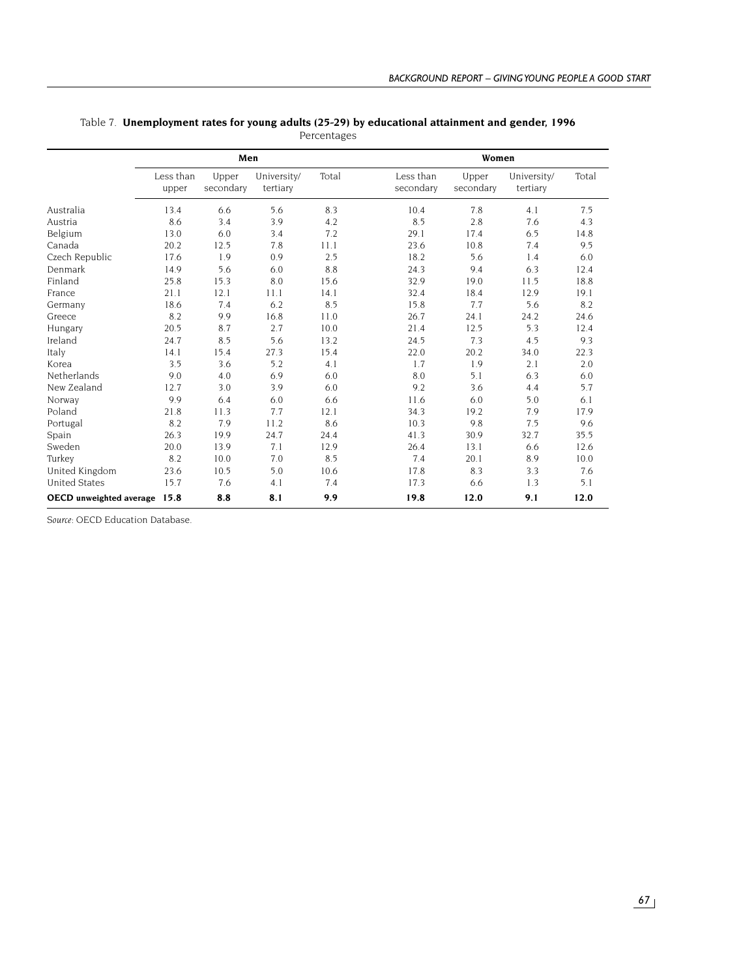|                              |                    | Men                |                         |       |                        | Women              |                         |       |  |  |  |
|------------------------------|--------------------|--------------------|-------------------------|-------|------------------------|--------------------|-------------------------|-------|--|--|--|
|                              | Less than<br>upper | Upper<br>secondary | University/<br>tertiary | Total | Less than<br>secondary | Upper<br>secondary | University/<br>tertiary | Total |  |  |  |
| Australia                    | 13.4               | 6.6                | 5.6                     | 8.3   | 10.4                   | 7.8                | 4.1                     | 7.5   |  |  |  |
| Austria                      | 8.6                | 3.4                | 3.9                     | 4.2   | 8.5                    | 2.8                | 7.6                     | 4.3   |  |  |  |
| Belgium                      | 13.0               | 6.0                | 3.4                     | 7.2   | 29.1                   | 17.4               | 6.5                     | 14.8  |  |  |  |
| Canada                       | 20.2               | 12.5               | 7.8                     | 11.1  | 23.6                   | 10.8               | 7.4                     | 9.5   |  |  |  |
| Czech Republic               | 17.6               | 1.9                | 0.9                     | 2.5   | 18.2                   | 5.6                | 1.4                     | 6.0   |  |  |  |
| Denmark                      | 14.9               | 5.6                | 6.0                     | 8.8   | 24.3                   | 9.4                | 6.3                     | 12.4  |  |  |  |
| Finland                      | 25.8               | 15.3               | 8.0                     | 15.6  | 32.9                   | 19.0               | 11.5                    | 18.8  |  |  |  |
| France                       | 21.1               | 12.1               | 11.1                    | 14.1  | 32.4                   | 18.4               | 12.9                    | 19.1  |  |  |  |
| Germany                      | 18.6               | 7.4                | 6.2                     | 8.5   | 15.8                   | 7.7                | 5.6                     | 8.2   |  |  |  |
| Greece                       | 8.2                | 9.9                | 16.8                    | 11.0  | 26.7                   | 24.1               | 24.2                    | 24.6  |  |  |  |
| Hungary                      | 20.5               | 8.7                | 2.7                     | 10.0  | 21.4                   | 12.5               | 5.3                     | 12.4  |  |  |  |
| Ireland                      | 24.7               | 8.5                | 5.6                     | 13.2  | 24.5                   | 7.3                | 4.5                     | 9.3   |  |  |  |
| Italy                        | 14.1               | 15.4               | 27.3                    | 15.4  | 22.0                   | 20.2               | 34.0                    | 22.3  |  |  |  |
| Korea                        | 3.5                | 3.6                | 5.2                     | 4.1   | 1.7                    | 1.9                | 2.1                     | 2.0   |  |  |  |
| Netherlands                  | 9.0                | 4.0                | 6.9                     | 6.0   | 8.0                    | 5.1                | 6.3                     | 6.0   |  |  |  |
| New Zealand                  | 12.7               | 3.0                | 3.9                     | 6.0   | 9.2                    | 3.6                | 4.4                     | 5.7   |  |  |  |
| Norway                       | 9.9                | 6.4                | 6.0                     | 6.6   | 11.6                   | 6.0                | 5.0                     | 6.1   |  |  |  |
| Poland                       | 21.8               | 11.3               | 7.7                     | 12.1  | 34.3                   | 19.2               | 7.9                     | 17.9  |  |  |  |
| Portugal                     | 8.2                | 7.9                | 11.2                    | 8.6   | 10.3                   | 9.8                | 7.5                     | 9.6   |  |  |  |
| Spain                        | 26.3               | 19.9               | 24.7                    | 24.4  | 41.3                   | 30.9               | 32.7                    | 35.5  |  |  |  |
| Sweden                       | 20.0               | 13.9               | 7.1                     | 12.9  | 26.4                   | 13.1               | 6.6                     | 12.6  |  |  |  |
| Turkey                       | 8.2                | 10.0               | 7.0                     | 8.5   | 7.4                    | 20.1               | 8.9                     | 10.0  |  |  |  |
| United Kingdom               | 23.6               | 10.5               | 5.0                     | 10.6  | 17.8                   | 8.3                | 3.3                     | 7.6   |  |  |  |
| <b>United States</b>         | 15.7               | 7.6                | 4.1                     | 7.4   | 17.3                   | 6.6                | 1.3                     | 5.1   |  |  |  |
| OECD unweighted average 15.8 |                    | 8.8                | 8.1                     | 9.9   | 19.8                   | 12.0               | 9.1                     | 12.0  |  |  |  |

## Table 7. **Unemployment rates for young adults (25-29) by educational attainment and gender, 1996** Percentages

*Source:* OECD Education Database.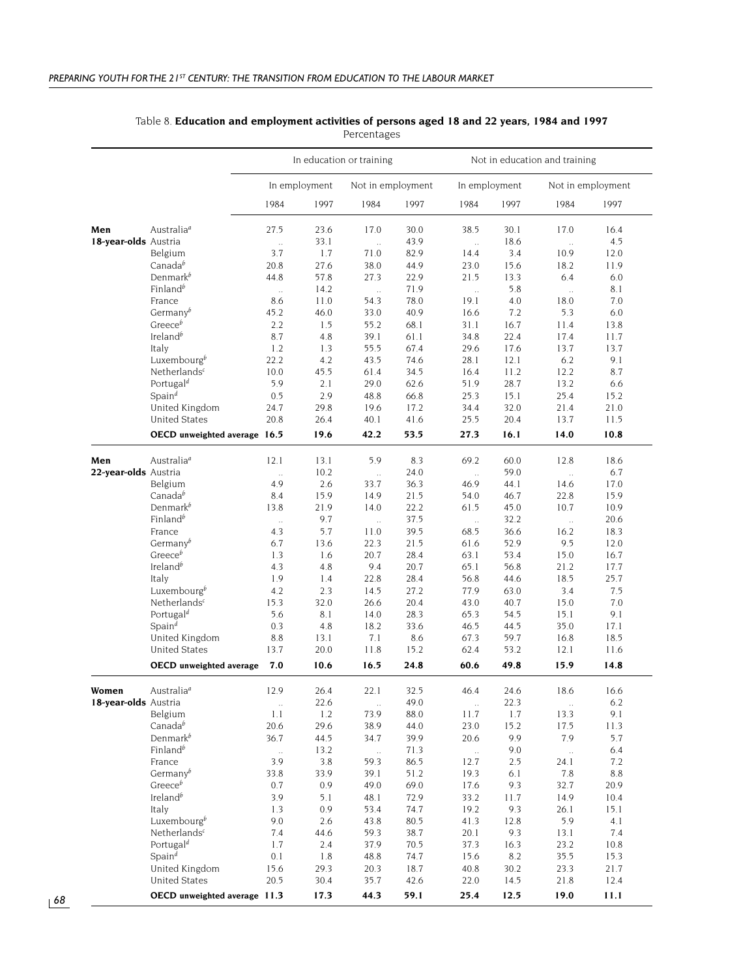|                      |                                   | In education or training |               |                      |                   | Not in education and training |         |                      |                   |  |
|----------------------|-----------------------------------|--------------------------|---------------|----------------------|-------------------|-------------------------------|---------|----------------------|-------------------|--|
|                      |                                   |                          | In employment |                      | Not in employment | In employment                 |         |                      | Not in employment |  |
|                      |                                   | 1984                     | 1997          | 1984                 | 1997              | 1984                          | 1997    | 1984                 | 1997              |  |
| Men                  | Australia <sup>a</sup>            | 27.5                     | 23.6          | 17.0                 | 30.0              | 38.5                          | 30.1    | 17.0                 | 16.4              |  |
| 18-year-olds Austria |                                   | $\ddots$                 | 33.1          | $\ddotsc$            | 43.9              | $\ldots$                      | 18.6    | $\ddotsc$            | 4.5               |  |
|                      | Belgium                           | 3.7                      | 1.7           | 71.0                 | 82.9              | 14.4                          | 3.4     | 10.9                 | 12.0              |  |
|                      | Canada $^b$                       | 20.8                     | 27.6          | 38.0                 | 44.9              | 23.0                          | 15.6    | 18.2                 | 11.9              |  |
|                      | Denmark <sup>b</sup>              | 44.8                     | 57.8          | 27.3                 | 22.9              | 21.5                          | 13.3    | 6.4                  | 6.0               |  |
|                      | Finland $^b$                      | $\ddot{\phantom{a}}$     | 14.2          | $\ddot{\phantom{a}}$ | 71.9              | $\mathcal{L}_{\mathcal{A}}$   | 5.8     | $\ddots$             | 8.1               |  |
|                      | France                            | 8.6                      | 11.0          | 54.3                 | 78.0              | 19.1                          | 4.0     | 18.0                 | 7.0               |  |
|                      | Germany <sup>b</sup>              | 45.2                     | 46.0          | 33.0                 | 40.9              | 16.6                          | 7.2     | 5.3                  | 6.0               |  |
|                      | Greece $^b$                       | 2.2                      | 1.5           | 55.2                 | 68.1              | 31.1                          | 16.7    | 11.4                 | 13.8              |  |
|                      | Ireland <sup>b</sup>              | 8.7                      | 4.8           | 39.1                 | 61.1              | 34.8                          | 22.4    | 17.4                 | 11.7              |  |
|                      | Italy                             | 1.2                      | 1.3           | 55.5                 | 67.4              | 29.6                          | 17.6    | 13.7                 | 13.7              |  |
|                      | Luxembourg <sup>b</sup>           | 22.2                     | 4.2           | 43.5                 | 74.6              | 28.1                          | 12.1    | 6.2                  | 9.1               |  |
|                      | Netherlands <sup>c</sup>          | 10.0                     | 45.5          |                      | 34.5              | 16.4                          | 11.2    | 12.2                 | 8.7               |  |
|                      |                                   |                          |               | 61.4                 |                   |                               |         |                      |                   |  |
|                      | Portugal <sup>d</sup>             | 5.9                      | 2.1           | 29.0                 | 62.6              | 51.9                          | 28.7    | 13.2                 | 6.6               |  |
|                      | Spin <sup>d</sup>                 | 0.5                      | 2.9           | 48.8                 | 66.8              | 25.3                          | 15.1    | 25.4                 | 15.2              |  |
|                      | United Kingdom                    | 24.7                     | 29.8          | 19.6                 | 17.2              | 34.4                          | 32.0    | 21.4                 | 21.0              |  |
|                      | <b>United States</b>              | 20.8                     | 26.4          | 40.1                 | 41.6              | 25.5                          | 20.4    | 13.7                 | 11.5              |  |
|                      | OECD unweighted average 16.5      |                          | 19.6          | 42.2                 | 53.5              | 27.3                          | 16.1    | 14.0                 | 10.8              |  |
| Men                  | Australia <sup>a</sup>            | 12.1                     | 13.1          | 5.9                  | 8.3               | 69.2                          | 60.0    | 12.8                 | 18.6              |  |
| 22-year-olds Austria |                                   | $\ddotsc$                | 10.2          | $\ddotsc$            | 24.0              | $\ldots$                      | 59.0    | $\ddots$             | 6.7               |  |
|                      | Belgium                           | 4.9                      | 2.6           | 33.7                 | 36.3              | 46.9                          | 44.1    | 14.6                 | 17.0              |  |
|                      | Canada $\mathbf{b}$               | 8.4                      | 15.9          | 14.9                 | 21.5              | 54.0                          | 46.7    | 22.8                 | 15.9              |  |
|                      | Denmark $^b$                      | 13.8                     | 21.9          | 14.0                 | 22.2              | 61.5                          | 45.0    | 10.7                 | 10.9              |  |
|                      | Finland <sup>b</sup>              | $\ddot{\phantom{a}}$     | 9.7           | $\ddotsc$            | 37.5              | $\ldots$                      | 32.2    | $\ldots$             | 20.6              |  |
|                      | France                            | 4.3                      | 5.7           | 11.0                 | 39.5              | 68.5                          | 36.6    | 16.2                 | 18.3              |  |
|                      | Germany <sup>b</sup>              | 6.7                      | 13.6          | 22.3                 | 21.5              | 61.6                          | 52.9    | 9.5                  | 12.0              |  |
|                      | Greece $^b$                       | 1.3                      | 1.6           | 20.7                 | 28.4              | 63.1                          | 53.4    | 15.0                 | 16.7              |  |
|                      | Ireland <sup>b</sup>              | 4.3                      | 4.8           | 9.4                  | 20.7              | 65.1                          | 56.8    | 21.2                 | 17.7              |  |
|                      | Italy                             | 1.9                      | 1.4           | 22.8                 | 28.4              | 56.8                          | 44.6    | 18.5                 | 25.7              |  |
|                      | Luxembourg $\theta$               | 4.2                      | 2.3           |                      | 27.2              | 77.9                          | 63.0    | 3.4                  | 7.5               |  |
|                      |                                   |                          |               | 14.5                 |                   |                               |         |                      |                   |  |
|                      | Netherlands <sup>c</sup>          | 15.3                     | 32.0          | 26.6                 | 20.4              | 43.0                          | 40.7    | 15.0                 | 7.0               |  |
|                      | Portugal <sup>d</sup>             | 5.6                      | 8.1           | 14.0                 | 28.3              | 65.3                          | 54.5    | 15.1                 | 9.1               |  |
|                      | Spain <sup><math>d</math></sup>   | 0.3                      | 4.8           | 18.2                 | 33.6              | 46.5                          | 44.5    | 35.0                 | 17.1              |  |
|                      | United Kingdom                    | 8.8                      | 13.1          | 7.1                  | 8.6               | 67.3                          | 59.7    | 16.8                 | 18.5              |  |
|                      | <b>United States</b>              | 13.7                     | 20.0          | 11.8                 | 15.2              | 62.4                          | 53.2    | 12.1                 | 11.6              |  |
|                      | OECD unweighted average           | 7.0                      | 10.6          | 16.5                 | 24.8              | 60.6                          | 49.8    | 15.9                 | 14.8              |  |
| Women                | Australia <sup>a</sup>            | 12.9                     | 26.4          | 22.1                 | 32.5              | 46.4                          | 24.6    | 18.6                 | 16.6              |  |
| 18-year-olds Austria |                                   | $\ldots$                 | 22.6          | $\ddotsc$            | 49.0              | $\ldots$                      | 22.3    | $\ddotsc$            | 6.2               |  |
|                      | Belgium                           | 1.1                      | 1.2           | 73.9                 | 88.0              | $11.7\,$                      | $1.7\,$ | 13.3                 | 9.1               |  |
|                      | Canada <sup>b</sup>               | 20.6                     | 29.6          | 38.9                 | 44.0              | 23.0                          | 15.2    | 17.5                 | 11.3              |  |
|                      | Denmark <sup>b</sup>              | 36.7                     | 44.5          | 34.7                 | 39.9              | 20.6                          | 9.9     | 7.9                  | 5.7               |  |
|                      | Finland <sup>b</sup>              | $\bar{\mathcal{A}}$      | 13.2          | $\bar{\mathcal{A}}$  | 71.3              | $\ldots$                      | 9.0     | $\ddot{\phantom{a}}$ | 6.4               |  |
|                      | France                            | 3.9                      | $3.8\,$       | 59.3                 | 86.5              | 12.7                          | 2.5     | 24.1                 | 7.2               |  |
|                      | Germany $\theta$                  | 33.8                     | 33.9          | 39.1                 | 51.2              | 19.3                          | 6.1     | 7.8                  | 8.8               |  |
|                      | Greece $^b$                       | 0.7                      | 0.9           | 49.0                 | 69.0              | 17.6                          | 9.3     | 32.7                 | 20.9              |  |
|                      | Ireland <sup><math>b</math></sup> | 3.9                      | 5.1           | 48.1                 | 72.9              | 33.2                          | 11.7    | 14.9                 | 10.4              |  |
|                      | Italy                             | 1.3                      | 0.9           | 53.4                 | 74.7              | 19.2                          | 9.3     | 26.1                 | 15.1              |  |
|                      | Luxembourg $\theta$               | 9.0                      | 2.6           | 43.8                 | 80.5              | 41.3                          | 12.8    | 5.9                  | 4.1               |  |
|                      | Netherlands <sup>c</sup>          | 7.4                      | 44.6          | 59.3                 | 38.7              | 20.1                          | 9.3     | 13.1                 | 7.4               |  |
|                      | Portugal <sup>d</sup>             | 1.7                      | 2.4           | 37.9                 | 70.5              |                               | 16.3    | 23.2                 | 10.8              |  |
|                      | Spin <sup>d</sup>                 |                          |               |                      |                   | 37.3                          |         |                      |                   |  |
|                      |                                   | 0.1                      | 1.8           | 48.8                 | 74.7              | 15.6                          | $8.2\,$ | 35.5                 | 15.3              |  |
|                      | United Kingdom                    | 15.6                     | 29.3          | 20.3                 | 18.7              | 40.8                          | 30.2    | 23.3                 | 21.7              |  |
|                      | <b>United States</b>              | 20.5                     | 30.4          | 35.7                 | 42.6              | 22.0                          | 14.5    | 21.8                 | 12.4              |  |
|                      | OECD unweighted average 11.3      |                          | 17.3          | 44.3                 | 59.1              | 25.4                          | 12.5    | 19.0                 | 11.1              |  |

## Table 8. **Education and employment activities of persons aged 18 and 22 years, 1984 and 1997**

Percentages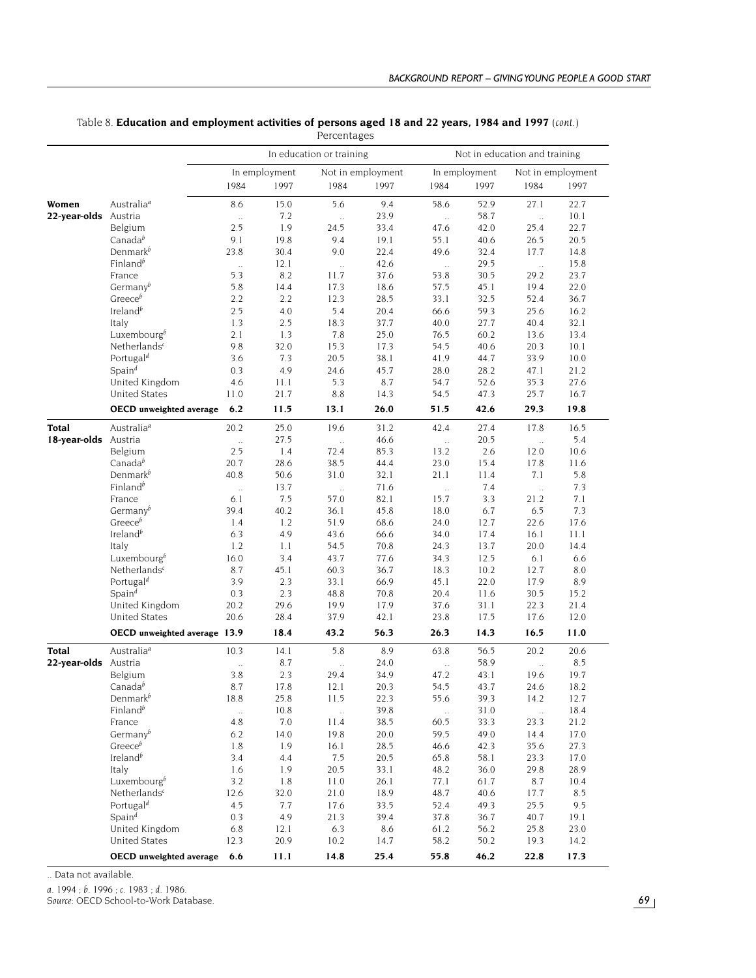|                              |                                        |                             |               | In education or training |                   |                   |               | Not in education and training |                   |
|------------------------------|----------------------------------------|-----------------------------|---------------|--------------------------|-------------------|-------------------|---------------|-------------------------------|-------------------|
|                              |                                        |                             | In employment |                          | Not in employment |                   | In employment |                               | Not in employment |
|                              |                                        | 1984                        | 1997          | 1984                     | 1997              | 1984              | 1997          | 1984                          | 1997              |
| Women                        | Australia <sup>a</sup>                 | 8.6                         | 15.0          | 5.6                      | 9.4               | 58.6              | 52.9          | 27.1                          | 22.7              |
| 22-year-olds Austria         |                                        | $\ddotsc$                   | 7.2           | $\ldots$                 | 23.9              | $\mathbb{Z}^2$    | 58.7          | $\bar{\mathcal{A}}$           | 10.1              |
|                              | Belgium                                | 2.5                         | 1.9           | 24.5                     | 33.4              | 47.6              | 42.0          | 25.4                          | 22.7              |
|                              | Canada $^b$                            | 9.1                         | 19.8          | 9.4                      | 19.1              | 55.1              | 40.6          | 26.5                          | 20.5              |
|                              | Denmark <sup>b</sup>                   | 23.8                        | 30.4          | 9.0                      | 22.4              | 49.6              | 32.4          | 17.7                          | 14.8              |
|                              | Finland <sup><math>b</math></sup>      | $\ddotsc$                   | 12.1          | $\ddotsc$                | 42.6              | $\ddotsc$         | 29.5          | $\ddotsc$                     | 15.8              |
|                              | France                                 | 5.3                         | 8.2           | 11.7                     | 37.6              | 53.8              | 30.5          | 29.2                          | 23.7              |
|                              | Germany $\theta$                       | 5.8                         | 14.4          | 17.3                     | 18.6              | 57.5              | 45.1          | 19.4                          | 22.0              |
|                              | $Greeze^b$                             | 2.2                         | 2.2           | 12.3                     | 28.5              | 33.1              | 32.5          | 52.4                          | 36.7              |
|                              | Ireland <sup>b</sup>                   | 2.5                         | $4.0\,$       | 5.4                      | 20.4              | 66.6              | 59.3          | 25.6                          | 16.2              |
|                              | Italy                                  | 1.3                         | 2.5           | 18.3                     | 37.7              | 40.0              | 27.7          | 40.4                          | 32.1              |
|                              | Luxembourg $\phi$                      | 2.1                         | 1.3           | 7.8                      | 25.0              | 76.5              | 60.2          | 13.6                          | 13.4              |
|                              | Netherlands <sup>c</sup>               | 9.8                         | 32.0          | 15.3                     | 17.3              | 54.5              | 40.6          | 20.3                          | 10.1              |
|                              | Portugal <sup>d</sup>                  | 3.6                         | 7.3           | 20.5                     | 38.1              | 41.9              | 44.7          | 33.9                          | 10.0              |
|                              | Spin <sup>d</sup>                      | 0.3                         | 4.9           | 24.6                     | 45.7              | 28.0              | 28.2          | 47.1                          | 21.2              |
|                              | United Kingdom                         | 4.6                         | 11.1          | 5.3                      | 8.7               | 54.7              | 52.6          | 35.3                          | 27.6              |
|                              | <b>United States</b>                   | 11.0                        | 21.7          | 8.8                      | 14.3              | 54.5              | 47.3          | 25.7                          | 16.7              |
|                              | <b>OECD</b> unweighted average         | 6.2                         | 11.5          | 13.1                     | 26.0              | 51.5              | 42.6          | 29.3                          | 19.8              |
|                              |                                        |                             |               |                          |                   |                   |               |                               |                   |
| <b>Total</b><br>18-year-olds | Australia <sup>a</sup><br>Austria      | 20.2                        | 25.0<br>27.5  | 19.6                     | 31.2<br>46.6      | 42.4              | 27.4<br>20.5  | 17.8                          | 16.5<br>5.4       |
|                              | Belgium                                | $\ddot{\phantom{a}}$<br>2.5 | 1.4           | $\ddotsc$<br>72.4        | 85.3              | $\ddotsc$<br>13.2 | 2.6           | $\ddotsc$<br>12.0             | 10.6              |
|                              | Canada <sup>b</sup>                    | 20.7                        | 28.6          | 38.5                     | 44.4              | 23.0              | 15.4          | 17.8                          | 11.6              |
|                              | Denmark <sup>b</sup>                   | 40.8                        | 50.6          | 31.0                     | 32.1              | 21.1              | 11.4          | 7.1                           | 5.8               |
|                              | Finland <sup><math>b</math></sup>      |                             | 13.7          |                          | 71.6              |                   | 7.4           |                               | 7.3               |
|                              | France                                 | $\ldots$<br>6.1             | 7.5           | $\ldots$<br>57.0         | 82.1              | $\ddotsc$<br>15.7 | 3.3           | $\bar{\mathcal{A}}$<br>21.2   | 7.1               |
|                              | Germany $\ell$                         | 39.4                        | 40.2          | 36.1                     | 45.8              | 18.0              | 6.7           | 6.5                           | 7.3               |
|                              | $Greeze^b$                             | 1.4                         | 1.2           | 51.9                     | 68.6              | 24.0              | 12.7          | 22.6                          | 17.6              |
|                              | Ireland <sup>b</sup>                   | 6.3                         | 4.9           | 43.6                     | 66.6              |                   | 17.4          | 16.1                          | 11.1              |
|                              | Italy                                  | 1.2                         | 1.1           |                          | 70.8              | 34.0              | 13.7          | 20.0                          |                   |
|                              | Luxembourg $\phi$                      | 16.0                        | 3.4           | 54.5                     | 77.6              | 24.3              | 12.5          |                               | 14.4              |
|                              |                                        |                             |               | 43.7                     |                   | 34.3              |               | 6.1                           | 6.6               |
|                              | Netherlands <sup>c</sup>               | 8.7                         | 45.1          | 60.3                     | 36.7              | 18.3              | 10.2          | 12.7                          | 8.0               |
|                              | Portugal <sup>d</sup>                  | 3.9                         | 2.3           | 33.1                     | 66.9              | 45.1              | 22.0          | 17.9                          | 8.9               |
|                              | Spain <sup><math>d</math></sup>        | 0.3                         | 2.3           | 48.8                     | 70.8              | 20.4              | 11.6          | 30.5                          | 15.2              |
|                              | United Kingdom                         | 20.2                        | 29.6          | 19.9                     | 17.9              | 37.6              | 31.1          | 22.3                          | 21.4              |
|                              | <b>United States</b>                   | 20.6                        | 28.4          | 37.9                     | 42.1              | 23.8              | 17.5          | 17.6                          | 12.0              |
|                              | OECD unweighted average 13.9           |                             | 18.4          | 43.2                     | 56.3              | 26.3              | 14.3          | 16.5                          | 11.0              |
| <b>Total</b>                 | Australia <sup>a</sup>                 | 10.3                        | 14.1          | 5.8                      | 8.9               | 63.8              | 56.5          | 20.2                          | 20.6              |
| 22-year-olds Austria         |                                        | $\ldots$                    | 8.7           | $\ddotsc$                | 24.0              | $\ddotsc$         | 58.9          | $\ddotsc$                     | 8.5               |
|                              | Belgium                                | 3.8                         | 2.3           | 29.4                     | 34.9              | 47.2              | 43.1          | 19.6                          | 19.7              |
|                              | Canada $^b$                            | 8.7                         | 17.8          | 12.1                     | 20.3              | 54.5              | 43.7          | 24.6                          | 18.2              |
|                              | Denmark <sup>b</sup>                   | 18.8                        | 25.8          | 11.5                     | 22.3              | 55.6              | 39.3          | 14.2                          | 12.7              |
|                              | Finland <sup><math>\theta</math></sup> | $\ddot{\phantom{a}}$        | 10.8          | $\ldots$                 | 39.8              | $\ddotsc$         | 31.0          | $\ddotsc$                     | 18.4              |
|                              | France                                 | 4.8                         | $7.0\,$       | 11.4                     | 38.5              | 60.5              | 33.3          | 23.3                          | 21.2              |
|                              | Germany $\delta$                       | 6.2                         | 14.0          | 19.8                     | 20.0              | 59.5              | 49.0          | 14.4                          | 17.0              |
|                              | Greece $^b$                            | 1.8                         | 1.9           | 16.1                     | 28.5              | 46.6              | 42.3          | 35.6                          | 27.3              |
|                              | Ireland <sup><math>b</math></sup>      | 3.4                         | 4.4           | 7.5                      | 20.5              | 65.8              | 58.1          | 23.3                          | 17.0              |
|                              | Italy                                  | 1.6                         | 1.9           | 20.5                     | 33.1              | 48.2              | 36.0          | 29.8                          | 28.9              |
|                              | Luxembourg $\phi$                      | 3.2                         | 1.8           | 11.0                     | 26.1              | 77.1              | 61.7          | 8.7                           | 10.4              |
|                              | Netherlands <sup>c</sup>               | 12.6                        | 32.0          | 21.0                     | 18.9              | 48.7              | 40.6          | 17.7                          | 8.5               |
|                              | Portugal <sup>d</sup>                  | 4.5                         | 7.7           | 17.6                     | 33.5              | 52.4              | 49.3          | 25.5                          | 9.5               |
|                              | Spin <sup>d</sup>                      | 0.3                         | 4.9           | 21.3                     | 39.4              | 37.8              | 36.7          | 40.7                          | 19.1              |
|                              | United Kingdom                         | $6.8\,$                     | 12.1          | 6.3                      | 8.6               | 61.2              | 56.2          | 25.8                          | 23.0              |
|                              | <b>United States</b>                   | 12.3                        | 20.9          | 10.2                     | 14.7              | 58.2              | 50.2          | 19.3                          | 14.2              |
|                              | <b>OECD</b> unweighted average         | 6.6                         | 11.1          | 14.8                     | 25.4              | 55.8              | 46.2          | 22.8                          | 17.3              |
|                              |                                        |                             |               |                          |                   |                   |               |                               |                   |

## Table 8. **Education and employment activities of persons aged 18 and 22 years, 1984 and 1997** *(cont.)* Percentages

.. Data not available.

*a.* 1994 ; *b.* 1996 ; *c.* 1983 ; *d.* 1986.

*Source*: OECD School-to-Work Database.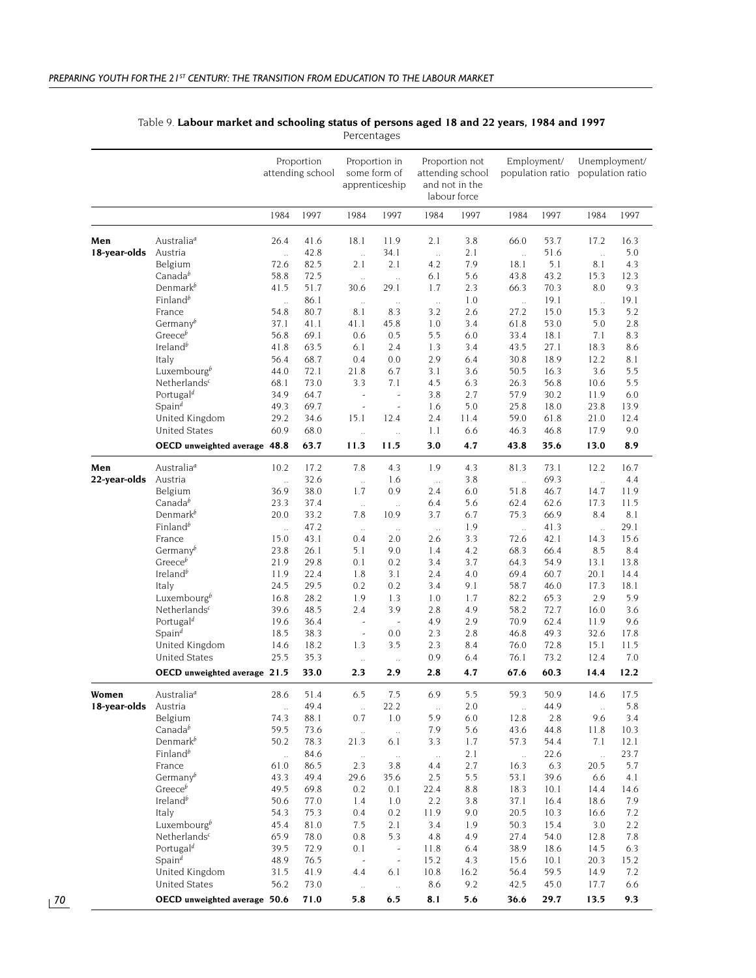|              |                                       |           | Proportion<br>attending school |                          | Proportion in<br>some form of<br>apprenticeship |                     | Proportion not<br>attending school<br>and not in the<br>labour force |           | Employment/<br>population ratio | population ratio | Unemployment/ |
|--------------|---------------------------------------|-----------|--------------------------------|--------------------------|-------------------------------------------------|---------------------|----------------------------------------------------------------------|-----------|---------------------------------|------------------|---------------|
|              |                                       | 1984      | 1997                           | 1984                     | 1997                                            | 1984                | 1997                                                                 | 1984      | 1997                            | 1984             | 1997          |
| Men          | Australia <sup>a</sup>                | 26.4      | 41.6                           | 18.1                     | 11.9                                            | 2.1                 | 3.8                                                                  | 66.0      | 53.7                            | 17.2             | 16.3          |
| 18-year-olds | Austria                               | $\ddotsc$ | 42.8                           | $\bar{\mathcal{A}}$      | 34.1                                            | $\ldots$            | 2.1                                                                  | $\ldots$  | 51.6                            | $\ldots$         | 5.0           |
|              | Belgium                               | 72.6      | 82.5                           | 2.1                      | 2.1                                             | 4.2                 | 7.9                                                                  | 18.1      | 5.1                             | 8.1              | 4.3           |
|              | Canada <sup>b</sup>                   | 58.8      | 72.5                           | $\ldots$                 | $\ddotsc$                                       | 6.1                 | 5.6                                                                  | 43.8      | 43.2                            | 15.3             | 12.3          |
|              | Denmark <sup>b</sup>                  | 41.5      | 51.7                           | 30.6                     | 29.1                                            | 1.7                 | 2.3                                                                  | 66.3      | 70.3                            | 8.0              | 9.3           |
|              | Finland <sup>b</sup>                  | $\ddotsc$ | 86.1                           | $\ddot{\phantom{a}}$     | $\ddotsc$                                       | $\ddotsc$           | 1.0                                                                  | $\ldots$  | 19.1                            | $\ddotsc$        | 19.1          |
|              | France                                | 54.8      | 80.7                           | 8.1                      | 8.3                                             | 3.2                 | 2.6                                                                  | 27.2      | 15.0                            | 15.3             | 5.2           |
|              | Germany <sup>b</sup>                  | 37.1      | 41.1                           | 41.1                     | 45.8                                            | 1.0                 | 3.4                                                                  | 61.8      | 53.0                            | 5.0              | 2.8           |
|              | Greece $^b$                           | 56.8      | 69.1                           | 0.6                      | 0.5                                             | 5.5                 | 6.0                                                                  | 33.4      | 18.1                            | 7.1              | 8.3           |
|              | Ireland <sup>b</sup>                  | 41.8      | 63.5                           | 6.1                      | 2.4                                             | 1.3                 | 3.4                                                                  | 43.5      | 27.1                            | 18.3             | 8.6           |
|              | Italy                                 | 56.4      | 68.7                           | 0.4                      | 0.0                                             | 2.9                 | 6.4                                                                  | 30.8      | 18.9                            | 12.2             | 8.1           |
|              | Luxembourg <sup>b</sup>               | 44.0      | 72.1                           | 21.8                     | 6.7                                             | 3.1                 | 3.6                                                                  | 50.5      | 16.3                            | 3.6              | 5.5           |
|              | Netherlands <sup>c</sup>              | 68.1      | 73.0                           | 3.3                      | 7.1                                             | 4.5                 | 6.3                                                                  | 26.3      | 56.8                            | 10.6             | 5.5           |
|              | Portugal <sup>d</sup>                 | 34.9      | 64.7                           | $\overline{\phantom{a}}$ | $\omega$                                        | 3.8                 | 2.7                                                                  | 57.9      | 30.2                            | 11.9             | 6.0           |
|              | Spin <sup>d</sup>                     | 49.3      | 69.7                           | $\tilde{\phantom{a}}$    | $\overline{\phantom{a}}$                        | 1.6                 | 5.0                                                                  | 25.8      | 18.0                            | 23.8             | 13.9          |
|              | United Kingdom                        | 29.2      | 34.6                           | 15.1                     | 12.4                                            | 2.4                 | 11.4                                                                 | 59.0      | 61.8                            | 21.0             | 12.4          |
|              | <b>United States</b>                  | 60.9      | 68.0                           | $\ddotsc$                | $\ddotsc$                                       | 1.1                 | 6.6                                                                  | 46.3      | 46.8                            | 17.9             | 9.0           |
|              | OECD unweighted average 48.8          |           | 63.7                           | 11.3                     | 11.5                                            | 3.0                 | 4.7                                                                  | 43.8      | 35.6                            | 13.0             | 8.9           |
| Men          | Australia <sup>a</sup>                | 10.2      | 17.2                           | 7.8                      | 4.3                                             | 1.9                 | 4.3                                                                  | 81.3      | 73.1                            | 12.2             | 16.7          |
| 22-year-olds | Austria                               | $\ldots$  | 32.6                           | $\ddotsc$                | 1.6                                             | $\ldots$            | 3.8                                                                  | $\ldots$  | 69.3                            | $\ldots$         | 4.4           |
|              | Belgium                               | 36.9      | 38.0                           | 1.7                      | 0.9                                             | 2.4                 | 6.0                                                                  | 51.8      | 46.7                            | 14.7             | 11.9          |
|              | Canada $\iota$                        | 23.3      | 37.4                           | $\ldots$                 | $\ddotsc$                                       | 6.4                 | 5.6                                                                  | 62.4      | 62.6                            | 17.3             | 11.5          |
|              | Denmark <sup>b</sup>                  | 20.0      | 33.2                           | 7.8                      | 10.9                                            | 3.7                 | 6.7                                                                  | 75.3      | 66.9                            | 8.4              | 8.1           |
|              | Finland <sup>b</sup>                  | $\ddotsc$ | 47.2                           | $\ldots$                 | $\ddotsc$                                       | $\ddotsc$           | 1.9                                                                  | $\ddotsc$ | 41.3                            | $\ldots$         | 29.1          |
|              | France                                | 15.0      | 43.1                           | 0.4                      | 2.0                                             | 2.6                 | 3.3                                                                  | 72.6      | 42.1                            | 14.3             | 15.6          |
|              | Germany <sup>b</sup>                  | 23.8      | 26.1                           | 5.1                      | 9.0                                             | 1.4                 | 4.2                                                                  | 68.3      | 66.4                            | 8.5              | 8.4           |
|              | Greece <sup>b</sup>                   | 21.9      | 29.8                           | 0.1                      | 0.2                                             | 3.4                 | 3.7                                                                  | 64.3      | 54.9                            | 13.1             | 13.8          |
|              | Ireland <sup>b</sup>                  | 11.9      | 22.4                           | 1.8                      | 3.1                                             | 2.4                 | 4.0                                                                  | 69.4      | 60.7                            | 20.1             | 14.4          |
|              | Italy                                 | 24.5      | 29.5                           | 0.2                      | 0.2                                             | 3.4                 | 9.1                                                                  | 58.7      | 46.0                            | 17.3             | 18.1          |
|              | Luxembourg <sup>b</sup>               | 16.8      | 28.2                           | 1.9                      | 1.3                                             | 1.0                 | 1.7                                                                  | 82.2      | 65.3                            | 2.9              | 5.9           |
|              | Netherlands <sup><math>c</math></sup> | 39.6      | 48.5                           | 2.4                      | 3.9                                             | 2.8                 | 4.9                                                                  | 58.2      | 72.7                            | 16.0             | 3.6           |
|              | Portugal <sup>d</sup>                 | 19.6      | 36.4                           | $\tilde{\phantom{a}}$    | $\overline{\phantom{a}}$                        | 4.9                 | 2.9                                                                  | 70.9      | 62.4                            | 11.9             | 9.6           |
|              | Spin <sup>d</sup>                     | 18.5      | 38.3                           | $\tilde{\phantom{a}}$    | 0.0                                             | 2.3                 | 2.8                                                                  | 46.8      | 49.3                            | 32.6             | 17.8          |
|              | United Kingdom                        | 14.6      | 18.2                           | 1.3                      | 3.5                                             | 2.3                 | 8.4                                                                  | 76.0      | 72.8                            | 15.1             | 11.5          |
|              | <b>United States</b>                  | 25.5      | 35.3                           | $\ddotsc$                | $\ldots$                                        | 0.9                 | 6.4                                                                  | 76.1      | 73.2                            | 12.4             | 7.0           |
|              | OECD unweighted average 21.5          |           | 33.0                           | 2.3                      | 2.9                                             | 2.8                 | 4.7                                                                  | 67.6      | 60.3                            | 14.4             | 12.2          |
| Women        | Australia <sup>a</sup>                | 28.6      | 51.4                           | 6.5                      | 7.5                                             | 6.9                 | 5.5                                                                  | 59.3      | 50.9                            | 14.6             | 17.5          |
| 18-year-olds | Austria                               | $\ldots$  | 49.4                           | $\ldots$                 | 22.2                                            | $\bar{\mathcal{A}}$ | 2.0                                                                  | $\ldots$  | 44.9                            | $\ddotsc$        | 5.8           |
|              | Belgium                               | 74.3      | 88.1                           | 0.7                      | 1.0                                             | 5.9                 | $6.0\,$                                                              | 12.8      | 2.8                             | 9.6              | 3.4           |
|              | Canada $^b$                           | 59.5      | 73.6                           | $\mathcal{A}$            | $\ddotsc$                                       | 7.9                 | 5.6                                                                  | 43.6      | 44.8                            | 11.8             | 10.3          |
|              | Denmark <sup>b</sup>                  | 50.2      | 78.3                           | 21.3                     | 6.1                                             | 3.3                 | 1.7                                                                  | 57.3      | 54.4                            | 7.1              | 12.1          |
|              | Finland <sup>b</sup>                  | $\ldots$  | 84.6                           | $\ldots$                 | $\ddotsc$                                       | $\bar{\mathcal{A}}$ | 2.1                                                                  | $\ldots$  | 22.6                            | $\ddotsc$        | 23.7          |
|              | France                                | 61.0      | 86.5                           | 2.3                      | 3.8                                             | 4.4                 | 2.7                                                                  | 16.3      | 6.3                             | 20.5             | 5.7           |
|              | Germany $\ell$                        | 43.3      | 49.4                           | 29.6                     | 35.6                                            | 2.5                 | 5.5                                                                  | 53.1      | 39.6                            | 6.6              | 4.1           |
|              | Greece $^b$                           | 49.5      | 69.8                           | 0.2                      | 0.1                                             | 22.4                | $8.8\,$                                                              | 18.3      | 10.1                            | 14.4             | 14.6          |
|              | Ireland <sup>b</sup>                  | 50.6      | 77.0                           | 1.4                      | 1.0                                             | 2.2                 | $3.8$                                                                | 37.1      | 16.4                            | 18.6             | 7.9           |
|              | Italy                                 | 54.3      | 75.3                           | 0.4                      | 0.2                                             | 11.9                | 9.0                                                                  | 20.5      | 10.3                            | 16.6             | 7.2           |
|              | Luxembourg <sup>b</sup>               | 45.4      | 81.0                           | 7.5                      | 2.1                                             | 3.4                 | 1.9                                                                  | 50.3      | 15.4                            | $3.0\,$          | 2.2           |
|              | Netherlands <sup>c</sup>              | 65.9      | 78.0                           | $0.8\,$                  | 5.3                                             | 4.8                 | 4.9                                                                  | 27.4      | 54.0                            | 12.8             | $7.8\,$       |
|              | Portugal <sup>d</sup>                 | 39.5      | 72.9                           | 0.1                      | $\overline{\phantom{a}}$                        | 11.8                | 6.4                                                                  | 38.9      | 18.6                            | 14.5             | 6.3           |
|              | Spin <sup>d</sup>                     | 48.9      | 76.5                           | $\overline{\phantom{a}}$ | $\overline{\phantom{a}}$                        | 15.2                | 4.3                                                                  | 15.6      | 10.1                            | 20.3             | 15.2          |
|              | United Kingdom                        | 31.5      | 41.9                           | 4.4                      | 6.1                                             | 10.8                | 16.2                                                                 | 56.4      | 59.5                            | 14.9             | 7.2           |
|              | <b>United States</b>                  | 56.2      | 73.0                           | $\ddotsc$                | $\ldots$                                        | 8.6                 | 9.2                                                                  | 42.5      | 45.0                            | 17.7             | 6.6           |
|              | OECD unweighted average 50.6          |           | $71.0\,$                       | 5.8                      | $6.5\,$                                         | 8.1                 | $5.6$                                                                | 36.6      | 29.7                            | 13.5             | 9.3           |

# Table 9. **Labour market and schooling status of persons aged 18 and 22 years, 1984 and 1997**

Percentages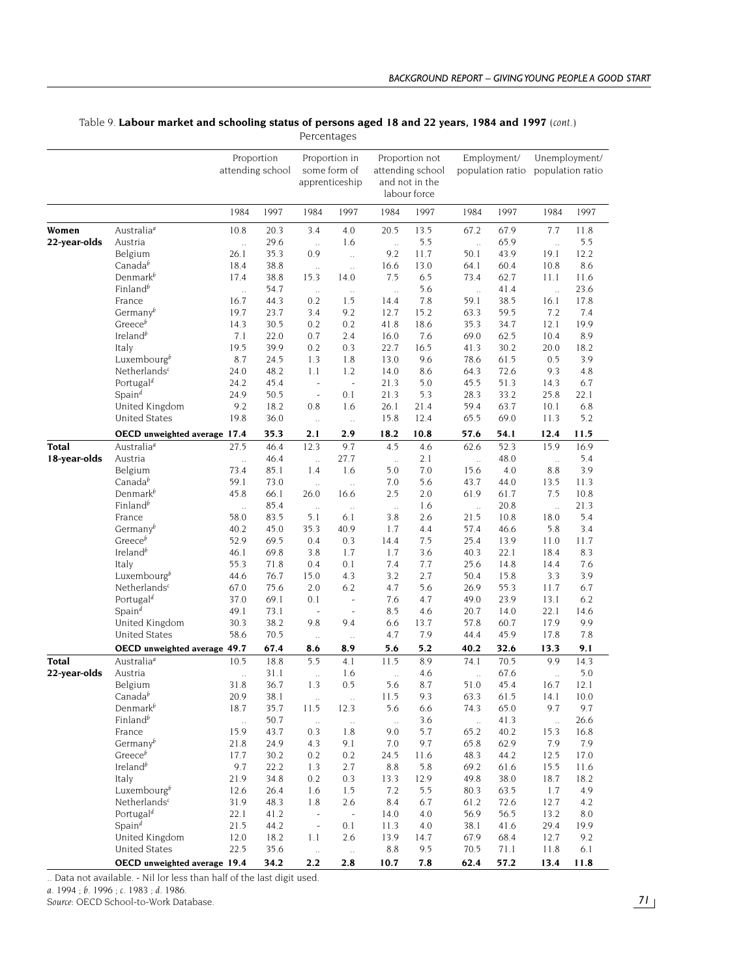|              |                                        | Proportion<br>attending school |              |                          | Proportion in<br>some form of<br>apprenticeship |                  | Proportion not<br>attending school<br>and not in the<br>labour force |                  | Employment/<br>population ratio |                      | Unemployment/<br>population ratio |
|--------------|----------------------------------------|--------------------------------|--------------|--------------------------|-------------------------------------------------|------------------|----------------------------------------------------------------------|------------------|---------------------------------|----------------------|-----------------------------------|
|              |                                        | 1984                           | 1997         | 1984                     | 1997                                            | 1984             | 1997                                                                 | 1984             | 1997                            | 1984                 | 1997                              |
| Women        | Australia <sup>a</sup>                 | 10.8                           | 20.3         | 3.4                      | 4.0                                             | 20.5             | 13.5                                                                 | 67.2             | 67.9                            | 7.7                  | 11.8                              |
| 22-year-olds | Austria                                | $\ddotsc$                      | 29.6         | $\ldots$                 | 1.6                                             | $\ldots$         | 5.5                                                                  | $\ldots$         | 65.9                            | $\ldots$             | 5.5                               |
|              | Belgium                                | 26.1                           | 35.3         | 0.9                      | $\ddotsc$                                       | 9.2              | 11.7                                                                 | 50.1             | 43.9                            | 19.1                 | 12.2                              |
|              | Canada <sup>b</sup>                    | 18.4                           | 38.8         | $\ldots$                 | $\ddotsc$                                       | 16.6             | 13.0                                                                 | 64.1             | 60.4                            | 10.8                 | 8.6                               |
|              | Denmark <sup>b</sup>                   | 17.4                           | 38.8         | 15.3                     | 14.0                                            | 7.5              | 6.5                                                                  | 73.4             | 62.7                            | 11.1                 | 11.6                              |
|              | Finland <sup>b</sup>                   | $\ddotsc$                      | 54.7         | $\ldots$                 | $\ddotsc$                                       | $\ddotsc$        | 5.6                                                                  | $\ddotsc$        | 41.4                            | $\ldots$             | 23.6                              |
|              | France                                 | 16.7                           | 44.3         | 0.2                      | 1.5                                             | 14.4             | 7.8                                                                  | 59.1             | 38.5                            | 16.1                 | 17.8                              |
|              | Germany $\theta$                       | 19.7                           | 23.7         | 3.4                      | 9.2                                             | 12.7             | 15.2                                                                 | 63.3             | 59.5                            | 7.2                  | 7.4                               |
|              | Greece $^b$                            | 14.3                           | 30.5         | 0.2                      | 0.2                                             | 41.8             | 18.6                                                                 | 35.3             | 34.7                            | 12.1                 | 19.9                              |
|              | Ireland <sup>b</sup>                   | 7.1                            | 22.0         | 0.7                      | 2.4                                             | 16.0             | 7.6                                                                  | 69.0             | 62.5                            | 10.4                 | 8.9                               |
|              | Italy                                  | 19.5                           | 39.9         | 0.2                      | 0.3                                             | 22.7             | 16.5                                                                 | 41.3             | 30.2                            | 20.0                 | 18.2                              |
|              | Luxembourg <sup>b</sup>                | 8.7                            | 24.5         | 1.3                      | 1.8                                             | 13.0             | 9.6                                                                  | 78.6             | 61.5                            | 0.5                  | 3.9                               |
|              | Netherlands <sup>c</sup>               | 24.0                           | 48.2         | 1.1                      | 1.2                                             | 14.0             | 8.6                                                                  | 64.3             | 72.6                            | 9.3                  | 4.8                               |
|              | Portugal <sup>d</sup>                  | 24.2                           | 45.4         | $\sim$                   | $\overline{\phantom{a}}$                        | 21.3             | 5.0                                                                  | 45.5             | 51.3                            | 14.3                 | 6.7                               |
|              | Spin <sup>d</sup>                      | 24.9<br>9.2                    | 50.5<br>18.2 | $\bar{\phantom{a}}$      | 0.1                                             | 21.3             | 5.3                                                                  | 28.3             | 33.2<br>63.7                    | 25.8                 | 22.1                              |
|              | United Kingdom<br><b>United States</b> | 19.8                           | 36.0         | 0.8                      | 1.6                                             | 26.1<br>15.8     | 21.4<br>12.4                                                         | 59.4             | 69.0                            | 10.1<br>11.3         | 6.8<br>5.2                        |
|              |                                        |                                |              | $\ddotsc$                | $\ddotsc$                                       |                  |                                                                      | 65.5             |                                 |                      |                                   |
|              | OECD unweighted average 17.4           |                                | 35.3         | 2.1                      | 2.9                                             | 18.2             | 10.8                                                                 | 57.6             | 54.1                            | 12.4                 | 11.5                              |
| <b>Total</b> | Australia <sup>a</sup>                 | 27.5                           | 46.4         | 12.3                     | 9.7                                             | 4.5              | 4.6                                                                  | 62.6             | 52.3                            | 15.9                 | 16.9                              |
| 18-year-olds | Austria                                | $\ldots$                       | 46.4         | $\ldots$                 | 27.7                                            | $\ddotsc$        | 2.1                                                                  | $\ldots$         | 48.0                            | $\ldots$             | 5.4                               |
|              | Belgium<br>Canada $\iota$              | 73.4<br>59.1                   | 85.1         | 1.4                      | 1.6                                             | 5.0              | 7.0                                                                  | 15.6             | 4.0                             | 8.8<br>13.5          | 3.9                               |
|              | Denmark <sup>b</sup>                   | 45.8                           | 73.0         | $\ddotsc$                | $\ddotsc$                                       | 7.0<br>2.5       | 5.6<br>2.0                                                           | 43.7             | 44.0<br>61.7                    | 7.5                  | 11.3<br>10.8                      |
|              | Finland <sup>b</sup>                   |                                | 66.1<br>85.4 | 26.0                     | 16.6                                            |                  | 1.6                                                                  | 61.9             | 20.8                            |                      | 21.3                              |
|              | France                                 | $\ddotsc$<br>58.0              | 83.5         | $\ddotsc$<br>5.1         | $\ddotsc$<br>6.1                                | $\ddotsc$<br>3.8 | 2.6                                                                  | $\ldots$<br>21.5 | 10.8                            | $\ddotsc$<br>18.0    | 5.4                               |
|              | Germany $\theta$                       | 40.2                           | 45.0         | 35.3                     | 40.9                                            | 1.7              | 4.4                                                                  | 57.4             | 46.6                            | 5.8                  | 3.4                               |
|              | Greece $^b$                            | 52.9                           | 69.5         | 0.4                      | 0.3                                             | 14.4             | 7.5                                                                  | 25.4             | 13.9                            | 11.0                 | 11.7                              |
|              | Ireland <sup><math>b</math></sup>      | 46.1                           | 69.8         | 3.8                      | 1.7                                             | 1.7              | 3.6                                                                  | 40.3             | 22.1                            | 18.4                 | 8.3                               |
|              | Italy                                  | 55.3                           | 71.8         | 0.4                      | 0.1                                             | 7.4              | 7.7                                                                  | 25.6             | 14.8                            | 14.4                 | 7.6                               |
|              | Luxembourg <sup>b</sup>                | 44.6                           | 76.7         | 15.0                     | 4.3                                             | 3.2              | 2.7                                                                  | 50.4             | 15.8                            | 3.3                  | 3.9                               |
|              | Netherlands <sup>c</sup>               | 67.0                           | 75.6         | 2.0                      | 6.2                                             | 4.7              | 5.6                                                                  | 26.9             | 55.3                            | 11.7                 | 6.7                               |
|              | Portugal <sup>d</sup>                  | 37.0                           | 69.1         | 0.1                      | $\overline{\phantom{a}}$                        | 7.6              | 4.7                                                                  | 49.0             | 23.9                            | 13.1                 | 6.2                               |
|              | Spin <sup>d</sup>                      | 49.1                           | 73.1         | $\overline{\phantom{a}}$ | $\sim$                                          | 8.5              | 4.6                                                                  | 20.7             | 14.0                            | 22.1                 | 14.6                              |
|              | United Kingdom                         | 30.3                           | 38.2         | 9.8                      | 9.4                                             | 6.6              | 13.7                                                                 | 57.8             | 60.7                            | 17.9                 | 9.9                               |
|              | <b>United States</b>                   | 58.6                           | 70.5         | $\ldots$                 | $\ddotsc$                                       | 4.7              | 7.9                                                                  | 44.4             | 45.9                            | 17.8                 | 7.8                               |
|              | OECD unweighted average 49.7           |                                | 67.4         | 8.6                      | 8.9                                             | 5.6              | 5.2                                                                  | 40.2             | 32.6                            | 13.3                 | 9.1                               |
| Total        | Australia <sup>a</sup>                 | 10.5                           | 18.8         | 5.5                      | 4.1                                             | 11.5             | 8.9                                                                  | 74.1             | 70.5                            | 9.9                  | 14.3                              |
| 22-year-olds | Austria                                | $\ddotsc$                      | 31.1         | $\ldots$                 | 1.6                                             | $\ddotsc$        | 4.6                                                                  | $\ddotsc$        | 67.6                            | $\ldots$             | 5.0                               |
|              | Belgium                                | 31.8                           | 36.7         | 1.3                      | 0.5                                             | 5.6              | 8.7                                                                  | 51.0             | 45.4                            | 16.7                 | 12.1                              |
|              | Canada $^b$                            | 20.9                           | 38.1         |                          |                                                 | 11.5             | 9.3                                                                  | 63.3             | 61.5                            | 14.1                 | 10.0                              |
|              | Denmark <sup>b</sup>                   | 18.7                           | 35.7         | 11.5                     | 12.3                                            | 5.6              | 6.6                                                                  | 74.3             | 65.0                            | 9.7                  | 9.7                               |
|              | Finland <sup>b</sup>                   | $\ddotsc$                      | 50.7         | $\ldots$                 | $\ldots$                                        | $\ddotsc$        | 3.6                                                                  | $\ddotsc$        | 41.3                            | $\ddot{\phantom{0}}$ | 26.6                              |
|              | France                                 | 15.9                           | 43.7         | 0.3                      | 1.8                                             | 9.0              | 5.7                                                                  | 65.2             | 40.2                            | 15.3                 | 16.8                              |
|              | Germany <sup>b</sup>                   | 21.8                           | 24.9         | 4.3                      | 9.1                                             | 7.0              | 9.7                                                                  | 65.8             | 62.9                            | 7.9                  | 7.9                               |
|              | $Greeze^b$                             | 17.7                           | 30.2         | 0.2                      | 0.2                                             | 24.5             | 11.6                                                                 | 48.3             | 44.2                            | 12.5                 | 17.0                              |
|              | Ireland <sup>b</sup>                   | 9.7                            | 22.2         | 1.3                      | 2.7                                             | 8.8              | 5.8                                                                  | 69.2             | 61.6                            | 15.5                 | 11.6                              |
|              | Italy                                  | 21.9                           | 34.8         | 0.2                      | 0.3                                             | 13.3             | 12.9                                                                 | 49.8             | 38.0                            | 18.7                 | 18.2                              |
|              | Luxembourg <sup>b</sup>                | 12.6                           | 26.4         | 1.6                      | 1.5                                             | 7.2              | 5.5                                                                  | 80.3             | 63.5                            | 1.7                  | 4.9                               |
|              | Netherlands <sup>c</sup>               | 31.9                           | 48.3         | 1.8                      | 2.6                                             | 8.4              | 6.7                                                                  | 61.2             | 72.6                            | 12.7                 | 4.2                               |
|              | Portugal <sup>d</sup>                  | 22.1                           | 41.2         | $\tilde{\phantom{a}}$    | $\overline{\phantom{a}}$                        | 14.0             | $4.0\,$                                                              | 56.9             | 56.5                            | 13.2                 | $8.0\,$                           |
|              | Spin <sup>d</sup>                      | 21.5                           | 44.2         | $\overline{\phantom{a}}$ | 0.1                                             | 11.3             | 4.0                                                                  | 38.1             | 41.6                            | 29.4                 | 19.9                              |
|              | United Kingdom                         | 12.0                           | 18.2         | 1.1                      | 2.6                                             | 13.9             | 14.7                                                                 | 67.9             | 68.4                            | 12.7                 | 9.2                               |
|              | <b>United States</b>                   | 22.5                           | 35.6         | $\ldots$                 | $\ddots$                                        | $8.8\,$          | 9.5                                                                  | 70.5             | 71.1                            | 11.8                 | 6.1                               |
|              | OECD unweighted average 19.4           |                                | 34.2         | $2.2\,$                  | $\mathbf{2.8}$                                  | 10.7             | $\bf 7.8$                                                            | 62.4             | 57.2                            | 13.4                 | 11.8                              |

## Table 9. **Labour market and schooling status of persons aged 18 and 22 years, 1984 and 1997** *(cont.)* **Percentages**

.. Data not available. - Nil lor less than half of the last digit used.

*a.* 1994 ; *b.* 1996 ; *c.* 1983 ; *d.* 1986.

*Source*: OECD School-to-Work Database.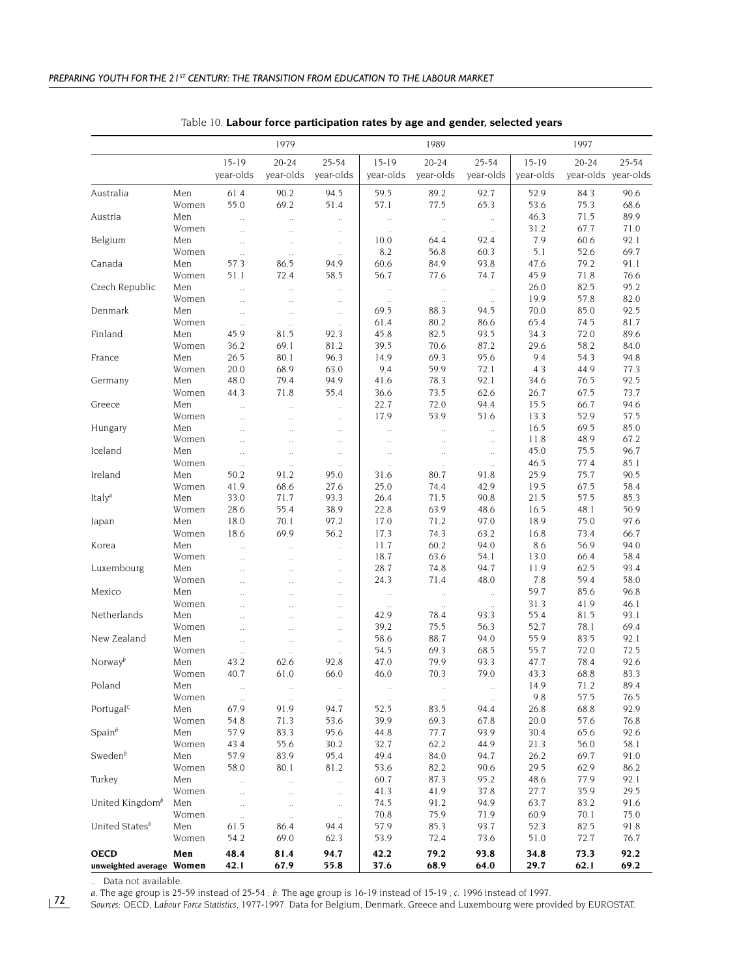|                                           |              |                      | 1979                 |                     |               | 1989                 |                      |              | 1997         |                     |
|-------------------------------------------|--------------|----------------------|----------------------|---------------------|---------------|----------------------|----------------------|--------------|--------------|---------------------|
|                                           |              | $15-19$              | $20 - 24$            | $25 - 54$           | $15 - 19$     | $20 - 24$            | $25 - 54$            | $15 - 19$    | $20 - 24$    | $25 - 54$           |
|                                           |              | year-olds            | year-olds            | year-olds           | year-olds     | year-olds            | year-olds            | year-olds    |              | year-olds year-olds |
| Australia                                 | Men          | 61.4                 | 90.2                 | 94.5                | 59.5          | 89.2                 | 92.7                 | 52.9         | 84.3         | 90.6                |
|                                           | Women        | 55.0                 | 69.2                 | 51.4                | 57.1          | 77.5                 | 65.3                 | 53.6         | 75.3         | 68.6                |
| Austria                                   | Men          | $\ddotsc$            | $\ddotsc$            | $\ddotsc$           | $\ldots$      | $\ldots$             | $\sim$ $\sim$        | 46.3         | 71.5         | 89.9                |
|                                           | Women        | $\ddotsc$            | $\ddotsc$            | $\ldots$            | $\ldots$      | $\ldots$             | $\ldots$             | 31.2         | 67.7         | 71.0                |
| Belgium                                   | Men          | $\ddot{\phantom{a}}$ | $\ddotsc$            | $\ldots$            | 10.0          | 64.4                 | 92.4                 | 7.9          | 60.6         | 92.1                |
|                                           | Women        | $\ddot{\phantom{a}}$ | $\ldots$             | $\bar{\mathcal{A}}$ | 8.2           | 56.8                 | 60.3                 | 5.1          | 52.6         | 69.7                |
| Canada                                    | Men          | 57.3                 | 86.5                 | 94.9                | 60.6          | 84.9                 | 93.8                 | 47.6         | 79.2         | 91.1                |
|                                           | Women        | 51.1                 | 72.4                 | 58.5                | 56.7          | 77.6                 | 74.7                 | 45.9         | 71.8         | 76.6                |
| Czech Republic                            | Men          | $\ddotsc$            | $\ddotsc$            | $\ldots$            | $\sim$ .      | $\ddotsc$            | $\sim$               | 26.0         | 82.5         | 95.2                |
|                                           | Women        | $\ldots$             | $\ddotsc$            | $\ldots$            | $\ldots$      | $\sim$               | $\ldots$             | 19.9         | 57.8         | 82.0                |
| Denmark                                   | Men          | $\ddotsc$            | $\ddotsc$            | $\ldots$            | 69.5          | 88.3                 | 94.5                 | 70.0         | 85.0         | 92.5                |
|                                           | Women        | $\sim$               | $\ddot{\phantom{0}}$ | $\ldots$            | 61.4          | 80.2                 | 86.6                 | 65.4         | 74.5         | 81.7                |
| Finland                                   | Men          | 45.9                 | 81.5                 | 92.3                | 45.8          | 82.5                 | 93.5                 | 34.3         | 72.0         | 89.6                |
|                                           | Women        | 36.2                 | 69.1                 | 81.2                | 39.5          | 70.6                 | 87.2                 | 29.6         | 58.2         | 84.0                |
| France                                    | Men          | 26.5                 | 80.1                 | 96.3                | 14.9          | 69.3                 | 95.6                 | 9.4          | 54.3         | 94.8                |
|                                           | Women        | 20.0                 | 68.9                 | 63.0                | 9.4           | 59.9                 | 72.1                 | 4.3          | 44.9         | 77.3                |
| Germany                                   | Men          | 48.0                 | 79.4                 | 94.9                | 41.6          | 78.3                 | 92.1                 | 34.6         | 76.5         | 92.5                |
|                                           | Women        | 44.3                 | 71.8                 | 55.4                | 36.6          | 73.5                 | 62.6                 | 26.7         | 67.5         | 73.7                |
| Greece                                    | Men          | $\ddotsc$            | $\ddot{\phantom{a}}$ | $\ddotsc$           | 22.7          | 72.0                 | 94.4                 | 15.5         | 66.7         | 94.6                |
|                                           | Women        | $\ddotsc$            | $\ddotsc$            | $\ddotsc$           | 17.9          | 53.9                 | 51.6                 | 13.3         | 52.9         | 57.5                |
| Hungary                                   | Men          |                      | $\ddot{\phantom{a}}$ | $\ddotsc$           | $\ddotsc$     | $\ddot{\phantom{a}}$ | $\ddot{\phantom{a}}$ | 16.5         | 69.5         | 85.0                |
| Iceland                                   | Women        | $\ddotsc$            | $\ddotsc$            | $\ldots$            | $\ldots$      | $\ddotsc$            | $\ldots$             | 11.8         | 48.9         | 67.2                |
|                                           | Men          | $\ddotsc$            | $\ddotsc$            | $\ldots$            | $\ldots$      | $\ldots$             | $\ldots$             | 45.0         | 75.5         | 96.7                |
| Ireland                                   | Women        | $\sim$ 10 $\,$       | $\ddotsc$            | $\ddotsc$           | $\ldots$      | $\ldots$             | $\ldots$             | 46.5<br>25.9 | 77.4<br>75.7 | 85.1<br>90.5        |
|                                           | Men<br>Women | 50.2<br>41.9         | 91.2<br>68.6         | 95.0<br>27.6        | 31.6<br>25.0  | 80.7<br>74.4         | 91.8<br>42.9         | 19.5         | 67.5         | 58.4                |
| Italy <sup>a</sup>                        | Men          | 33.0                 | 71.7                 | 93.3                | 26.4          | 71.5                 | 90.8                 | 21.5         | 57.5         | 85.3                |
|                                           | Women        | 28.6                 | 55.4                 | 38.9                | 22.8          | 63.9                 | 48.6                 | 16.5         | 48.1         | 50.9                |
| Japan                                     | Men          | 18.0                 | 70.1                 | 97.2                | 17.0          | 71.2                 | 97.0                 | 18.9         | 75.0         | 97.6                |
|                                           | Women        | 18.6                 | 69.9                 | 56.2                | 17.3          | 74.3                 | 63.2                 | 16.8         | 73.4         | 66.7                |
| Korea                                     | Men          | $\ddotsc$            | $\ddotsc$            | $\ldots$            | 11.7          | 60.2                 | 94.0                 | 8.6          | 56.9         | 94.0                |
|                                           | Women        | $\ddotsc$            | $\ddotsc$            | $\ddotsc$           | 18.7          | 63.6                 | 54.1                 | 13.0         | 66.4         | 58.4                |
| Luxembourg                                | Men          |                      |                      | $\ddotsc$           | 28.7          | 74.8                 | 94.7                 | 11.9         | 62.5         | 93.4                |
|                                           | Women        | $\ddotsc$            | $\ddotsc$            | $\ddotsc$           | 24.3          | 71.4                 | 48.0                 | 7.8          | 59.4         | 58.0                |
| Mexico                                    | Men          | $\ddot{\phantom{a}}$ |                      | $\ddotsc$           | $\sim$ $\sim$ | $\ldots$             | $\sim$ $\sim$        | 59.7         | 85.6         | 96.8                |
|                                           | Women        | $\ddotsc$            |                      | $\ddotsc$           | $\sim$        | $\ldots$             | $\ldots$             | 31.3         | 41.9         | 46.1                |
| Netherlands                               | Men          | $\ddotsc$            | $\ddotsc$            | $\ddotsc$           | 42.9          | 78.4                 | 93.3                 | 55.4         | 81.5         | 93.1                |
|                                           | Women        | $\ddotsc$            | $\ddotsc$            | $\ddotsc$           | 39.2          | 75.5                 | 56.3                 | 52.7         | 78.1         | 69.4                |
| New Zealand                               | Men          | $\ddotsc$            | $\ddotsc$            | $\ddotsc$           | 58.6          | 88.7                 | 94.0                 | 55.9         | 83.5         | 92.1                |
|                                           | Women        | $\ldots$             | $\ddotsc$            | $\ddotsc$           | 54.5          | 69.3                 | 68.5                 | 55.7         | 72.0         | 72.5                |
| Norway <sup><math>\mathbf{b}</math></sup> | Men          | 43.2                 | 62.6                 | 92.8                | 47.0          | 79.9                 | 93.3                 | 47.7         | 78.4         | 92.6                |
|                                           | Women        | 40.7                 | 61.0                 | 66.0                | 46.0          | 70.3                 | 79.0                 | 43.3         | 68.8         | 83.3                |
| Poland                                    | Men          |                      |                      |                     |               |                      |                      | 14.9         | 71.2         | 89.4                |
|                                           | Women        | $\sim$ $\sim$        | $\ldots$             | $\cdot$ .           | $\cdot$ .     | $\sim$ $\sim$        | $\ldots$             | 9.8          | 57.5         | 76.5                |
| Portugal <sup>c</sup>                     | Men          | 67.9                 | 91.9                 | 94.7                | 52.5          | 83.5                 | 94.4                 | 26.8         | 68.8         | 92.9                |
|                                           | Women        | 54.8                 | 71.3                 | 53.6                | 39.9          | 69.3                 | 67.8                 | 20.0         | 57.6         | 76.8                |
| Spain $^b$                                | Men          | 57.9                 | 83.3                 | 95.6                | 44.8          | 77.7                 | 93.9                 | 30.4         | 65.6         | 92.6                |
|                                           | Women        | 43.4                 | 55.6                 | 30.2                | 32.7          | 62.2                 | 44.9                 | 21.3         | 56.0         | 58.1                |
| Sweden <sup>b</sup>                       | Men          | 57.9                 | 83.9                 | 95.4                | 49.4          | 84.0                 | 94.7                 | 26.2         | 69.7         | 91.0                |
|                                           | Women        | 58.0                 | 80.1                 | 81.2                | 53.6          | 82.2                 | 90.6                 | 29.5         | 62.9         | 86.2                |
| Turkey                                    | Men          | $\ddotsc$            | $\ddotsc$            | $\ddotsc$           | 60.7          | 87.3                 | 95.2                 | 48.6         | 77.9         | 92.1                |
|                                           | Women        | $\ddotsc$            | $\ldots$             | $\ldots$            | 41.3          | 41.9                 | 37.8                 | 27.7         | 35.9         | 29.5                |
| United Kingdom <sup>b</sup>               | Men          | $\ldots$             | $\ldots$             | $\bar{\mathcal{A}}$ | 74.5          | 91.2                 | 94.9                 | 63.7         | 83.2         | 91.6                |
|                                           | Women        | $\sim$ .             | $\sim$               | $\ldots$            | 70.8          | 75.9                 | 71.9                 | 60.9         | 70.1         | 75.0                |
| United States <sup>b</sup>                | Men          | 61.5                 | 86.4                 | 94.4                | 57.9          | 85.3                 | 93.7                 | 52.3         | 82.5         | 91.8                |
|                                           | Women        | 54.2                 | 69.0                 | 62.3                | 53.9          | 72.4                 | 73.6                 | 51.0         | 72.7         | 76.7                |
| <b>OECD</b><br>unweighted average Women   | Men          | 48.4<br>42.1         | 81.4<br>67.9         | 94.7<br>55.8        | 42.2<br>37.6  | 79.2<br>68.9         | 93.8<br>64.0         | 34.8<br>29.7 | 73.3<br>62.1 | 92.2<br>69.2        |

| Table 10. Labour force participation rates by age and gender, selected years |  |  |  |  |
|------------------------------------------------------------------------------|--|--|--|--|
|------------------------------------------------------------------------------|--|--|--|--|

.. Data not available.

*a.* The age group is 25-59 instead of 25-54 ; *b.* The age group is 16-19 instead of 15-19 ; *c.* 1996 instead of 1997.

*Sources*: OECD, *Labour Force Statistics*, *1977-1997*. Data for Belgium, Denmark, Greece and Luxembourg were provided by EUROSTAT.

*72*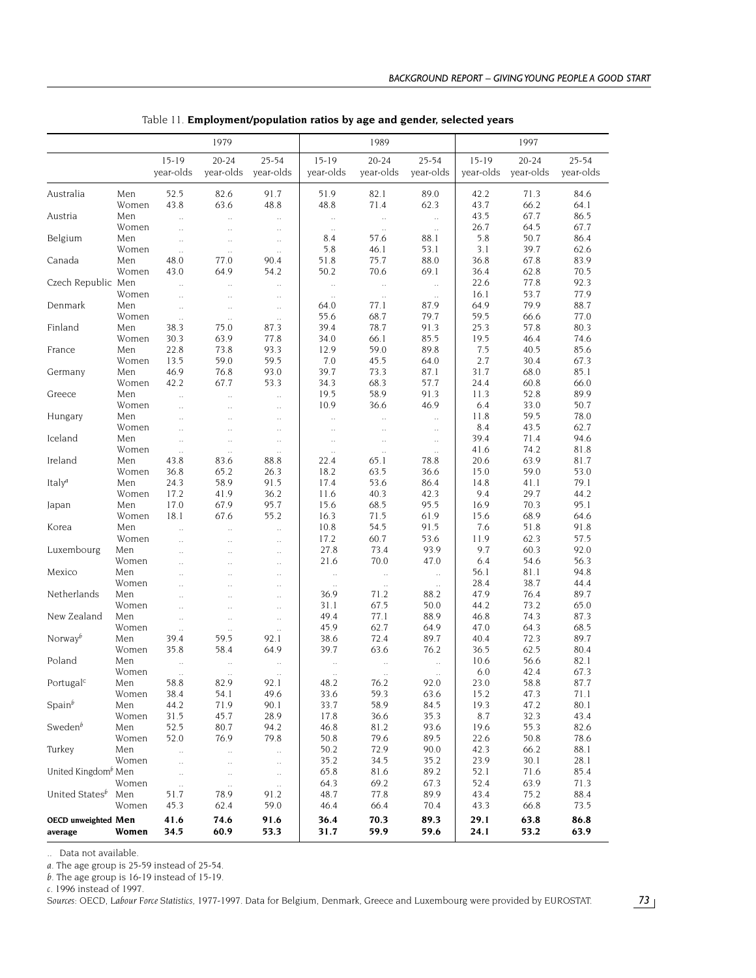|                                                                  |              |                        | 1979                |                        |                  | 1989             |                  |                     | 1997         |              |
|------------------------------------------------------------------|--------------|------------------------|---------------------|------------------------|------------------|------------------|------------------|---------------------|--------------|--------------|
|                                                                  |              | $15-19$                | $20 - 24$           | $25 - 54$              | $15 - 19$        | $20 - 24$        | $25 - 54$        | $15 - 19$           | $20 - 24$    | $25 - 54$    |
|                                                                  |              | year-olds              | year-olds year-olds |                        | year-olds        | vear-olds        | year-olds        | year-olds year-olds |              | year-olds    |
|                                                                  |              |                        |                     |                        |                  |                  |                  |                     |              |              |
| Australia                                                        | Men          | 52.5                   | 82.6                | 91.7                   | 51.9             | 82.1             | 89.0             | 42.2                | 71.3         | 84.6         |
|                                                                  | Women        | 43.8                   | 63.6                | 48.8                   | 48.8             | 71.4             | 62.3             | 43.7                | 66.2         | 64.1         |
| Austria                                                          | Men          | $\ldots$               | $\ddotsc$           | $\ddotsc$              | $\ldots$         | $\ddotsc$        | $\sim$ $\sim$    | 43.5                | 67.7         | 86.5         |
|                                                                  | Women        | $\bar{\mathcal{L}}$    | $\ldots$            | $\ldots$               | $\ldots$         | $\ddotsc$        | $\ldots$         | 26.7                | 64.5         | 67.7         |
| Belgium                                                          | Men          | $\ddotsc$              | $\ddotsc$           | $\ldots$               | 8.4              | 57.6             | 88.1             | 5.8                 | 50.7         | 86.4         |
| Canada                                                           | Women        | $\ddotsc$              | $\ddots$            | $\ldots$               | 5.8              | 46.1             | 53.1             | 3.1                 | 39.7         | 62.6         |
|                                                                  | Men<br>Women | 48.0<br>43.0           | 77.0<br>64.9        | 90.4                   | 51.8<br>50.2     | 75.7<br>70.6     | 88.0<br>69.1     | 36.8<br>36.4        | 67.8<br>62.8 | 83.9<br>70.5 |
| Czech Republic Men                                               |              |                        |                     | 54.2                   |                  |                  |                  | 22.6                | 77.8         | 92.3         |
|                                                                  | Women        | $\ldots$               | $\ddotsc$           | $\ldots$               | $\ldots$         | $\ldots$         | $\sim$ $\sim$    | 16.1                | 53.7         | 77.9         |
| Denmark                                                          | Men          | $\bar{\mathcal{A}}$    | $\ddotsc$           | $\ddotsc$              | $\ldots$<br>64.0 | $\ldots$<br>77.1 | $\ldots$<br>87.9 | 64.9                | 79.9         | 88.7         |
|                                                                  | Women        | $\ddotsc$<br>$\ldots$  | $\ldots$            | $\ldots$               | 55.6             | 68.7             | 79.7             | 59.5                | 66.6         | 77.0         |
| Finland                                                          | Men          | 38.3                   | $\ddots$<br>75.0    | $\ddotsc$<br>87.3      | 39.4             | 78.7             | 91.3             | 25.3                | 57.8         | 80.3         |
|                                                                  | Women        | 30.3                   | 63.9                | 77.8                   | 34.0             | 66.1             | 85.5             | 19.5                | 46.4         | 74.6         |
| France                                                           | Men          | 22.8                   | 73.8                | 93.3                   | 12.9             | 59.0             | 89.8             | 7.5                 | 40.5         | 85.6         |
|                                                                  | Women        | 13.5                   | 59.0                | 59.5                   | 7.0              | 45.5             | 64.0             | 2.7                 | 30.4         | 67.3         |
| Germany                                                          | Men          | 46.9                   | 76.8                | 93.0                   | 39.7             | 73.3             | 87.1             | 31.7                | 68.0         | 85.1         |
|                                                                  | Women        | 42.2                   | 67.7                | 53.3                   | 34.3             | 68.3             | 57.7             | 24.4                | 60.8         | 66.0         |
| Greece                                                           | Men          | $\ldots$               | $\ddotsc$           | $\ldots$               | 19.5             | 58.9             | 91.3             | 11.3                | 52.8         | 89.9         |
|                                                                  | Women        | $\ddotsc$              | $\ddotsc$           | $\ddot{\phantom{a}}$   | 10.9             | 36.6             | 46.9             | 6.4                 | 33.0         | 50.7         |
| Hungary                                                          | Men          | $\ddotsc$              | $\ddotsc$           | $\ddotsc$              | $\ldots$         | $\ddotsc$        | $\ddotsc$        | 11.8                | 59.5         | 78.0         |
|                                                                  | Women        | $\ddotsc$              | $\ddotsc$           | $\ddotsc$              | $\ddotsc$        | $\ddotsc$        | $\ddotsc$        | 8.4                 | 43.5         | 62.7         |
| Iceland                                                          | Men          | $\ddotsc$              | $\ddotsc$           | $\ddotsc$              | $\ldots$         | $\ldots$         | $\ldots$         | 39.4                | 71.4         | 94.6         |
|                                                                  | Women        | $\ddot{\phantom{a}}$ . |                     |                        | $\ldots$         |                  | $\ldots$         | 41.6                | 74.2         | 81.8         |
| Ireland                                                          | Men          | 43.8                   | 83.6                | 88.8                   | 22.4             | 65.1             | 78.8             | 20.6                | 63.9         | 81.7         |
|                                                                  | Women        | 36.8                   | 65.2                | 26.3                   | 18.2             | 63.5             | 36.6             | 15.0                | 59.0         | 53.0         |
| Italy <sup>a</sup>                                               | Men          | 24.3                   | 58.9                | 91.5                   | 17.4             | 53.6             | 86.4             | 14.8                | 41.1         | 79.1         |
|                                                                  | Women        | 17.2                   | 41.9                | 36.2                   | 11.6             | 40.3             | 42.3             | 9.4                 | 29.7         | 44.2         |
| Japan                                                            | Men          | 17.0                   | 67.9                | 95.7                   | 15.6             | 68.5             | 95.5             | 16.9                | 70.3         | 95.1         |
| Korea                                                            | Women        | 18.1                   | 67.6                | 55.2                   | 16.3             | 71.5             | 61.9             | 15.6<br>7.6         | 68.9<br>51.8 | 64.6         |
|                                                                  | Men<br>Women | $\ddotsc$              | $\ddotsc$           | $\ldots$               | 10.8<br>17.2     | 54.5<br>60.7     | 91.5<br>53.6     | 11.9                | 62.3         | 91.8<br>57.5 |
| Luxembourg                                                       | Men          | $\ddotsc$              | $\ddotsc$           | $\ddotsc$              | 27.8             | 73.4             | 93.9             | 9.7                 | 60.3         | 92.0         |
|                                                                  | Women        | $\ddotsc$              | $\ddotsc$           | $\ddotsc$              | 21.6             | 70.0             | 47.0             | 6.4                 | 54.6         | 56.3         |
| Mexico                                                           | Men          |                        |                     | $\ddotsc$<br>$\ddotsc$ | $\ldots$         | $\ldots$         | $\ldots$         | 56.1                | 81.1         | 94.8         |
|                                                                  | Women        |                        |                     | $\ddotsc$              | $\cdots$         | $\ldots$         | $\ldots$         | 28.4                | 38.7         | 44.4         |
| Netherlands                                                      | Men          |                        |                     | $\ddotsc$              | 36.9             | 71.2             | 88.2             | 47.9                | 76.4         | 89.7         |
|                                                                  | Women        | $\ddotsc$              | $\ddotsc$           | $\ddotsc$              | 31.1             | 67.5             | 50.0             | 44.2                | 73.2         | 65.0         |
| New Zealand                                                      | Men          | $\ddotsc$              | $\ddotsc$           | $\ddotsc$              | 49.4             | 77.1             | 88.9             | 46.8                | 74.3         | 87.3         |
|                                                                  | Women        | $\ddotsc$              |                     |                        | 45.9             | 62.7             | 64.9             | 47.0                | 64.3         | 68.5         |
| Norway <sup><math>\theta</math></sup>                            | Men          | 39.4                   | 59.5                | 92.1                   | 38.6             | 72.4             | 89.7             | 40.4                | 72.3         | 89.7         |
|                                                                  | Women        | 35.8                   | 58.4                | 64.9                   | 39.7             | 63.6             | 76.2             | 36.5                | 62.5         | 80.4         |
| Poland                                                           | Men          | $\ddotsc$              |                     |                        |                  | $\ddotsc$        | $\ldots$         | 10.6                | 56.6         | 82.1         |
|                                                                  | Women        | $\ddotsc$              |                     |                        |                  | $\ddotsc$        | $\ddots$         | 6.0                 | 42.4         | 67.3         |
| Portugal <sup>c</sup>                                            | Men          | 58.8                   | 82.9                | 92.1                   | 48.2             | 76.2             | 92.0             | 23.0                | 58.8         | 87.7         |
|                                                                  | Women        | 38.4                   | 54.1                | 49.6                   | 33.6             | 59.3             | 63.6             | 15.2                | 47.3         | 71.1         |
| Spin <sup>b</sup>                                                | Men          | 44.2                   | 71.9                | 90.1                   | 33.7             | 58.9             | 84.5             | 19.3                | 47.2         | 80.1         |
|                                                                  | Women        | 31.5                   | 45.7                | 28.9                   | 17.8             | 36.6             | 35.3             | 8.7                 | 32.3         | 43.4         |
| Sweden <sup>b</sup>                                              | Men          | 52.5                   | 80.7                | 94.2                   | 46.8             | 81.2             | 93.6             | 19.6                | 55.3         | 82.6         |
| Turkey                                                           | Women        | 52.0                   | 76.9                | 79.8                   | 50.8             | 79.6<br>72.9     | 89.5<br>90.0     | 22.6                | 50.8         | 78.6         |
|                                                                  | Men<br>Women | $\ddotsc$              |                     | $\ddotsc$              | 50.2<br>35.2     | 34.5             | 35.2             | 42.3<br>23.9        | 66.2<br>30.1 | 88.1<br>28.1 |
| United Kingdom <sup><math>\frac{\theta}{\theta}</math></sup> Men |              | $\ddotsc$              | $\ldots$            | $\ldots$               | 65.8             | 81.6             | 89.2             | 52.1                | 71.6         | 85.4         |
|                                                                  | Women        | $\ddotsc$              | $\ldots$            | $\ldots$               | 64.3             | 69.2             | 67.3             | 52.4                | 63.9         | 71.3         |
| United States <sup>b</sup>                                       | Men          | $\ddotsc$<br>51.7      | $\ldots$<br>78.9    | $\ldots$<br>91.2       | 48.7             | 77.8             | 89.9             | 43.4                | 75.2         | 88.4         |
|                                                                  | Women        | 45.3                   | 62.4                | 59.0                   | 46.4             | 66.4             | 70.4             | 43.3                | 66.8         | 73.5         |
|                                                                  |              |                        |                     |                        |                  | 70.3             | 89.3             |                     |              | 86.8         |
| OECD unweighted Men<br>average                                   | Women        | 41.6<br>34.5           | 74.6<br>60.9        | 91.6<br>53.3           | 36.4<br>31.7     | 59.9             | 59.6             | 29.1<br>24.1        | 63.8<br>53.2 | 63.9         |

| Table 11. <b>Employment/population ratios by age and gender, selected years</b> |  |  |
|---------------------------------------------------------------------------------|--|--|

.. Data not available.

*a.* The age group is 25-59 instead of 25-54.

*b.* The age group is 16-19 instead of 15-19.

*c.* 1996 instead of 1997.

*Sources*: OECD, *Labour Force Statistics*, *1977-1997.* Data for Belgium, Denmark, Greece and Luxembourg were provided by EUROSTAT.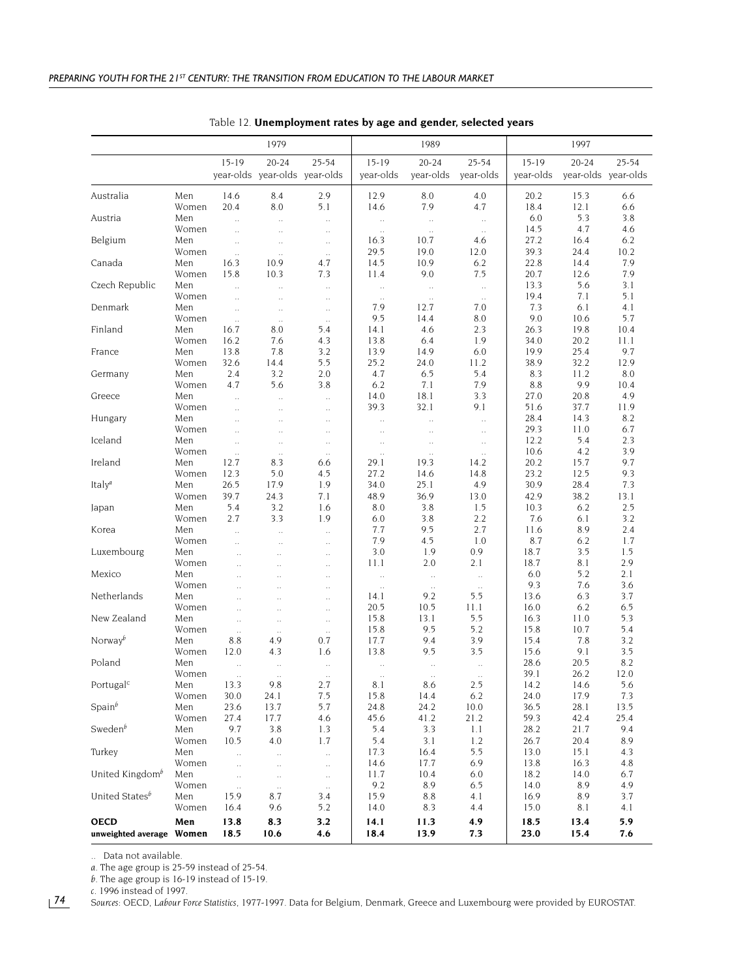|                                                         |                     |                               | 1979                                       |                                   |                          | 1989                        |                             |                      | 1997                             |                    |
|---------------------------------------------------------|---------------------|-------------------------------|--------------------------------------------|-----------------------------------|--------------------------|-----------------------------|-----------------------------|----------------------|----------------------------------|--------------------|
|                                                         |                     | $15-19$                       | $20 - 24$<br>year-olds year-olds year-olds | $25 - 54$                         | $15-19$<br>year-olds     | $20 - 24$<br>year-olds      | $25 - 54$<br>year-olds      | $15-19$<br>year-olds | $20 - 24$<br>year-olds year-olds | $25 - 54$          |
| Australia                                               | Men                 | 14.6                          | 8.4                                        | 2.9                               | 12.9                     | 8.0                         | 4.0                         | 20.2                 | 15.3                             | 6.6                |
|                                                         | Women               | 20.4                          | 8.0                                        | 5.1                               | 14.6                     | 7.9                         | 4.7                         | 18.4                 | 12.1                             | 6.6                |
| Austria                                                 | Men<br>Women        | $\ldots$<br>$\ddotsc$         | $\ddotsc$<br>$\ddotsc$                     | $\ddotsc$                         | $\ldots$                 | $\ldots$                    | $\ldots$                    | 6.0<br>14.5          | 5.3<br>4.7                       | 3.8<br>4.6         |
| Belgium                                                 | Men<br>Women        | $\ddotsc$<br>$\ddotsc$        | $\ddotsc$<br>$\ddotsc$                     | $\ddots$<br>$\ddotsc$<br>$\ldots$ | $\ldots$<br>16.3<br>29.5 | $\ldots$<br>10.7<br>19.0    | $\ldots$<br>4.6<br>12.0     | 27.2<br>39.3         | 16.4<br>24.4                     | 6.2<br>10.2        |
| Canada                                                  | Men                 | 16.3                          | 10.9                                       | 4.7                               | 14.5                     | 10.9                        | 6.2                         | 22.8                 | 14.4                             | 7.9                |
|                                                         | Women               | 15.8                          | 10.3                                       | 7.3                               | 11.4                     | 9.0                         | 7.5                         | 20.7                 | 12.6                             | 7.9                |
| Czech Republic                                          | Men                 | $\bar{\mathcal{A}}$           | $\ddotsc$                                  | $\ddotsc$                         | $\ldots$                 | $\ldots$                    | $\ldots$                    | 13.3                 | 5.6                              | 3.1                |
|                                                         | Women               | $\ddotsc$                     | $\ddotsc$                                  | $\ddots$                          | $\ldots$                 | $\ldots$                    | $\ldots$                    | 19.4                 | 7.1                              | 5.1                |
| Denmark                                                 | Men                 | $\ddotsc$                     | $\ldots$                                   | $\ldots$                          | 7.9                      | 12.7                        | 7.0                         | 7.3                  | 6.1                              | 4.1                |
|                                                         | Women               | $\ddotsc$                     | $\ldots$                                   | $\ldots$                          | 9.5                      | 14.4                        | 8.0                         | 9.0                  | 10.6                             | 5.7                |
| Finland                                                 | Men                 | 16.7                          | 8.0                                        | 5.4                               | 14.1                     | 4.6                         | 2.3                         | 26.3                 | 19.8                             | 10.4               |
|                                                         | Women               | 16.2                          | 7.6                                        | 4.3                               | 13.8                     | 6.4                         | 1.9                         | 34.0                 | 20.2                             | 11.1               |
| France                                                  | Men                 | 13.8                          | 7.8                                        | 3.2                               | 13.9                     | 14.9                        | 6.0                         | 19.9                 | 25.4                             | 9.7                |
|                                                         | Women               | 32.6                          | 14.4                                       | 5.5                               | 25.2                     | 24.0                        | 11.2                        | 38.9                 | 32.2                             | 12.9               |
| Germany                                                 | Men                 | 2.4                           | 3.2                                        | 2.0                               | 4.7                      | 6.5                         | 5.4                         | 8.3                  | 11.2                             | $8.0\,$            |
|                                                         | Women               | 4.7                           | 5.6                                        | 3.8                               | 6.2                      | 7.1                         | 7.9                         | 8.8                  | 9.9                              | 10.4               |
| Greece                                                  | Men                 | $\mathcal{L}_{\mathcal{A}}$   | $\ddotsc$                                  | $\ddotsc$                         | 14.0                     | 18.1                        | 3.3                         | 27.0                 | 20.8                             | 4.9                |
|                                                         | Women               | $\ddots$                      | $\ddotsc$                                  | $\ddotsc$                         | 39.3                     | 32.1                        | 9.1                         | 51.6                 | 37.7                             | 11.9               |
| Hungary                                                 | Men                 | $\ddotsc$                     | $\ddotsc$                                  | $\ddotsc$                         | $\ddotsc$                | $\ddotsc$                   | $\ldots$                    | 28.4                 | 14.3                             | 8.2                |
|                                                         | Women               | $\ddotsc$                     | $\ddotsc$                                  | $\ldots$                          | $\ldots$                 | $\ldots$                    | $\ldots$                    | 29.3                 | 11.0                             | 6.7                |
| Iceland                                                 | Men                 | $\bar{\mathcal{A}}$           | $\ddotsc$                                  | $\ldots$                          | $\ddotsc$                | $\ldots$                    | $\ldots$                    | 12.2                 | 5.4                              | 2.3                |
|                                                         | Women               | $\ddotsc$                     | $\ldots$                                   | $\ldots$                          | $\ldots$                 | $\ddotsc$                   | $\ldots$                    | 10.6                 | 4.2                              | 3.9                |
| Ireland                                                 | Men                 | 12.7                          | 8.3                                        | 6.6                               | 29.1                     | 19.3                        | $14.2$                      | 20.2                 | 15.7                             | 9.7                |
|                                                         | Women               | 12.3                          | 5.0                                        | 4.5                               | 27.2                     | 14.6                        | 14.8                        | 23.2                 | 12.5                             | 9.3                |
| Italy <sup>a</sup>                                      | Men                 | 26.5                          | 17.9                                       | 1.9                               | 34.0                     | 25.1                        | 4.9                         | 30.9                 | 28.4                             | 7.3                |
|                                                         | Women               | 39.7                          | 24.3                                       | 7.1                               | 48.9                     | 36.9                        | 13.0                        | 42.9                 | 38.2                             | 13.1               |
| Japan                                                   | Men                 | 5.4                           | 3.2                                        | 1.6                               | 8.0                      | 3.8                         | 1.5                         | 10.3                 | 6.2                              | 2.5                |
|                                                         | Women               | 2.7                           | 3.3                                        | 1.9                               | 6.0                      | 3.8                         | 2.2                         | 7.6                  | 6.1                              | 3.2                |
| Korea                                                   | Men                 | $\mathcal{L}_{\mathcal{A}}$   | $\ddotsc$                                  | $\ddotsc$                         | 7.7                      | 9.5                         | 2.7                         | 11.6                 | 8.9                              | 2.4                |
|                                                         | Women               | $\ddots$                      | $\ddotsc$                                  | $\ddotsc$                         | 7.9                      | 4.5                         | 1.0                         | 8.7                  | 6.2                              | 1.7                |
| Luxembourg                                              | Men                 | $\ddots$                      | $\ddotsc$                                  | $\ddot{\phantom{0}}$              | 3.0                      | 1.9                         | 0.9                         | 18.7                 | 3.5                              | 1.5                |
|                                                         | Women               | $\ddotsc$                     | $\ddotsc$                                  | $\ddot{\phantom{0}}$              | 11.1                     | 2.0                         | 2.1                         | 18.7                 | 8.1                              | 2.9                |
| Mexico                                                  | Men<br>Women        | $\ddotsc$                     | $\ddotsc$<br>$\ddotsc$                     | $\ddotsc$<br>$\ddotsc$            | $\ldots$<br>$\ldots$     | $\ldots$<br>$\ldots$        | $\ldots$<br>$\ldots$        | 6.0<br>9.3           | 5.2<br>7.6                       | 2.1<br>3.6         |
| Netherlands                                             | Men                 | $\ddots$                      | $\ddotsc$                                  | $\ddotsc$                         | 14.1                     | 9.2                         | 5.5                         | 13.6                 | 6.3                              | 3.7                |
|                                                         | Women               | $\ddotsc$                     | $\ddotsc$                                  | $\ddotsc$                         | 20.5                     | 10.5                        | 11.1                        | 16.0                 | 6.2                              | 6.5                |
| New Zealand                                             | Men                 | $\ddotsc$                     | $\ddots$                                   | $\ldots$                          | 15.8                     | 13.1                        | 5.5                         | 16.3                 | 11.0                             | 5.3                |
|                                                         | Women               | $\ddotsc$                     | $\ldots$                                   | $\ldots$                          | 15.8                     | 9.5                         | 5.2                         | 15.8                 | 10.7                             | 5.4                |
| Norway <sup><math>\mathbf{b}</math></sup><br>Poland     | Men<br>Women        | 8.8<br>12.0                   | 4.9<br>4.3                                 | 0.7<br>1.6                        | 17.7<br>13.8             | 9.4<br>9.5                  | 3.9<br>3.5                  | 15.4<br>15.6         | 7.8<br>9.1                       | 3.2<br>3.5<br>8.2  |
| Portugal <sup>c</sup>                                   | Men<br>Women        | $\ddotsc$<br>$\ldots$<br>13.3 | $\ddots$<br>$\ldots$<br>9.8                | $\ddotsc$<br>$\ldots$<br>2.7      | $\ddots$                 | $\ldots$<br>$\ldots$<br>8.6 | $\ldots$<br>$\ldots$<br>2.5 | 28.6<br>39.1<br>14.2 | 20.5<br>26.2                     | 12.0               |
| Spain $^b$                                              | Men<br>Women<br>Men | 30.0<br>23.6                  | 24.1<br>13.7                               | 7.5<br>5.7                        | 8.1<br>15.8<br>24.8      | 14.4<br>24.2                | 6.2<br>10.0                 | 24.0<br>36.5         | 14.6<br>17.9<br>28.1             | 5.6<br>7.3<br>13.5 |
| Sweden <sup>b</sup>                                     | Women               | 27.4                          | 17.7                                       | 4.6                               | 45.6                     | 41.2                        | 21.2                        | 59.3                 | 42.4                             | 25.4               |
|                                                         | Men                 | 9.7                           | 3.8                                        | 1.3                               | 5.4                      | 3.3                         | 1.1                         | 28.2                 | 21.7                             | 9.4                |
| Turkey                                                  | Women               | 10.5                          | 4.0                                        | 1.7                               | 5.4                      | 3.1                         | 1.2                         | 26.7                 | 20.4                             | 8.9                |
|                                                         | Men                 | $\ddotsc$                     | $\ddotsc$                                  | $\ddotsc$                         | 17.3                     | 16.4                        | 5.5                         | 13.0                 | 15.1                             | 4.3                |
| United Kingdom <sup><math>\frac{\theta}{2}</math></sup> | Women               | $\ddotsc$                     | $\ldots$                                   | $\ddotsc$                         | 14.6                     | 17.7                        | 6.9                         | 13.8                 | 16.3                             | 4.8                |
|                                                         | Men                 | $\ddotsc$                     | $\ldots$                                   | $\ldots$                          | 11.7                     | 10.4                        | $6.0\,$                     | 18.2                 | 14.0                             | 6.7                |
| United States <sup>b</sup>                              | Women               | $\ddotsc$                     | $\ldots$                                   | $\ldots$                          | 9.2                      | 8.9                         | 6.5                         | 14.0                 | 8.9                              | 4.9                |
|                                                         | Men                 | 15.9                          | 8.7                                        | 3.4                               | 15.9                     | 8.8                         | 4.1                         | 16.9                 | 8.9                              | 3.7                |
| <b>OECD</b>                                             | Women<br>Men        | 16.4                          | 9.6                                        | 5.2                               | 14.0                     | 8.3                         | 4.4                         | 15.0                 | 8.1                              | 4.1<br>5.9         |
| unweighted average Women                                |                     | 13.8<br>18.5                  | 8.3<br>10.6                                | 3.2<br>4.6                        | 14.1<br>18.4             | 11.3<br>13.9                | 4.9<br>7.3                  | 18.5<br>23.0         | 13.4<br>15.4                     | 7.6                |

|  |  | Table 12. Unemployment rates by age and gender, selected years |
|--|--|----------------------------------------------------------------|

.. Data not available.

*a.* The age group is 25-59 instead of 25-54.

*b.* The age group is 16-19 instead of 15-19.

*c.* 1996 instead of 1997.

*Sources*: OECD, *Labour Force Statistics, 1977-1997.* Data for Belgium, Denmark, Greece and Luxembourg were provided by EUROSTAT.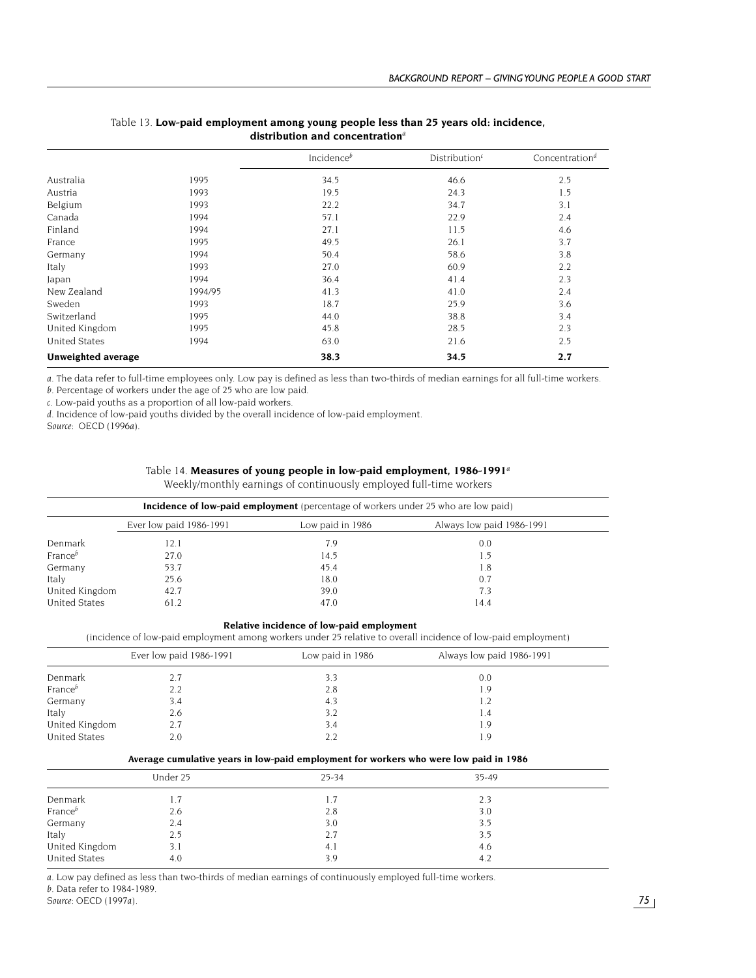|                      |         | Incidence $^b$ | Distribution <sup>c</sup> | Concentration <sup><math>d</math></sup> |
|----------------------|---------|----------------|---------------------------|-----------------------------------------|
| Australia            | 1995    | 34.5           | 46.6                      | 2.5                                     |
| Austria              | 1993    | 19.5           | 24.3                      | 1.5                                     |
| Belgium              | 1993    | 22.2           | 34.7                      | 3.1                                     |
| Canada               | 1994    | 57.1           | 22.9                      | 2.4                                     |
| Finland              | 1994    | 27.1           | 11.5                      | 4.6                                     |
| France               | 1995    | 49.5           | 26.1                      | 3.7                                     |
| Germany              | 1994    | 50.4           | 58.6                      | 3.8                                     |
| Italy                | 1993    | 27.0           | 60.9                      | 2.2                                     |
| Japan                | 1994    | 36.4           | 41.4                      | 2.3                                     |
| New Zealand          | 1994/95 | 41.3           | 41.0                      | 2.4                                     |
| Sweden               | 1993    | 18.7           | 25.9                      | 3.6                                     |
| Switzerland          | 1995    | 44.0           | 38.8                      | 3.4                                     |
| United Kingdom       | 1995    | 45.8           | 28.5                      | 2.3                                     |
| <b>United States</b> | 1994    | 63.0           | 21.6                      | 2.5                                     |
| Unweighted average   |         | 38.3           | 34.5                      | 2.7                                     |

#### Table 13. **Low-paid employment among young people less than 25 years old: incidence, distribution and concentration***<sup>a</sup>*

*a.* The data refer to full-time employees only. Low pay is defined as less than two-thirds of median earnings for all full-time workers.

*b.* Percentage of workers under the age of 25 who are low paid.

*c.* Low-paid youths as a proportion of all low-paid workers.

*d.* Incidence of low-paid youths divided by the overall incidence of low-paid employment.

*Source:* OECD (1996*a*).

## Table 14. **Measures of young people in low-paid employment, 1986-1991***<sup>a</sup>*

Weekly/monthly earnings of continuously employed full-time workers

|                      |                         | <b>Incidence of low-paid employment</b> (percentage of workers under 25 who are low paid) |                           |  |
|----------------------|-------------------------|-------------------------------------------------------------------------------------------|---------------------------|--|
|                      | Ever low paid 1986-1991 | Low paid in 1986                                                                          | Always low paid 1986-1991 |  |
| Denmark              | 12.1                    | 7.9                                                                                       | 0.0                       |  |
| France <sup>b</sup>  | 27.0                    | 14.5                                                                                      | 1.5                       |  |
| Germany              | 53.7                    | 45.4                                                                                      | 1.8                       |  |
| Italy                | 25.6                    | 18.0                                                                                      | 0.7                       |  |
| United Kingdom       | 42.7                    | 39.0                                                                                      | 7.3                       |  |
| <b>United States</b> | 61.2                    | 47.0                                                                                      | 14.4                      |  |

#### **Relative incidence of low-paid employment**

(incidence of low-paid employment among workers under 25 relative to overall incidence of low-paid employment)

|                      | Ever low paid 1986-1991 | Low paid in 1986 | Always low paid 1986-1991 |
|----------------------|-------------------------|------------------|---------------------------|
| Denmark              | 2.7                     | 3.3              | 0.0                       |
| France $^b$          | 2.2                     | 2.8              | 1.9                       |
| Germany              | 3.4                     | 4.3              | 1.2                       |
| Italy                | 2.6                     | 3.2              | 1.4                       |
| United Kingdom       | 2.7                     | 3.4              | 1.9                       |
| <b>United States</b> | 2.0                     | 2.2              | 1.9                       |

#### **Average cumulative years in low-paid employment for workers who were low paid in 1986**

|                      | Under 25 | $25 - 34$ | $35 - 49$ |  |
|----------------------|----------|-----------|-----------|--|
| Denmark              | 1.7      | 1.7       | 2.3       |  |
| France $^b$          | 2.6      | 2.8       | 3.0       |  |
| Germany              | 2.4      | 3.0       | 3.5       |  |
| Italy                | 2.5      | 2.7       | 3.5       |  |
| United Kingdom       | 3.1      | 4.1       | 4.6       |  |
| <b>United States</b> | 4.0      | 3.9       | 4.2       |  |

*a.* Low pay defined as less than two-thirds of median earnings of continuously employed full-time workers.

*b.* Data refer to 1984-1989.

*Source:* OECD (1997*a*).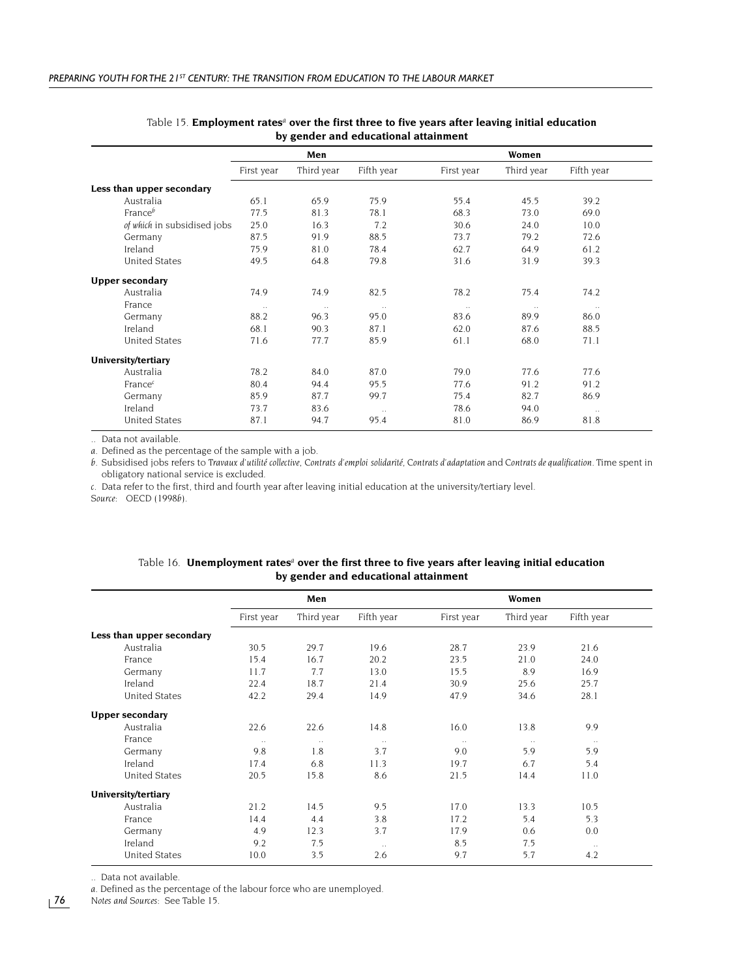|                             |            | Men        |            |            |            |            |  |  |  |  |
|-----------------------------|------------|------------|------------|------------|------------|------------|--|--|--|--|
|                             | First year | Third year | Fifth year | First year | Third year | Fifth year |  |  |  |  |
| Less than upper secondary   |            |            |            |            |            |            |  |  |  |  |
| Australia                   | 65.1       | 65.9       | 75.9       | 55.4       | 45.5       | 39.2       |  |  |  |  |
| $France^b$                  | 77.5       | 81.3       | 78.1       | 68.3       | 73.0       | 69.0       |  |  |  |  |
| of which in subsidised jobs | 25.0       | 16.3       | 7.2        | 30.6       | 24.0       | 10.0       |  |  |  |  |
| Germany                     | 87.5       | 91.9       | 88.5       | 73.7       | 79.2       | 72.6       |  |  |  |  |
| Ireland                     | 75.9       | 81.0       | 78.4       | 62.7       | 64.9       | 61.2       |  |  |  |  |
| <b>United States</b>        | 49.5       | 64.8       | 79.8       | 31.6       | 31.9       | 39.3       |  |  |  |  |
| <b>Upper secondary</b>      |            |            |            |            |            |            |  |  |  |  |
| Australia                   | 74.9       | 74.9       | 82.5       | 78.2       | 75.4       | 74.2       |  |  |  |  |
| France                      | $\ldots$   | $\ldots$   | $\ldots$   | $\ldots$   | $\ddots$   | $\ddots$   |  |  |  |  |
| Germany                     | 88.2       | 96.3       | 95.0       | 83.6       | 89.9       | 86.0       |  |  |  |  |
| Ireland                     | 68.1       | 90.3       | 87.1       | 62.0       | 87.6       | 88.5       |  |  |  |  |
| <b>United States</b>        | 71.6       | 77.7       | 85.9       | 61.1       | 68.0       | 71.1       |  |  |  |  |
| <b>University/tertiary</b>  |            |            |            |            |            |            |  |  |  |  |
| Australia                   | 78.2       | 84.0       | 87.0       | 79.0       | 77.6       | 77.6       |  |  |  |  |
| $France^c$                  | 80.4       | 94.4       | 95.5       | 77.6       | 91.2       | 91.2       |  |  |  |  |
| Germany                     | 85.9       | 87.7       | 99.7       | 75.4       | 82.7       | 86.9       |  |  |  |  |
| Ireland                     | 73.7       | 83.6       | $\ldots$   | 78.6       | 94.0       | $\ddots$   |  |  |  |  |
| <b>United States</b>        | 87.1       | 94.7       | 95.4       | 81.0       | 86.9       | 81.8       |  |  |  |  |

#### Table 15. **Employment rates***<sup>a</sup>*  **over the first three to five years after leaving initial education by gender and educational attainment**

.. Data not available.

*a.* Defined as the percentage of the sample with a job.

 $b$ . Subsidised jobs refers to Travaux d'utilité collective, Contrats d'emploi solidarité, Contrats d'adaptation and Contrats de qualification. Time spent in obligatory national service is excluded.

*c.* Data refer to the first, third and fourth year after leaving initial education at the university/tertiary level. *Source*: OECD (1998*b*).

| by gender and educational attainment |            |            |            |            |            |               |  |  |  |  |
|--------------------------------------|------------|------------|------------|------------|------------|---------------|--|--|--|--|
|                                      |            | Men        |            |            |            |               |  |  |  |  |
|                                      | First year | Third year | Fifth year | First year | Third year | Fifth year    |  |  |  |  |
| Less than upper secondary            |            |            |            |            |            |               |  |  |  |  |
| Australia                            | 30.5       | 29.7       | 19.6       | 28.7       | 23.9       | 21.6          |  |  |  |  |
| France                               | 15.4       | 16.7       | 20.2       | 23.5       | 21.0       | 24.0          |  |  |  |  |
| Germany                              | 11.7       | 7.7        | 13.0       | 15.5       | 8.9        | 16.9          |  |  |  |  |
| Ireland                              | 22.4       | 18.7       | 21.4       | 30.9       | 25.6       | 25.7          |  |  |  |  |
| <b>United States</b>                 | 42.2       | 29.4       | 14.9       | 47.9       | 34.6       | 28.1          |  |  |  |  |
| <b>Upper secondary</b>               |            |            |            |            |            |               |  |  |  |  |
| Australia                            | 22.6       | 22.6       | 14.8       | 16.0       | 13.8       | 9.9           |  |  |  |  |
| France                               | $\ldots$   | $\ddotsc$  | $\ddots$   | $\ddots$   | $\cdot$ .  | $\cdot \cdot$ |  |  |  |  |
| Germany                              | 9.8        | 1.8        | 3.7        | 9.0        | 5.9        | 5.9           |  |  |  |  |
| Ireland                              | 17.4       | 6.8        | 11.3       | 19.7       | 6.7        | 5.4           |  |  |  |  |
| <b>United States</b>                 | 20.5       | 15.8       | 8.6        | 21.5       | 14.4       | 11.0          |  |  |  |  |
| <b>University/tertiary</b>           |            |            |            |            |            |               |  |  |  |  |
| Australia                            | 21.2       | 14.5       | 9.5        | 17.0       | 13.3       | 10.5          |  |  |  |  |
| France                               | 14.4       | 4.4        | 3.8        | 17.2       | 5.4        | 5.3           |  |  |  |  |
| Germany                              | 4.9        | 12.3       | 3.7        | 17.9       | 0.6        | 0.0           |  |  |  |  |
| Ireland                              | 9.2        | 7.5        | $\ddots$   | 8.5        | 7.5        | $\ldots$      |  |  |  |  |
| <b>United States</b>                 | 10.0       | 3.5        | 2.6        | 9.7        | 5.7        | 4.2           |  |  |  |  |

#### Table 16. Unemployment rates<sup>*a*</sup> over the first three to five years after leaving initial education **by gender and educational attainment**

.. Data not available.

*a.* Defined as the percentage of the labour force who are unemployed.

*Notes and Sources*:See Table 15.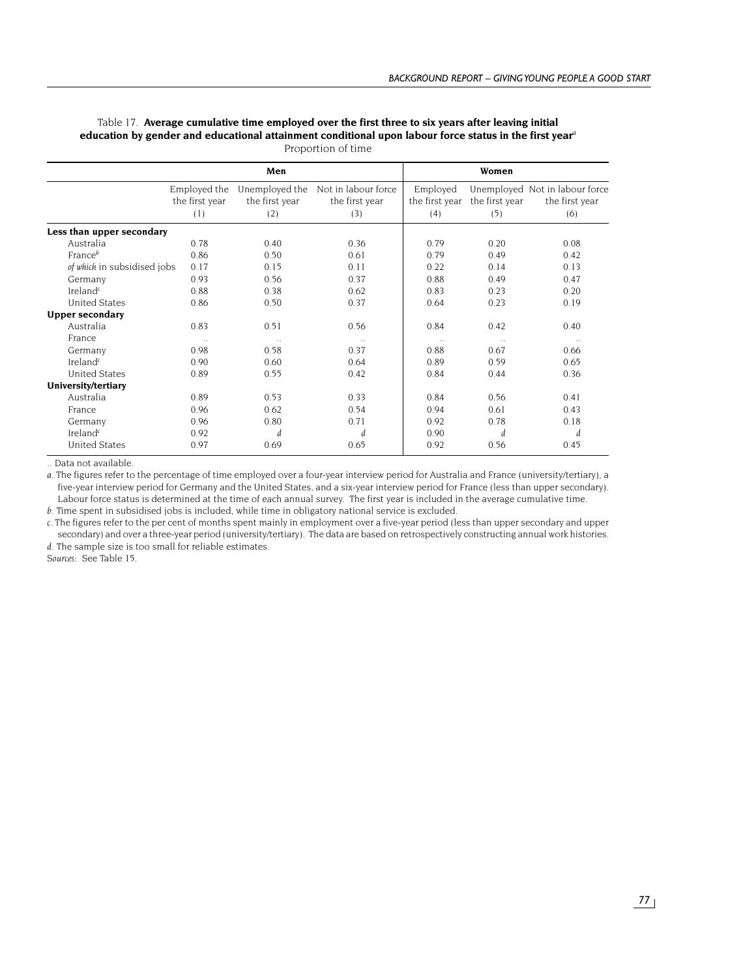|                                          |                                | Men                              |                                       | Women    |                               |                                                  |  |  |
|------------------------------------------|--------------------------------|----------------------------------|---------------------------------------|----------|-------------------------------|--------------------------------------------------|--|--|
|                                          | Employed the<br>the first year | Unemployed the<br>the first year | Not in labour force<br>the first year | Employed | the first year the first year | Unemployed Not in labour force<br>the first year |  |  |
|                                          | (1)                            | (2)                              | (3)                                   | (4)      | (5)                           | (6)                                              |  |  |
| Less than upper secondary                |                                |                                  |                                       |          |                               |                                                  |  |  |
| Australia                                | 0.78                           | 0.40                             | 0.36                                  | 0.79     | 0.20                          | 0.08                                             |  |  |
| France $^b$                              | 0.86                           | 0.50                             | 0.61                                  | 0.79     | 0.49                          | 0.42                                             |  |  |
| of which in subsidised jobs              | 0.17                           | 0.15                             | 0.11                                  | 0.22     | 0.14                          | 0.13                                             |  |  |
| Germany                                  | 0.93                           | 0.56                             | 0.37                                  | 0.88     | 0.49                          | 0.47                                             |  |  |
| Ireland <sup><math>c</math></sup>        | 0.88                           | 0.38                             | 0.62                                  | 0.83     | 0.23                          | 0.20                                             |  |  |
| <b>United States</b>                     | 0.86                           | 0.50                             | 0.37                                  | 0.64     | 0.23                          | 0.19                                             |  |  |
| <b>Upper secondary</b>                   |                                |                                  |                                       |          |                               |                                                  |  |  |
| Australia                                | 0.83                           | 0.51                             | 0.56                                  | 0.84     | 0.42                          | 0.40                                             |  |  |
| France                                   | $\ldots$                       | $\ddots$                         | $\cdot$ .                             | $\ddots$ | $\cdot$ .                     | $\cdot$ .                                        |  |  |
| Germany                                  | 0.98                           | 0.58                             | 0.37                                  | 0.88     | 0.67                          | 0.66                                             |  |  |
| Ireland <sup><math>c</math></sup>        | 0.90                           | 0.60                             | 0.64                                  | 0.89     | 0.59                          | 0.65                                             |  |  |
| <b>United States</b>                     | 0.89                           | 0.55                             | 0.42                                  | 0.84     | 0.44                          | 0.36                                             |  |  |
| <b>University/tertiary</b>               |                                |                                  |                                       |          |                               |                                                  |  |  |
| Australia                                | 0.89                           | 0.53                             | 0.33                                  | 0.84     | 0.56                          | 0.41                                             |  |  |
| France                                   | 0.96                           | 0.62                             | 0.54                                  | 0.94     | 0.61                          | 0.43                                             |  |  |
| Germany                                  | 0.96                           | 0.80                             | 0.71                                  | 0.92     | 0.78                          | 0.18                                             |  |  |
| Ireland <sup><math>\epsilon</math></sup> | 0.92                           | d                                | d                                     | 0.90     | d                             | d                                                |  |  |
| <b>United States</b>                     | 0.97                           | 0.69                             | 0.65                                  | 0.92     | 0.56                          | 0.45                                             |  |  |

#### Table 17. **Average cumulative time employed over the first three to six years after leaving initial education by gender and educational attainment conditional upon labour force status in the first year***<sup>a</sup>* Proportion of time

.. Data not available.

*a.* The figures refer to the percentage of time employed over a four-year interview period for Australia and France (university/tertiary), a five-year interview period for Germany and the United States, and a six-year interview period for France (less than upper secondary). Labour force status is determined at the time of each annual survey. The first year is included in the average cumulative time.

*b.* Time spent in subsidised jobs is included, while time in obligatory national service is excluded.

*c.* The figures refer to the per cent of months spent mainly in employment over a five-year period (less than upper secondary and upper secondary) and over a three-year period (university/tertiary). The data are based on retrospectively constructing annual work histories. *d.* The sample size is too small for reliable estimates.

*Sources*: See Table 15.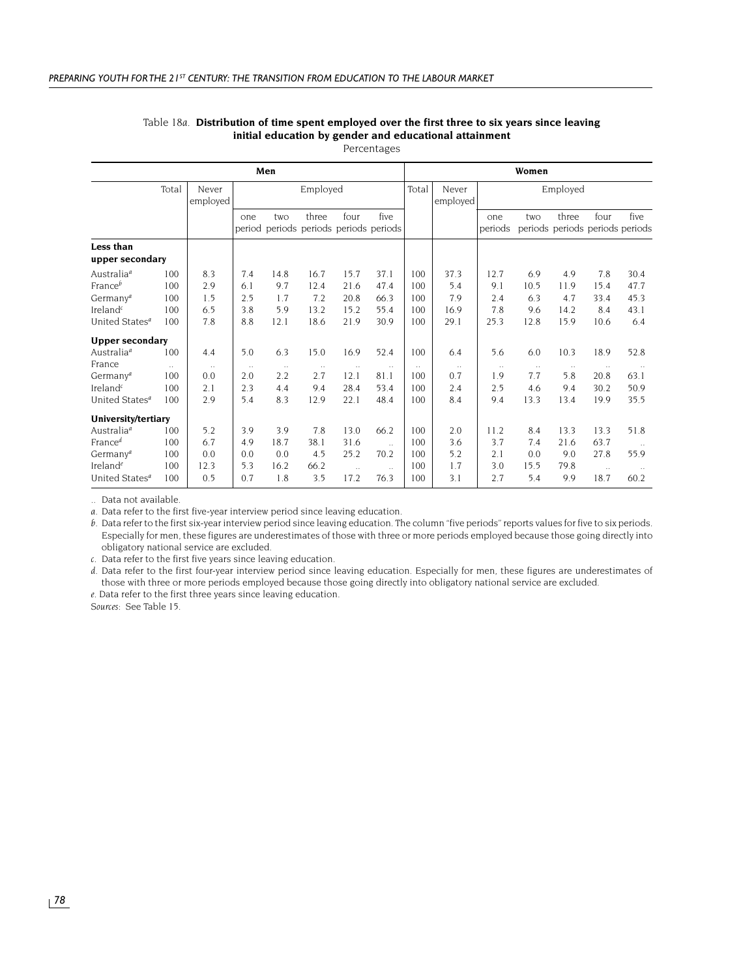| Men                               |           |          |           |                                        |          |          | Women     |                      |          |          |          |                                 |           |      |
|-----------------------------------|-----------|----------|-----------|----------------------------------------|----------|----------|-----------|----------------------|----------|----------|----------|---------------------------------|-----------|------|
|                                   |           |          |           |                                        |          |          |           |                      |          |          |          |                                 |           |      |
|                                   | Total     | Never    | Employed  |                                        |          |          | Total     | Employed<br>Never    |          |          |          |                                 |           |      |
|                                   |           | employed |           |                                        |          |          |           | employed             |          |          |          |                                 |           |      |
|                                   |           |          | one       | two                                    | three    | four     | five      |                      |          | one      | two      | three                           | four      | five |
|                                   |           |          |           | period periods periods periods periods |          |          |           |                      |          | periods  |          | periods periods periods periods |           |      |
| Less than                         |           |          |           |                                        |          |          |           |                      |          |          |          |                                 |           |      |
| upper secondary                   |           |          |           |                                        |          |          |           |                      |          |          |          |                                 |           |      |
| Australia <sup>a</sup>            | 100       | 8.3      | 7.4       | 14.8                                   | 16.7     | 15.7     | 37.1      | 100                  | 37.3     | 12.7     | 6.9      | 4.9                             | 7.8       | 30.4 |
| Franceb                           | 100       | 2.9      | 6.1       | 9.7                                    | 12.4     | 21.6     | 47.4      | 100                  | 5.4      | 9.1      | 10.5     | 11.9                            | 15.4      | 47.7 |
| Germany <sup>a</sup>              | 100       | 1.5      | 2.5       | 1.7                                    | 7.2      | 20.8     | 66.3      | 100                  | 7.9      | 2.4      | 6.3      | 4.7                             | 33.4      | 45.3 |
| Ireland <sup><math>c</math></sup> | 100       | 6.5      | 3.8       | 5.9                                    | 13.2     | 15.2     | 55.4      | 100                  | 16.9     | 7.8      | 9.6      | 14.2                            | 8.4       | 43.1 |
| United States <sup>a</sup>        | 100       | 7.8      | 8.8       | 12.1                                   | 18.6     | 21.9     | 30.9      | 100                  | 29.1     | 25.3     | 12.8     | 15.9                            | 10.6      | 6.4  |
| <b>Upper secondary</b>            |           |          |           |                                        |          |          |           |                      |          |          |          |                                 |           |      |
| Australia <sup>a</sup>            | 100       | 4.4      | 5.0       | 6.3                                    | 15.0     | 16.9     | 52.4      | 100                  | 6.4      | 5.6      | 6.0      | 10.3                            | 18.9      | 52.8 |
| France                            | $\cdot$ . | $\ldots$ | $\cdot$ . | $\ddots$                               | $\ldots$ | $\ddots$ | $\ddots$  | $\ddot{\phantom{a}}$ | $\ldots$ | $\ldots$ | $\ldots$ | $\ddots$                        |           |      |
| Germany <sup>a</sup>              | 100       | 0.0      | 2.0       | 2.2                                    | 2.7      | 12.1     | 81.1      | 100                  | 0.7      | 1.9      | 7.7      | 5.8                             | 20.8      | 63.1 |
| Ireland <sup><math>c</math></sup> | 100       | 2.1      | 2.3       | 4.4                                    | 9.4      | 28.4     | 53.4      | 100                  | 2.4      | 2.5      | 4.6      | 9.4                             | 30.2      | 50.9 |
| United States <sup>a</sup>        | 100       | 2.9      | 5.4       | 8.3                                    | 12.9     | 22.1     | 48.4      | 100                  | 8.4      | 9.4      | 13.3     | 13.4                            | 19.9      | 35.5 |
| <b>University/tertiary</b>        |           |          |           |                                        |          |          |           |                      |          |          |          |                                 |           |      |
| Australia <sup>a</sup>            | 100       | 5.2      | 3.9       | 3.9                                    | 7.8      | 13.0     | 66.2      | 100                  | 2.0      | 11.2     | 8.4      | 13.3                            | 13.3      | 51.8 |
| $France^d$                        | 100       | 6.7      | 4.9       | 18.7                                   | 38.1     | 31.6     | $\ddotsc$ | 100                  | 3.6      | 3.7      | 7.4      | 21.6                            | 63.7      |      |
| Germany <sup>a</sup>              | 100       | 0.0      | 0.0       | 0.0                                    | 4.5      | 25.2     | 70.2      | 100                  | 5.2      | 2.1      | 0.0      | 9.0                             | 27.8      | 55.9 |
| Ireland <sup>e</sup>              | 100       | 12.3     | 5.3       | 16.2                                   | 66.2     | $\ddots$ | $\ddots$  | 100                  | 1.7      | 3.0      | 15.5     | 79.8                            | $\ddotsc$ |      |
| United States <sup>a</sup>        | 100       | 0.5      | 0.7       | 1.8                                    | 3.5      | 17.2     | 76.3      | 100                  | 3.1      | 2.7      | 5.4      | 9.9                             | 18.7      | 60.2 |

#### Table 18*a.* **Distribution of time spent employed over the first three to six years since leaving initial education by gender and educational attainment** Percentages

.. Data not available.

*a.* Data refer to the first five-year interview period since leaving education.

*b.* Data refer to the first six-year interview period since leaving education. The column "five periods" reports values for five to six periods. Especially for men, these figures are underestimates of those with three or more periods employed because those going directly into obligatory national service are excluded.

*c.* Data refer to the first five years since leaving education.

*d.* Data refer to the first four-year interview period since leaving education. Especially for men, these figures are underestimates of those with three or more periods employed because those going directly into obligatory national service are excluded.

*e.* Data refer to the first three years since leaving education.

*Sources:* See Table 15.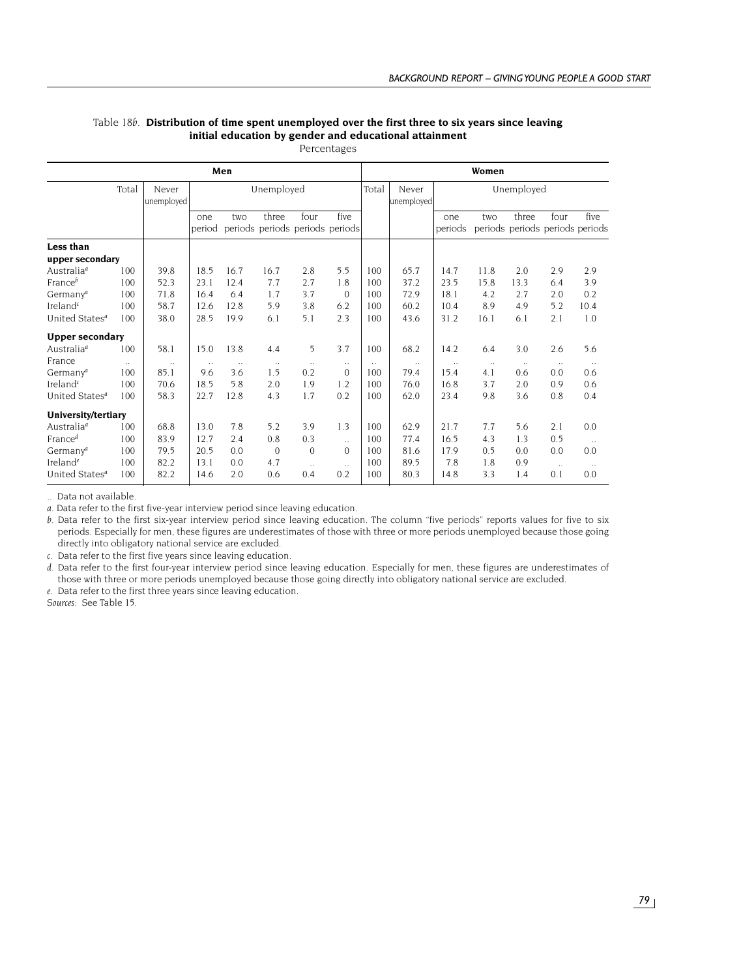| Men                               |          |            |            |           |                                 | Women                        |              |           |            |           |           |           |           |                                 |
|-----------------------------------|----------|------------|------------|-----------|---------------------------------|------------------------------|--------------|-----------|------------|-----------|-----------|-----------|-----------|---------------------------------|
|                                   | Total    | Never      | Unemployed |           |                                 | Total<br>Unemployed<br>Never |              |           |            |           |           |           |           |                                 |
|                                   |          | unemployed |            |           |                                 |                              |              |           | unemployed |           |           |           |           |                                 |
|                                   |          |            | one        | two       | three                           | four                         | five         |           |            | one       | two       | three     | four      | five                            |
|                                   |          |            | period     |           | periods periods periods periods |                              |              |           |            | periods   |           |           |           | periods periods periods periods |
| Less than                         |          |            |            |           |                                 |                              |              |           |            |           |           |           |           |                                 |
| upper secondary                   |          |            |            |           |                                 |                              |              |           |            |           |           |           |           |                                 |
| Australia <sup>a</sup>            | 100      | 39.8       | 18.5       | 16.7      | 16.7                            | 2.8                          | 5.5          | 100       | 65.7       | 14.7      | 11.8      | 2.0       | 2.9       | 2.9                             |
| Franceb                           | 100      | 52.3       | 23.1       | 12.4      | 7.7                             | 2.7                          | 1.8          | 100       | 37.2       | 23.5      | 15.8      | 13.3      | 6.4       | 3.9                             |
| Germany <sup>a</sup>              | 100      | 71.8       | 16.4       | 6.4       | 1.7                             | 3.7                          | $\Omega$     | 100       | 72.9       | 18.1      | 4.2       | 2.7       | 2.0       | 0.2                             |
| Ireland <sup><math>c</math></sup> | 100      | 58.7       | 12.6       | 12.8      | 5.9                             | 3.8                          | 6.2          | 100       | 60.2       | 10.4      | 8.9       | 4.9       | 5.2       | 10.4                            |
| United States <sup>a</sup>        | 100      | 38.0       | 28.5       | 19.9      | 6.1                             | 5.1                          | 2.3          | 100       | 43.6       | 31.2      | 16.1      | 6.1       | 2.1       | 1.0                             |
| <b>Upper secondary</b>            |          |            |            |           |                                 |                              |              |           |            |           |           |           |           |                                 |
| Australia <sup>a</sup>            | 100      | 58.1       | 15.0       | 13.8      | 4.4                             | 5                            | 3.7          | 100       | 68.2       | 14.2      | 6.4       | 3.0       | 2.6       | 5.6                             |
| France                            | $\ddots$ | $\cdot$ .  | $\ldots$   | $\cdot$ . | $\ddots$                        | $\ddotsc$                    | $\ldots$     | $\ddotsc$ | $\ddots$   | $\ddotsc$ | $\cdot$ . | $\cdot$ . | $\cdot$ . |                                 |
| Germany <sup>a</sup>              | 100      | 85.1       | 9.6        | 3.6       | 1.5                             | 0.2                          | $\mathbf{0}$ | 100       | 79.4       | 15.4      | 4.1       | 0.6       | 0.0       | 0.6                             |
| Ireland <sup><math>c</math></sup> | 100      | 70.6       | 18.5       | 5.8       | 2.0                             | 1.9                          | 1.2          | 100       | 76.0       | 16.8      | 3.7       | 2.0       | 0.9       | 0.6                             |
| United States <sup>a</sup>        | 100      | 58.3       | 22.7       | 12.8      | 4.3                             | 1.7                          | 0.2          | 100       | 62.0       | 23.4      | 9.8       | 3.6       | 0.8       | 0.4                             |
| <b>University/tertiary</b>        |          |            |            |           |                                 |                              |              |           |            |           |           |           |           |                                 |
| Australia <sup>a</sup>            | 100      | 68.8       | 13.0       | 7.8       | 5.2                             | 3.9                          | 1.3          | 100       | 62.9       | 21.7      | 7.7       | 5.6       | 2.1       | 0.0                             |
| France <sup>d</sup>               | 100      | 83.9       | 12.7       | 2.4       | 0.8                             | 0.3                          | $\ddotsc$    | 100       | 77.4       | 16.5      | 4.3       | 1.3       | 0.5       | $\ldots$                        |
| Germany <sup>a</sup>              | 100      | 79.5       | 20.5       | 0.0       | $\mathbf{0}$                    | $\mathbf{0}$                 | $\Omega$     | 100       | 81.6       | 17.9      | 0.5       | 0.0       | 0.0       | 0.0                             |
| Ireland <sup>e</sup>              | 100      | 82.2       | 13.1       | 0.0       | 4.7                             | $\ddot{\phantom{a}}$         | $\ddotsc$    | 100       | 89.5       | 7.8       | 1.8       | 0.9       | $\ddotsc$ | $\ddotsc$                       |
| United States <sup>a</sup>        | 100      | 82.2       | 14.6       | 2.0       | 0.6                             | 0.4                          | 0.2          | 100       | 80.3       | 14.8      | 3.3       | 1.4       | 0.1       | 0.0                             |

#### Table 18*b.* **Distribution of time spent unemployed over the first three to six years since leaving initial education by gender and educational attainment** Percentages

.. Data not available.

*b.* Data refer to the first six-year interview period since leaving education. The column "five periods" reports values for five to six periods. Especially for men, these figures are underestimates of those with three or more periods unemployed because those going directly into obligatory national service are excluded.

*c.* Data refer to the first five years since leaving education.

*d.* Data refer to the first four-year interview period since leaving education. Especially for men, these figures are underestimates of those with three or more periods unemployed because those going directly into obligatory national service are excluded. *e.* Data refer to the first three years since leaving education.

*Sources*: See Table 15.

*a.* Data refer to the first five-year interview period since leaving education.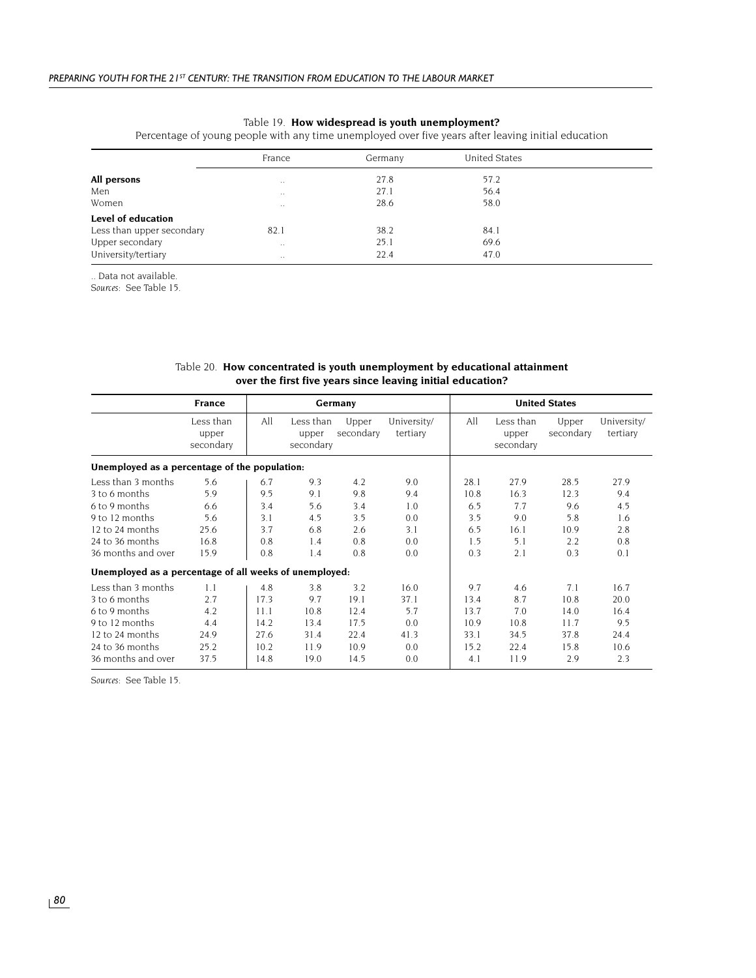|                           | France    | Germany | <b>United States</b> |  |
|---------------------------|-----------|---------|----------------------|--|
| All persons               | $\ddotsc$ | 27.8    | 57.2                 |  |
| Men                       | $\ddotsc$ | 27.1    | 56.4                 |  |
| Women                     | $\cdot$ . | 28.6    | 58.0                 |  |
| Level of education        |           |         |                      |  |
| Less than upper secondary | 82.1      | 38.2    | 84.1                 |  |
| Upper secondary           | $\ddotsc$ | 25.1    | 69.6                 |  |
| University/tertiary       | $\cdot$ . | 22.4    | 47.0                 |  |

Table 19. **How widespread is youth unemployment?**

Percentage of young people with any time unemployed over five years after leaving initial education

*..* Data not available.

*Sources:* See Table 15.

|                                                        | France                          | Germany |                                 |                    |                         |      | <b>United States</b>            |                    |                         |  |
|--------------------------------------------------------|---------------------------------|---------|---------------------------------|--------------------|-------------------------|------|---------------------------------|--------------------|-------------------------|--|
|                                                        | Less than<br>upper<br>secondary | All     | Less than<br>upper<br>secondary | Upper<br>secondary | University/<br>tertiary | All  | Less than<br>upper<br>secondary | Upper<br>secondary | University/<br>tertiary |  |
| Unemployed as a percentage of the population:          |                                 |         |                                 |                    |                         |      |                                 |                    |                         |  |
| Less than 3 months                                     | 5.6                             | 6.7     | 9.3                             | 4.2                | 9.0                     | 28.1 | 27.9                            | 28.5               | 27.9                    |  |
| 3 to 6 months                                          | 5.9                             | 9.5     | 9.1                             | 9.8                | 9.4                     | 10.8 | 16.3                            | 12.3               | 9.4                     |  |
| 6 to 9 months                                          | 6.6                             | 3.4     | 5.6                             | 3.4                | 1.0                     | 6.5  | 7.7                             | 9.6                | 4.5                     |  |
| 9 to 12 months                                         | 5.6                             | 3.1     | 4.5                             | 3.5                | 0.0                     | 3.5  | 9.0                             | 5.8                | 1.6                     |  |
| 12 to 24 months                                        | 25.6                            | 3.7     | 6.8                             | 2.6                | 3.1                     | 6.5  | 16.1                            | 10.9               | 2.8                     |  |
| 24 to 36 months                                        | 16.8                            | 0.8     | 1.4                             | 0.8                | 0.0                     | 1.5  | 5.1                             | 2.2                | 0.8                     |  |
| 36 months and over                                     | 15.9                            | 0.8     | 1.4                             | 0.8                | 0.0                     | 0.3  | 2.1                             | 0.3                | 0.1                     |  |
| Unemployed as a percentage of all weeks of unemployed: |                                 |         |                                 |                    |                         |      |                                 |                    |                         |  |
| Less than 3 months                                     | 1.1                             | 4.8     | 3.8                             | 3.2                | 16.0                    | 9.7  | 4.6                             | 7.1                | 16.7                    |  |
| 3 to 6 months                                          | 2.7                             | 17.3    | 9.7                             | 19.1               | 37.1                    | 13.4 | 8.7                             | 10.8               | 20.0                    |  |
| $6$ to 9 months                                        | 4.2                             | 11.1    | 10.8                            | 12.4               | 5.7                     | 13.7 | 7.0                             | 14.0               | 16.4                    |  |
| 9 to 12 months                                         | 4.4                             | 14.2    | 13.4                            | 17.5               | 0.0                     | 10.9 | 10.8                            | 11.7               | 9.5                     |  |
| 12 to 24 months                                        | 24.9                            | 27.6    | 31.4                            | 22.4               | 41.3                    | 33.1 | 34.5                            | 37.8               | 24.4                    |  |
| 24 to 36 months                                        | 25.2                            | 10.2    | 11.9                            | 10.9               | 0.0                     | 15.2 | 22.4                            | 15.8               | 10.6                    |  |
| 36 months and over                                     | 37.5                            | 14.8    | 19.0                            | 14.5               | 0.0                     | 4.1  | 11.9                            | 2.9                | 2.3                     |  |

Table 20. **How concentrated is youth unemployment by educational attainment over the first five years since leaving initial education?**

*Sources:* See Table 15.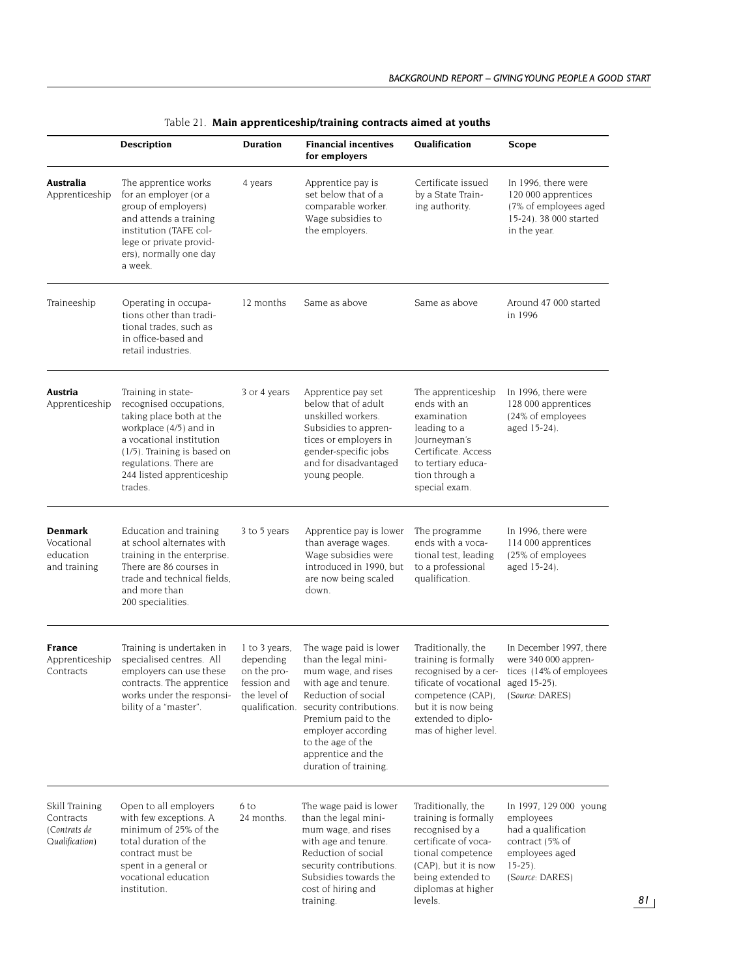|                                                               | Description                                                                                                                                                                                                                      | <b>Duration</b>                                                          | <b>Financial incentives</b>                                                                                                                                                                                                                                                     | Qualification                                                                                                                                                                                       | Scope                                                                                                                            |
|---------------------------------------------------------------|----------------------------------------------------------------------------------------------------------------------------------------------------------------------------------------------------------------------------------|--------------------------------------------------------------------------|---------------------------------------------------------------------------------------------------------------------------------------------------------------------------------------------------------------------------------------------------------------------------------|-----------------------------------------------------------------------------------------------------------------------------------------------------------------------------------------------------|----------------------------------------------------------------------------------------------------------------------------------|
| <b>Australia</b><br>Apprenticeship                            | The apprentice works<br>for an employer (or a<br>group of employers)<br>and attends a training<br>institution (TAFE col-<br>lege or private provid-<br>ers), normally one day<br>a week.                                         | 4 years                                                                  | for employers<br>Apprentice pay is<br>set below that of a<br>comparable worker.<br>Wage subsidies to<br>the employers.                                                                                                                                                          | Certificate issued<br>by a State Train-<br>ing authority.                                                                                                                                           | In 1996, there were<br>120 000 apprentices<br>(7% of employees aged<br>15-24). 38 000 started<br>in the year.                    |
| Traineeship                                                   | Operating in occupa-<br>tions other than tradi-<br>tional trades, such as<br>in office-based and<br>retail industries.                                                                                                           | 12 months                                                                | Same as above                                                                                                                                                                                                                                                                   | Same as above                                                                                                                                                                                       | Around 47 000 started<br>in 1996                                                                                                 |
| <b>Austria</b><br>Apprenticeship                              | Training in state-<br>recognised occupations,<br>taking place both at the<br>workplace (4/5) and in<br>a vocational institution<br>(1/5). Training is based on<br>regulations. There are<br>244 listed apprenticeship<br>trades. | 3 or 4 years                                                             | Apprentice pay set<br>below that of adult<br>unskilled workers.<br>Subsidies to appren-<br>tices or employers in<br>gender-specific jobs<br>and for disadvantaged<br>young people.                                                                                              | The apprenticeship<br>ends with an<br>examination<br>leading to a<br>Journeyman's<br>Certificate. Access<br>to tertiary educa-<br>tion through a<br>special exam.                                   | In 1996, there were<br>128 000 apprentices<br>(24% of employees<br>aged 15-24).                                                  |
| Denmark<br>Vocational<br>education<br>and training            | Education and training<br>at school alternates with<br>training in the enterprise.<br>There are 86 courses in<br>trade and technical fields.<br>and more than<br>200 specialities.                                               | 3 to 5 years                                                             | Apprentice pay is lower<br>than average wages.<br>Wage subsidies were<br>introduced in 1990, but<br>are now being scaled<br>down.                                                                                                                                               | The programme<br>ends with a voca-<br>tional test, leading<br>to a professional<br>qualification.                                                                                                   | In 1996, there were<br>114 000 apprentices<br>(25% of employees<br>aged 15-24).                                                  |
| France<br>Apprenticeship<br>Contracts                         | Training is undertaken in<br>specialised centres. All<br>employers can use these<br>contracts. The apprentice<br>works under the responsi-<br>bility of a "master".                                                              | 1 to 3 years,<br>depending<br>on the pro-<br>fession and<br>the level of | The wage paid is lower<br>than the legal mini-<br>mum wage, and rises<br>with age and tenure.<br>Reduction of social<br>qualification. security contributions.<br>Premium paid to the<br>employer according<br>to the age of the<br>apprentice and the<br>duration of training. | Traditionally, the<br>training is formally<br>recognised by a cer-<br>tificate of vocational aged 15-25).<br>competence (CAP),<br>but it is now being<br>extended to diplo-<br>mas of higher level. | In December 1997, there<br>were 340 000 appren-<br>tices (14% of employees<br>(Source: DARES)                                    |
| Skill Training<br>Contracts<br>(Contrats de<br>Qualification) | Open to all employers<br>with few exceptions. A<br>minimum of 25% of the<br>total duration of the<br>contract must be<br>spent in a general or<br>vocational education<br>institution.                                           | 6 to<br>24 months.                                                       | The wage paid is lower<br>than the legal mini-<br>mum wage, and rises<br>with age and tenure.<br>Reduction of social<br>security contributions.<br>Subsidies towards the<br>cost of hiring and<br>training.                                                                     | Traditionally, the<br>training is formally<br>recognised by a<br>certificate of voca-<br>tional competence<br>(CAP), but it is now<br>being extended to<br>diplomas at higher<br>levels.            | In 1997, 129 000 young<br>employees<br>had a qualification<br>contract (5% of<br>employees aged<br>$15-25$ ).<br>(Source: DARES) |

# Table 21. **Main apprenticeship/training contracts aimed at youths**

*81*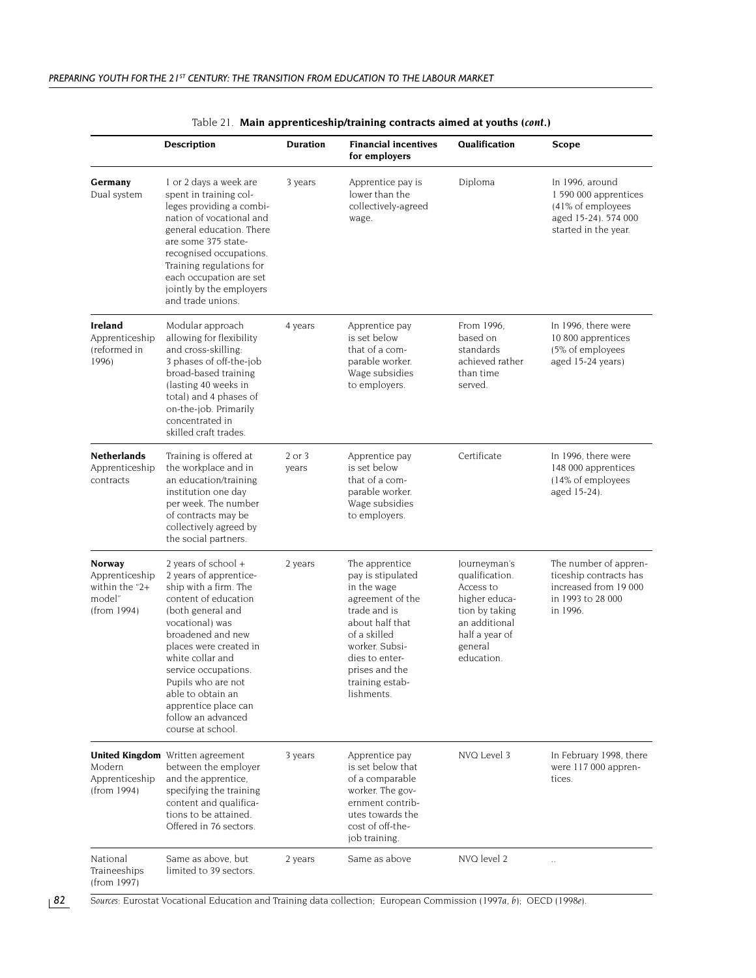|                                                                             | <b>Description</b>                                                                                                                                                                                                                                                                                                                              | <b>Duration</b>     | <b>Financial incentives</b><br>for employers                                                                                                                                                                     | Qualification                                                                                                                              | <b>Scope</b>                                                                                                  |
|-----------------------------------------------------------------------------|-------------------------------------------------------------------------------------------------------------------------------------------------------------------------------------------------------------------------------------------------------------------------------------------------------------------------------------------------|---------------------|------------------------------------------------------------------------------------------------------------------------------------------------------------------------------------------------------------------|--------------------------------------------------------------------------------------------------------------------------------------------|---------------------------------------------------------------------------------------------------------------|
| Germany<br>Dual system                                                      | 1 or 2 days a week are<br>spent in training col-<br>leges providing a combi-<br>nation of vocational and<br>general education. There<br>are some 375 state-<br>recognised occupations.<br>Training regulations for<br>each occupation are set<br>jointly by the employers<br>and trade unions.                                                  | 3 years             | Apprentice pay is<br>lower than the<br>collectively-agreed<br>wage.                                                                                                                                              | Diploma                                                                                                                                    | In 1996, around<br>1 590 000 apprentices<br>(41% of employees<br>aged 15-24). 574 000<br>started in the year. |
| Ireland<br>Apprenticeship<br>(reformed in<br>1996)                          | Modular approach<br>allowing for flexibility<br>and cross-skilling:<br>3 phases of off-the-job<br>broad-based training<br>(lasting 40 weeks in<br>total) and 4 phases of<br>on-the-job. Primarily<br>concentrated in<br>skilled craft trades.                                                                                                   | 4 years             | Apprentice pay<br>is set below<br>that of a com-<br>parable worker.<br>Wage subsidies<br>to employers.                                                                                                           | From 1996.<br>based on<br>standards<br>achieved rather<br>than time<br>served.                                                             | In 1996, there were<br>10 800 apprentices<br>(5% of employees<br>aged 15-24 years)                            |
| <b>Netherlands</b><br>Apprenticeship<br>contracts                           | Training is offered at<br>the workplace and in<br>an education/training<br>institution one day<br>per week. The number<br>of contracts may be<br>collectively agreed by<br>the social partners.                                                                                                                                                 | $2$ or $3$<br>years | Apprentice pay<br>is set below<br>that of a com-<br>parable worker.<br>Wage subsidies<br>to employers.                                                                                                           | Certificate                                                                                                                                | In 1996, there were<br>148 000 apprentices<br>(14% of employees<br>aged 15-24).                               |
| <b>Norway</b><br>Apprenticeship<br>within the $2+$<br>model"<br>(from 1994) | 2 years of school +<br>2 years of apprentice-<br>ship with a firm. The<br>content of education<br>(both general and<br>vocational) was<br>broadened and new<br>places were created in<br>white collar and<br>service occupations.<br>Pupils who are not<br>able to obtain an<br>apprentice place can<br>follow an advanced<br>course at school. | 2 years             | The apprentice<br>pay is stipulated<br>in the wage<br>agreement of the<br>trade and is<br>about half that<br>of a skilled<br>worker. Subsi-<br>dies to enter-<br>prises and the<br>training estab-<br>lishments. | Journeyman's<br>qualification.<br>Access to<br>higher educa-<br>tion by taking<br>an additional<br>half a year of<br>general<br>education. | The number of appren-<br>ticeship contracts has<br>increased from 19 000<br>in 1993 to 28 000<br>in 1996.     |
| Modern<br>Apprenticeship<br>(from 1994)                                     | <b>United Kingdom</b> Written agreement<br>between the employer<br>and the apprentice,<br>specifying the training<br>content and qualifica-<br>tions to be attained.<br>Offered in 76 sectors.                                                                                                                                                  |                     | Apprentice pay<br>is set below that<br>of a comparable<br>worker. The gov-<br>ernment contrib-<br>utes towards the<br>cost of off-the-<br>job training.                                                          | NVQ Level 3                                                                                                                                | In February 1998, there<br>were 117 000 appren-<br>tices.                                                     |
| National<br>Traineeships<br>(from 1997)                                     | Same as above, but<br>limited to 39 sectors.                                                                                                                                                                                                                                                                                                    | 2 years             | Same as above                                                                                                                                                                                                    | NVQ level 2                                                                                                                                |                                                                                                               |

| Table 21. Main apprenticeship/training contracts aimed at youths (cont.) |
|--------------------------------------------------------------------------|

*82*

*Sources*: Eurostat Vocational Education and Training data collection; European Commission (1997*a*, *b*); OECD (1998*e*).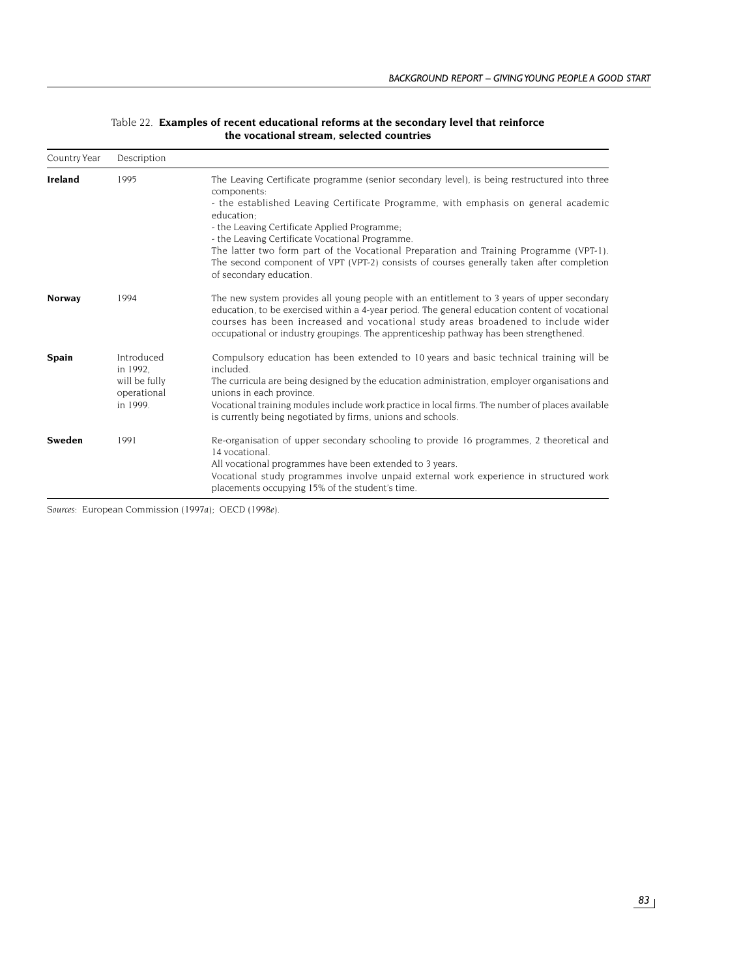| Country Year  | Description                                                        |                                                                                                                                                                                                                                                                                                                                                                                                                                                                                                                                     |
|---------------|--------------------------------------------------------------------|-------------------------------------------------------------------------------------------------------------------------------------------------------------------------------------------------------------------------------------------------------------------------------------------------------------------------------------------------------------------------------------------------------------------------------------------------------------------------------------------------------------------------------------|
| Ireland       | 1995                                                               | The Leaving Certificate programme (senior secondary level), is being restructured into three<br>components:<br>- the established Leaving Certificate Programme, with emphasis on general academic<br>education:<br>- the Leaving Certificate Applied Programme;<br>- the Leaving Certificate Vocational Programme.<br>The latter two form part of the Vocational Preparation and Training Programme (VPT-1).<br>The second component of VPT (VPT-2) consists of courses generally taken after completion<br>of secondary education. |
| <b>Norway</b> | 1994                                                               | The new system provides all young people with an entitlement to 3 years of upper secondary<br>education, to be exercised within a 4-year period. The general education content of vocational<br>courses has been increased and vocational study areas broadened to include wider<br>occupational or industry groupings. The apprenticeship pathway has been strengthened.                                                                                                                                                           |
| Spain         | Introduced<br>in 1992.<br>will be fully<br>operational<br>in 1999. | Compulsory education has been extended to 10 years and basic technical training will be<br>included.<br>The curricula are being designed by the education administration, employer organisations and<br>unions in each province.<br>Vocational training modules include work practice in local firms. The number of places available<br>is currently being negotiated by firms, unions and schools.                                                                                                                                 |
| Sweden        | 1991                                                               | Re-organisation of upper secondary schooling to provide 16 programmes, 2 theoretical and<br>14 vocational<br>All vocational programmes have been extended to 3 years.<br>Vocational study programmes involve unpaid external work experience in structured work<br>placements occupying 15% of the student's time.                                                                                                                                                                                                                  |

## Table 22. **Examples of recent educational reforms at the secondary level that reinforce the vocational stream, selected countries**

*Sources:* European Commission (1997*a*); OECD (1998*e*).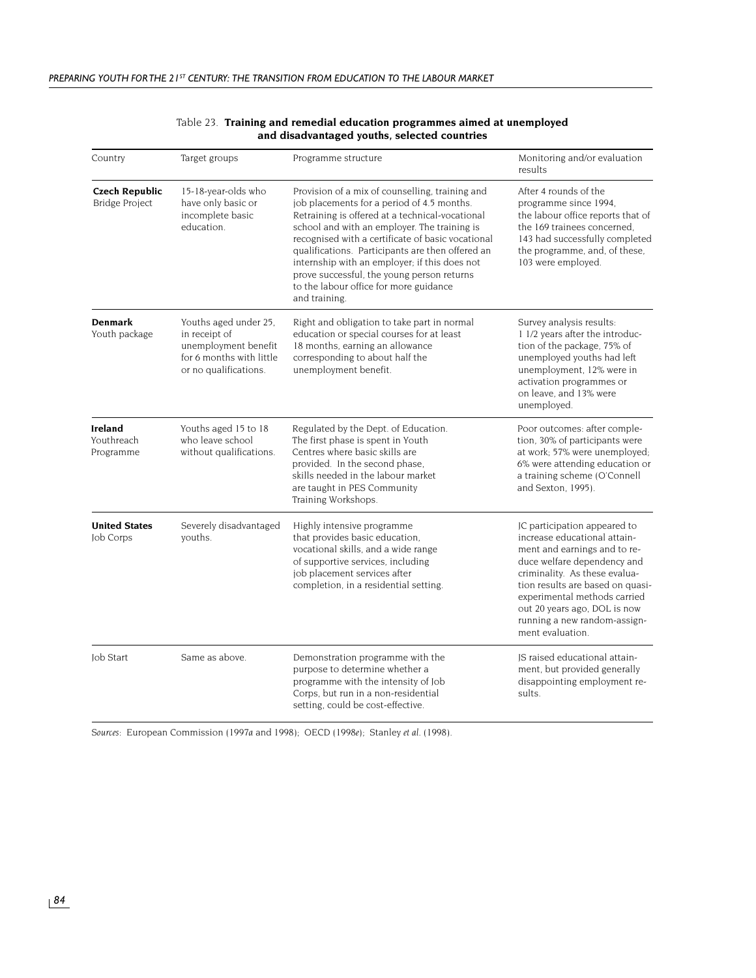| Country                                 | Target groups                                                                                                       | Programme structure                                                                                                                                                                                                                                                                                                                                                                                                                                                 | Monitoring and/or evaluation<br>results                                                                                                                                                                                                                                                                              |
|-----------------------------------------|---------------------------------------------------------------------------------------------------------------------|---------------------------------------------------------------------------------------------------------------------------------------------------------------------------------------------------------------------------------------------------------------------------------------------------------------------------------------------------------------------------------------------------------------------------------------------------------------------|----------------------------------------------------------------------------------------------------------------------------------------------------------------------------------------------------------------------------------------------------------------------------------------------------------------------|
| Czech Republic<br><b>Bridge Project</b> | 15-18-year-olds who<br>have only basic or<br>incomplete basic<br>education.                                         | Provision of a mix of counselling, training and<br>job placements for a period of 4.5 months.<br>Retraining is offered at a technical-vocational<br>school and with an employer. The training is<br>recognised with a certificate of basic vocational<br>qualifications. Participants are then offered an<br>internship with an employer; if this does not<br>prove successful, the young person returns<br>to the labour office for more guidance<br>and training. | After 4 rounds of the<br>programme since 1994,<br>the labour office reports that of<br>the 169 trainees concerned.<br>143 had successfully completed<br>the programme, and, of these,<br>103 were employed.                                                                                                          |
| <b>Denmark</b><br>Youth package         | Youths aged under 25,<br>in receipt of<br>unemployment benefit<br>for 6 months with little<br>or no qualifications. | Right and obligation to take part in normal<br>education or special courses for at least<br>18 months, earning an allowance<br>corresponding to about half the<br>unemployment benefit.                                                                                                                                                                                                                                                                             | Survey analysis results:<br>1 1/2 years after the introduc-<br>tion of the package, 75% of<br>unemployed youths had left<br>unemployment, 12% were in<br>activation programmes or<br>on leave, and 13% were<br>unemployed.                                                                                           |
| Ireland<br>Youthreach<br>Programme      | Youths aged 15 to 18<br>who leave school<br>without qualifications.                                                 | Regulated by the Dept. of Education.<br>The first phase is spent in Youth<br>Centres where basic skills are<br>provided. In the second phase,<br>skills needed in the labour market<br>are taught in PES Community<br>Training Workshops.                                                                                                                                                                                                                           | Poor outcomes: after comple-<br>tion, 30% of participants were<br>at work; 57% were unemployed;<br>6% were attending education or<br>a training scheme (O'Connell<br>and Sexton, 1995).                                                                                                                              |
| <b>United States</b><br>Job Corps       | Severely disadvantaged<br>youths.                                                                                   | Highly intensive programme<br>that provides basic education,<br>vocational skills, and a wide range<br>of supportive services, including<br>job placement services after<br>completion, in a residential setting.                                                                                                                                                                                                                                                   | JC participation appeared to<br>increase educational attain-<br>ment and earnings and to re-<br>duce welfare dependency and<br>criminality. As these evalua-<br>tion results are based on quasi-<br>experimental methods carried<br>out 20 years ago, DOL is now<br>running a new random-assign-<br>ment evaluation. |
| <b>Iob Start</b>                        | Same as above.                                                                                                      | Demonstration programme with the<br>purpose to determine whether a<br>programme with the intensity of Job<br>Corps, but run in a non-residential<br>setting, could be cost-effective.                                                                                                                                                                                                                                                                               | IS raised educational attain-<br>ment, but provided generally<br>disappointing employment re-<br>sults.                                                                                                                                                                                                              |

### Table 23. **Training and remedial education programmes aimed at unemployed and disadvantaged youths, selected countries**

*Sources*: European Commission (1997*a* and 1998); OECD (1998*e*); Stanley *et al*. (1998).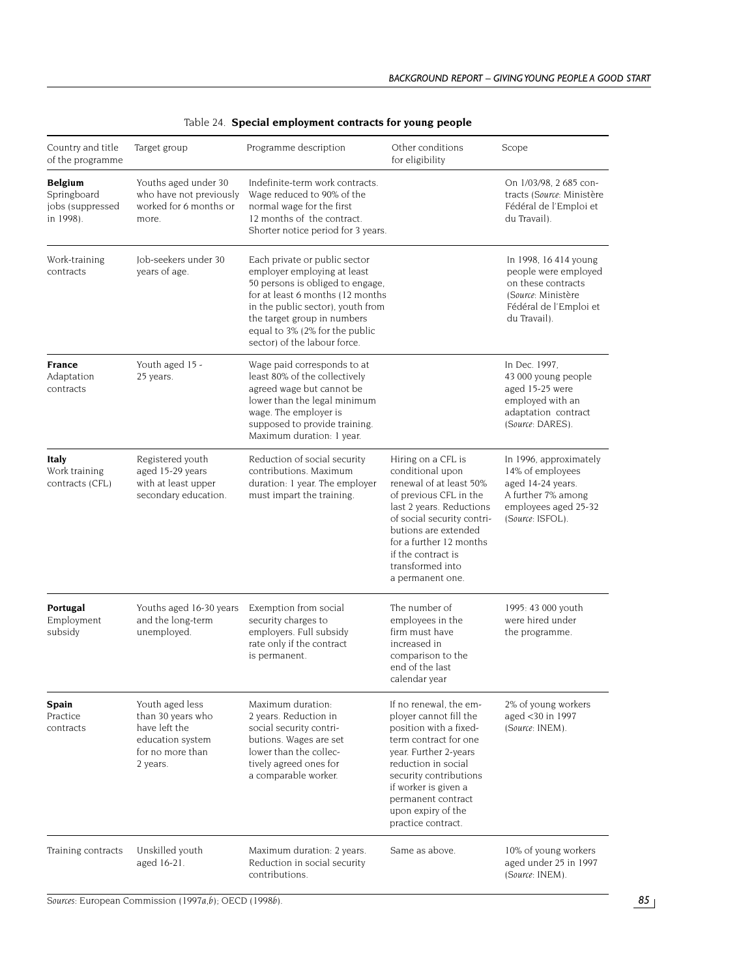| Country and title<br>of the programme                          | Target group                                                                                              | Programme description                                                                                                                                                                                                                                                      | Other conditions<br>for eligibility                                                                                                                                                                                                                                     | Scope                                                                                                                               |
|----------------------------------------------------------------|-----------------------------------------------------------------------------------------------------------|----------------------------------------------------------------------------------------------------------------------------------------------------------------------------------------------------------------------------------------------------------------------------|-------------------------------------------------------------------------------------------------------------------------------------------------------------------------------------------------------------------------------------------------------------------------|-------------------------------------------------------------------------------------------------------------------------------------|
| <b>Belgium</b><br>Springboard<br>jobs (suppressed<br>in 1998). | Youths aged under 30<br>who have not previously<br>worked for 6 months or<br>more.                        | Indefinite-term work contracts.<br>Wage reduced to 90% of the<br>normal wage for the first<br>12 months of the contract.<br>Shorter notice period for 3 years.                                                                                                             |                                                                                                                                                                                                                                                                         | On 1/03/98, 2 685 con-<br>tracts (Source: Ministère<br>Fédéral de l'Emploi et<br>du Travail).                                       |
| Work-training<br>contracts                                     | Job-seekers under 30<br>years of age.                                                                     | Each private or public sector<br>employer employing at least<br>50 persons is obliged to engage,<br>for at least 6 months (12 months<br>in the public sector), youth from<br>the target group in numbers<br>equal to 3% (2% for the public<br>sector) of the labour force. |                                                                                                                                                                                                                                                                         | In 1998, 16 414 young<br>people were employed<br>on these contracts<br>(Source: Ministère<br>Fédéral de l'Emploi et<br>du Travail). |
| France<br>Adaptation<br>contracts                              | Youth aged 15 -<br>25 years.                                                                              | Wage paid corresponds to at<br>least 80% of the collectively<br>agreed wage but cannot be<br>lower than the legal minimum<br>wage. The employer is<br>supposed to provide training.<br>Maximum duration: 1 year.                                                           |                                                                                                                                                                                                                                                                         | In Dec. 1997,<br>43 000 young people<br>aged 15-25 were<br>employed with an<br>adaptation contract<br>(Source: DARES).              |
| Italy<br>Work training<br>contracts (CFL)                      | Registered youth<br>aged 15-29 years<br>with at least upper<br>secondary education.                       | Reduction of social security<br>contributions. Maximum<br>duration: 1 year. The employer<br>must impart the training.                                                                                                                                                      | Hiring on a CFL is<br>conditional upon<br>renewal of at least 50%<br>of previous CFL in the<br>last 2 years. Reductions<br>of social security contri-<br>butions are extended<br>for a further 12 months<br>if the contract is<br>transformed into<br>a permanent one.  | In 1996, approximately<br>14% of employees<br>aged 14-24 years.<br>A further 7% among<br>employees aged 25-32<br>(Source: ISFOL).   |
| Portugal<br>Employment<br>subsidy                              | Youths aged 16-30 years<br>and the long-term<br>unemployed.                                               | Exemption from social<br>security charges to<br>employers. Full subsidy<br>rate only if the contract<br>is permanent.                                                                                                                                                      | The number of<br>employees in the<br>firm must have<br>increased in<br>comparison to the<br>end of the last<br>calendar year                                                                                                                                            | 1995: 43 000 youth<br>were hired under<br>the programme.                                                                            |
| Spain<br>Practice<br>contracts                                 | Youth aged less<br>than 30 years who<br>have left the<br>education system<br>for no more than<br>2 years. | Maximum duration:<br>2 years. Reduction in<br>social security contri-<br>butions. Wages are set<br>lower than the collec-<br>tively agreed ones for<br>a comparable worker.                                                                                                | If no renewal, the em-<br>ployer cannot fill the<br>position with a fixed-<br>term contract for one<br>year. Further 2-years<br>reduction in social<br>security contributions<br>if worker is given a<br>permanent contract<br>upon expiry of the<br>practice contract. | 2% of young workers<br>aged <30 in 1997<br>(Source: INEM).                                                                          |
| Training contracts                                             | Unskilled youth<br>aged 16-21.                                                                            | Maximum duration: 2 years.<br>Reduction in social security<br>contributions.                                                                                                                                                                                               | Same as above.                                                                                                                                                                                                                                                          | 10% of young workers<br>aged under 25 in 1997<br>(Source: INEM).                                                                    |

# Table 24. **Special employment contracts for young people**

*Sources:* European Commission (1997*a,b*); OECD (1998*b*).